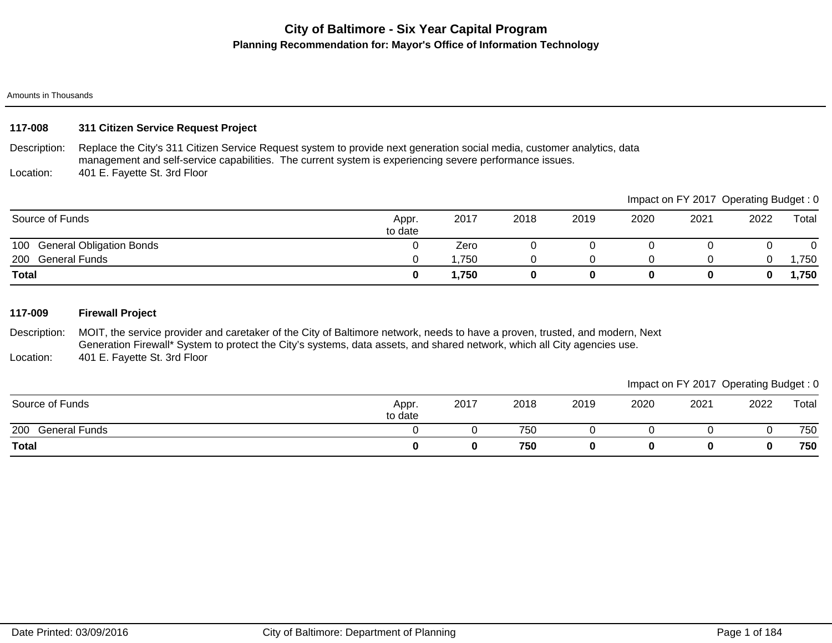# **City of Baltimore - Six Year Capital Program Planning Recommendation for: Mayor's Office of Information Technology**

#### Amounts in Thousands

# **117-008 311 Citizen Service Request Project**

Description: Replace the City's 311 Citizen Service Request system to provide next generation social media, customer analytics, data management and self-service capabilities. The current system is experiencing severe performance issues.

Location: 401 E. Fayette St. 3rd Floor

|                              |                  |       |      |      |      |      | Impact on FY 2017 Operating Budget: 0 |       |
|------------------------------|------------------|-------|------|------|------|------|---------------------------------------|-------|
| Source of Funds              | Appr.<br>to date | 2017  | 2018 | 2019 | 2020 | 2021 | 2022                                  | Total |
| 100 General Obligation Bonds |                  | Zero  |      |      |      |      |                                       |       |
| General Funds<br>200         |                  | 1,750 |      |      |      |      |                                       | ,750  |
| <b>Total</b>                 |                  | 1,750 |      |      |      | 0    |                                       | 1,750 |

### **117-009 Firewall Project**

Description: Location: MOIT, the service provider and caretaker of the City of Baltimore network, needs to have a proven, trusted, and modern, Next Generation Firewall\* System to protect the City's systems, data assets, and shared network, which all City agencies use. 401 E. Fayette St. 3rd Floor

| Source of Funds             | Appr.<br>to date | 2017 | 2018 | 2019 | 2020 | 2021 | 2022 | Total |
|-----------------------------|------------------|------|------|------|------|------|------|-------|
| 200<br><b>General Funds</b> |                  |      | 750  |      |      |      |      | 750   |
| <b>Total</b>                |                  | 0    | 750  |      |      |      |      | 750   |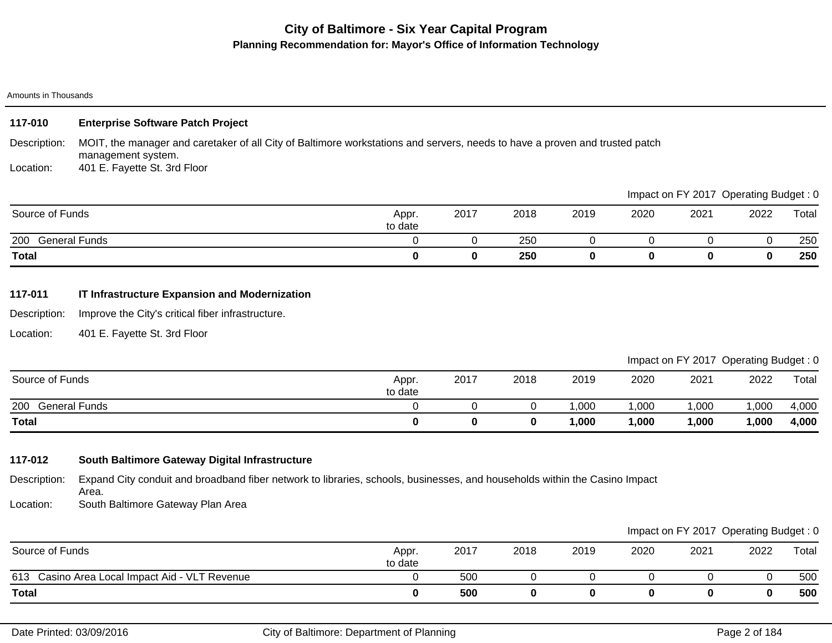# **City of Baltimore - Six Year Capital Program Planning Recommendation for: Mayor's Office of Information Technology**

#### Amounts in Thousands

| 117-010         | <b>Enterprise Software Patch Project</b>                                                                                                          |                  |      |      |      |      |                                       |      |       |
|-----------------|---------------------------------------------------------------------------------------------------------------------------------------------------|------------------|------|------|------|------|---------------------------------------|------|-------|
| Description:    | MOIT, the manager and caretaker of all City of Baltimore workstations and servers, needs to have a proven and trusted patch<br>management system. |                  |      |      |      |      |                                       |      |       |
| Location:       | 401 E. Fayette St. 3rd Floor                                                                                                                      |                  |      |      |      |      |                                       |      |       |
|                 |                                                                                                                                                   |                  |      |      |      |      | Impact on FY 2017 Operating Budget: 0 |      |       |
| Source of Funds |                                                                                                                                                   | Appr.<br>to date | 2017 | 2018 | 2019 | 2020 | 2021                                  | 2022 | Total |
| 200             | <b>General Funds</b>                                                                                                                              |                  |      | 250  |      |      |                                       |      | 250   |
| <b>Total</b>    |                                                                                                                                                   | 0                | 0    | 250  | 0    | 0    | 0                                     | 0    | 250   |
|                 |                                                                                                                                                   |                  |      |      |      |      |                                       |      |       |

# **117-011 IT Infrastructure Expansion and Modernization**

Description: Improve the City's critical fiber infrastructure.

Location: 401 E. Fayette St. 3rd Floor

|                   |                  |      |      |       |        | Impact on FY 2017 Operating Budget: 0 |       |       |
|-------------------|------------------|------|------|-------|--------|---------------------------------------|-------|-------|
| Source of Funds   | Appr.<br>to date | 2017 | 2018 | 2019  | 2020   | 2021                                  | 2022  | Total |
| 200 General Funds |                  |      |      | ,000  | ,000   | 1,000                                 | ,000  | 4,000 |
| <b>Total</b>      |                  |      | 0    | ,000, | 000, ا | 1,000                                 | 1,000 | 4,000 |

# **117-012 South Baltimore Gateway Digital Infrastructure**

Description: Expand City conduit and broadband fiber network to libraries, schools, businesses, and households within the Casino Impact Area.

Location: South Baltimore Gateway Plan Area

|                                                |                  |      |      |      |      | Impact on FY 2017 Operating Budget: 0 |      |       |
|------------------------------------------------|------------------|------|------|------|------|---------------------------------------|------|-------|
| Source of Funds                                | Appr.<br>to date | 2017 | 2018 | 2019 | 2020 | 2021                                  | 2022 | Total |
| 613 Casino Area Local Impact Aid - VLT Revenue |                  | 500  |      |      |      |                                       |      | 500   |
| Total                                          |                  | 500  |      |      |      |                                       |      | 500   |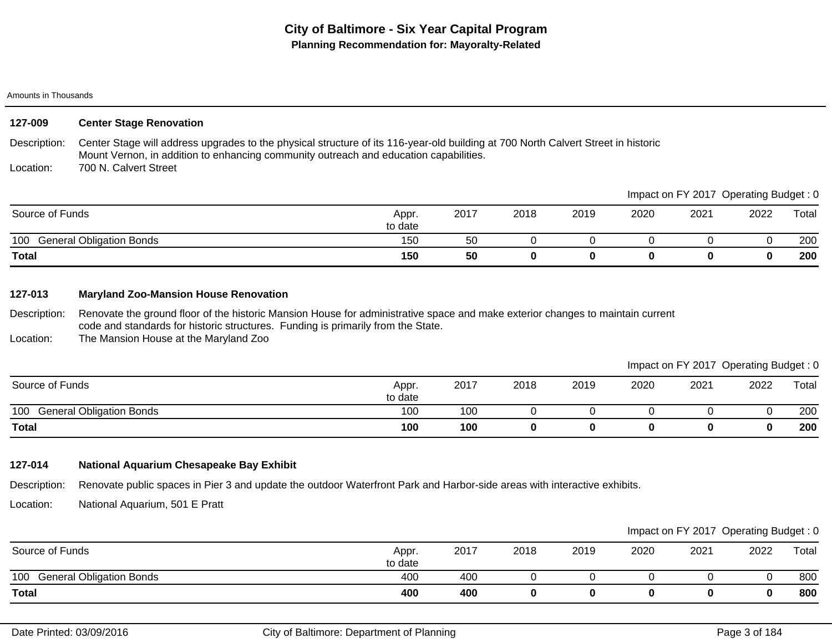| 127-009         | <b>Center Stage Renovation</b>                                                                                                                                                                                             |                  |      |      |      |      |      |                                       |       |
|-----------------|----------------------------------------------------------------------------------------------------------------------------------------------------------------------------------------------------------------------------|------------------|------|------|------|------|------|---------------------------------------|-------|
| Description:    | Center Stage will address upgrades to the physical structure of its 116-year-old building at 700 North Calvert Street in historic<br>Mount Vernon, in addition to enhancing community outreach and education capabilities. |                  |      |      |      |      |      |                                       |       |
| Location:       | 700 N. Calvert Street                                                                                                                                                                                                      |                  |      |      |      |      |      |                                       |       |
|                 |                                                                                                                                                                                                                            |                  |      |      |      |      |      | Impact on FY 2017 Operating Budget: 0 |       |
| Source of Funds |                                                                                                                                                                                                                            | Appr.<br>to date | 2017 | 2018 | 2019 | 2020 | 2021 | 2022                                  | Total |
|                 | 100 General Obligation Bonds                                                                                                                                                                                               | 150              | 50   |      |      |      |      |                                       | 200   |
| Total           |                                                                                                                                                                                                                            | 150              | 50   | 0    | 0    | 0    | 0    | 0                                     | 200   |

### **127-013 Maryland Zoo-Mansion House Renovation**

Description: Renovate the ground floor of the historic Mansion House for administrative space and make exterior changes to maintain current code and standards for historic structures. Funding is primarily from the State.

Location: The Mansion House at the Maryland Zoo

### Impact on FY 2017 Operating Budget : 0

|                                        |                  |      |      |      |      |      | __   | __    |
|----------------------------------------|------------------|------|------|------|------|------|------|-------|
| Source of Funds                        | Appr.<br>to date | 2017 | 2018 | 2019 | 2020 | 2021 | 2022 | Total |
| <b>General Obligation Bonds</b><br>100 | 100              | 100  |      |      |      |      |      | 200   |
| <b>Total</b>                           | 100              | 100  |      |      |      | u    |      | 200   |

# **127-014 National Aquarium Chesapeake Bay Exhibit**

Description: Renovate public spaces in Pier 3 and update the outdoor Waterfront Park and Harbor-side areas with interactive exhibits.

Location: National Aquarium, 501 E Pratt

|                                        |                  |      |      |      |      | Impact on FY 2017 Operating Budget: 0 |      |       |
|----------------------------------------|------------------|------|------|------|------|---------------------------------------|------|-------|
| Source of Funds                        | Appr.<br>to date | 2017 | 2018 | 2019 | 2020 | 2021                                  | 2022 | Total |
| 100<br><b>General Obligation Bonds</b> | 400              | 400  |      |      |      |                                       |      | 800   |
| <b>Total</b>                           | 400              | 400  |      |      |      |                                       |      | 800   |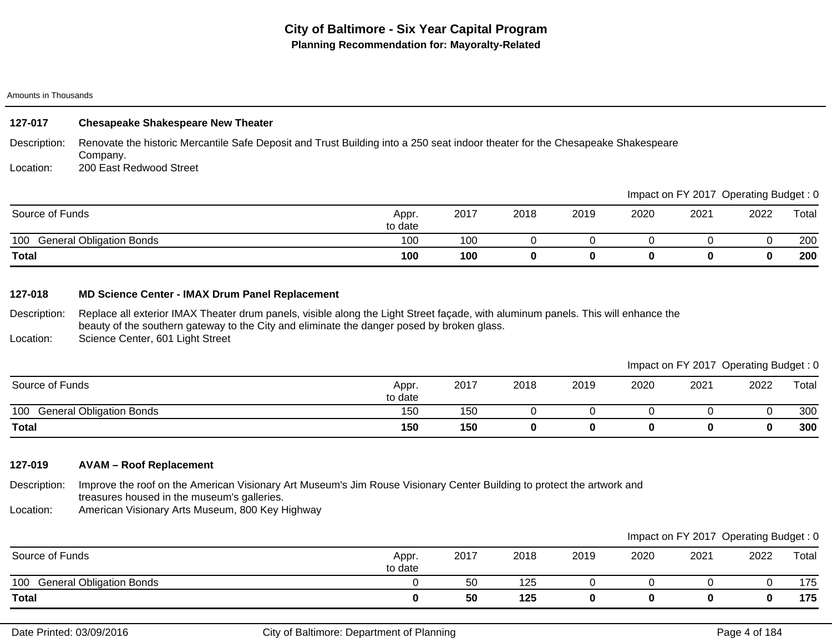# **127-017 Chesapeake Shakespeare New Theater**

Description: Renovate the historic Mercantile Safe Deposit and Trust Building into a 250 seat indoor theater for the Chesapeake Shakespeare Company.

Location: 200 East Redwood Street

|                                        |                  |      |      |      |      | Impact on FY 2017 Operating Budget: 0 |      |       |
|----------------------------------------|------------------|------|------|------|------|---------------------------------------|------|-------|
| Source of Funds                        | Appr.<br>to date | 2017 | 2018 | 2019 | 2020 | 2021                                  | 2022 | Total |
| 100<br><b>General Obligation Bonds</b> | 100              | 100  |      |      |      |                                       |      | 200   |
| <b>Total</b>                           | 100              | 100  |      |      |      |                                       |      | 200   |

### **127-018 MD Science Center - IMAX Drum Panel Replacement**

Description: Location: Replace all exterior IMAX Theater drum panels, visible along the Light Street façade, with aluminum panels. This will enhance the beauty of the southern gateway to the City and eliminate the danger posed by broken glass. Science Center, 601 Light Street

|                                        |                  |      |      |      |      | Impact on FY 2017 Operating Budget: 0 |      |       |
|----------------------------------------|------------------|------|------|------|------|---------------------------------------|------|-------|
| Source of Funds                        | Appr.<br>to date | 2017 | 2018 | 2019 | 2020 | 2021                                  | 2022 | Total |
| <b>General Obligation Bonds</b><br>100 | 150              | 150  |      |      |      |                                       |      | 300   |
| <b>Total</b>                           | 150              | 150  |      |      |      |                                       |      | 300   |

# **127-019 AVAM – Roof Replacement**

Description: Improve the roof on the American Visionary Art Museum's Jim Rouse Visionary Center Building to protect the artwork and treasures housed in the museum's galleries.

Location: American Visionary Arts Museum, 800 Key Highway

|                                        |                  |      |      |      |      |      | Impact on FY 2017 Operating Budget: 0 |       |
|----------------------------------------|------------------|------|------|------|------|------|---------------------------------------|-------|
| Source of Funds                        | Appr.<br>to date | 2017 | 2018 | 2019 | 2020 | 2021 | 2022                                  | Total |
| <b>General Obligation Bonds</b><br>100 |                  | 50   | 125  |      |      |      |                                       | 175   |
| <b>Total</b>                           |                  | 50   | 125  |      |      |      | 0                                     | 175   |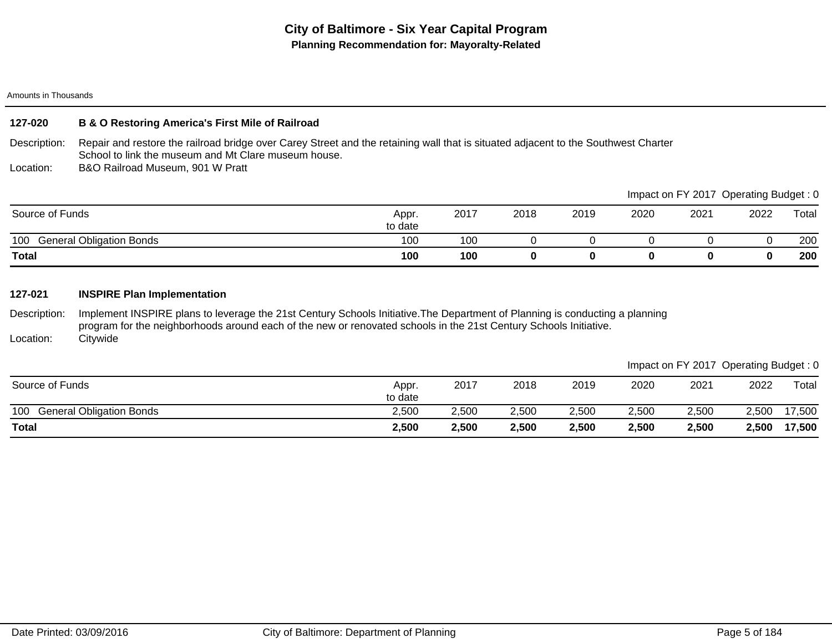### **127-020 B & O Restoring America's First Mile of Railroad**

Description: Repair and restore the railroad bridge over Carey Street and the retaining wall that is situated adjacent to the Southwest Charter School to link the museum and Mt Clare museum house.

Location: B&O Railroad Museum, 901 W Pratt

|                                        |                  |      |      |      |      |      | Impact on FY 2017 Operating Budget: 0 |       |
|----------------------------------------|------------------|------|------|------|------|------|---------------------------------------|-------|
| Source of Funds                        | Appr.<br>to date | 2017 | 2018 | 2019 | 2020 | 2021 | 2022                                  | Total |
| <b>General Obligation Bonds</b><br>100 | 100              | 100  |      |      |      |      |                                       | 200   |
| <b>Total</b>                           | 100              | 100  | 0    |      |      |      |                                       | 200   |

### **127-021 INSPIRE Plan Implementation**

Description: Location: Implement INSPIRE plans to leverage the 21st Century Schools Initiative.The Department of Planning is conducting a planning program for the neighborhoods around each of the new or renovated schools in the 21st Century Schools Initiative. **Citywide** 

|                                        |                  |       |       |       |       | Impact on FY 2017 Operating Budget: 0 |       |        |
|----------------------------------------|------------------|-------|-------|-------|-------|---------------------------------------|-------|--------|
| Source of Funds                        | Appr.<br>to date | 2017  | 2018  | 2019  | 2020  | 2021                                  | 2022  | Total  |
| 100<br><b>General Obligation Bonds</b> | 2,500            | 2,500 | 2,500 | 2,500 | 2,500 | 2,500                                 | 2.500 | 17,500 |
| <b>Total</b>                           | 2,500            | 2,500 | 2,500 | 2,500 | 2,500 | 2,500                                 | 2,500 | 17,500 |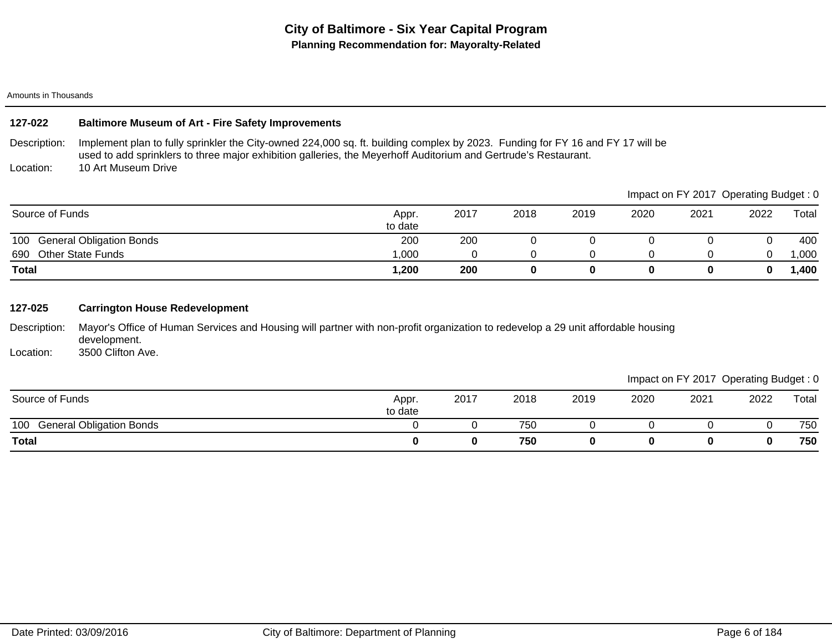## **127-022 Baltimore Museum of Art - Fire Safety Improvements**

Description: Location: Implement plan to fully sprinkler the City-owned 224,000 sq. ft. building complex by 2023. Funding for FY 16 and FY 17 will be used to add sprinklers to three major exhibition galleries, the Meyerhoff Auditorium and Gertrude's Restaurant. 10 Art Museum Drive

|                                 |                  |      |      |      |      | Impact on FY 2017 Operating Budget: 0 |      |       |
|---------------------------------|------------------|------|------|------|------|---------------------------------------|------|-------|
| Source of Funds                 | Appr.<br>to date | 2017 | 2018 | 2019 | 2020 | 2021                                  | 2022 | Total |
| 100 General Obligation Bonds    | 200              | 200  |      |      |      |                                       |      | 400   |
| <b>Other State Funds</b><br>690 | 000,1            |      |      |      |      |                                       |      | ,000  |
| Total                           | 1,200            | 200  |      |      |      |                                       |      | ,400  |

### **127-025 Carrington House Redevelopment**

Description: Mayor's Office of Human Services and Housing will partner with non-profit organization to redevelop a 29 unit affordable housing development.

Location: 3500 Clifton Ave.

|                              |                  |      |      |      |      | Impact on FY 2017 Operating Budget: 0 |      |       |
|------------------------------|------------------|------|------|------|------|---------------------------------------|------|-------|
| Source of Funds              | Appr.<br>to date | 2017 | 2018 | 2019 | 2020 | 2021                                  | 2022 | Total |
| 100 General Obligation Bonds |                  |      | 750  |      |      |                                       |      | 750   |
| <b>Total</b>                 |                  |      | 750  |      |      |                                       |      | 750   |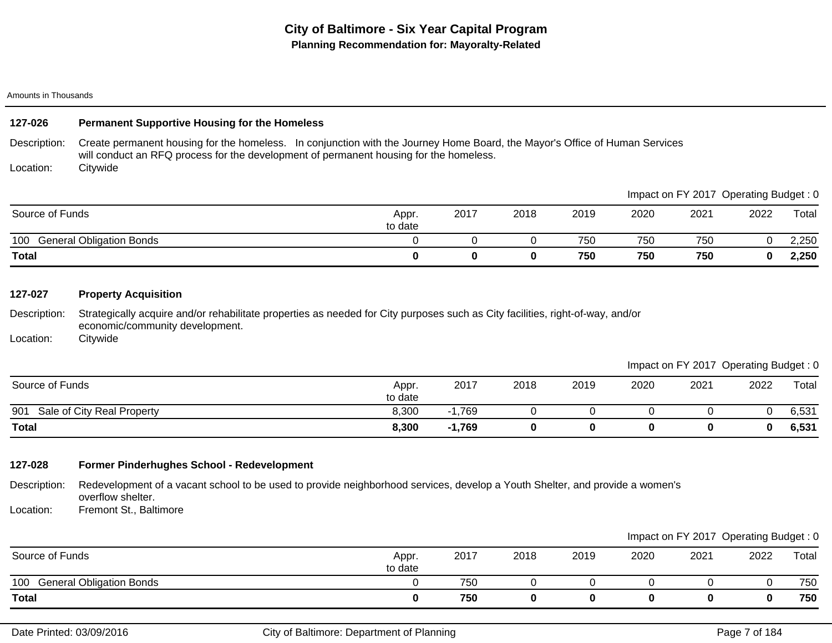# **127-026 Permanent Supportive Housing for the Homeless**

Description: Create permanent housing for the homeless. In conjunction with the Journey Home Board, the Mayor's Office of Human Services will conduct an RFQ process for the development of permanent housing for the homeless.

Location: **Citywide** 

|                                        |                  |      |      |      |      | Impact on FY 2017 Operating Budget: 0 |      |       |
|----------------------------------------|------------------|------|------|------|------|---------------------------------------|------|-------|
| Source of Funds                        | Appr.<br>to date | 2017 | 2018 | 2019 | 2020 | 2021                                  | 2022 | Total |
| 100<br><b>General Obligation Bonds</b> |                  |      |      | 750  | 750  | 750                                   |      | 2,250 |
| <b>Total</b>                           |                  |      |      | 750  | 750  | 750                                   |      | 2,250 |

### **127-027 Property Acquisition**

Description: Strategically acquire and/or rehabilitate properties as needed for City purposes such as City facilities, right-of-way, and/or economic/community development.

Location: **Citywide** 

### Impact on FY 2017 Operating Budget : 0

|                                   |                  |             |      |      |      |      | __       | __    |
|-----------------------------------|------------------|-------------|------|------|------|------|----------|-------|
| Source of Funds                   | Appr.<br>to date | 2017        | 2018 | 2019 | 2020 | 2021 | 2022     | Total |
| Sale of City Real Property<br>901 | 8,300            | ,769<br>. . |      |      |      |      |          | 6,531 |
| <b>Total</b>                      | 8,300            | $-1,769$    |      |      |      |      | $\bf{0}$ | 6,531 |

### **127-028 Former Pinderhughes School - Redevelopment**

Description: Redevelopment of a vacant school to be used to provide neighborhood services, develop a Youth Shelter, and provide a women's overflow shelter.

Location: Fremont St., Baltimore

|                                        |                  |      |      |      |      | Impact on FY 2017 Operating Budget: 0 |      |       |
|----------------------------------------|------------------|------|------|------|------|---------------------------------------|------|-------|
| Source of Funds                        | Appr.<br>to date | 2017 | 2018 | 2019 | 2020 | 2021                                  | 2022 | Total |
| <b>General Obligation Bonds</b><br>100 |                  | 750  |      |      |      |                                       |      | 750   |
| <b>Total</b>                           |                  | 750  |      |      |      |                                       |      | 750   |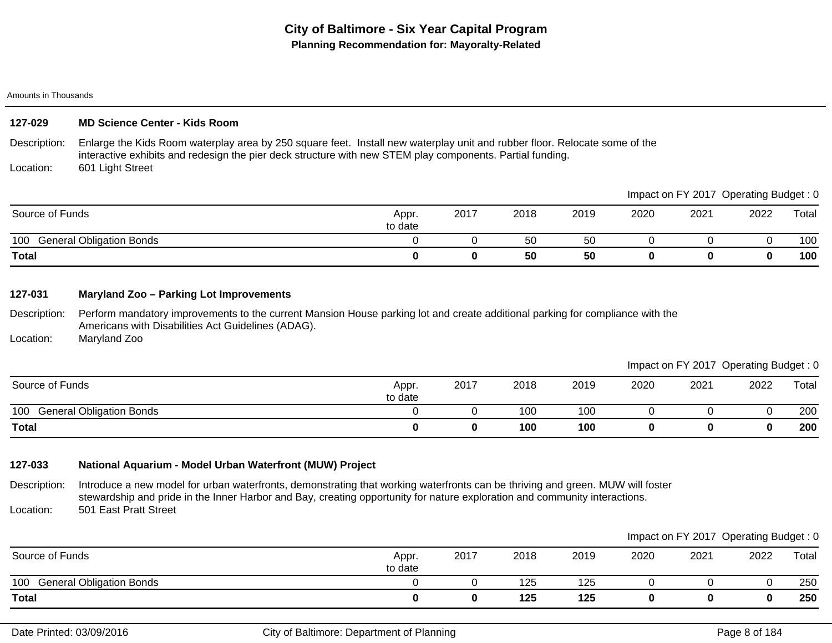## **127-029 MD Science Center - Kids Room**

Description: Location: Enlarge the Kids Room waterplay area by 250 square feet. Install new waterplay unit and rubber floor. Relocate some of the interactive exhibits and redesign the pier deck structure with new STEM play components. Partial funding. 601 Light Street

|                                        |                  |      |      |      |      |      | Impact on FY 2017 Operating Budget: 0 |       |
|----------------------------------------|------------------|------|------|------|------|------|---------------------------------------|-------|
| Source of Funds                        | Appr.<br>to date | 2017 | 2018 | 2019 | 2020 | 2021 | 2022                                  | Total |
| 100<br><b>General Obligation Bonds</b> |                  |      | 50   | 50   |      |      |                                       | 100   |
| Total                                  |                  |      | 50   | 50   |      |      |                                       | 100   |

### **127-031 Maryland Zoo – Parking Lot Improvements**

Description: Perform mandatory improvements to the current Mansion House parking lot and create additional parking for compliance with the Americans with Disabilities Act Guidelines (ADAG).

Location: Maryland Zoo

Impact on FY 2017 Operating Budget : 0

|                                        |                  |      |      |      |      |      | __   | __    |
|----------------------------------------|------------------|------|------|------|------|------|------|-------|
| Source of Funds                        | Appr.<br>to date | 2017 | 2018 | 2019 | 2020 | 2021 | 2022 | Total |
| 100<br><b>General Obligation Bonds</b> |                  |      | 100  | 100  |      |      |      | 200   |
| <b>Total</b>                           |                  |      | 100  | 100  |      |      |      | 200   |

# **127-033 National Aquarium - Model Urban Waterfront (MUW) Project**

Description: Location: Introduce a new model for urban waterfronts, demonstrating that working waterfronts can be thriving and green. MUW will foster stewardship and pride in the Inner Harbor and Bay, creating opportunity for nature exploration and community interactions. 501 East Pratt Street

|                              |                  |      |      |      |      | Impact on FY 2017 Operating Budget: 0 |      |       |
|------------------------------|------------------|------|------|------|------|---------------------------------------|------|-------|
| Source of Funds              | Appr.<br>to date | 2017 | 2018 | 2019 | 2020 | 2021                                  | 2022 | Total |
| 100 General Obligation Bonds |                  |      | 125  | 125  |      |                                       |      | 250   |
| <b>Total</b>                 |                  |      | 125  | 125  |      |                                       |      | 250   |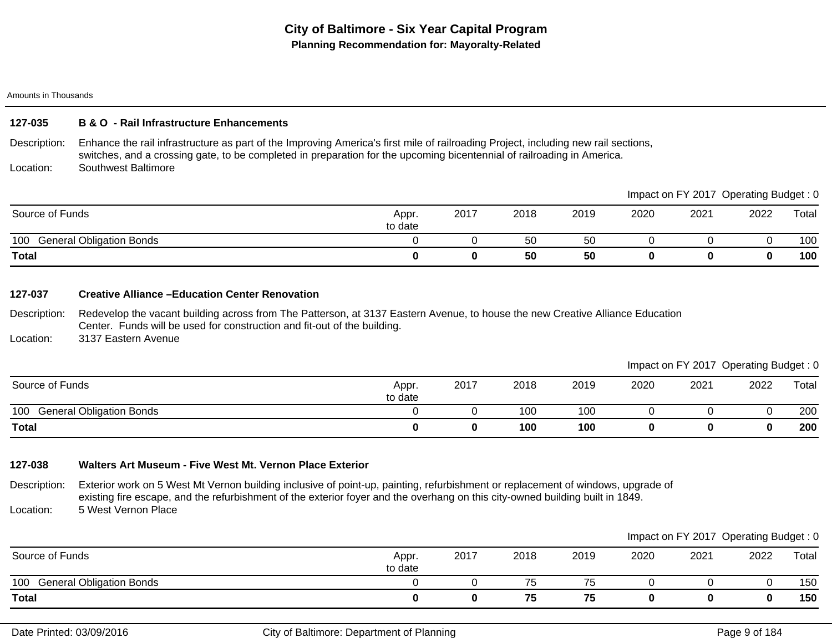### **127-035 B & O - Rail Infrastructure Enhancements**

Description: Location: Enhance the rail infrastructure as part of the Improving America's first mile of railroading Project, including new rail sections, switches, and a crossing gate, to be completed in preparation for the upcoming bicentennial of railroading in America. Southwest Baltimore

|                                        |                  |      |      |      |      |      | mpaol on Fizo Popolamy Badget . 0 |       |
|----------------------------------------|------------------|------|------|------|------|------|-----------------------------------|-------|
| Source of Funds                        | Appr.<br>to date | 2017 | 2018 | 2019 | 2020 | 2021 | 2022                              | Total |
| 100<br><b>General Obligation Bonds</b> |                  |      | 50   | 50   |      |      |                                   | 100   |
| <b>Total</b>                           |                  |      | 50   | 50   |      |      |                                   | 100   |

#### **127-037 Creative Alliance –Education Center Renovation**

Description: Redevelop the vacant building across from The Patterson, at 3137 Eastern Avenue, to house the new Creative Alliance Education Center. Funds will be used for construction and fit-out of the building.

Location: 3137 Eastern Avenue

Impact on FY 2017 Operating Budget : 0

Impact on FV 2017, Operating Budget : 0

|                              |                  |      |      |      |      |      | __   | __    |
|------------------------------|------------------|------|------|------|------|------|------|-------|
| Source of Funds              | Appr.<br>to date | 2017 | 2018 | 2019 | 2020 | 2021 | 2022 | Total |
| 100 General Obligation Bonds |                  |      | 100  | 100  |      |      |      | 200   |
| <b>Total</b>                 |                  |      | 100  | 100  |      |      |      | 200   |

# **127-038 Walters Art Museum - Five West Mt. Vernon Place Exterior**

Description: Location: Exterior work on 5 West Mt Vernon building inclusive of point-up, painting, refurbishment or replacement of windows, upgrade of existing fire escape, and the refurbishment of the exterior foyer and the overhang on this city-owned building built in 1849. 5 West Vernon Place

|                              |                  |      |      |      |      | Impact on FY 2017 Operating Budget: 0 |      |       |
|------------------------------|------------------|------|------|------|------|---------------------------------------|------|-------|
| Source of Funds              | Appr.<br>to date | 2017 | 2018 | 2019 | 2020 | 2021                                  | 2022 | Total |
| 100 General Obligation Bonds |                  |      | 75   | 75   |      |                                       |      | 150   |
| <b>Total</b>                 |                  |      | 75   | 75   |      |                                       |      | 150   |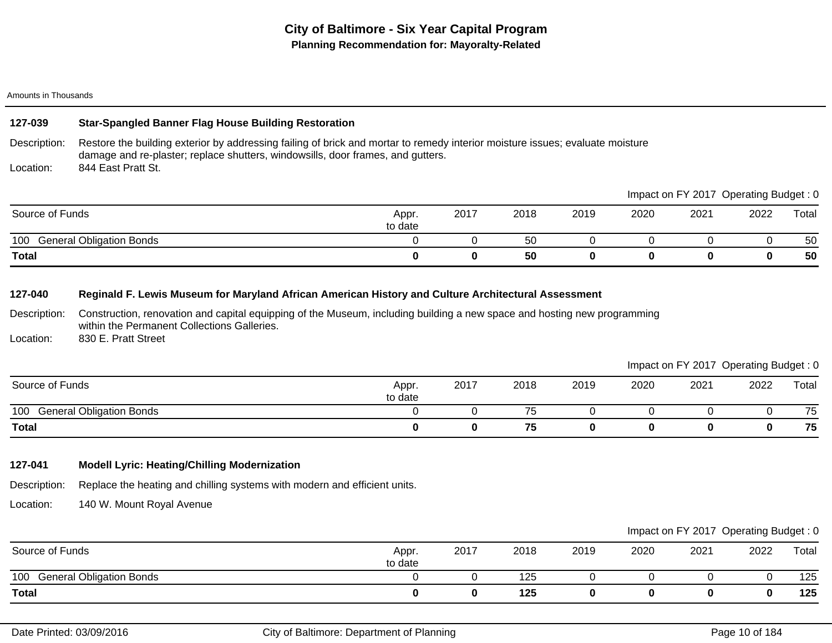## **127-039 Star-Spangled Banner Flag House Building Restoration**

Description: Location: Restore the building exterior by addressing failing of brick and mortar to remedy interior moisture issues; evaluate moisture damage and re-plaster; replace shutters, windowsills, door frames, and gutters. 844 East Pratt St.

|                                        |                  |      |      |      |      | Impact on FY 2017 | Operating Budget : 0 |       |
|----------------------------------------|------------------|------|------|------|------|-------------------|----------------------|-------|
| Source of Funds                        | Appr.<br>to date | 2017 | 2018 | 2019 | 2020 | 2021              | 2022                 | Total |
| <b>General Obligation Bonds</b><br>100 |                  |      | 50   |      |      |                   |                      | -50   |
| <b>Total</b>                           |                  | O    | 50   |      |      |                   |                      | 50    |

# **127-040 Reginald F. Lewis Museum for Maryland African American History and Culture Architectural Assessment**

Description: Construction, renovation and capital equipping of the Museum, including building a new space and hosting new programming within the Permanent Collections Galleries.

Location: 830 E. Pratt Street

### Impact on FY 2017 Operating Budget : 0

 $\blacksquare$ Impact on FY 2004  $\blacksquare$ 

|                                        |                  |      |                                |      |      |      | $\tilde{\phantom{a}}$ | ັ     |
|----------------------------------------|------------------|------|--------------------------------|------|------|------|-----------------------|-------|
| Source of Funds                        | Appr.<br>to date | 2017 | 2018                           | 2019 | 2020 | 2021 | 2022                  | Total |
| <b>General Obligation Bonds</b><br>100 |                  |      | $\overline{\phantom{a}}$<br>/5 |      |      |      |                       | 75    |
| <b>Total</b>                           |                  |      | 75                             |      |      |      |                       | 75    |

# **127-041 Modell Lyric: Heating/Chilling Modernization**

Description: Replace the heating and chilling systems with modern and efficient units.

Location: 140 W. Mount Royal Avenue

| Source of Funds                        | Appr.<br>to date | 2017 | 2018 | 2019 | 2020 | 2021 | 2022 | Total |
|----------------------------------------|------------------|------|------|------|------|------|------|-------|
| 100<br><b>General Obligation Bonds</b> |                  |      | 125  |      |      |      |      | 125   |
| <b>Total</b>                           |                  |      | 125  |      |      |      |      | 125   |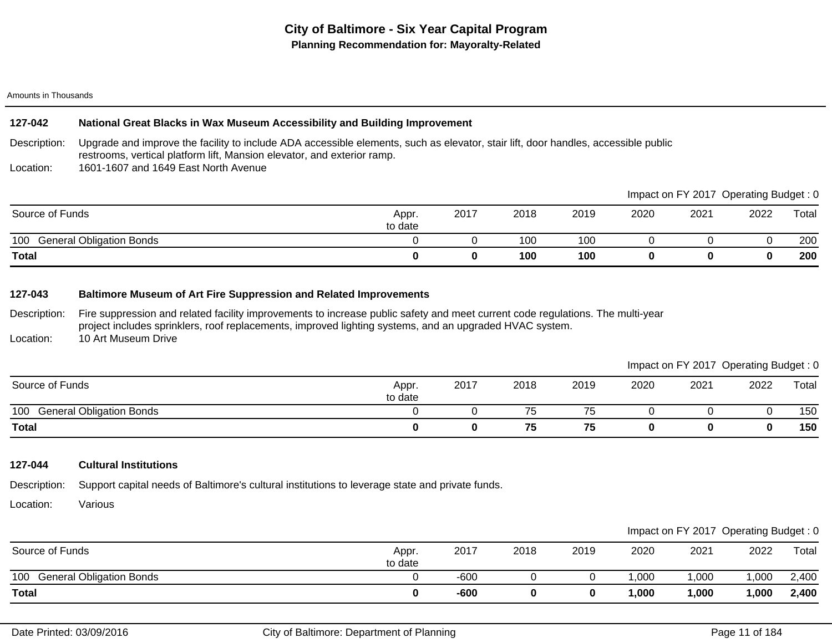## **127-042 National Great Blacks in Wax Museum Accessibility and Building Improvement**

Description: Upgrade and improve the facility to include ADA accessible elements, such as elevator, stair lift, door handles, accessible public restrooms, vertical platform lift, Mansion elevator, and exterior ramp.

Location: 1601-1607 and 1649 East North Avenue

|                                        |                  |      |      |      |      | Impact on FY 2017 Operating Budget: 0 |      |       |
|----------------------------------------|------------------|------|------|------|------|---------------------------------------|------|-------|
| Source of Funds                        | Appr.<br>to date | 2017 | 2018 | 2019 | 2020 | 2021                                  | 2022 | Total |
| <b>General Obligation Bonds</b><br>100 |                  |      | 100  | 100  |      |                                       |      | 200   |
| <b>Total</b>                           |                  |      | 100  | 100  |      |                                       |      | 200   |

### **127-043 Baltimore Museum of Art Fire Suppression and Related Improvements**

Description: Fire suppression and related facility improvements to increase public safety and meet current code regulations. The multi-year project includes sprinklers, roof replacements, improved lighting systems, and an upgraded HVAC system.

Location: 10 Art Museum Drive

| Source of Funds                        | Appr.<br>to date | 2017 | 2018 | 2019 | 2020 | 2021 | 2022 | Total |
|----------------------------------------|------------------|------|------|------|------|------|------|-------|
| 100<br><b>General Obligation Bonds</b> |                  |      | ′5   | 75   |      |      |      | 150   |
| <b>Total</b>                           |                  |      | 75   | 75   |      |      |      | 150   |

### **127-044 Cultural Institutions**

Description: Support capital needs of Baltimore's cultural institutions to leverage state and private funds.

Location: Various

|                                        |                  |      |      |      |        |      | Impact on FY 2017 Operating Budget: 0 |       |
|----------------------------------------|------------------|------|------|------|--------|------|---------------------------------------|-------|
| Source of Funds                        | Appr.<br>to date | 2017 | 2018 | 2019 | 2020   | 2021 | 2022                                  | Total |
| 100<br><b>General Obligation Bonds</b> |                  | -600 |      |      | .000   | ,000 | ,000                                  | 2,400 |
| <b>Total</b>                           |                  | -600 |      |      | 000. ا | 000, | ,000                                  | 2,400 |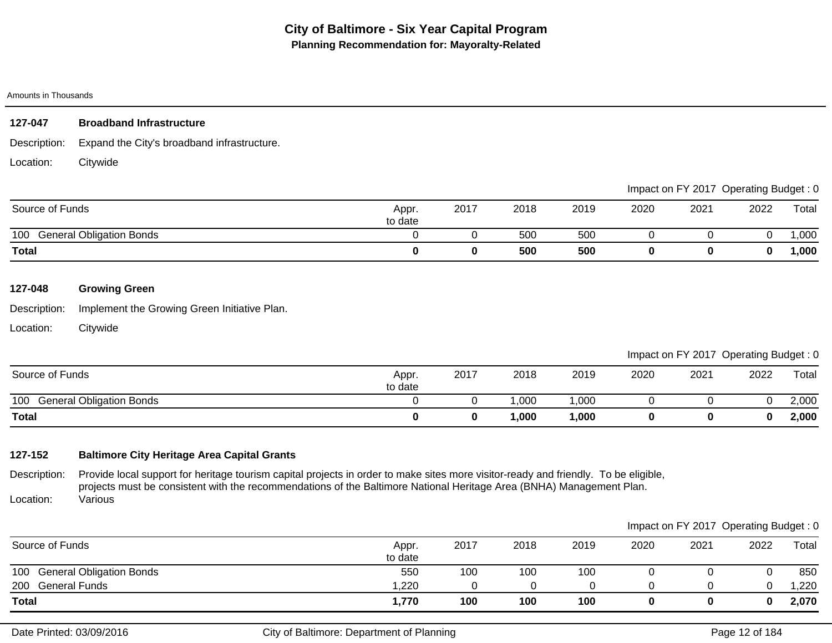| 127-047 | <b>Broadband Infrastructure</b> |
|---------|---------------------------------|
|         |                                 |

Description: Expand the City's broadband infrastructure.

Location: **Citywide** 

|                                        |                  |      |      |      |      | Impact on FY 2017 Operating Budget: 0 |      |        |
|----------------------------------------|------------------|------|------|------|------|---------------------------------------|------|--------|
| Source of Funds                        | Appr.<br>to date | 2017 | 2018 | 2019 | 2020 | 2021                                  | 2022 | Total  |
| <b>General Obligation Bonds</b><br>100 |                  |      | 500  | 500  |      |                                       |      | ,000   |
| <b>Total</b>                           |                  |      | 500  | 500  |      |                                       | 0    | 000, ا |

# **127-048 Growing Green**

Description: Implement the Growing Green Initiative Plan.

Location: **Citywide** 

Impact on FY 2017 Operating Budget : 0

| Source of Funds                        | Appr<br>to date | 2017 | 2018  | 2019  | 2020 | 2021 | 2022 | Total |
|----------------------------------------|-----------------|------|-------|-------|------|------|------|-------|
| 100<br><b>General Obligation Bonds</b> |                 |      | ,000  | ,000  |      |      |      | 2,000 |
| <b>Total</b>                           |                 |      | ,000, | 1,000 |      |      |      | 2,000 |

# **127-152 Baltimore City Heritage Area Capital Grants**

Description: Location: Provide local support for heritage tourism capital projects in order to make sites more visitor-ready and friendly. To be eligible, projects must be consistent with the recommendations of the Baltimore National Heritage Area (BNHA) Management Plan. Various

|                              |                  |      |      |      |      |      | Impact on FY 2017 Operating Budget: 0 |       |
|------------------------------|------------------|------|------|------|------|------|---------------------------------------|-------|
| Source of Funds              | Appr.<br>to date | 2017 | 2018 | 2019 | 2020 | 2021 | 2022                                  | Total |
| 100 General Obligation Bonds | 550              | 100  | 100  | 100  |      |      |                                       | 850   |
| 200 General Funds            | 1,220            |      | 0    |      |      |      |                                       | 1,220 |
| <b>Total</b>                 | 1,770            | 100  | 100  | 100  |      |      |                                       | 2,070 |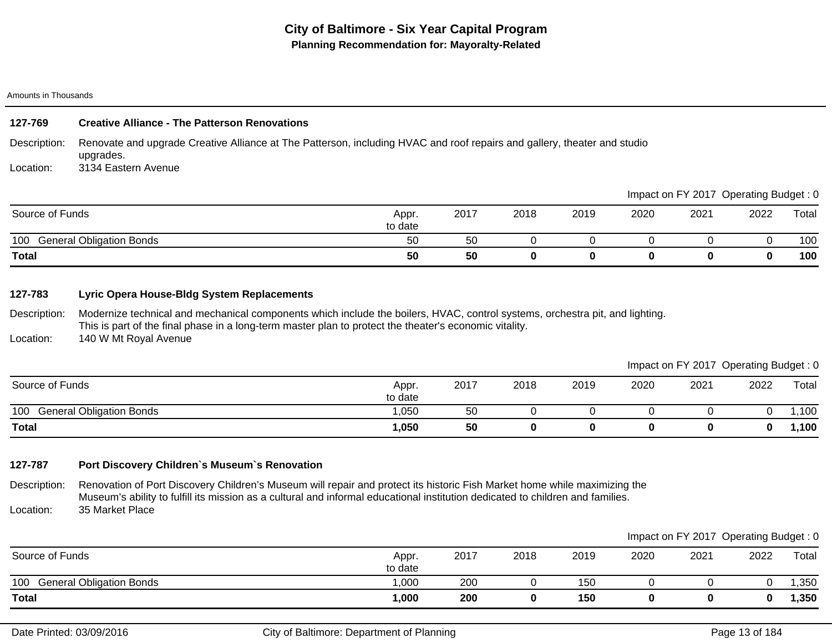#### Description: Location: **127-769 Creative Alliance - The Patterson Renovations** Renovate and upgrade Creative Alliance at The Patterson, including HVAC and roof repairs and gallery, theater and studio upgrades. 3134 Eastern Avenue

|                                        |                  |      |      |      |      | Impact on FY 2017 Operating Budget: 0 |      |       |
|----------------------------------------|------------------|------|------|------|------|---------------------------------------|------|-------|
| Source of Funds                        | Appr.<br>to date | 2017 | 2018 | 2019 | 2020 | 2021                                  | 2022 | Total |
| <b>General Obligation Bonds</b><br>100 | 50               | 50   |      |      |      |                                       |      | 100   |
| <b>Total</b>                           | 50               | 50   |      |      |      |                                       |      | 100   |

### **127-783 Lyric Opera House-Bldg System Replacements**

Description: Modernize technical and mechanical components which include the boilers, HVAC, control systems, orchestra pit, and lighting. This is part of the final phase in a long-term master plan to protect the theater's economic vitality.

Location: 140 W Mt Royal Avenue

| Source of Funds                        | Appr.<br>to date | 2017 | 2018 | 2019 | 2020 | 2021 | 2022 | Total |
|----------------------------------------|------------------|------|------|------|------|------|------|-------|
| 100<br><b>General Obligation Bonds</b> | ,050             | 50   |      |      |      |      |      | ,100  |
| <b>Total</b>                           | 1,050            | 50   |      |      |      |      |      | ,100  |

# **127-787 Port Discovery Children`s Museum`s Renovation**

Description: Location: Renovation of Port Discovery Children's Museum will repair and protect its historic Fish Market home while maximizing the Museum's ability to fulfill its mission as a cultural and informal educational institution dedicated to children and families. 35 Market Place

|                              |                  |      |      |      |      |      | Impact on FY 2017 Operating Budget: 0 |       |
|------------------------------|------------------|------|------|------|------|------|---------------------------------------|-------|
| Source of Funds              | Appr.<br>to date | 2017 | 2018 | 2019 | 2020 | 2021 | 2022                                  | Total |
| 100 General Obligation Bonds | ,000             | 200  |      | 150  |      |      |                                       | ,350  |
| <b>Total</b>                 | 1,000            | 200  | 0    | 150  |      |      |                                       | 1,350 |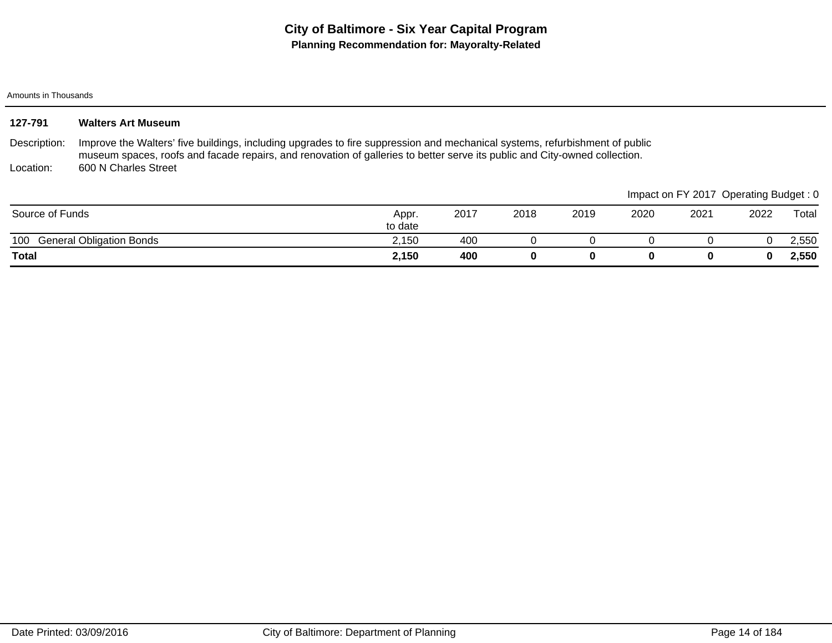| 127-791         | <b>Walters Art Museum</b>                                                                                                                                                                                                                                 |                  |      |      |      |      |      |                                       |       |
|-----------------|-----------------------------------------------------------------------------------------------------------------------------------------------------------------------------------------------------------------------------------------------------------|------------------|------|------|------|------|------|---------------------------------------|-------|
| Description:    | Improve the Walters' five buildings, including upgrades to fire suppression and mechanical systems, refurbishment of public<br>museum spaces, roofs and facade repairs, and renovation of galleries to better serve its public and City-owned collection. |                  |      |      |      |      |      |                                       |       |
| Location:       | 600 N Charles Street                                                                                                                                                                                                                                      |                  |      |      |      |      |      |                                       |       |
|                 |                                                                                                                                                                                                                                                           |                  |      |      |      |      |      | Impact on FY 2017 Operating Budget: 0 |       |
| Source of Funds |                                                                                                                                                                                                                                                           | Appr.<br>to date | 2017 | 2018 | 2019 | 2020 | 2021 | 2022                                  | Total |
| 100             | <b>General Obligation Bonds</b>                                                                                                                                                                                                                           | 2,150            | 400  |      |      |      |      |                                       | 2,550 |
| <b>Total</b>    |                                                                                                                                                                                                                                                           | 2,150            | 400  | 0    | 0    | 0    | 0    |                                       | 2,550 |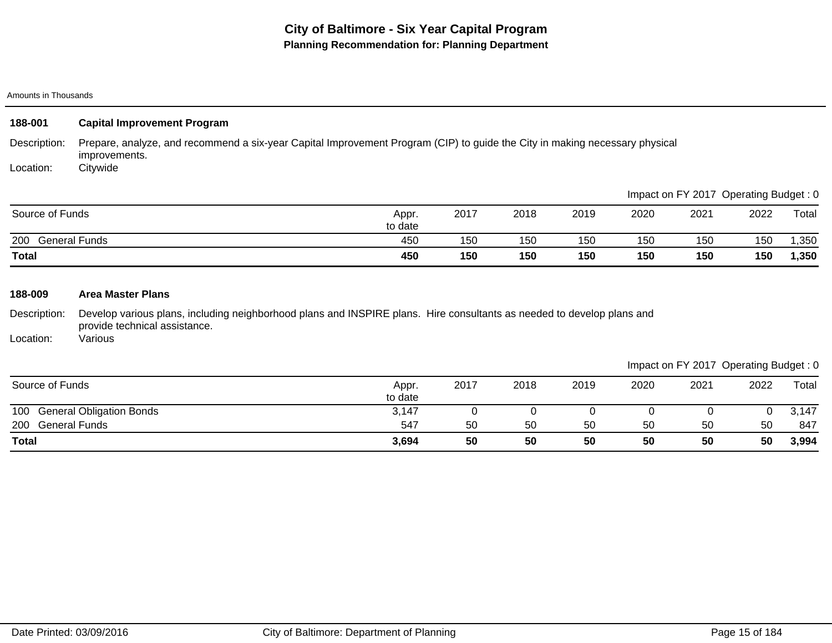| 188-001                   | <b>Capital Improvement Program</b>                                                                                                                       |                  |      |      |      |      |                                       |      |       |
|---------------------------|----------------------------------------------------------------------------------------------------------------------------------------------------------|------------------|------|------|------|------|---------------------------------------|------|-------|
| Description:<br>Location: | Prepare, analyze, and recommend a six-year Capital Improvement Program (CIP) to guide the City in making necessary physical<br>improvements.<br>Citywide |                  |      |      |      |      |                                       |      |       |
|                           |                                                                                                                                                          |                  |      |      |      |      | Impact on FY 2017 Operating Budget: 0 |      |       |
| Source of Funds           |                                                                                                                                                          | Appr.<br>to date | 2017 | 2018 | 2019 | 2020 | 2021                                  | 2022 | Total |
| 200 General Funds         |                                                                                                                                                          | 450              | 150  | 150  | 150  | 150  | 150                                   | 150  | 1,350 |
| <b>Total</b>              |                                                                                                                                                          | 450              | 150  | 150  | 150  | 150  | 150                                   | 150  | 1,350 |
| 188-009                   | <b>Area Master Plans</b>                                                                                                                                 |                  |      |      |      |      |                                       |      |       |
| Description:              | Develop various plans, including neighborhood plans and INSPIRE plans. Hire consultants as needed to develop plans and<br>provide technical assistance.  |                  |      |      |      |      |                                       |      |       |

Location: Various

|                                        |                  |      |      |      |      |      | ັ    | ັ     |
|----------------------------------------|------------------|------|------|------|------|------|------|-------|
| Source of Funds                        | Appr.<br>to date | 2017 | 2018 | 2019 | 2020 | 2021 | 2022 | Total |
| <b>General Obligation Bonds</b><br>100 | 3,147            |      |      |      |      |      | U    | 3,147 |
| 200<br><b>General Funds</b>            | 547              | 50   | 50   | 50   | 50   | 50   | 50   | 847   |
| <b>Total</b>                           | 3,694            | 50   | 50   | 50   | 50   | 50   | 50   | 3,994 |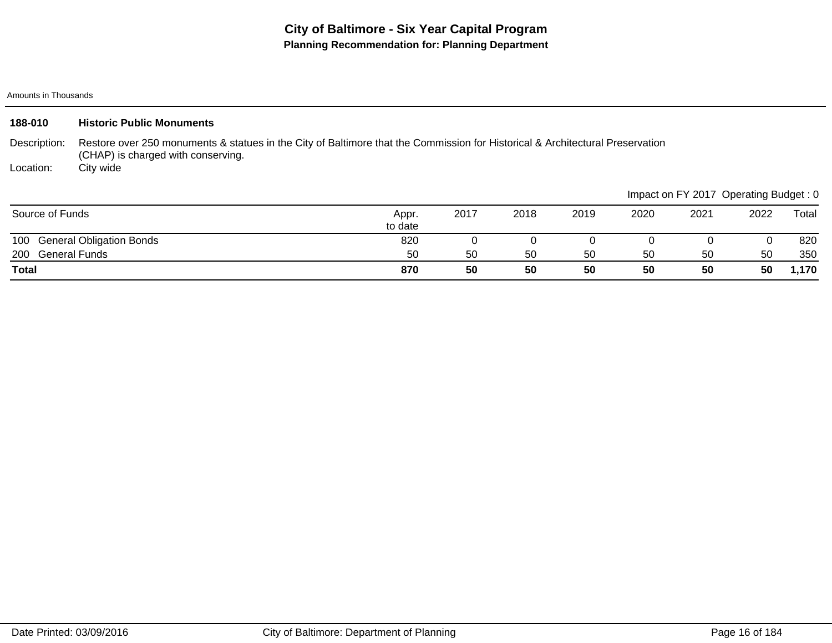| 188-010           | <b>Historic Public Monuments</b>                                                                                                                                    |                  |      |      |      |      |                                       |      |       |
|-------------------|---------------------------------------------------------------------------------------------------------------------------------------------------------------------|------------------|------|------|------|------|---------------------------------------|------|-------|
| Description:      | Restore over 250 monuments & statues in the City of Baltimore that the Commission for Historical & Architectural Preservation<br>(CHAP) is charged with conserving. |                  |      |      |      |      |                                       |      |       |
| Location:         | City wide                                                                                                                                                           |                  |      |      |      |      |                                       |      |       |
|                   |                                                                                                                                                                     |                  |      |      |      |      | Impact on FY 2017 Operating Budget: 0 |      |       |
| Source of Funds   |                                                                                                                                                                     | Appr.<br>to date | 2017 | 2018 | 2019 | 2020 | 2021                                  | 2022 | Total |
| 100               | <b>General Obligation Bonds</b>                                                                                                                                     | 820              |      |      |      |      |                                       |      | 820   |
| 200 General Funds |                                                                                                                                                                     | 50               | 50   | 50   | 50   | 50   | 50                                    | 50   | 350   |
| <b>Total</b>      |                                                                                                                                                                     | 870              | 50   | 50   | 50   | 50   | 50                                    | 50   | 1,170 |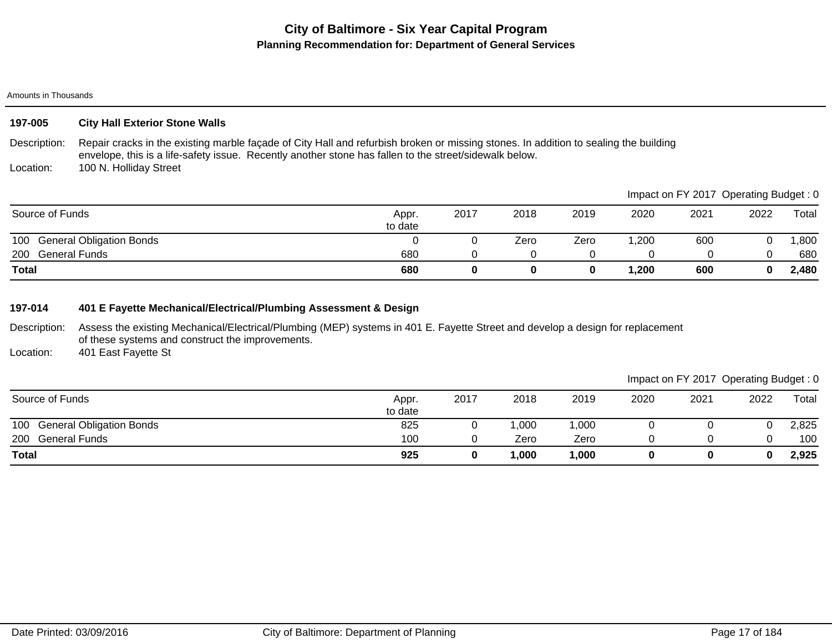#### Amounts in Thousands

### **197-005 City Hall Exterior Stone Walls**

Description: Location: Repair cracks in the existing marble façade of City Hall and refurbish broken or missing stones. In addition to sealing the building envelope, this is a life-safety issue. Recently another stone has fallen to the street/sidewalk below. 100 N. Holliday Street

200 General Funds 680 0 0 0 0 0 0 680 100 General Obligation Bonds<br>
100 General Obligation Bonds<br>
1,800 **Total 680 0 0 0 1,200 600 0 2,480** Source of Funds Appr. to date 2017 2018 2019 2020 2021 2022 Total Impact on FY 2017 Operating Budget : 0

### **197-014 401 E Fayette Mechanical/Electrical/Plumbing Assessment & Design**

Description: Assess the existing Mechanical/Electrical/Plumbing (MEP) systems in 401 E. Fayette Street and develop a design for replacement of these systems and construct the improvements.

Location: 401 East Fayette St

| Source of Funds              | Appr.<br>to date | 2017 | 2018 | 2019  | 2020 | 2021 | 2022 | Total |
|------------------------------|------------------|------|------|-------|------|------|------|-------|
| 100 General Obligation Bonds | 825              |      | ,000 | 1,000 |      |      |      | 2,825 |
| 200 General Funds            | 100              |      | Zero | Zero  |      |      |      | 100   |
| <b>Total</b>                 | 925              |      | ,000 | 1,000 |      |      | 0    | 2,925 |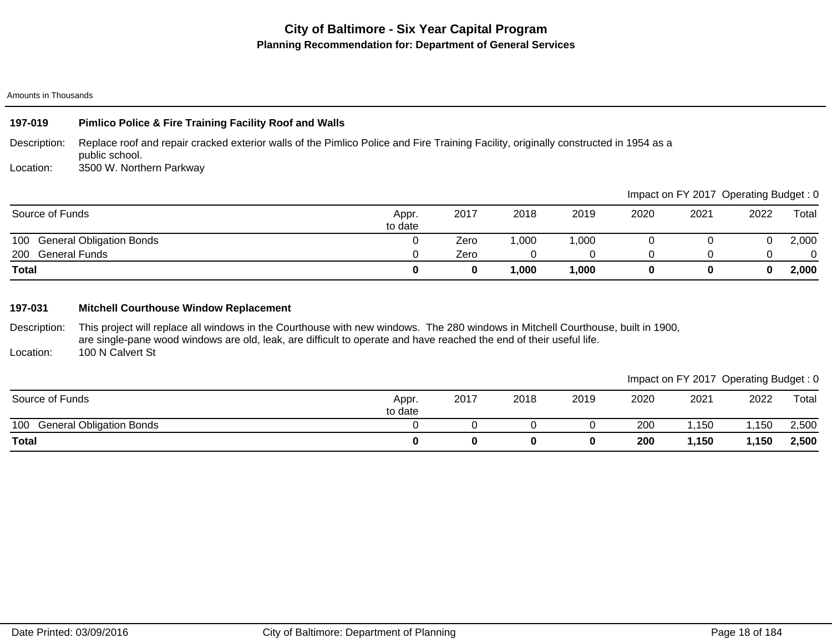#### Amounts in Thousands

# **197-019 Pimlico Police & Fire Training Facility Roof and Walls**

Description: Replace roof and repair cracked exterior walls of the Pimlico Police and Fire Training Facility, originally constructed in 1954 as a public school.

Location: 3500 W. Northern Parkway

|                                        |                  |      |      |       |      | Impact on FY 2017 Operating Budget: 0 |      |          |
|----------------------------------------|------------------|------|------|-------|------|---------------------------------------|------|----------|
| Source of Funds                        | Appr.<br>to date | 2017 | 2018 | 2019  | 2020 | 2021                                  | 2022 | Total    |
| <b>General Obligation Bonds</b><br>100 |                  | Zero | ,000 | 1,000 |      |                                       |      | 2,000    |
| <b>General Funds</b><br>200            |                  | Zero |      |       |      |                                       |      | $\Omega$ |
| <b>Total</b>                           |                  | 0    | ,000 | 1,000 |      |                                       | 0    | 2,000    |

## **197-031 Mitchell Courthouse Window Replacement**

Description: This project will replace all windows in the Courthouse with new windows. The 280 windows in Mitchell Courthouse, built in 1900, are single-pane wood windows are old, leak, are difficult to operate and have reached the end of their useful life. 100 N Calvert St

Location:

|                                        |                  |      |      |      |                 |       | __    | __    |
|----------------------------------------|------------------|------|------|------|-----------------|-------|-------|-------|
| Source of Funds                        | Appr.<br>to date | 2017 | 2018 | 2019 | 2020            | 2021  | 2022  | Total |
| 100<br><b>General Obligation Bonds</b> |                  |      |      |      | 20 <sub>C</sub> | ,150  | 1,150 | 2,500 |
| <b>Total</b>                           |                  |      |      |      | 200             | 1,150 | ,150  | 2,500 |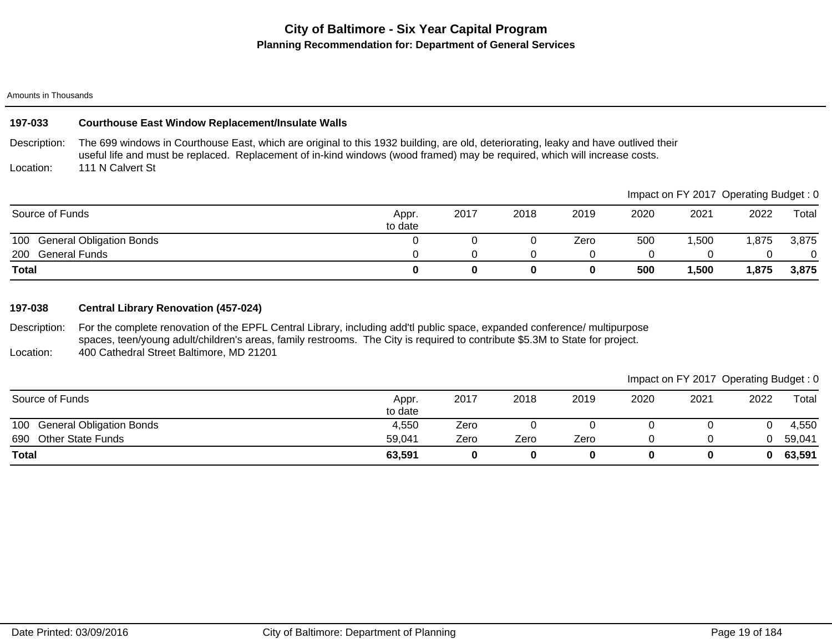#### Amounts in Thousands

### **197-033 Courthouse East Window Replacement/Insulate Walls**

Description: Location: The 699 windows in Courthouse East, which are original to this 1932 building, are old, deteriorating, leaky and have outlived their useful life and must be replaced. Replacement of in-kind windows (wood framed) may be required, which will increase costs. 111 N Calvert St

|                                        |                  |      |      |      |      |       | Impact on FY 2017 Operating Budget: 0 |       |
|----------------------------------------|------------------|------|------|------|------|-------|---------------------------------------|-------|
| Source of Funds                        | Appr.<br>to date | 2017 | 2018 | 2019 | 2020 | 2021  | 2022                                  | Total |
| <b>General Obligation Bonds</b><br>100 |                  |      |      | Zero | 500  | ,500  | 1,875                                 | 3,875 |
| <b>General Funds</b><br>200            |                  |      |      |      |      |       |                                       |       |
| <b>Total</b>                           |                  |      | Ω    | 0    | 500  | 1,500 | 1,875                                 | 3,875 |

## **197-038 Central Library Renovation (457-024)**

Description: Location: For the complete renovation of the EPFL Central Library, including add'tl public space, expanded conference/ multipurpose spaces, teen/young adult/children's areas, family restrooms. The City is required to contribute \$5.3M to State for project. 400 Cathedral Street Baltimore, MD 21201

### Impact on FY 2017 Operating Budget : 0

 $\blacksquare$ 

| Source of Funds              | Appr.<br>to date | 2017 | 2018 | 2019 | 2020 | 2021 | 2022 | Total  |
|------------------------------|------------------|------|------|------|------|------|------|--------|
| 100 General Obligation Bonds | 4,550            | Zero |      |      |      |      |      | 4,550  |
| 690 Other State Funds        | 59,041           | Zero | Zero | Zero |      |      |      | 59,041 |
| <b>Total</b>                 | 63,591           |      |      |      |      | 0    | 0    | 63,591 |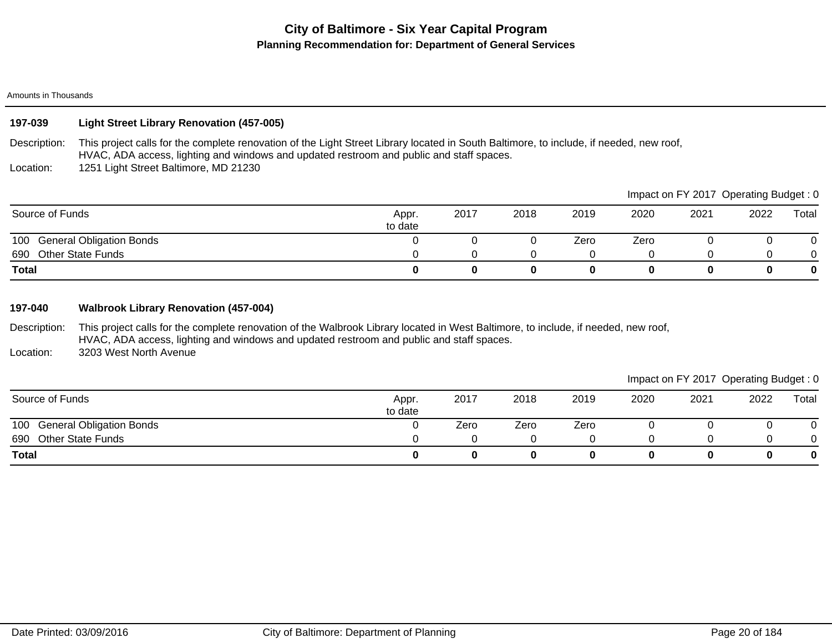#### Amounts in Thousands

# **197-039 Light Street Library Renovation (457-005)**

Description: This project calls for the complete renovation of the Light Street Library located in South Baltimore, to include, if needed, new roof, HVAC, ADA access, lighting and windows and updated restroom and public and staff spaces.

Location: 1251 Light Street Baltimore, MD 21230

|                              |                  |      |      |      |      |      | Impact on FY 2017 Operating Budget: 0 |       |
|------------------------------|------------------|------|------|------|------|------|---------------------------------------|-------|
| Source of Funds              | Appr.<br>to date | 2017 | 2018 | 2019 | 2020 | 2021 | 2022                                  | Total |
| 100 General Obligation Bonds |                  |      |      | Zero | Zero |      |                                       |       |
| 690 Other State Funds        |                  |      |      |      |      |      |                                       | 0     |
| Total                        | O                |      |      |      |      |      |                                       | 0     |

## **197-040 Walbrook Library Renovation (457-004)**

Description: This project calls for the complete renovation of the Walbrook Library located in West Baltimore, to include, if needed, new roof, HVAC, ADA access, lighting and windows and updated restroom and public and staff spaces. 3203 West North Avenue

Location:

| Source of Funds                 | Appr.<br>to date | 2017 | 2018 | 2019 | 2020 | 2021 | 2022 | Total       |
|---------------------------------|------------------|------|------|------|------|------|------|-------------|
| 100 General Obligation Bonds    |                  | Zero | Zero | Zero |      |      |      | 0           |
| <b>Other State Funds</b><br>690 |                  |      |      |      |      |      |      | 0           |
| <b>Total</b>                    |                  |      |      |      |      | 0    |      | $\mathbf 0$ |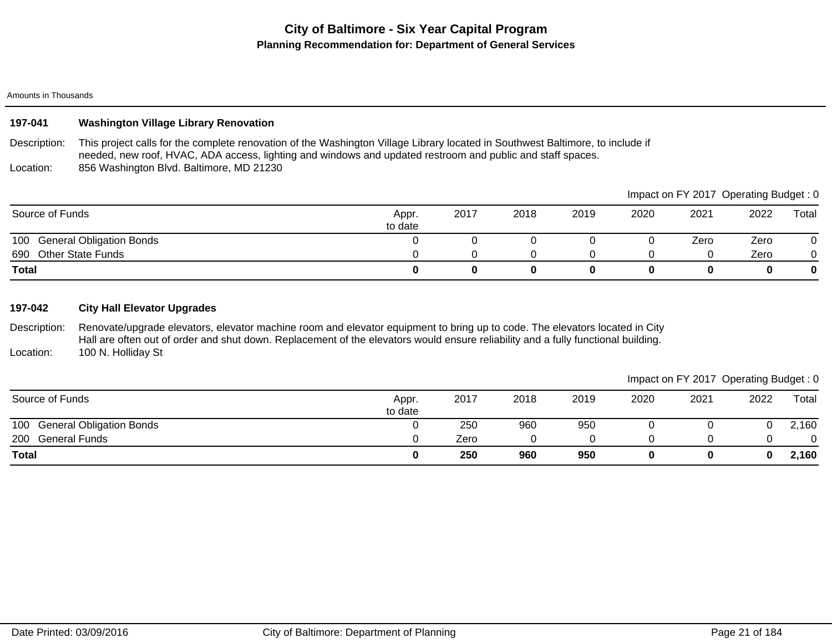### Amounts in Thousands

## **197-041 Washington Village Library Renovation**

Description: Location: This project calls for the complete renovation of the Washington Village Library located in Southwest Baltimore, to include if needed, new roof, HVAC, ADA access, lighting and windows and updated restroom and public and staff spaces. 856 Washington Blvd. Baltimore, MD 21230

690 Other State Funds **690** Other State Funds **690** Other State Funds **690** Other State Funds **690** Other State Funds 100 General Obligation Bonds **0** 0 0 0 0 2ero Zero 0 **Total 0 0 0 0 0 0 0 0** Source of Funds Appr. to date 2017 2018 2019 2020 2021 2022 Total Impact on FY 2017 Operating Budget : 0

### **197-042 City Hall Elevator Upgrades**

Description: Location: Renovate/upgrade elevators, elevator machine room and elevator equipment to bring up to code. The elevators located in City Hall are often out of order and shut down. Replacement of the elevators would ensure reliability and a fully functional building. 100 N. Holliday St

|                              |                  |      |      |      |      |      | Impact on FY 2017 Operating Budget: 0 |       |
|------------------------------|------------------|------|------|------|------|------|---------------------------------------|-------|
| Source of Funds              | Appr.<br>to date | 2017 | 2018 | 2019 | 2020 | 2021 | 2022                                  | Total |
| 100 General Obligation Bonds |                  | 250  | 960  | 950  |      |      |                                       | 2,160 |
| 200 General Funds            |                  | Zero |      |      |      |      |                                       | 0     |
| <b>Total</b>                 |                  | 250  | 960  | 950  |      |      |                                       | 2,160 |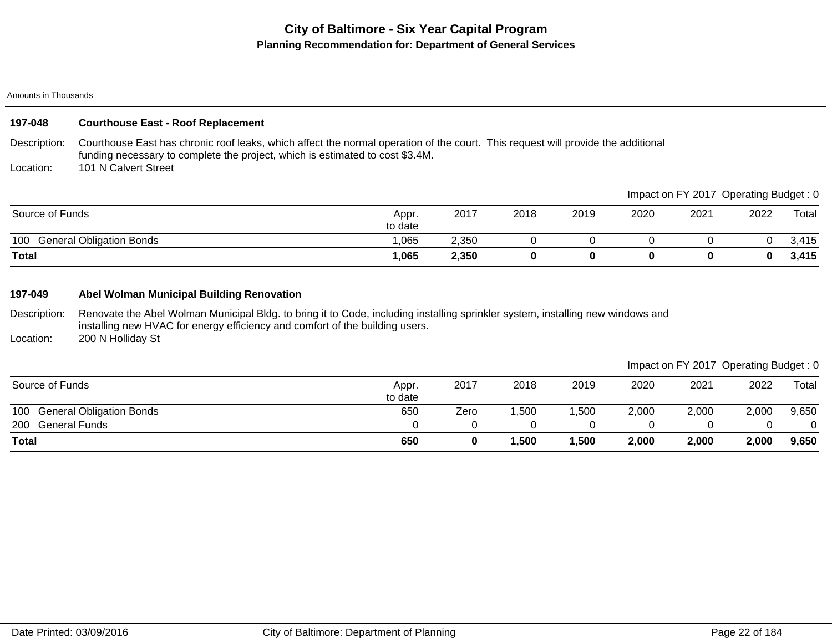#### Amounts in Thousands

## **197-048 Courthouse East - Roof Replacement**

Description: Courthouse East has chronic roof leaks, which affect the normal operation of the court. This request will provide the additional funding necessary to complete the project, which is estimated to cost \$3.4M. 101 N Calvert Street

Location:

|                                        |                  |       |      |      |      |      | Impact on FY 2017 Operating Budget: 0 |       |
|----------------------------------------|------------------|-------|------|------|------|------|---------------------------------------|-------|
| Source of Funds                        | Appr.<br>to date | 2017  | 2018 | 2019 | 2020 | 2021 | 2022                                  | Total |
| <b>General Obligation Bonds</b><br>100 | 1.065            | 2.350 |      |      |      |      |                                       | 3.415 |
| <b>Total</b>                           | 1,065            | 2,350 |      |      |      |      |                                       | 3,415 |

### **197-049 Abel Wolman Municipal Building Renovation**

Description: Renovate the Abel Wolman Municipal Bldg. to bring it to Code, including installing sprinkler system, installing new windows and installing new HVAC for energy efficiency and comfort of the building users.

Location: 200 N Holliday St

| Source of Funds                        | Appr.<br>to date | 2017 | 2018 | 2019 | 2020  | 2021  | 2022  | Total |
|----------------------------------------|------------------|------|------|------|-------|-------|-------|-------|
| <b>General Obligation Bonds</b><br>100 | 650              | Zero | ,500 | ,500 | 2,000 | 2,000 | 2,000 | 9,650 |
| 200<br>General Funds                   |                  |      |      |      |       |       |       |       |
| <b>Total</b>                           | 650              |      | ,500 | ,500 | 2,000 | 2,000 | 2,000 | 9,650 |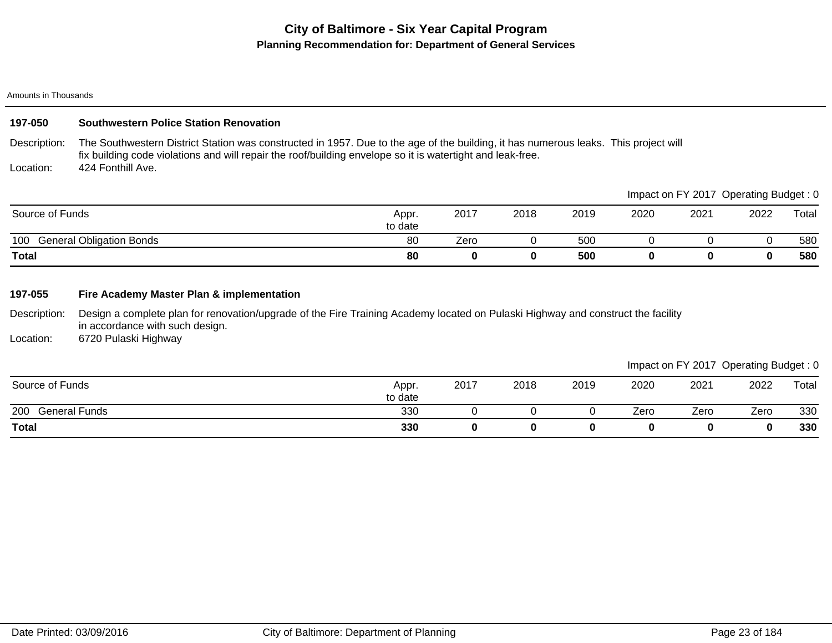#### Amounts in Thousands

# **197-050 Southwestern Police Station Renovation**

Description: The Southwestern District Station was constructed in 1957. Due to the age of the building, it has numerous leaks. This project will fix building code violations and will repair the roof/building envelope so it is watertight and leak-free. 424 Fonthill Ave.

Location:

|                              |                  |      |      |      |      | Impact on FY 2017 Operating Budget: 0 |      |       |
|------------------------------|------------------|------|------|------|------|---------------------------------------|------|-------|
| Source of Funds              | Appr.<br>to date | 2017 | 2018 | 2019 | 2020 | 2021                                  | 2022 | Total |
| 100 General Obligation Bonds | 80               | Zero |      | 500  |      |                                       |      | 580   |
| <b>Total</b>                 | 80               |      | 0    | 500  |      |                                       |      | 580   |

### **197-055 Fire Academy Master Plan & implementation**

Description: Design a complete plan for renovation/upgrade of the Fire Training Academy located on Pulaski Highway and construct the facility in accordance with such design.

Location: 6720 Pulaski Highway

|                             |                  |      |      |      |      |      | $\tilde{\phantom{a}}$ | $\tilde{\phantom{a}}$ |
|-----------------------------|------------------|------|------|------|------|------|-----------------------|-----------------------|
| Source of Funds             | Appr.<br>to date | 2017 | 2018 | 2019 | 2020 | 2021 | 2022                  | Total                 |
| 200<br><b>General Funds</b> | 330              |      |      |      | Zero | Zero | Zero                  | 330                   |
| <b>Total</b>                | 330              |      |      |      |      |      | 0                     | 330                   |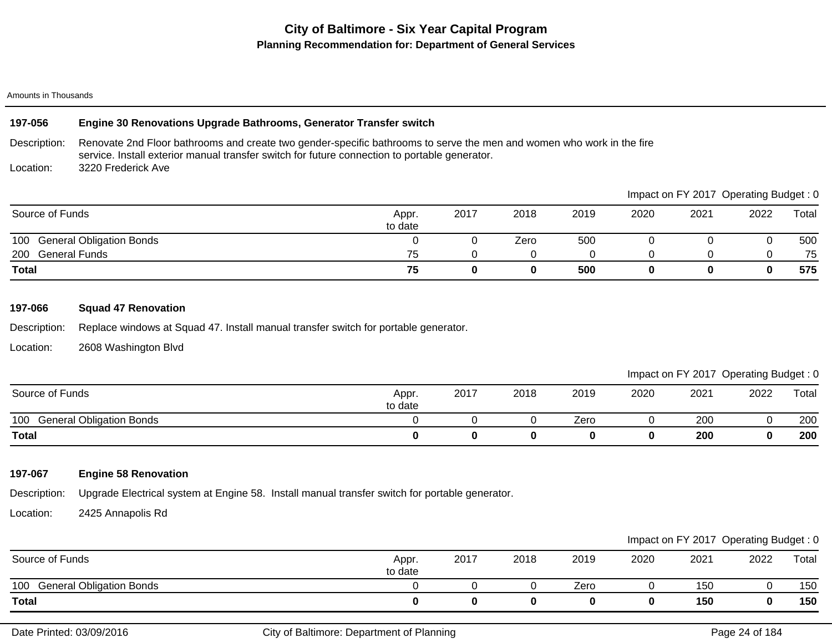#### Amounts in Thousands

#### Description: Location: **197-056 Engine 30 Renovations Upgrade Bathrooms, Generator Transfer switch** Renovate 2nd Floor bathrooms and create two gender-specific bathrooms to serve the men and women who work in the fire service. Install exterior manual transfer switch for future connection to portable generator. 3220 Frederick Ave

|                              |                  |      |      |      |      |      | Impact on FY 2017 Operating Budget: 0 |       |
|------------------------------|------------------|------|------|------|------|------|---------------------------------------|-------|
| Source of Funds              | Appr.<br>to date | 2017 | 2018 | 2019 | 2020 | 2021 | 2022                                  | Total |
| 100 General Obligation Bonds |                  |      | Zero | 500  |      |      |                                       | 500   |
| 200 General Funds            | 75               |      |      |      |      |      |                                       | 75    |
| <b>Total</b>                 | 75               |      | 0    | 500  |      |      |                                       | 575   |

## **197-066 Squad 47 Renovation**

Description: Replace windows at Squad 47. Install manual transfer switch for portable generator.

Location: 2608 Washington Blvd

|                                        |                  |      |      |      |      | Impact on FY 2017 Operating Budget: 0 |      |       |
|----------------------------------------|------------------|------|------|------|------|---------------------------------------|------|-------|
| Source of Funds                        | Appr.<br>to date | 2017 | 2018 | 2019 | 2020 | 2021                                  | 2022 | Total |
| <b>General Obligation Bonds</b><br>100 |                  |      |      | Zero |      | 200                                   |      | 200   |
| <b>Total</b>                           |                  |      |      |      |      | 200                                   |      | 200   |

# **197-067 Engine 58 Renovation**

Description: Upgrade Electrical system at Engine 58. Install manual transfer switch for portable generator.

Location: 2425 Annapolis Rd

|                                        |                  |      |      |      |      |      | Impact on FY 2017 Operating Budget: 0 |       |
|----------------------------------------|------------------|------|------|------|------|------|---------------------------------------|-------|
| Source of Funds                        | Appr.<br>to date | 2017 | 2018 | 2019 | 2020 | 2021 | 2022                                  | Total |
| <b>General Obligation Bonds</b><br>100 |                  |      |      | Zero |      | 150  |                                       | 150   |
| <b>Total</b>                           |                  |      |      |      |      | 150  | 0                                     | 150   |

 $I = I \cup I$  FY 2017  $\bigcap_{i=1}^n I$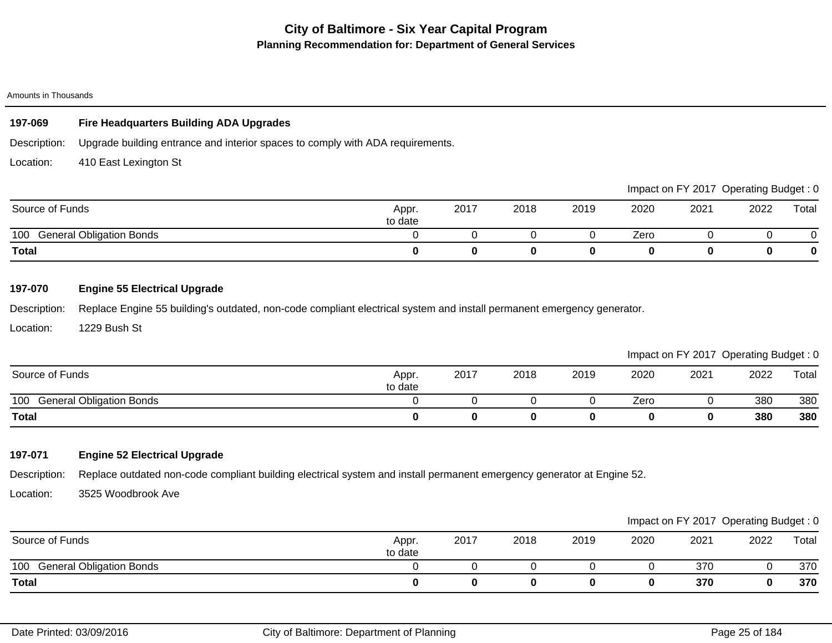## **197-069 Fire Headquarters Building ADA Upgrades**

Description: Upgrade building entrance and interior spaces to comply with ADA requirements.

Location: 410 East Lexington St

|                                        |                  |      |      |      |      |      | Impact on FY 2017 Operating Budget: 0 |       |
|----------------------------------------|------------------|------|------|------|------|------|---------------------------------------|-------|
| Source of Funds                        | Appr.<br>to date | 2017 | 2018 | 2019 | 2020 | 2021 | 2022                                  | Total |
| <b>General Obligation Bonds</b><br>100 |                  |      |      |      | Zero |      |                                       |       |
| <b>Total</b>                           |                  |      |      |      |      |      |                                       | 0     |

# **197-070 Engine 55 Electrical Upgrade**

Description: Replace Engine 55 building's outdated, non-code compliant electrical system and install permanent emergency generator.

Location: 1229 Bush St

Impact on FY 2017 Operating Budget : 0

| Source of Funds                        | Appr.<br>to date | 2017 | 2018 | 2019 | 2020 | 2021 | 2022 | Total |
|----------------------------------------|------------------|------|------|------|------|------|------|-------|
| 100<br><b>General Obligation Bonds</b> |                  |      |      |      | Zero |      | 380  | 380   |
| <b>Total</b>                           |                  |      |      |      |      |      | 380  | 380   |

# **197-071 Engine 52 Electrical Upgrade**

Description: Replace outdated non-code compliant building electrical system and install permanent emergency generator at Engine 52.

Location: 3525 Woodbrook Ave

|                                        |                  |      |      |      |      |      | Impact on FY 2017 Operating Budget: 0 |       |
|----------------------------------------|------------------|------|------|------|------|------|---------------------------------------|-------|
| Source of Funds                        | Appr.<br>to date | 2017 | 2018 | 2019 | 2020 | 2021 | 2022                                  | Total |
| <b>General Obligation Bonds</b><br>100 |                  |      |      |      |      | 370  |                                       | 370   |
| <b>Total</b>                           |                  |      |      |      |      | 370  |                                       | 370   |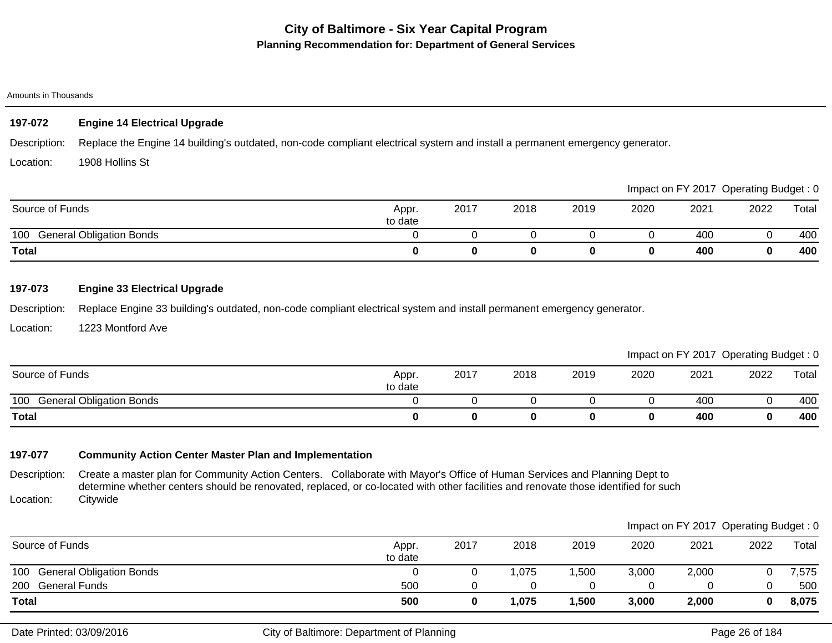#### Amounts in Thousands

# **197-072 Engine 14 Electrical Upgrade**

Description: Replace the Engine 14 building's outdated, non-code compliant electrical system and install a permanent emergency generator.

Location: 1908 Hollins St

|                                        |                  |      |      |      |      |      | Impact on FY 2017 Operating Budget: 0 |       |
|----------------------------------------|------------------|------|------|------|------|------|---------------------------------------|-------|
| Source of Funds                        | Appr.<br>to date | 2017 | 2018 | 2019 | 2020 | 2021 | 2022                                  | Total |
| <b>General Obligation Bonds</b><br>100 |                  |      |      |      |      | 400  |                                       | 400   |
| Total                                  |                  |      |      |      |      | 400  |                                       | 400   |

## **197-073 Engine 33 Electrical Upgrade**

Description: Replace Engine 33 building's outdated, non-code compliant electrical system and install permanent emergency generator.

Location: 1223 Montford Ave

Impact on FY 2017 Operating Budget : 0

| Source of Funds                        | Appr.<br>to date | 2017 | 2018 | 2019 | 2020 | 2021 | 2022 | Total |
|----------------------------------------|------------------|------|------|------|------|------|------|-------|
| 100<br><b>General Obligation Bonds</b> |                  |      |      |      |      | 400  |      | 400   |
| <b>Total</b>                           |                  |      |      |      | 0    | 400  |      | 400   |

# **197-077 Community Action Center Master Plan and Implementation**

Description: Location: Create a master plan for Community Action Centers. Collaborate with Mayor's Office of Human Services and Planning Dept to determine whether centers should be renovated, replaced, or co-located with other facilities and renovate those identified for such Citywide

| <b>Total</b>                 | 500              |      | l,075 | 1,500 | 3,000 | 2,000 |                                       | 8,075 |
|------------------------------|------------------|------|-------|-------|-------|-------|---------------------------------------|-------|
| 200 General Funds            | 500              |      |       |       |       |       |                                       | 500   |
| 100 General Obligation Bonds |                  |      | ,075  | ,500  | 3,000 | 2,000 |                                       | 7,575 |
| Source of Funds              | Appr.<br>to date | 2017 | 2018  | 2019  | 2020  | 2021  | 2022                                  | Total |
|                              |                  |      |       |       |       |       | Impact on FY 2017 Operating Budget: 0 |       |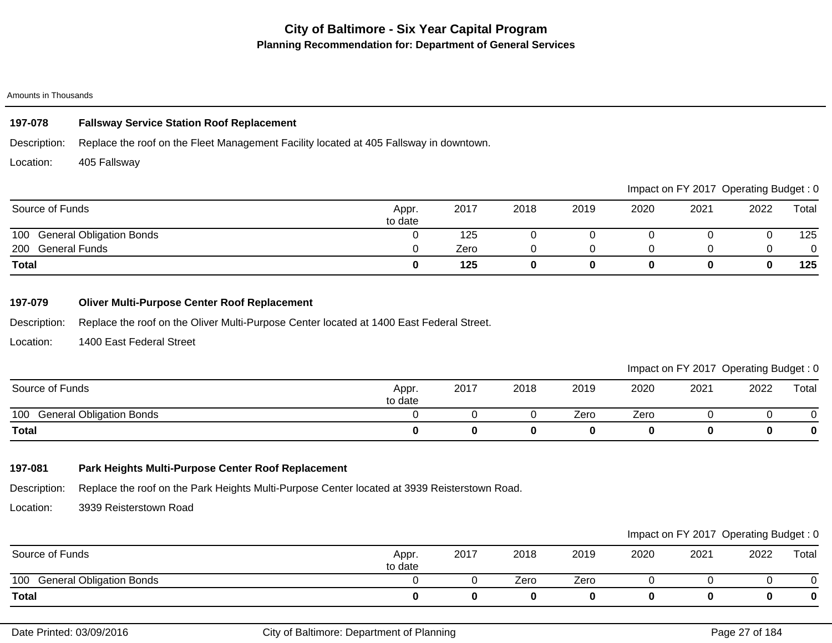#### Amounts in Thousands

## **197-078 Fallsway Service Station Roof Replacement**

Description: Replace the roof on the Fleet Management Facility located at 405 Fallsway in downtown.

Location: 405 Fallsway

|                              |                  |      |      |      |      |      | Impact on FY 2017 Operating Budget: 0 |       |
|------------------------------|------------------|------|------|------|------|------|---------------------------------------|-------|
| Source of Funds              | Appr.<br>to date | 2017 | 2018 | 2019 | 2020 | 2021 | 2022                                  | Total |
| 100 General Obligation Bonds |                  | 125  |      |      |      |      |                                       | 125   |
| 200 General Funds            |                  | Zero |      |      |      |      |                                       |       |
| <b>Total</b>                 |                  | 125  |      |      |      |      |                                       | 125   |

### **197-079 Oliver Multi-Purpose Center Roof Replacement**

Description: Replace the roof on the Oliver Multi-Purpose Center located at 1400 East Federal Street.

Location: 1400 East Federal Street

# Impact on FY 2017 Operating Budget : 0

|                                        |                  |      |      |      |      |      | ___<br>__ | __       |
|----------------------------------------|------------------|------|------|------|------|------|-----------|----------|
| Source of Funds                        | Appr.<br>to date | 2017 | 2018 | 2019 | 2020 | 2021 | 2022      | Total    |
| <b>General Obligation Bonds</b><br>100 |                  |      |      | Zero | Zero |      |           |          |
| <b>Total</b>                           |                  |      |      |      |      |      |           | $\bf{0}$ |

## **197-081 Park Heights Multi-Purpose Center Roof Replacement**

Description: Replace the roof on the Park Heights Multi-Purpose Center located at 3939 Reisterstown Road.

Location: 3939 Reisterstown Road

|                              |                  |      |      |      |      |      | Impact on FY 2017 Operating Budget: 0 |       |
|------------------------------|------------------|------|------|------|------|------|---------------------------------------|-------|
| Source of Funds              | Appr.<br>to date | 2017 | 2018 | 2019 | 2020 | 2021 | 2022                                  | Total |
| 100 General Obligation Bonds |                  |      | Zero | Zero |      |      |                                       |       |
| <b>Total</b>                 |                  |      |      |      |      |      |                                       |       |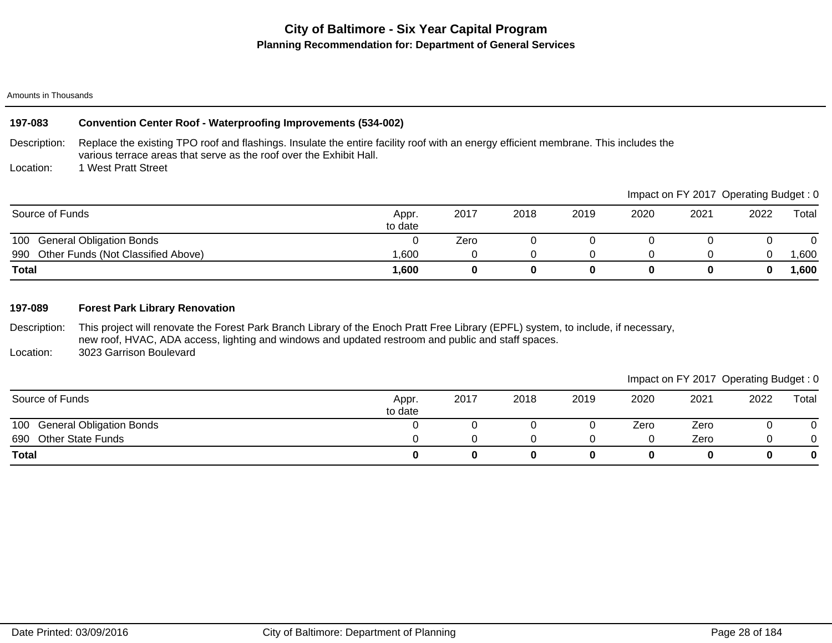#### Amounts in Thousands

## Description: Location: **197-083 Convention Center Roof - Waterproofing Improvements (534-002)** Replace the existing TPO roof and flashings. Insulate the entire facility roof with an energy efficient membrane. This includes the various terrace areas that serve as the roof over the Exhibit Hall. 1 West Pratt Street Source of Funds Appr. According to the Source of Funds Appr. 2017 2018 2019 2020 2021 2022 Total Impact on FY 2017 Operating Budget : 0

| <b>Total</b>                              | ,600             |      |      |      |      |     |      | ,600   |
|-------------------------------------------|------------------|------|------|------|------|-----|------|--------|
| Other Funds (Not Classified Above)<br>990 | .600             |      |      |      |      |     |      | ,600   |
| 100<br><b>General Obligation Bonds</b>    |                  | Zero |      |      |      |     |      |        |
| Source of Furius                          | Appi.<br>to date | 2011 | ZUIO | ZUIY | ZUZU | ZUZ | ZUZZ | ι υιαι |

### **197-089 Forest Park Library Renovation**

Description: Location: This project will renovate the Forest Park Branch Library of the Enoch Pratt Free Library (EPFL) system, to include, if necessary, new roof, HVAC, ADA access, lighting and windows and updated restroom and public and staff spaces. 3023 Garrison Boulevard

|                                 |                  |      |      |      |      | Impact on FY 2017 Operating Budget: 0 |      |       |
|---------------------------------|------------------|------|------|------|------|---------------------------------------|------|-------|
| Source of Funds                 | Appr.<br>to date | 2017 | 2018 | 2019 | 2020 | 2021                                  | 2022 | Total |
| 100 General Obligation Bonds    |                  |      |      |      | Zero | Zero                                  |      |       |
| 690<br><b>Other State Funds</b> |                  |      |      |      |      | Zero                                  |      |       |
| <b>Total</b>                    | 0                |      |      |      |      |                                       |      |       |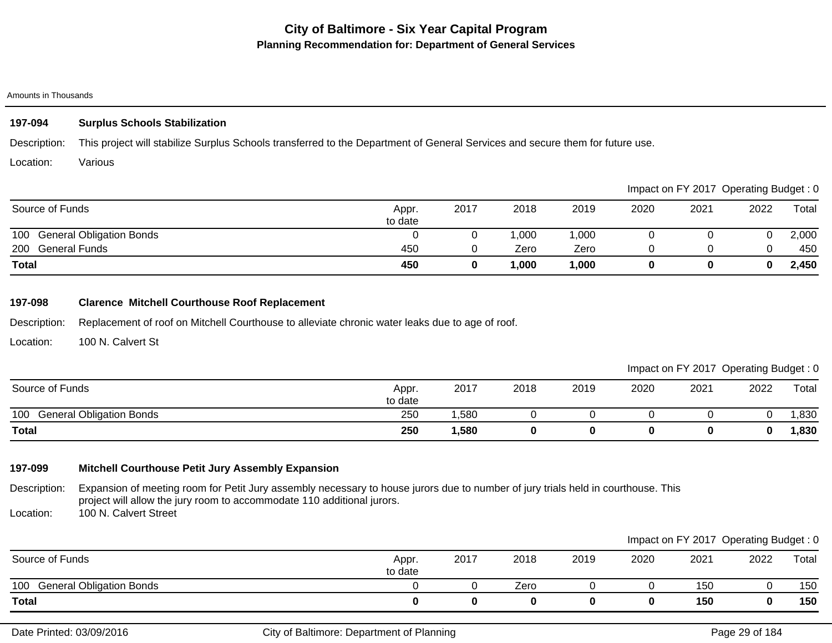#### Amounts in Thousands

# **197-094 Surplus Schools Stabilization**

Description: This project will stabilize Surplus Schools transferred to the Department of General Services and secure them for future use.

Location: Various

|                              |                  |      |      |       |      |      | Impact on FY 2017 Operating Budget: 0 |       |
|------------------------------|------------------|------|------|-------|------|------|---------------------------------------|-------|
| Source of Funds              | Appr.<br>to date | 2017 | 2018 | 2019  | 2020 | 2021 | 2022                                  | Total |
| 100 General Obligation Bonds |                  |      | ,000 | 1,000 |      |      |                                       | 2,000 |
| 200 General Funds            | 450              |      | Zero | Zero  |      |      |                                       | 450   |
| <b>Total</b>                 | 450              |      | ,000 | 1,000 |      |      | 0                                     | 2,450 |

## **197-098 Clarence Mitchell Courthouse Roof Replacement**

Description: Replacement of roof on Mitchell Courthouse to alleviate chronic water leaks due to age of roof.

Location: 100 N. Calvert St

# Impact on FY 2017 Operating Budget : 0

| Source of Funds                        | Appr.<br>to date | 2017 | 2018 | 2019 | 2020 | 2021 | 2022 | Total |
|----------------------------------------|------------------|------|------|------|------|------|------|-------|
| 100<br><b>General Obligation Bonds</b> | 250              | ,580 |      |      |      |      |      | ,830  |
| <b>Total</b>                           | 250              | ,580 |      |      |      |      | 0    | ,830  |

# **197-099 Mitchell Courthouse Petit Jury Assembly Expansion**

Description: Location: Expansion of meeting room for Petit Jury assembly necessary to house jurors due to number of jury trials held in courthouse. This project will allow the jury room to accommodate 110 additional jurors. 100 N. Calvert Street

100 General Obligation Bonds 0 0 Zero 0 0 150 0 150 **Total 0 0 0 0 0 150 0 150** Source of Funds **Appr.** Appr. **Appr.** Appr. **Appr.** 2014 to date 2017 2018 2019 2020 2021 2022 Total Impact on FY 2017 Operating Budget : 0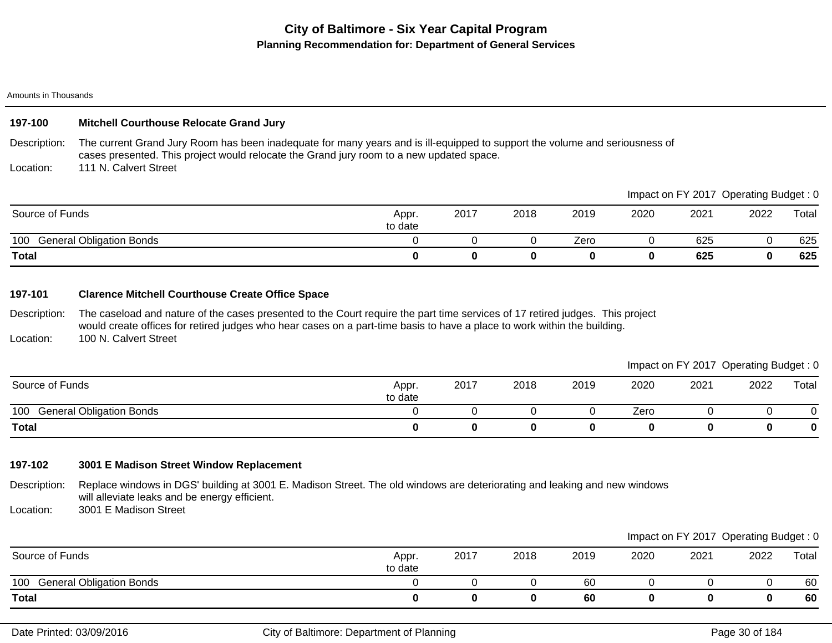#### Amounts in Thousands

## **197-100 Mitchell Courthouse Relocate Grand Jury**

Description: The current Grand Jury Room has been inadequate for many years and is ill-equipped to support the volume and seriousness of cases presented. This project would relocate the Grand jury room to a new updated space.

Location: 111 N. Calvert Street

|                                        |                  |      |      |      |      | Impact on FY 2017 Operating Budget: 0 |      |       |
|----------------------------------------|------------------|------|------|------|------|---------------------------------------|------|-------|
| Source of Funds                        | Appr.<br>to date | 2017 | 2018 | 2019 | 2020 | 2021                                  | 2022 | Total |
| <b>General Obligation Bonds</b><br>100 |                  |      |      | Zero |      | 625                                   |      | 625   |
| <b>Total</b>                           |                  |      |      |      |      | 625                                   |      | 625   |

### **197-101 Clarence Mitchell Courthouse Create Office Space**

Description: Location: The caseload and nature of the cases presented to the Court require the part time services of 17 retired judges. This project would create offices for retired judges who hear cases on a part-time basis to have a place to work within the building. 100 N. Calvert Street

Impact on FY 2017 Operating Budget : 0

| Source of Funds                          | Appr.<br>to date | 2017 | 2018 | 2019 | 2020 | 2021 | 2022 | Total |
|------------------------------------------|------------------|------|------|------|------|------|------|-------|
| <b>General Obligation Bonds</b><br>100 G |                  |      |      |      | Zero |      |      |       |
| <b>Total</b>                             |                  |      | 0    |      |      |      |      |       |

### **197-102 3001 E Madison Street Window Replacement**

Description: Replace windows in DGS' building at 3001 E. Madison Street. The old windows are deteriorating and leaking and new windows will alleviate leaks and be energy efficient.

Location: 3001 E Madison Street

|                                        |                  |      |      |      |      |      | Impact on FY 2017 Operating Budget: 0 |       |
|----------------------------------------|------------------|------|------|------|------|------|---------------------------------------|-------|
| Source of Funds                        | Appr.<br>to date | 2017 | 2018 | 2019 | 2020 | 2021 | 2022                                  | Total |
| 100<br><b>General Obligation Bonds</b> |                  |      |      | 60   |      |      |                                       | 60    |
| <b>Total</b>                           |                  |      | 0    | 60   |      |      |                                       | 60    |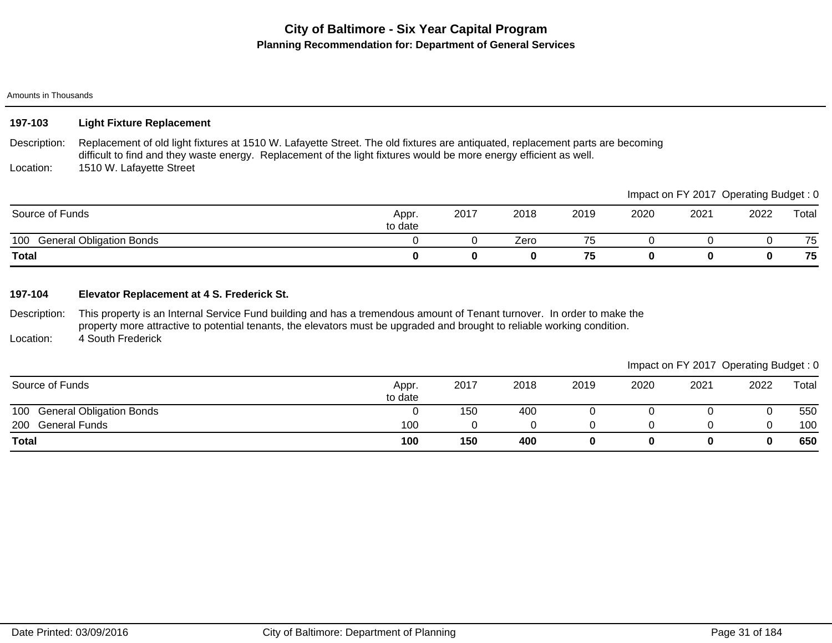#### Amounts in Thousands

| 197-103 | <b>Light Fixture Replacement</b> |
|---------|----------------------------------|
|---------|----------------------------------|

Description: Location: Replacement of old light fixtures at 1510 W. Lafayette Street. The old fixtures are antiquated, replacement parts are becoming difficult to find and they waste energy. Replacement of the light fixtures would be more energy efficient as well. 1510 W. Lafayette Street

|                              |                  |      |      |      |      | Impact on FY 2017 Operating Budget: 0 |      |       |
|------------------------------|------------------|------|------|------|------|---------------------------------------|------|-------|
| Source of Funds              | Appr.<br>to date | 2017 | 2018 | 2019 | 2020 | 2021                                  | 2022 | Total |
| 100 General Obligation Bonds |                  |      | Zero | 75   |      |                                       |      | 75    |
| <b>Total</b>                 |                  |      | 0    | 75   |      |                                       |      | 75    |

### **197-104 Elevator Replacement at 4 S. Frederick St.**

Description: Location: This property is an Internal Service Fund building and has a tremendous amount of Tenant turnover. In order to make the property more attractive to potential tenants, the elevators must be upgraded and brought to reliable working condition. 4 South Frederick

|                              |                  |      |      |      |      |      | Impact on FY 2017 Operating Budget: 0 |       |
|------------------------------|------------------|------|------|------|------|------|---------------------------------------|-------|
| Source of Funds              | Appr.<br>to date | 2017 | 2018 | 2019 | 2020 | 2021 | 2022                                  | Total |
| 100 General Obligation Bonds |                  | 150  | 400  |      |      |      |                                       | 550   |
| 200 General Funds            | 100              |      |      |      |      |      |                                       | 100   |
| <b>Total</b>                 | 100              | 150  | 400  |      |      |      |                                       | 650   |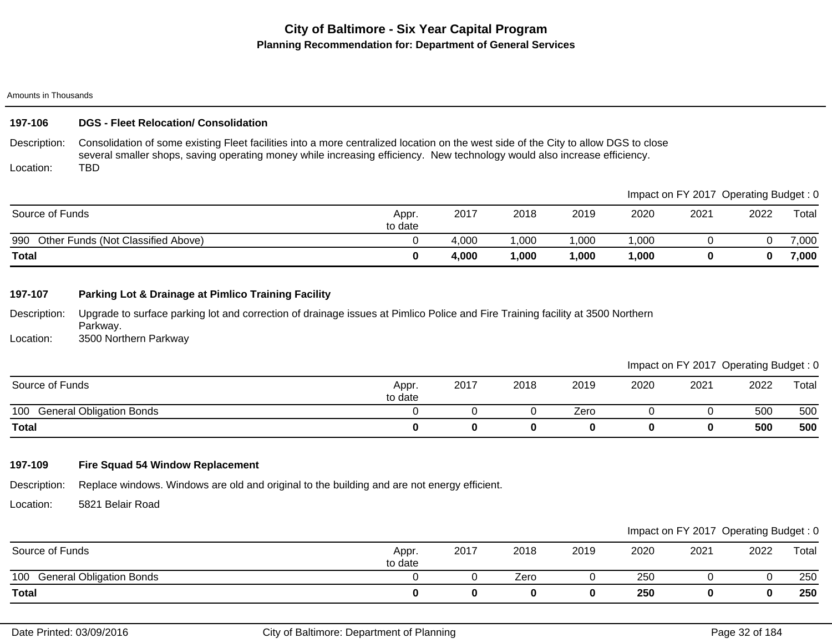#### Amounts in Thousands

### **197-106 DGS - Fleet Relocation/ Consolidation**

Description: Location: Consolidation of some existing Fleet facilities into a more centralized location on the west side of the City to allow DGS to close several smaller shops, saving operating money while increasing efficiency. New technology would also increase efficiency. TBD

|                                           |                  |       |        |        |      |      | Impact on FY 2017 Operating Budget: 0 |       |
|-------------------------------------------|------------------|-------|--------|--------|------|------|---------------------------------------|-------|
| Source of Funds                           | Appr.<br>to date | 2017  | 2018   | 2019   | 2020 | 2021 | 2022                                  | Total |
| 990<br>Other Funds (Not Classified Above) |                  | 4.000 | ,000   | 000, ا | ,000 |      |                                       | 7,000 |
| <b>Total</b>                              |                  | 4.000 | 000, ا | 1,000  | ,000 |      | 0                                     | 7,000 |

### **197-107 Parking Lot & Drainage at Pimlico Training Facility**

Description: Location: Upgrade to surface parking lot and correction of drainage issues at Pimlico Police and Fire Training facility at 3500 Northern Parkway. 3500 Northern Parkway

Impact on FY 2017 Operating Budget : 0

| Source of Funds                        | Appr.<br>to date | 2017 | 2018 | 2019 | 2020 | 2021 | 2022 | Total |
|----------------------------------------|------------------|------|------|------|------|------|------|-------|
| 100<br><b>General Obligation Bonds</b> |                  |      |      | Zero |      |      | 500  | 500   |
| <b>Total</b>                           |                  |      |      |      |      |      | 500  | 500   |

### **197-109 Fire Squad 54 Window Replacement**

Description: Replace windows. Windows are old and original to the building and are not energy efficient.

Location: 5821 Belair Road

|                              |                  |      |      |      |      | Impact on FY 2017 Operating Budget: 0 |      |       |
|------------------------------|------------------|------|------|------|------|---------------------------------------|------|-------|
| Source of Funds              | Appr.<br>to date | 2017 | 2018 | 2019 | 2020 | 2021                                  | 2022 | Total |
| 100 General Obligation Bonds |                  |      | Zero |      | 250  |                                       |      | 250   |
| Total                        |                  |      | 0    |      | 250  |                                       | 0    | 250   |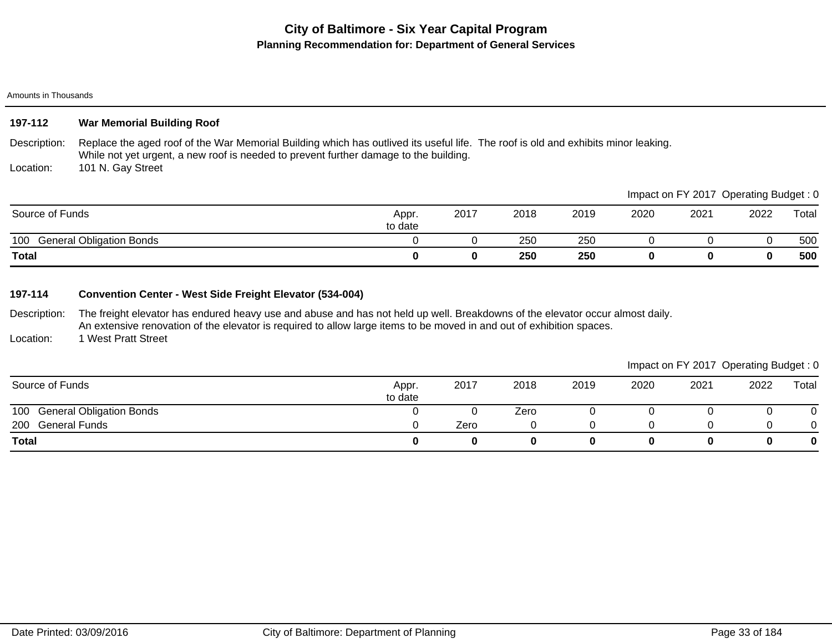#### Amounts in Thousands

## **197-112 War Memorial Building Roof**

Description: Replace the aged roof of the War Memorial Building which has outlived its useful life. The roof is old and exhibits minor leaking. While not yet urgent, a new roof is needed to prevent further damage to the building.

Location: 101 N. Gay Street

| 100<br><b>General Obligation Bonds</b><br>Total |         |      | 250<br>250 | 250<br>250 |      |                                       |      | 500<br>500 |
|-------------------------------------------------|---------|------|------------|------------|------|---------------------------------------|------|------------|
|                                                 | to date |      |            |            |      |                                       |      |            |
| Source of Funds                                 | Appr.   | 2017 | 2018       | 2019       | 2020 | 2021                                  | 2022 | Total      |
|                                                 |         |      |            |            |      | Impact on FY 2017 Operating Budget: 0 |      |            |

### **197-114 Convention Center - West Side Freight Elevator (534-004)**

Description: The freight elevator has endured heavy use and abuse and has not held up well. Breakdowns of the elevator occur almost daily. An extensive renovation of the elevator is required to allow large items to be moved in and out of exhibition spaces.

Location: 1 West Pratt Street

|                              |                  |      |      |      |      | Impact on FY 2017 Operating Budget: 0 |      |       |
|------------------------------|------------------|------|------|------|------|---------------------------------------|------|-------|
| Source of Funds              | Appr.<br>to date | 2017 | 2018 | 2019 | 2020 | 2021                                  | 2022 | Total |
| 100 General Obligation Bonds |                  |      | Zero |      |      |                                       |      |       |
| <b>General Funds</b><br>200  |                  | Zero |      |      |      |                                       |      |       |
| <b>Total</b>                 |                  |      |      |      |      |                                       |      | 0     |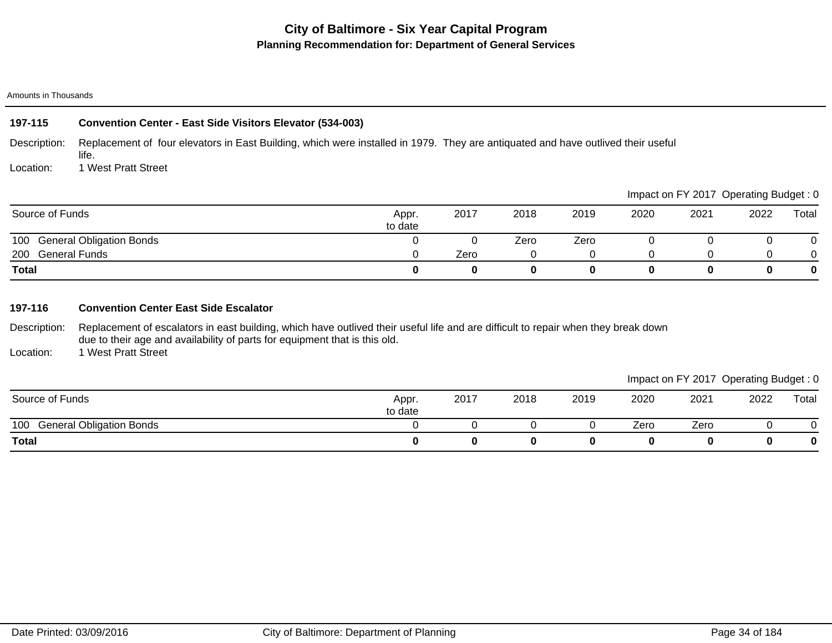#### Amounts in Thousands

#### Description: Location: **197-115 Convention Center - East Side Visitors Elevator (534-003)** Replacement of four elevators in East Building, which were installed in 1979. They are antiquated and have outlived their useful life. 1 West Pratt Street

|                              |                  |      |      |      |      | Impact on FY 2017 Operating Budget: 0 |      |          |
|------------------------------|------------------|------|------|------|------|---------------------------------------|------|----------|
| Source of Funds              | Appr.<br>to date | 2017 | 2018 | 2019 | 2020 | 2021                                  | 2022 | Total    |
| 100 General Obligation Bonds |                  |      | Zero | Zero |      |                                       |      |          |
| 200 General Funds            |                  | Zero |      |      |      |                                       |      |          |
| <b>Total</b>                 |                  |      |      |      |      |                                       |      | $\bf{0}$ |

### **197-116 Convention Center East Side Escalator**

Description: Replacement of escalators in east building, which have outlived their useful life and are difficult to repair when they break down due to their age and availability of parts for equipment that is this old.

Location: 1 West Pratt Street

|                                        |                  |      |      |      |      |      |      | ______ |
|----------------------------------------|------------------|------|------|------|------|------|------|--------|
| Source of Funds                        | Appr.<br>to date | 2017 | 2018 | 2019 | 2020 | 2021 | 2022 | Total  |
| 100<br><b>General Obligation Bonds</b> |                  |      |      |      | Zero | Zero |      |        |
| <b>Total</b>                           |                  |      |      |      |      |      |      |        |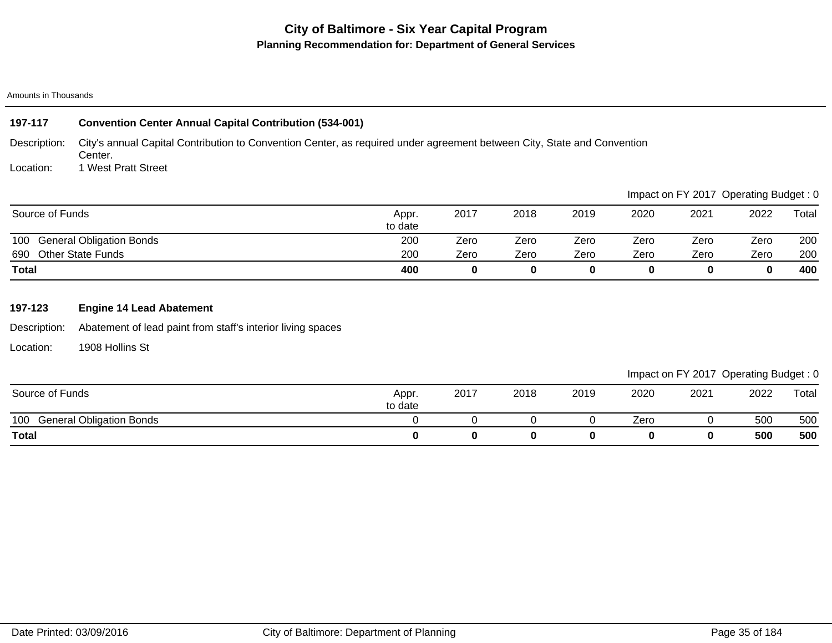#### Amounts in Thousands

| 197-117         | <b>Convention Center Annual Capital Contribution (534-001)</b>                                                                     |                  |      |      |      |      |                                       |      |       |
|-----------------|------------------------------------------------------------------------------------------------------------------------------------|------------------|------|------|------|------|---------------------------------------|------|-------|
| Description:    | City's annual Capital Contribution to Convention Center, as required under agreement between City, State and Convention<br>Center. |                  |      |      |      |      |                                       |      |       |
| Location:       | 1 West Pratt Street                                                                                                                |                  |      |      |      |      |                                       |      |       |
|                 |                                                                                                                                    |                  |      |      |      |      | Impact on FY 2017 Operating Budget: 0 |      |       |
| Source of Funds |                                                                                                                                    | Appr.<br>to date | 2017 | 2018 | 2019 | 2020 | 2021                                  | 2022 | Total |
| 100             | <b>General Obligation Bonds</b>                                                                                                    | 200              | Zero | Zero | Zero | Zero | Zero                                  | Zero | 200   |
| 690             | <b>Other State Funds</b>                                                                                                           | 200              | Zero | Zero | Zero | Zero | Zero                                  | Zero | 200   |
| <b>Total</b>    |                                                                                                                                    | 400              | 0    | 0    | 0    | 0    | 0                                     | 0    | 400   |

# **197-123 Engine 14 Lead Abatement**

Description: Abatement of lead paint from staff's interior living spaces

Location: 1908 Hollins St

|                                        |                  |      |      |      |      |      | Impact on FY 2017 Operating Budget: 0 |       |
|----------------------------------------|------------------|------|------|------|------|------|---------------------------------------|-------|
| Source of Funds                        | Appr.<br>to date | 2017 | 2018 | 2019 | 2020 | 2021 | 2022                                  | Total |
| <b>General Obligation Bonds</b><br>100 |                  |      |      |      | Zero |      | 500                                   | 500   |
| <b>Total</b>                           |                  |      |      |      |      |      | 500                                   | 500   |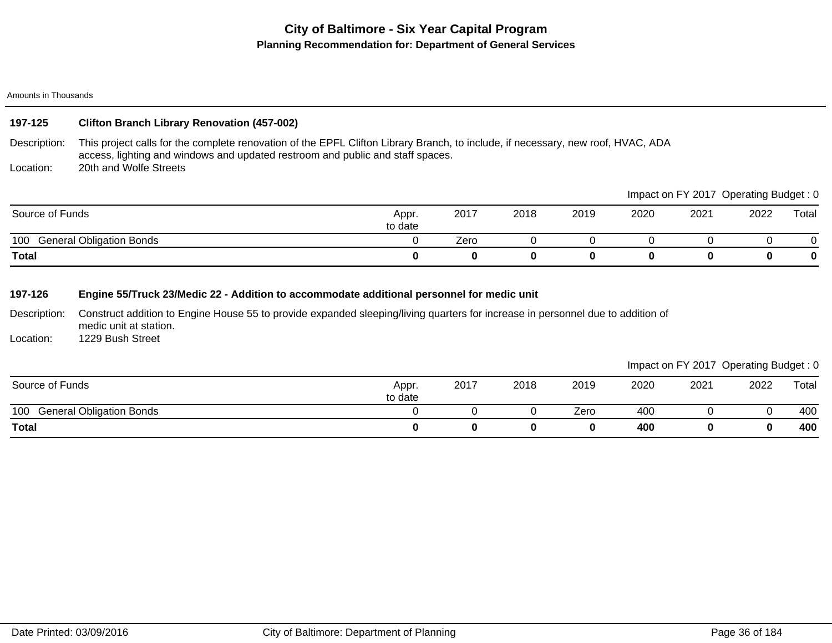Amounts in Thousands

# **197-125 Clifton Branch Library Renovation (457-002)**

Description: This project calls for the complete renovation of the EPFL Clifton Library Branch, to include, if necessary, new roof, HVAC, ADA access, lighting and windows and updated restroom and public and staff spaces. 20th and Wolfe Streets

Location:

|                                        |                  |      |      |      |      |      | Impact on FY 2017 Operating Budget: 0 |       |
|----------------------------------------|------------------|------|------|------|------|------|---------------------------------------|-------|
| Source of Funds                        | Appr.<br>to date | 2017 | 2018 | 2019 | 2020 | 2021 | 2022                                  | Total |
| <b>General Obligation Bonds</b><br>100 |                  | Zero |      |      |      |      |                                       |       |
| <b>Total</b>                           |                  |      |      |      |      |      |                                       |       |

# **197-126 Engine 55/Truck 23/Medic 22 - Addition to accommodate additional personnel for medic unit**

Description: Location: Construct addition to Engine House 55 to provide expanded sleeping/living quarters for increase in personnel due to addition of medic unit at station. 1229 Bush Street

|                                        |                  |      |      |      |      |      | __   | __    |
|----------------------------------------|------------------|------|------|------|------|------|------|-------|
| Source of Funds                        | Appr.<br>to date | 2017 | 2018 | 2019 | 2020 | 2021 | 2022 | Total |
| 100<br><b>General Obligation Bonds</b> |                  |      |      | Zero | 400  |      |      | 400   |
| <b>Total</b>                           |                  |      |      | 0    | 400  |      |      | 400   |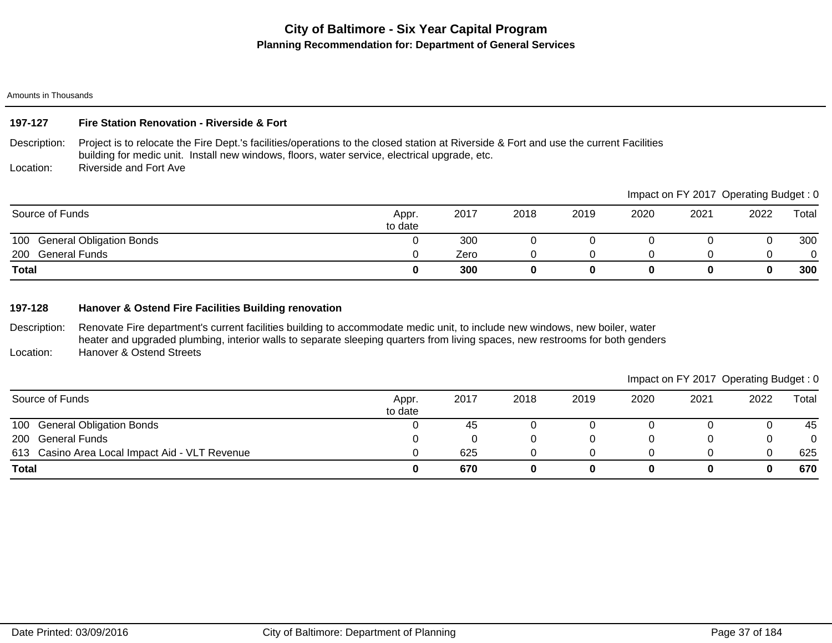Amounts in Thousands

## **197-127 Fire Station Renovation - Riverside & Fort**

Description: Project is to relocate the Fire Dept.'s facilities/operations to the closed station at Riverside & Fort and use the current Facilities building for medic unit. Install new windows, floors, water service, electrical upgrade, etc.

Location: Riverside and Fort Ave

|                              |                  |      |      |      |      | Impact on FY 2017 Operating Budget: 0 |      |       |
|------------------------------|------------------|------|------|------|------|---------------------------------------|------|-------|
| Source of Funds              | Appr.<br>to date | 2017 | 2018 | 2019 | 2020 | 2021                                  | 2022 | Total |
| 100 General Obligation Bonds |                  | 300  |      |      |      |                                       |      | 300   |
| <b>General Funds</b><br>200  |                  | Zero |      |      |      |                                       |      | 0     |
| <b>Total</b>                 |                  | 300  |      |      |      |                                       |      | 300   |

### **197-128 Hanover & Ostend Fire Facilities Building renovation**

Description: Location: Renovate Fire department's current facilities building to accommodate medic unit, to include new windows, new boiler, water heater and upgraded plumbing, interior walls to separate sleeping quarters from living spaces, new restrooms for both genders Hanover & Ostend Streets

| Source of Funds                                | Appr.<br>to date | 2017 | 2018 | 2019 | 2020 | 2021 | 2022 | $\tau$ otal |
|------------------------------------------------|------------------|------|------|------|------|------|------|-------------|
| 100 General Obligation Bonds                   |                  | 45   |      |      |      |      |      | 45          |
| 200 General Funds                              |                  |      |      |      |      |      |      |             |
| 613 Casino Area Local Impact Aid - VLT Revenue |                  | 625  |      |      |      |      |      | 625         |
| <b>Total</b>                                   |                  | 670  |      |      |      |      |      | 670         |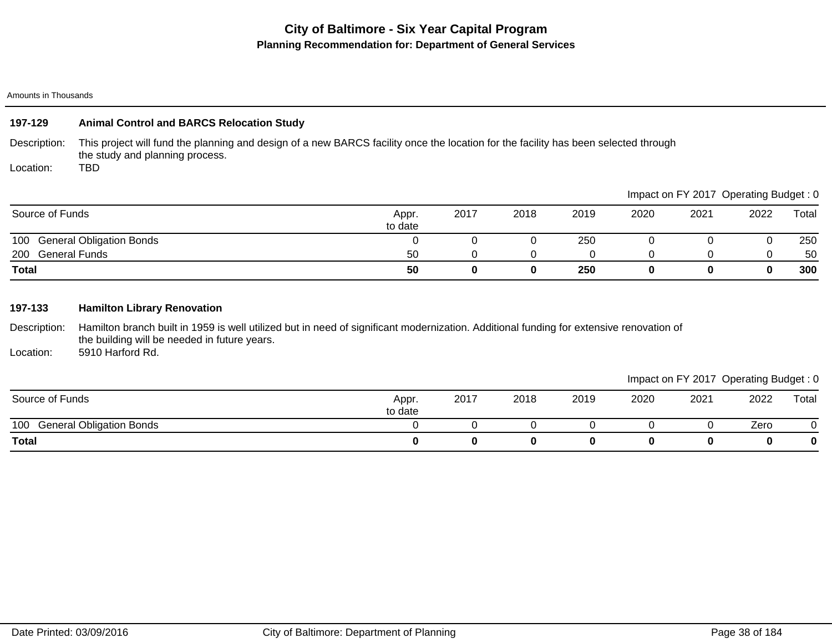#### Amounts in Thousands

## **197-129 Animal Control and BARCS Relocation Study**

Description: This project will fund the planning and design of a new BARCS facility once the location for the facility has been selected through the study and planning process.

Location: TBD

|                                        |                  |      |      |      |      |      | Impact on FY 2017 Operating Budget: 0 |       |
|----------------------------------------|------------------|------|------|------|------|------|---------------------------------------|-------|
| Source of Funds                        | Appr.<br>to date | 2017 | 2018 | 2019 | 2020 | 2021 | 2022                                  | Total |
| <b>General Obligation Bonds</b><br>100 |                  |      |      | 250  |      |      |                                       | 250   |
| <b>General Funds</b><br>200            | 50               |      |      |      |      |      |                                       | 50    |
| <b>Total</b>                           | 50               |      | 0    | 250  |      |      |                                       | 300   |

## **197-133 Hamilton Library Renovation**

Description: Hamilton branch built in 1959 is well utilized but in need of significant modernization. Additional funding for extensive renovation of the building will be needed in future years.

Location: 5910 Harford Rd.

# Impact on FY 2017 Operating Budget : 0

 $\blacksquare$ Impact on Figure : 0

| Source of Funds                        | Appr.<br>to date | 2017 | 2018 | 2019 | 2020 | 2021 | 2022 | Total |
|----------------------------------------|------------------|------|------|------|------|------|------|-------|
| 100<br><b>General Obligation Bonds</b> |                  |      |      |      |      |      | Zero |       |
| <b>Total</b>                           |                  |      |      |      |      |      | u    | 0     |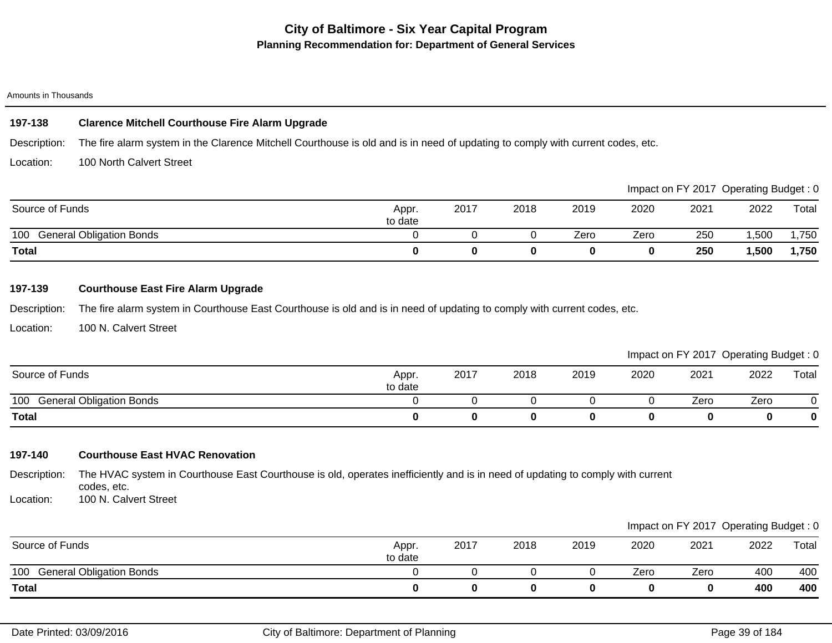#### Amounts in Thousands

## **197-138 Clarence Mitchell Courthouse Fire Alarm Upgrade**

Description: The fire alarm system in the Clarence Mitchell Courthouse is old and is in need of updating to comply with current codes, etc.

Location: 100 North Calvert Street

|                                        |                  |      |      |      |      |      | Impact on FY 2017 Operating Budget: 0 |       |
|----------------------------------------|------------------|------|------|------|------|------|---------------------------------------|-------|
| Source of Funds                        | Appr.<br>to date | 2017 | 2018 | 2019 | 2020 | 2021 | 2022                                  | Total |
| <b>General Obligation Bonds</b><br>100 |                  |      |      | Zero | Zero | 250  | 1,500                                 | ,750  |
| <b>Total</b>                           |                  |      |      |      |      | 250  | 1,500                                 | 1,750 |

## **197-139 Courthouse East Fire Alarm Upgrade**

Description: The fire alarm system in Courthouse East Courthouse is old and is in need of updating to comply with current codes, etc.

Location: 100 N. Calvert Street

Impact on FY 2017 Operating Budget : 0

| Source of Funds                        | Appr.<br>to date | 2017 | 2018 | 2019 | 2020 | 2021 | 2022 | Total    |
|----------------------------------------|------------------|------|------|------|------|------|------|----------|
| 100<br><b>General Obligation Bonds</b> |                  |      |      |      |      | Zero | Zero | ີ        |
| <b>Total</b>                           |                  |      |      |      |      |      |      | $\bf{0}$ |

## **197-140 Courthouse East HVAC Renovation**

Description: The HVAC system in Courthouse East Courthouse is old, operates inefficiently and is in need of updating to comply with current codes, etc.

Location: 100 N. Calvert Street

|                                        |                  |      |      |      |      |      | Impact on FY 2017 Operating Budget: 0 |       |
|----------------------------------------|------------------|------|------|------|------|------|---------------------------------------|-------|
| Source of Funds                        | Appr.<br>to date | 2017 | 2018 | 2019 | 2020 | 2021 | 2022                                  | Total |
| <b>General Obligation Bonds</b><br>100 |                  |      |      |      | Zero | Zero | 400                                   | 400   |
| <b>Total</b>                           | O                |      |      |      |      |      | 400                                   | 400   |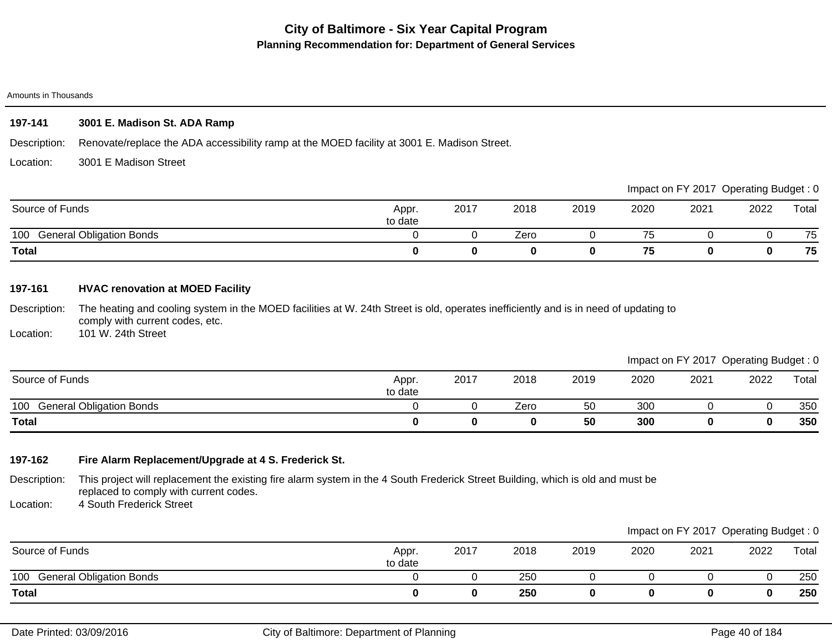#### Amounts in Thousands

## **197-141 3001 E. Madison St. ADA Ramp**

Description: Renovate/replace the ADA accessibility ramp at the MOED facility at 3001 E. Madison Street.

Location: 3001 E Madison Street

|                                        |                  |      |      |      |      |      | Impact on FY 2017 Operating Budget: 0 |       |
|----------------------------------------|------------------|------|------|------|------|------|---------------------------------------|-------|
| Source of Funds                        | Appr.<br>to date | 2017 | 2018 | 2019 | 2020 | 2021 | 2022                                  | Total |
| <b>General Obligation Bonds</b><br>100 |                  |      | Zero |      |      |      |                                       | 75    |
| <b>Total</b>                           |                  |      |      |      | 75   |      |                                       | 75    |

## **197-161 HVAC renovation at MOED Facility**

Description: The heating and cooling system in the MOED facilities at W. 24th Street is old, operates inefficiently and is in need of updating to comply with current codes, etc.

Location: 101 W. 24th Street

|                                        |                  |      |      |      |      | Impact on FY 2017 Operating Budget: 0 |      |       |
|----------------------------------------|------------------|------|------|------|------|---------------------------------------|------|-------|
| Source of Funds                        | Appr.<br>to date | 2017 | 2018 | 2019 | 2020 | 2021                                  | 2022 | Total |
| 100<br><b>General Obligation Bonds</b> |                  |      | Zero | 50   | 300  |                                       |      | 350   |
| <b>Total</b>                           |                  |      |      | 50   | 300  |                                       | 0    | 350   |

## **197-162 Fire Alarm Replacement/Upgrade at 4 S. Frederick St.**

Description: This project will replacement the existing fire alarm system in the 4 South Frederick Street Building, which is old and must be replaced to comply with current codes.

Location: 4 South Frederick Street

|                              |                  |      |      |      |      | Impact on FY 2017 Operating Budget: 0 |      |       |
|------------------------------|------------------|------|------|------|------|---------------------------------------|------|-------|
| Source of Funds              | Appr.<br>to date | 2017 | 2018 | 2019 | 2020 | 2021                                  | 2022 | Total |
| 100 General Obligation Bonds |                  |      | 250  |      |      |                                       |      | 250   |
| Total                        |                  |      | 250  |      |      |                                       |      | 250   |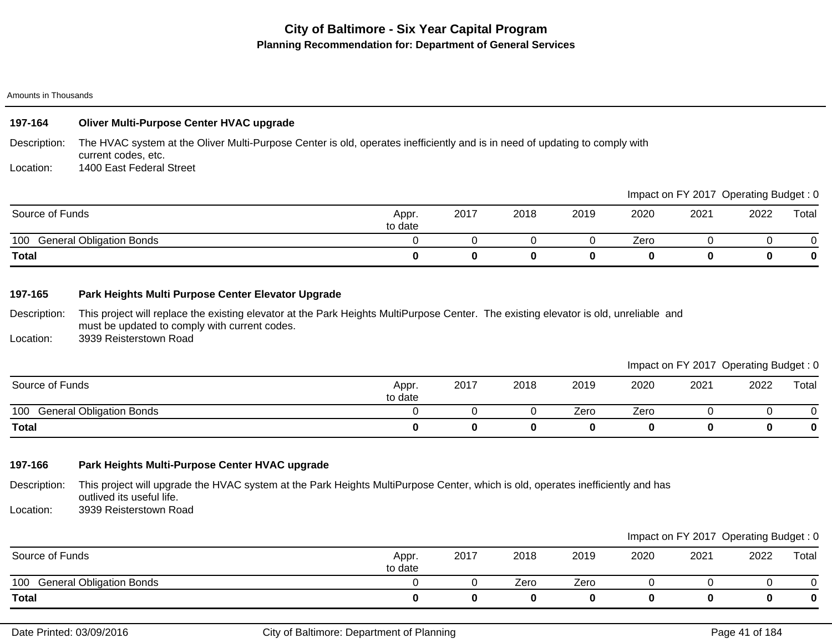Amounts in Thousands

## Description: **197-164 Oliver Multi-Purpose Center HVAC upgrade** The HVAC system at the Oliver Multi-Purpose Center is old, operates inefficiently and is in need of updating to comply with

Location: current codes, etc. 1400 East Federal Street

100 General Obligation Bonds 0 0 0 0 Zero 0 0 0 **Total 0 0 0 0 0 0 0 0** Source of Funds Appr. to date 2017 2018 2019 2020 2021 2022 Total Impact on FY 2017 Operating Budget : 0

## **197-165 Park Heights Multi Purpose Center Elevator Upgrade**

Description: This project will replace the existing elevator at the Park Heights MultiPurpose Center. The existing elevator is old, unreliable and must be updated to comply with current codes.

Location: 3939 Reisterstown Road

## Impact on FY 2017 Operating Budget : 0

|                                        |                  |      |      |      |      |      | $\sim$ | $\tilde{\phantom{a}}$ |
|----------------------------------------|------------------|------|------|------|------|------|--------|-----------------------|
| Source of Funds                        | Appr.<br>to date | 2017 | 2018 | 2019 | 2020 | 2021 | 2022   | Total                 |
| 100<br><b>General Obligation Bonds</b> |                  |      |      | Zero | Zero |      |        |                       |
| <b>Total</b>                           |                  |      |      |      |      |      |        |                       |

## **197-166 Park Heights Multi-Purpose Center HVAC upgrade**

Description: This project will upgrade the HVAC system at the Park Heights MultiPurpose Center, which is old, operates inefficiently and has outlived its useful life.

Location: 3939 Reisterstown Road

|                                        |                  |      |      |      |      |      | Impact on FY 2017 Operating Budget: 0 |       |
|----------------------------------------|------------------|------|------|------|------|------|---------------------------------------|-------|
| Source of Funds                        | Appr.<br>to date | 2017 | 2018 | 2019 | 2020 | 2021 | 2022                                  | Total |
| <b>General Obligation Bonds</b><br>100 |                  |      | Zero | Zero |      |      |                                       |       |
| <b>Total</b>                           |                  |      |      |      |      |      |                                       |       |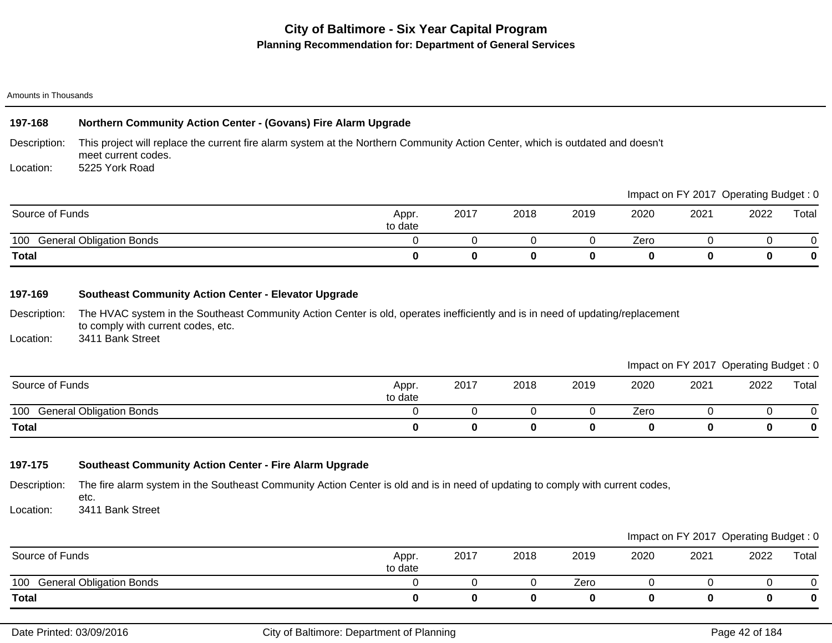#### Amounts in Thousands

## **197-168 Northern Community Action Center - (Govans) Fire Alarm Upgrade**

Description: This project will replace the current fire alarm system at the Northern Community Action Center, which is outdated and doesn't meet current codes. 5225 York Road

Location:

|                                        |                  |      |      |      |      | Impact on FY 2017 Operating Budget: 0 |      |             |
|----------------------------------------|------------------|------|------|------|------|---------------------------------------|------|-------------|
| Source of Funds                        | Appr.<br>to date | 2017 | 2018 | 2019 | 2020 | 2021                                  | 2022 | Total       |
| 100<br><b>General Obligation Bonds</b> |                  |      |      |      | Zero |                                       |      |             |
| <b>Total</b>                           |                  |      |      |      |      |                                       |      | $\mathbf 0$ |

### **197-169 Southeast Community Action Center - Elevator Upgrade**

Description: The HVAC system in the Southeast Community Action Center is old, operates inefficiently and is in need of updating/replacement to comply with current codes, etc.

Location: 3411 Bank Street

### Impact on FY 2017 Operating Budget : 0

| Source of Funds                        | Appr.<br>to date | 2017 | 2018 | 2019 | 2020 | 2021 | 2022 | Total |
|----------------------------------------|------------------|------|------|------|------|------|------|-------|
| <b>General Obligation Bonds</b><br>100 |                  |      |      |      | Zero |      |      | U     |
| <b>Total</b>                           |                  |      |      |      |      |      |      | 0     |

## **197-175 Southeast Community Action Center - Fire Alarm Upgrade**

Description: The fire alarm system in the Southeast Community Action Center is old and is in need of updating to comply with current codes, etc.

Location: 3411 Bank Street

|                                        |                  |      |      |      |      |      | Impact on FY 2017 Operating Budget: 0 |       |
|----------------------------------------|------------------|------|------|------|------|------|---------------------------------------|-------|
| Source of Funds                        | Appr.<br>to date | 2017 | 2018 | 2019 | 2020 | 2021 | 2022                                  | Total |
| <b>General Obligation Bonds</b><br>100 |                  |      |      | Zero |      |      |                                       |       |
| <b>Total</b>                           |                  |      |      |      |      |      |                                       |       |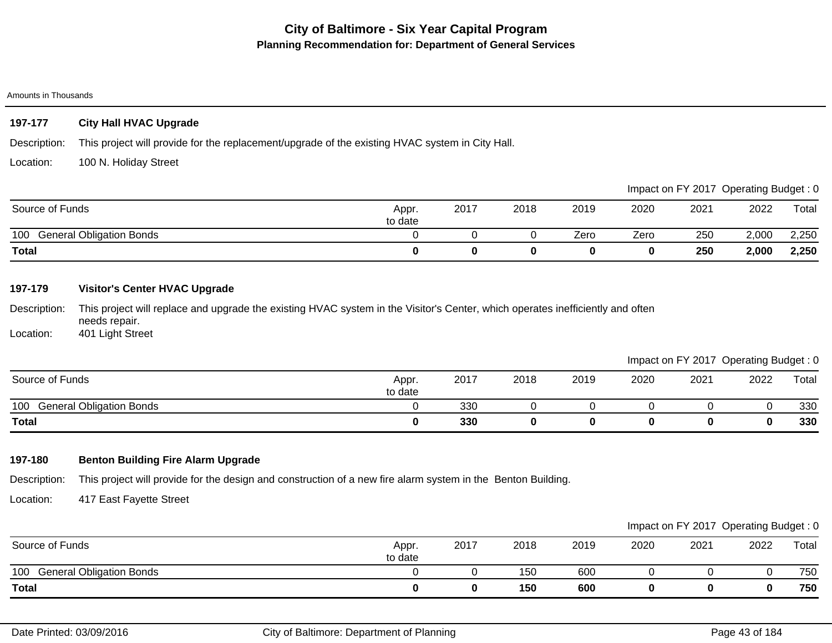#### Amounts in Thousands

## **197-177 City Hall HVAC Upgrade**

Description: This project will provide for the replacement/upgrade of the existing HVAC system in City Hall.

Location: 100 N. Holiday Street

|                                        |                  |      |      |      |      |      | Impact on FY 2017 Operating Budget: 0 |       |
|----------------------------------------|------------------|------|------|------|------|------|---------------------------------------|-------|
| Source of Funds                        | Appr.<br>to date | 2017 | 2018 | 2019 | 2020 | 2021 | 2022                                  | Total |
| <b>General Obligation Bonds</b><br>100 |                  |      |      | Zero | Zero | 250  | 2,000                                 | 2,250 |
| <b>Total</b>                           |                  |      |      |      |      | 250  | 2,000                                 | 2,250 |

## **197-179 Visitor's Center HVAC Upgrade**

Description: This project will replace and upgrade the existing HVAC system in the Visitor's Center, which operates inefficiently and often needs repair.

Location: 401 Light Street

|                                        |                  |      |      |      |      | Impact on FY 2017 Operating Budget: 0 |      |       |
|----------------------------------------|------------------|------|------|------|------|---------------------------------------|------|-------|
| Source of Funds                        | Appr.<br>to date | 2017 | 2018 | 2019 | 2020 | 2021                                  | 2022 | Total |
| <b>General Obligation Bonds</b><br>100 |                  | 330  |      |      |      |                                       |      | 330   |
| <b>Total</b>                           |                  | 330  |      |      |      |                                       |      | 330   |

## **197-180 Benton Building Fire Alarm Upgrade**

Description: This project will provide for the design and construction of a new fire alarm system in the Benton Building.

Location: 417 East Fayette Street

|                                        |                  |      |      |      |      | Impact on FY 2017 Operating Budget: 0 |      |       |
|----------------------------------------|------------------|------|------|------|------|---------------------------------------|------|-------|
| Source of Funds                        | Appr.<br>to date | 2017 | 2018 | 2019 | 2020 | 2021                                  | 2022 | Total |
| 100<br><b>General Obligation Bonds</b> |                  |      | 150  | 600  |      |                                       |      | 750   |
| <b>Total</b>                           |                  |      | 150  | 600  |      |                                       |      | 750   |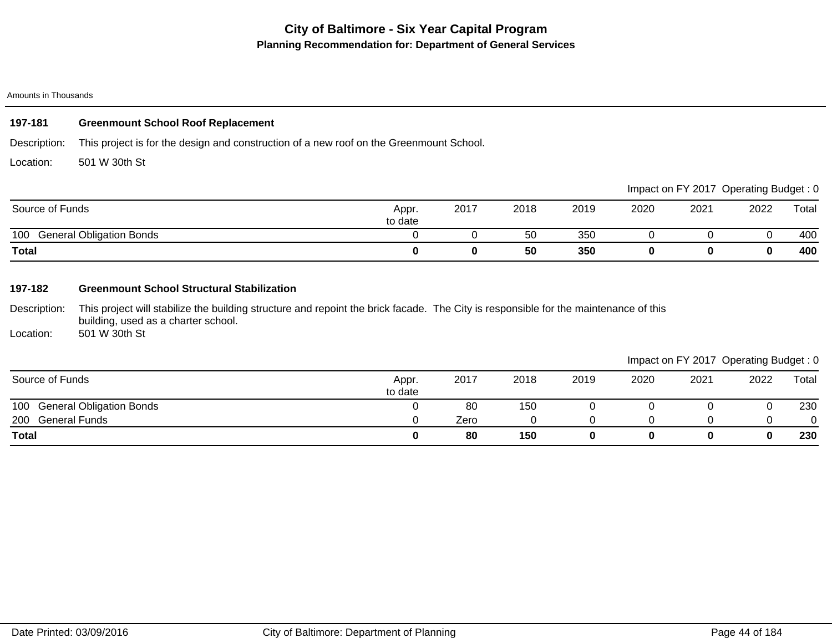#### Amounts in Thousands

### **197-181 Greenmount School Roof Replacement**

Description: This project is for the design and construction of a new roof on the Greenmount School.

Location: 501 W 30th St

|                                        |                  |      |      |      |      | Impact on FY 2017 Operating Budget: 0 |      |       |
|----------------------------------------|------------------|------|------|------|------|---------------------------------------|------|-------|
| Source of Funds                        | Appr.<br>to date | 2017 | 2018 | 2019 | 2020 | 2021                                  | 2022 | Total |
| <b>General Obligation Bonds</b><br>100 |                  |      | 50   | 350  |      |                                       |      | 400   |
| <b>Total</b>                           |                  |      | 50   | 350  |      |                                       |      | 400   |

## **197-182 Greenmount School Structural Stabilization**

Description: This project will stabilize the building structure and repoint the brick facade. The City is responsible for the maintenance of this building, used as a charter school.

Location: 501 W 30th St

|                              |                  |      |      |      |      |      | Impact on FY 2017 Operating Budget: 0 |       |
|------------------------------|------------------|------|------|------|------|------|---------------------------------------|-------|
| Source of Funds              | Appr.<br>to date | 2017 | 2018 | 2019 | 2020 | 2021 | 2022                                  | Total |
| 100 General Obligation Bonds |                  | 80   | 150  |      |      |      | U                                     | 230   |
| 200 General Funds            |                  | Zero |      |      |      |      |                                       |       |
| <b>Total</b>                 |                  | 80   | 150  |      |      |      | 0                                     | 230   |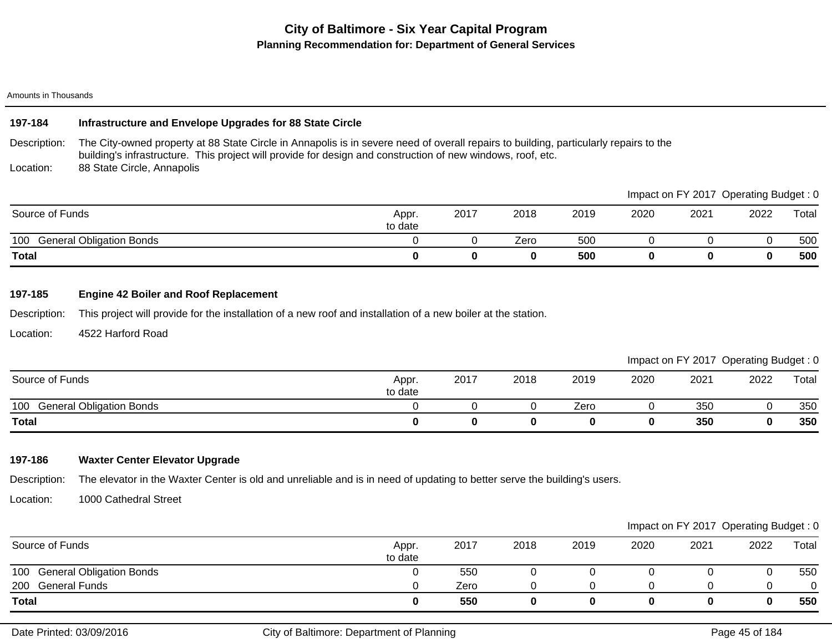#### Amounts in Thousands

### **197-184 Infrastructure and Envelope Upgrades for 88 State Circle**

Description: Location: The City-owned property at 88 State Circle in Annapolis is in severe need of overall repairs to building, particularly repairs to the building's infrastructure. This project will provide for design and construction of new windows, roof, etc. 88 State Circle, Annapolis

|                                        |                  |      |      |      |      |      | Impact on FY 2017 Operating Budget: 0 |       |
|----------------------------------------|------------------|------|------|------|------|------|---------------------------------------|-------|
| Source of Funds                        | Appr.<br>to date | 2017 | 2018 | 2019 | 2020 | 2021 | 2022                                  | Total |
| <b>General Obligation Bonds</b><br>100 |                  |      | Zero | 500  |      |      |                                       | 500   |
| <b>Total</b>                           |                  |      | 0    | 500  |      |      |                                       | 500   |

### **197-185 Engine 42 Boiler and Roof Replacement**

Description: This project will provide for the installation of a new roof and installation of a new boiler at the station.

Location: 4522 Harford Road

|                                        |                  |      |      |      |      |      | Impact on FY 2017 Operating Budget: 0 |       |
|----------------------------------------|------------------|------|------|------|------|------|---------------------------------------|-------|
| Source of Funds                        | Appr.<br>to date | 2017 | 2018 | 2019 | 2020 | 2021 | 2022                                  | Total |
| 100<br><b>General Obligation Bonds</b> |                  |      |      | Zero |      | 350  |                                       | 350   |
| <b>Total</b>                           |                  |      |      |      |      | 350  |                                       | 350   |

### **197-186 Waxter Center Elevator Upgrade**

Description: The elevator in the Waxter Center is old and unreliable and is in need of updating to better serve the building's users.

Location: 1000 Cathedral Street

|                              |                  |      |      |      |      |      | Impact on FY 2017 Operating Budget: 0 |       |
|------------------------------|------------------|------|------|------|------|------|---------------------------------------|-------|
| Source of Funds              | Appr.<br>to date | 2017 | 2018 | 2019 | 2020 | 2021 | 2022                                  | Total |
| 100 General Obligation Bonds |                  | 550  |      |      |      |      |                                       | 550   |
| General Funds<br>200         |                  | Zero |      |      |      |      |                                       |       |
| <b>Total</b>                 |                  | 550  |      |      |      |      |                                       | 550   |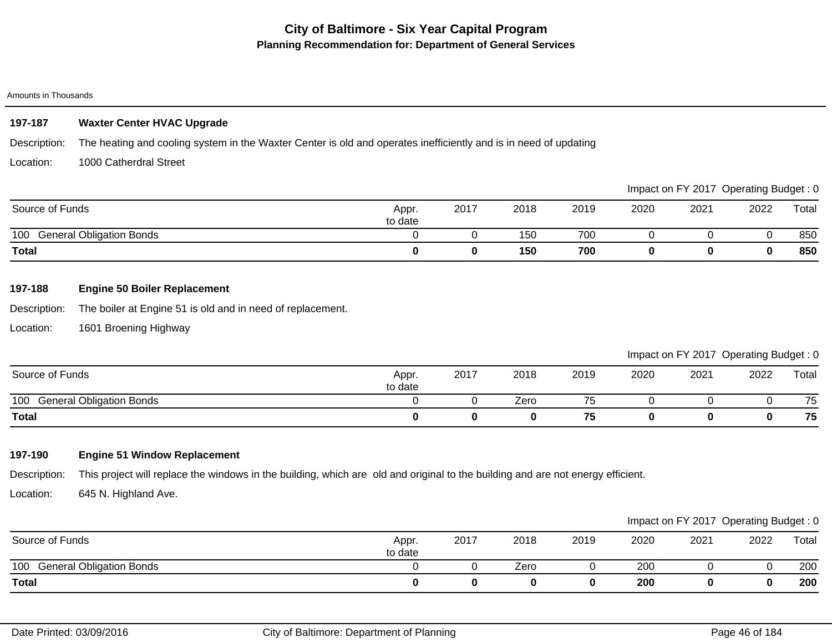#### Amounts in Thousands

## **197-187 Waxter Center HVAC Upgrade**

Description: The heating and cooling system in the Waxter Center is old and operates inefficiently and is in need of updating

Location: 1000 Catherdral Street

|                                        |                  |      |      |      |      |      | Impact on FY 2017 Operating Budget: 0 |       |
|----------------------------------------|------------------|------|------|------|------|------|---------------------------------------|-------|
| Source of Funds                        | Appr.<br>to date | 2017 | 2018 | 2019 | 2020 | 2021 | 2022                                  | Total |
| <b>General Obligation Bonds</b><br>100 |                  |      | 150  | 700  |      |      |                                       | 850   |
| <b>Total</b>                           |                  |      | 150  | 700  |      |      |                                       | 850   |

## **197-188 Engine 50 Boiler Replacement**

Description: The boiler at Engine 51 is old and in need of replacement.

Location: 1601 Broening Highway

Impact on FY 2017 Operating Budget : 0

| Source of Funds                        | Appr.<br>to date | 2017 | 2018 | 2019 | 2020 | 2021 | 2022 | Total |
|----------------------------------------|------------------|------|------|------|------|------|------|-------|
| 100<br><b>General Obligation Bonds</b> |                  |      | Zero | 75   |      |      |      | 75    |
| <b>Total</b>                           |                  |      |      | 75   |      |      |      | 75    |

## **197-190 Engine 51 Window Replacement**

Description: This project will replace the windows in the building, which are old and original to the building and are not energy efficient.

Location: 645 N. Highland Ave.

|                                        |                  |      |      |      |      |      | Impact on FY 2017 Operating Budget: 0 |       |
|----------------------------------------|------------------|------|------|------|------|------|---------------------------------------|-------|
| Source of Funds                        | Appr.<br>to date | 2017 | 2018 | 2019 | 2020 | 2021 | 2022                                  | Total |
| <b>General Obligation Bonds</b><br>100 |                  |      | Zero |      | 200  |      |                                       | 200   |
| <b>Total</b>                           |                  |      |      |      | 200  |      |                                       | 200   |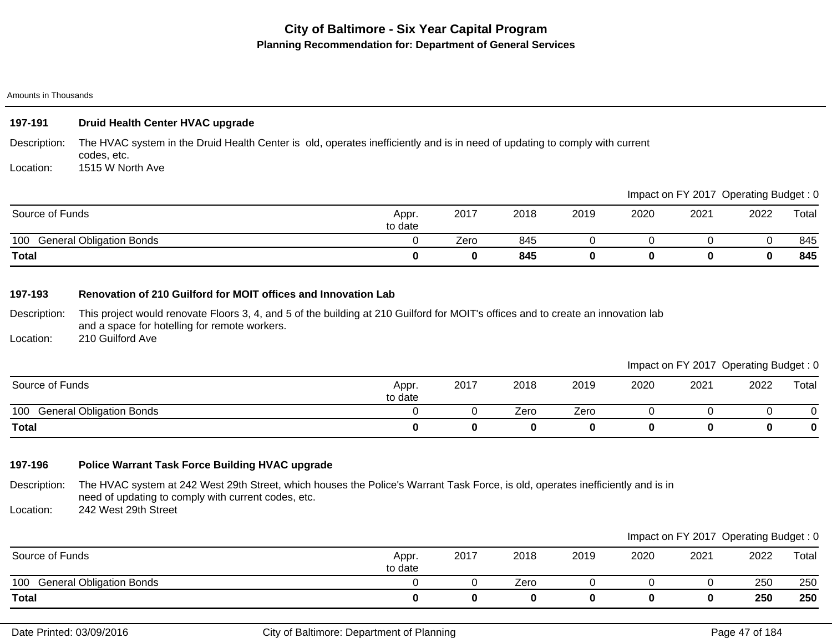#### Amounts in Thousands

### **197-191 Druid Health Center HVAC upgrade**

Description: Location: The HVAC system in the Druid Health Center is old, operates inefficiently and is in need of updating to comply with current codes, etc. 1515 W North Ave

|                                        |                  |      |      |      |      |      | $m$ pack on $n \times 20$ if $\sigma$ belonging badged. |       |
|----------------------------------------|------------------|------|------|------|------|------|---------------------------------------------------------|-------|
| Source of Funds                        | Appr.<br>to date | 2017 | 2018 | 2019 | 2020 | 2021 | 2022                                                    | Total |
| <b>General Obligation Bonds</b><br>100 |                  | Zero | 845  |      |      |      |                                                         | 845   |
| <b>Total</b>                           |                  |      | 845  |      |      |      |                                                         | 845   |

### **197-193 Renovation of 210 Guilford for MOIT offices and Innovation Lab**

Description: This project would renovate Floors 3, 4, and 5 of the building at 210 Guilford for MOIT's offices and to create an innovation lab and a space for hotelling for remote workers.

Location: 210 Guilford Ave

Impact on FY 2017 Operating Budget : 0

Impact on FY 2017, Operating Budget : 0

|                                        |                  |      |      |      |      |      | ____ | ____  |
|----------------------------------------|------------------|------|------|------|------|------|------|-------|
| Source of Funds                        | Appr.<br>to date | 2017 | 2018 | 2019 | 2020 | 2021 | 2022 | Total |
| 100<br><b>General Obligation Bonds</b> |                  |      | Zero | Zero |      |      |      |       |
| <b>Total</b>                           |                  |      |      |      |      |      |      |       |

## **197-196 Police Warrant Task Force Building HVAC upgrade**

Description: The HVAC system at 242 West 29th Street, which houses the Police's Warrant Task Force, is old, operates inefficiently and is in need of updating to comply with current codes, etc.

Location: 242 West 29th Street

|                                        |                  |      |      |      |      |      | Impact on FY 2017 Operating Budget: 0 |       |
|----------------------------------------|------------------|------|------|------|------|------|---------------------------------------|-------|
| Source of Funds                        | Appr.<br>to date | 2017 | 2018 | 2019 | 2020 | 2021 | 2022                                  | Total |
| <b>General Obligation Bonds</b><br>100 |                  |      | Zero |      |      |      | 250                                   | 250   |
| <b>Total</b>                           |                  |      |      |      |      |      | 250                                   | 250   |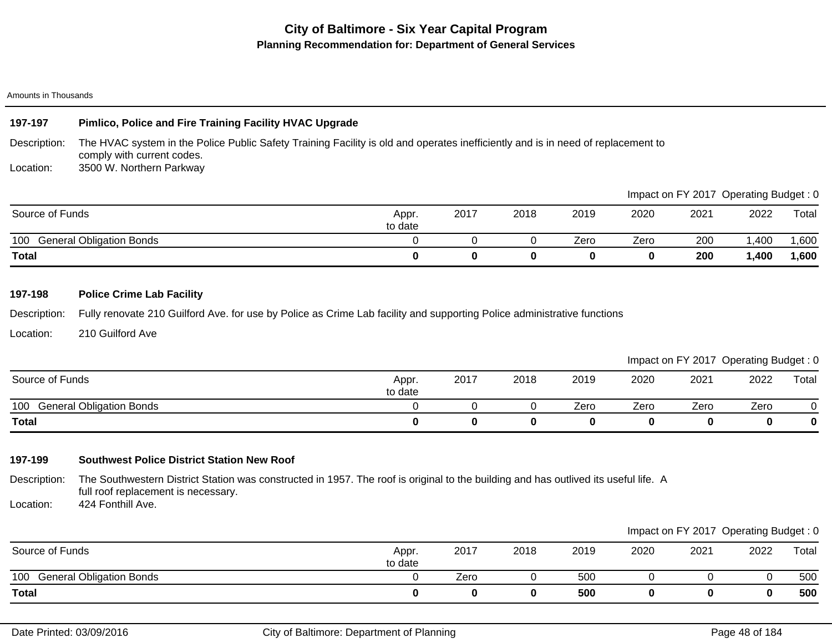#### Amounts in Thousands

## **197-197 Pimlico, Police and Fire Training Facility HVAC Upgrade**

Description: The HVAC system in the Police Public Safety Training Facility is old and operates inefficiently and is in need of replacement to comply with current codes.

Location: 3500 W. Northern Parkway

|                                        |                  |      |      |      | impact on Fit 2017 Operating Budget. 0 |      |       |       |
|----------------------------------------|------------------|------|------|------|----------------------------------------|------|-------|-------|
| Source of Funds                        | Appr.<br>to date | 2017 | 2018 | 2019 | 2020                                   | 2021 | 2022  | Total |
| 100<br><b>General Obligation Bonds</b> |                  |      |      | Zero | Zero                                   | 200  | ,400  | ,600  |
| <b>Total</b>                           |                  |      |      |      |                                        | 200  | 1,400 | 1,600 |

### **197-198 Police Crime Lab Facility**

Description: Fully renovate 210 Guilford Ave. for use by Police as Crime Lab facility and supporting Police administrative functions

Location: 210 Guilford Ave

## 100 General Obligation Bonds **business and Contact Contact Contact Contact Contact Contact Contact Contact Contact Contact Contact Contact Contact Contact Contact Contact Contact Contact Contact Contact Contact Contact Con Total 0 0 0 0 0 0 0 0** Source of Funds Appr. Appr. to date 2017 2018 2019 2020 2021 2022 Total Impact on FY 2017 Operating Budget : 0

### **197-199 Southwest Police District Station New Roof**

Description: The Southwestern District Station was constructed in 1957. The roof is original to the building and has outlived its useful life. A full roof replacement is necessary.

Location: 424 Fonthill Ave.

|                              |                  |      |      |      |      | Impact on FY 2017 Operating Budget: 0 |      |       |
|------------------------------|------------------|------|------|------|------|---------------------------------------|------|-------|
| Source of Funds              | Appr.<br>to date | 2017 | 2018 | 2019 | 2020 | 2021                                  | 2022 | Total |
| 100 General Obligation Bonds |                  | Zero |      | 500  |      |                                       |      | 500   |
| Total                        |                  |      |      | 500  |      |                                       | 0    | 500   |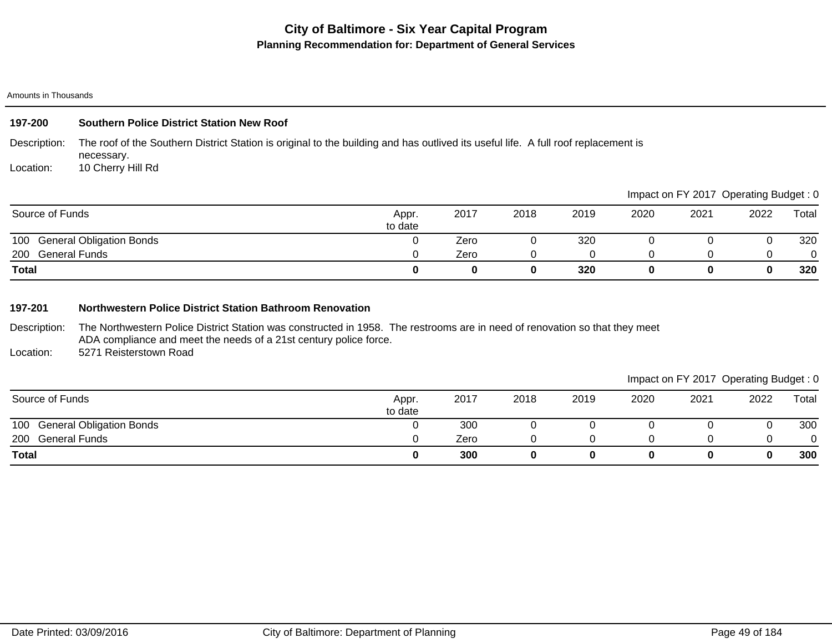#### Amounts in Thousands

| 197-200      | <b>Southern Police District Station New Roof</b>                                                                                                 |
|--------------|--------------------------------------------------------------------------------------------------------------------------------------------------|
| Description: | The roof of the Southern District Station is original to the building and has outlived its useful life. A full roof replacement is<br>necessary. |
| Location:    | 10 Cherry Hill Rd                                                                                                                                |

|                              |                  |      |      |      | impact on Fig. 2017 Operating Dauget. 0 |      |      |       |
|------------------------------|------------------|------|------|------|-----------------------------------------|------|------|-------|
| Source of Funds              | Appr.<br>to date | 2017 | 2018 | 2019 | 2020                                    | 2021 | 2022 | Total |
| 100 General Obligation Bonds |                  | Zero |      | 320  |                                         |      |      | 320   |
| 200 General Funds            |                  | Zero |      |      |                                         |      |      |       |
| <b>Total</b>                 |                  |      | 0    | 320  |                                         |      |      | 320   |

#### **197-201 Northwestern Police District Station Bathroom Renovation**

Description: The Northwestern Police District Station was constructed in 1958. The restrooms are in need of renovation so that they meet ADA compliance and meet the needs of a 21st century police force.

Location: 5271 Reisterstown Road

## Impact on FY 2017 Operating Budget : 0

| Source of Funds              | Appr.<br>to date | 2017 | 2018 | 2019 | 2020 | 2021 | 2022 | Total  |
|------------------------------|------------------|------|------|------|------|------|------|--------|
| 100 General Obligation Bonds |                  | 300  |      |      |      |      |      | 300    |
| 200<br><b>General Funds</b>  |                  | Zero |      |      |      |      |      | ∩<br>υ |
| <b>Total</b>                 |                  | 300  |      |      |      |      |      | 300    |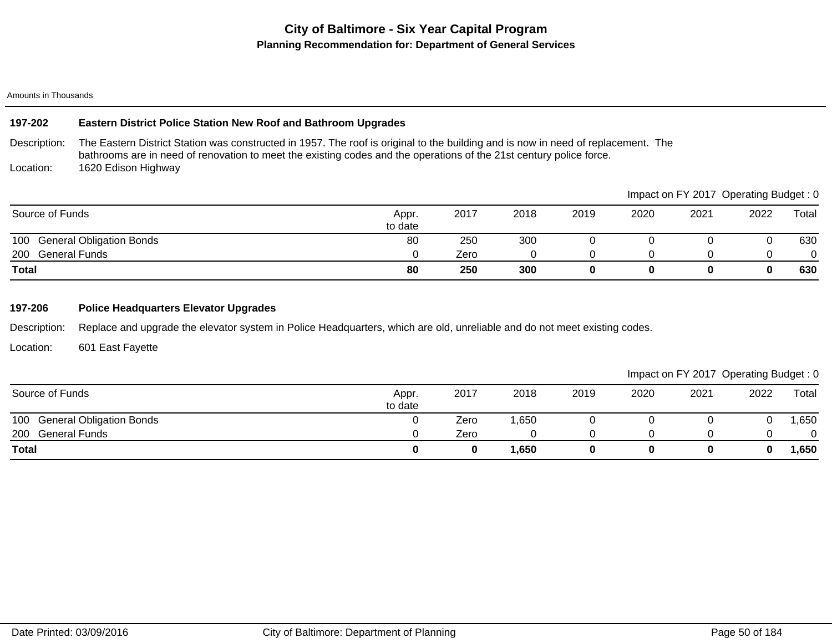#### Amounts in Thousands

### **197-202 Eastern District Police Station New Roof and Bathroom Upgrades**

Description: Location: The Eastern District Station was constructed in 1957. The roof is original to the building and is now in need of replacement. The bathrooms are in need of renovation to meet the existing codes and the operations of the 21st century police force. 1620 Edison Highway

|                              |                  |      |      |      | Impact on FY 2017 Operating Budget: 0 |      |      |       |
|------------------------------|------------------|------|------|------|---------------------------------------|------|------|-------|
| Source of Funds              | Appr.<br>to date | 2017 | 2018 | 2019 | 2020                                  | 2021 | 2022 | Total |
| 100 General Obligation Bonds | 80               | 250  | 300  |      |                                       |      |      | 630   |
| 200 General Funds            |                  | Zero |      |      |                                       |      |      |       |
| <b>Total</b>                 | 80               | 250  | 300  |      |                                       |      |      | 630   |

## **197-206 Police Headquarters Elevator Upgrades**

Description: Replace and upgrade the elevator system in Police Headquarters, which are old, unreliable and do not meet existing codes.

Location: 601 East Fayette

| Source of Funds              | Appr.<br>to date | 2017 | 2018 | 2019 | 2020 | 2021 | 2022 | Total  |
|------------------------------|------------------|------|------|------|------|------|------|--------|
| 100 General Obligation Bonds |                  | Zero | ,650 |      |      |      |      | ,650   |
| 200<br>General Funds         |                  | Zero |      |      |      |      |      | 0      |
| <b>Total</b>                 |                  |      | ,650 |      |      |      |      | 650, ا |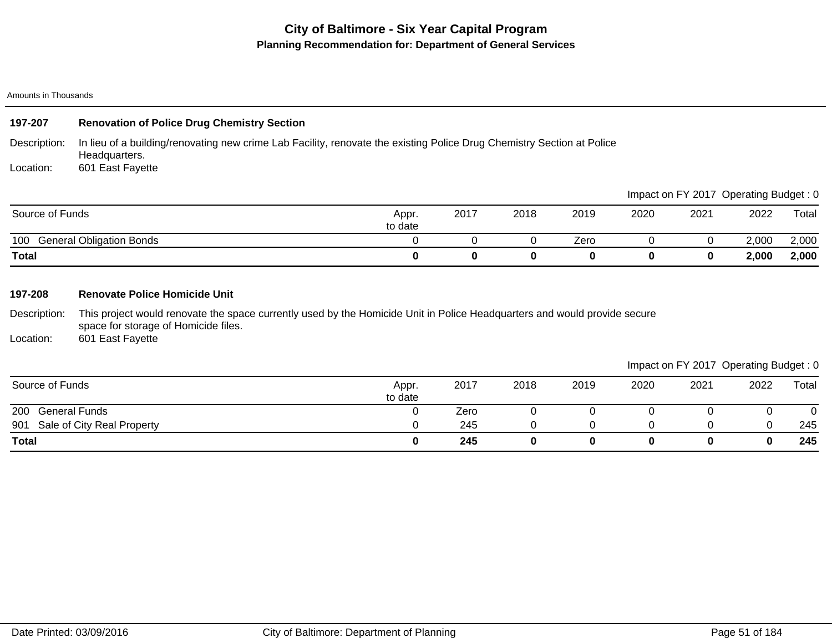Amounts in Thousands

| 197-207         | <b>Renovation of Police Drug Chemistry Section</b>                                                                                      |                  |      |      |      |      |      |                                       |       |
|-----------------|-----------------------------------------------------------------------------------------------------------------------------------------|------------------|------|------|------|------|------|---------------------------------------|-------|
| Description:    | In lieu of a building/renovating new crime Lab Facility, renovate the existing Police Drug Chemistry Section at Police<br>Headquarters. |                  |      |      |      |      |      |                                       |       |
| Location:       | 601 East Fayette                                                                                                                        |                  |      |      |      |      |      |                                       |       |
|                 |                                                                                                                                         |                  |      |      |      |      |      | Impact on FY 2017 Operating Budget: 0 |       |
| Source of Funds |                                                                                                                                         | Appr.<br>to date | 2017 | 2018 | 2019 | 2020 | 2021 | 2022                                  | Total |

|                                           | to date |  |      |  |       |       |
|-------------------------------------------|---------|--|------|--|-------|-------|
| 100<br><b>Obligation Bonds</b><br>enera'، |         |  | ∠ero |  | 2,000 | 2,000 |
| <b>Total</b>                              |         |  |      |  | 2,000 | 2,000 |

### **197-208 Renovate Police Homicide Unit**

Description: This project would renovate the space currently used by the Homicide Unit in Police Headquarters and would provide secure space for storage of Homicide files.

Location: 601 East Fayette

|                                |                  |      |      |      |      |      | ັ    | ັ     |
|--------------------------------|------------------|------|------|------|------|------|------|-------|
| Source of Funds                | Appr.<br>to date | 2017 | 2018 | 2019 | 2020 | 2021 | 2022 | Total |
| 200<br><b>General Funds</b>    |                  | Zero |      |      |      |      |      |       |
| 901 Sale of City Real Property |                  | 245  |      |      |      |      |      | 245   |
| <b>Total</b>                   |                  | 245  |      |      |      |      |      | 245   |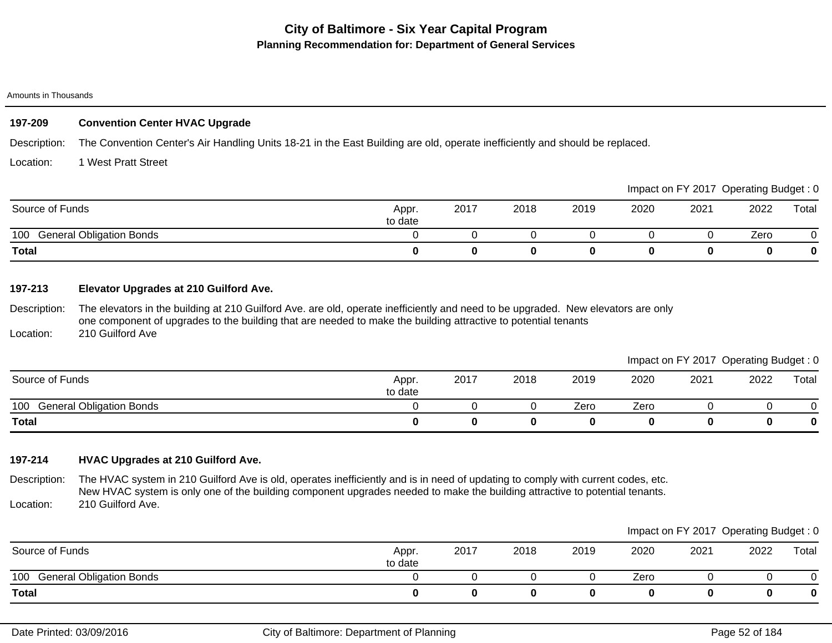#### Amounts in Thousands

### **197-209 Convention Center HVAC Upgrade**

Description: The Convention Center's Air Handling Units 18-21 in the East Building are old, operate inefficiently and should be replaced.

#### Location: 1 West Pratt Street

|                                        |                  |      |      |      |      |      | Impact on FY 2017 Operating Budget: 0 |       |
|----------------------------------------|------------------|------|------|------|------|------|---------------------------------------|-------|
| Source of Funds                        | Appr.<br>to date | 2017 | 2018 | 2019 | 2020 | 2021 | 2022                                  | Total |
| <b>General Obligation Bonds</b><br>100 |                  |      |      |      |      |      | Zero                                  |       |
| <b>Total</b>                           |                  |      |      |      |      |      |                                       | 0     |

## **197-213 Elevator Upgrades at 210 Guilford Ave.**

Description: The elevators in the building at 210 Guilford Ave. are old, operate inefficiently and need to be upgraded. New elevators are only one component of upgrades to the building that are needed to make the building attractive to potential tenants

Location: 210 Guilford Ave

|                                        |                  |      |      |      |      | Impact on FY 2017 Operating Budget: 0 |      |       |
|----------------------------------------|------------------|------|------|------|------|---------------------------------------|------|-------|
| Source of Funds                        | Appr.<br>to date | 2017 | 2018 | 2019 | 2020 | 2021                                  | 2022 | Total |
| <b>General Obligation Bonds</b><br>100 |                  |      |      | Zero | Zero |                                       |      |       |
| <b>Total</b>                           |                  |      |      |      |      |                                       |      |       |

### **197-214 HVAC Upgrades at 210 Guilford Ave.**

Description: Location: The HVAC system in 210 Guilford Ave is old, operates inefficiently and is in need of updating to comply with current codes, etc. New HVAC system is only one of the building component upgrades needed to make the building attractive to potential tenants. 210 Guilford Ave.

|                                        |                  |      |      |      |      | Impact on FY 2017 Operating Budget: 0 |      |       |
|----------------------------------------|------------------|------|------|------|------|---------------------------------------|------|-------|
| Source of Funds                        | Appr.<br>to date | 2017 | 2018 | 2019 | 2020 | 2021                                  | 2022 | Total |
| 100<br><b>General Obligation Bonds</b> |                  |      |      |      | Zero |                                       |      |       |
| <b>Total</b>                           |                  |      |      |      |      |                                       |      | 0     |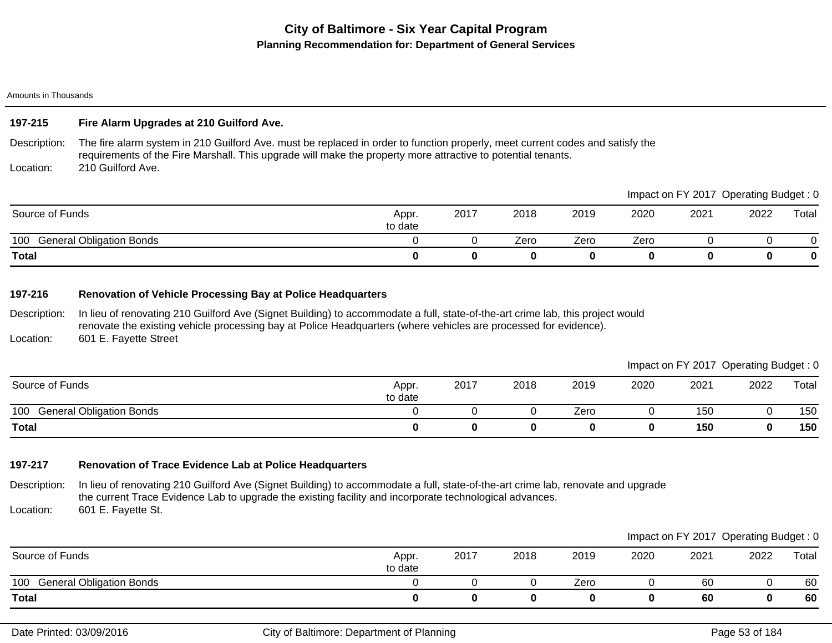Amounts in Thousands

## **197-215 Fire Alarm Upgrades at 210 Guilford Ave.**

Description: Location: The fire alarm system in 210 Guilford Ave. must be replaced in order to function properly, meet current codes and satisfy the requirements of the Fire Marshall. This upgrade will make the property more attractive to potential tenants. 210 Guilford Ave.

|                                        |                  |      |      |      |      |      | Impact on FY 2017 Operating Budget: 0 |       |
|----------------------------------------|------------------|------|------|------|------|------|---------------------------------------|-------|
| Source of Funds                        | Appr.<br>to date | 2017 | 2018 | 2019 | 2020 | 2021 | 2022                                  | Total |
| 100<br><b>General Obligation Bonds</b> |                  |      | Zero | Zero | Zero |      |                                       |       |
| <b>Total</b>                           |                  |      | 0    |      |      |      |                                       | 0     |

## **197-216 Renovation of Vehicle Processing Bay at Police Headquarters**

Description: In lieu of renovating 210 Guilford Ave (Signet Building) to accommodate a full, state-of-the-art crime lab, this project would renovate the existing vehicle processing bay at Police Headquarters (where vehicles are processed for evidence).

Location: 601 E. Fayette Street

| Impact on FY 2017 Operating Budget: 0 |
|---------------------------------------|
|---------------------------------------|

| Source of Funds                        | Appr.<br>to date | 2017 | 2018 | 2019 | 2020 | 2021 | 2022 | Total |
|----------------------------------------|------------------|------|------|------|------|------|------|-------|
| 100<br><b>General Obligation Bonds</b> |                  |      |      | Zero |      | 150  |      | 150   |
| <b>Total</b>                           |                  |      |      |      |      | 150  |      | 150   |

## **197-217 Renovation of Trace Evidence Lab at Police Headquarters**

Description: Location: In lieu of renovating 210 Guilford Ave (Signet Building) to accommodate a full, state-of-the-art crime lab, renovate and upgrade the current Trace Evidence Lab to upgrade the existing facility and incorporate technological advances. 601 E. Fayette St.

|                                        |                  |      |      |      |      |      | Impact on FY 2017 Operating Budget: 0 |       |
|----------------------------------------|------------------|------|------|------|------|------|---------------------------------------|-------|
| Source of Funds                        | Appr.<br>to date | 2017 | 2018 | 2019 | 2020 | 2021 | 2022                                  | Total |
| 100<br><b>General Obligation Bonds</b> |                  |      |      | Zero |      | 60   |                                       | 60    |
| <b>Total</b>                           |                  |      |      |      |      | 60   |                                       | 60    |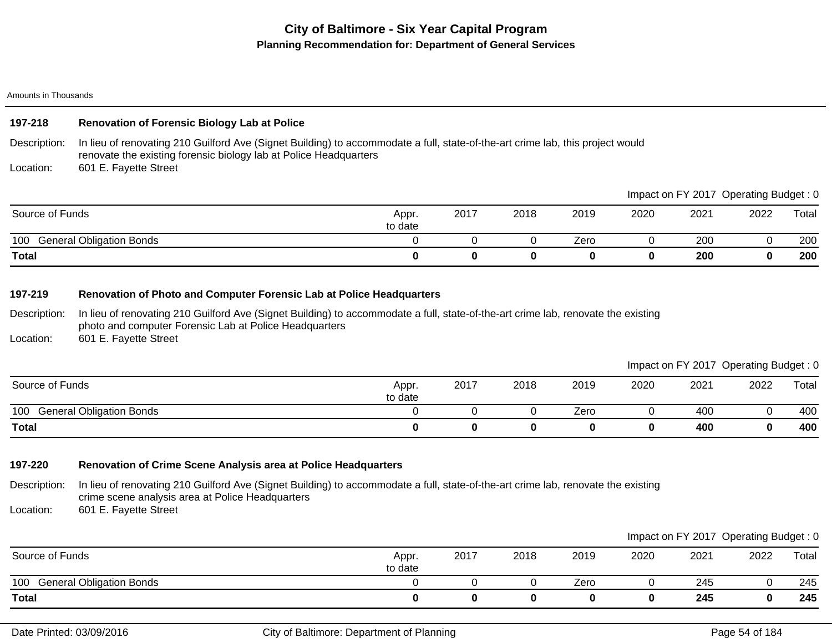Amounts in Thousands

## **197-218 Renovation of Forensic Biology Lab at Police**

Description: In lieu of renovating 210 Guilford Ave (Signet Building) to accommodate a full, state-of-the-art crime lab, this project would renovate the existing forensic biology lab at Police Headquarters

Location: 601 E. Fayette Street

|                                        |                  |      |      |      |      |      | Impact on FY 2017 Operating Budget : 0 |       |
|----------------------------------------|------------------|------|------|------|------|------|----------------------------------------|-------|
| Source of Funds                        | Appr.<br>to date | 2017 | 2018 | 2019 | 2020 | 2021 | 2022                                   | Total |
| <b>General Obligation Bonds</b><br>100 |                  |      |      | Zero |      | 200  |                                        | 200   |
| <b>Total</b>                           |                  |      |      |      |      | 200  |                                        | 200   |

## **197-219 Renovation of Photo and Computer Forensic Lab at Police Headquarters**

Description: In lieu of renovating 210 Guilford Ave (Signet Building) to accommodate a full, state-of-the-art crime lab, renovate the existing photo and computer Forensic Lab at Police Headquarters

Location: 601 E. Fayette Street

Impact on FY 2017 Operating Budget : 0

 $\blacksquare$ 

|                                        |                  |      |      |      |      |      | $\tilde{\phantom{a}}$ | ີ     |
|----------------------------------------|------------------|------|------|------|------|------|-----------------------|-------|
| Source of Funds                        | Appr.<br>to date | 2017 | 2018 | 2019 | 2020 | 2021 | 2022                  | Total |
| <b>General Obligation Bonds</b><br>100 |                  |      |      | Zero |      | 400  |                       | 400   |
| <b>Total</b>                           |                  |      |      |      | 0    | 400  |                       | 400   |

## **197-220 Renovation of Crime Scene Analysis area at Police Headquarters**

Description: In lieu of renovating 210 Guilford Ave (Signet Building) to accommodate a full, state-of-the-art crime lab, renovate the existing crime scene analysis area at Police Headquarters

Location: 601 E. Fayette Street

|                                        |                  |      |      |      |      |      | Impact on FY 2017 Operating Budget: 0 |       |
|----------------------------------------|------------------|------|------|------|------|------|---------------------------------------|-------|
| Source of Funds                        | Appr.<br>to date | 2017 | 2018 | 2019 | 2020 | 2021 | 2022                                  | Total |
| <b>General Obligation Bonds</b><br>100 |                  |      |      | Zero |      | 245  |                                       | 245   |
| <b>Total</b>                           |                  |      |      |      |      | 245  |                                       | 245   |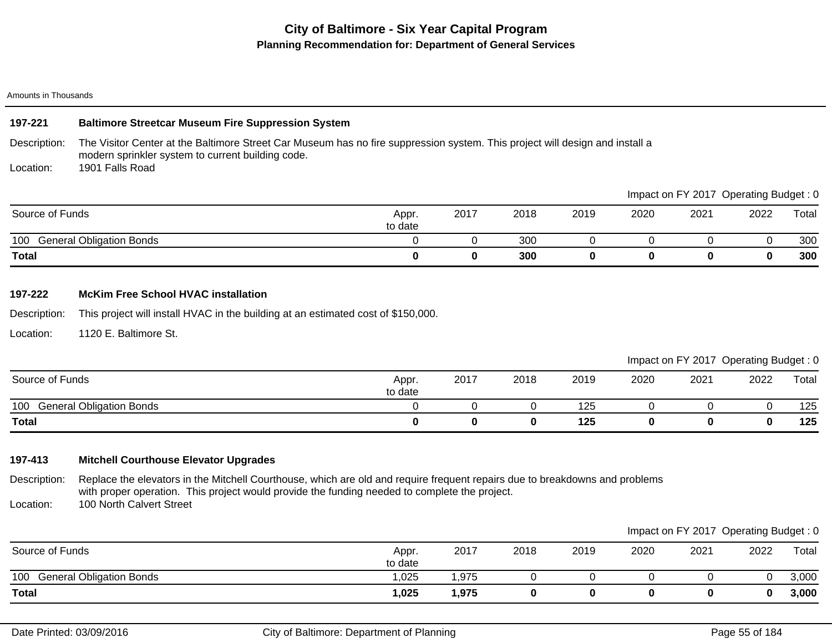#### Amounts in Thousands

### **197-221 Baltimore Streetcar Museum Fire Suppression System**

Description: The Visitor Center at the Baltimore Street Car Museum has no fire suppression system. This project will design and install a modern sprinkler system to current building code.

Location: 1901 Falls Road

|                                        |                  |      |      |      |      | Impaction Fit ZUTT | Operating Budget. U |       |
|----------------------------------------|------------------|------|------|------|------|--------------------|---------------------|-------|
| Source of Funds                        | Appr.<br>to date | 2017 | 2018 | 2019 | 2020 | 2021               | 2022                | Total |
| <b>General Obligation Bonds</b><br>100 |                  |      | 300  |      |      |                    |                     | 300   |
| <b>Total</b>                           |                  |      | 300  |      |      | O                  |                     | 300   |

## **197-222 McKim Free School HVAC installation**

Description: This project will install HVAC in the building at an estimated cost of \$150,000.

Location: 1120 E. Baltimore St.

|  | Impact on FY 2017 Operating Budget: 0 |
|--|---------------------------------------|
|--|---------------------------------------|

Impact on FY 2017 Operating Budget : 0

| Source of Funds                        | Appr.<br>to date | 2017 | 2018 | 2019 | 2020 | 2021 | 2022 | Total |
|----------------------------------------|------------------|------|------|------|------|------|------|-------|
| <b>General Obligation Bonds</b><br>100 |                  |      |      | 125  |      |      |      | 125   |
| <b>Total</b>                           |                  |      | 0    | 125  |      |      |      | 125   |

## **197-413 Mitchell Courthouse Elevator Upgrades**

Description: Location: Replace the elevators in the Mitchell Courthouse, which are old and require frequent repairs due to breakdowns and problems with proper operation. This project would provide the funding needed to complete the project. 100 North Calvert Street

|                                        |                  |       |      |      |      | Impact on FY 2017 Operating Budget: 0 |      |       |
|----------------------------------------|------------------|-------|------|------|------|---------------------------------------|------|-------|
| Source of Funds                        | Appr.<br>to date | 2017  | 2018 | 2019 | 2020 | 2021                                  | 2022 | Total |
| <b>General Obligation Bonds</b><br>100 | .025             | .975  |      |      |      |                                       |      | 3,000 |
| <b>Total</b>                           | 1,025            | l,975 |      |      |      |                                       | 0    | 3,000 |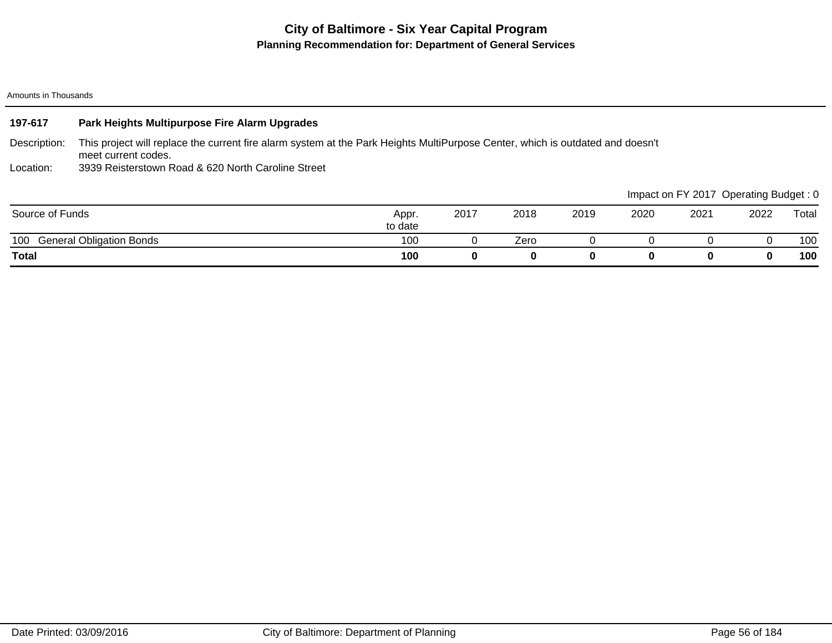#### Amounts in Thousands

| 197-617         | Park Heights Multipurpose Fire Alarm Upgrades                                                                                                         |                  |      |      |      |      |                                       |      |       |
|-----------------|-------------------------------------------------------------------------------------------------------------------------------------------------------|------------------|------|------|------|------|---------------------------------------|------|-------|
| Description:    | This project will replace the current fire alarm system at the Park Heights MultiPurpose Center, which is outdated and doesn't<br>meet current codes. |                  |      |      |      |      |                                       |      |       |
| Location:       | 3939 Reisterstown Road & 620 North Caroline Street                                                                                                    |                  |      |      |      |      |                                       |      |       |
|                 |                                                                                                                                                       |                  |      |      |      |      | Impact on FY 2017 Operating Budget: 0 |      |       |
| Source of Funds |                                                                                                                                                       | Appr.<br>to date | 2017 | 2018 | 2019 | 2020 | 2021                                  | 2022 | Total |
| 100             | <b>General Obligation Bonds</b>                                                                                                                       | 100              | U    | Zero |      |      |                                       |      | 100   |
| <b>Total</b>    |                                                                                                                                                       | 100              | 0    | 0    | 0    | 0    | 0                                     |      | 100   |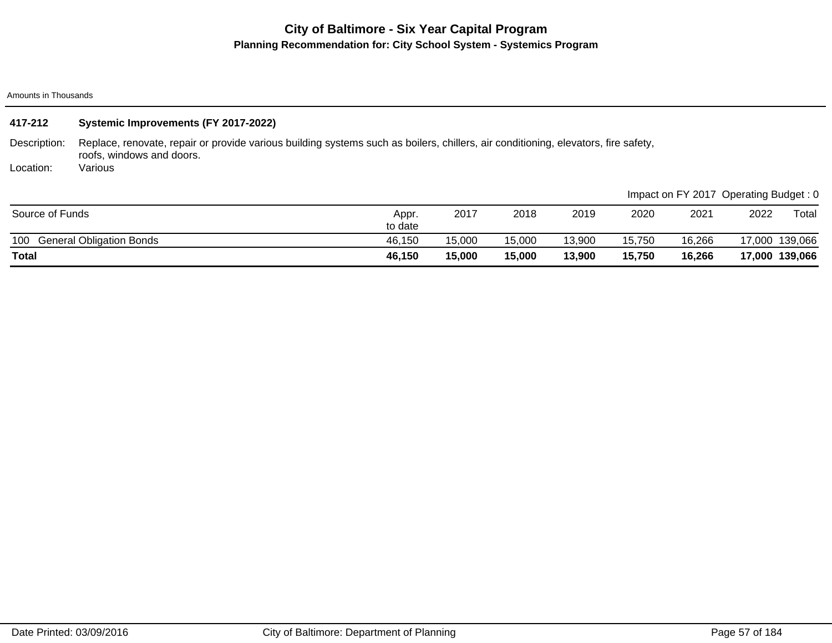# **City of Baltimore - Six Year Capital Program Planning Recommendation for: City School System - Systemics Program**

Amounts in Thousands

| 417-212         | Systemic Improvements (FY 2017-2022)                                                                                                                            |                  |        |        |        |        |                                       |      |                |
|-----------------|-----------------------------------------------------------------------------------------------------------------------------------------------------------------|------------------|--------|--------|--------|--------|---------------------------------------|------|----------------|
| Description:    | Replace, renovate, repair or provide various building systems such as boilers, chillers, air conditioning, elevators, fire safety,<br>roofs, windows and doors. |                  |        |        |        |        |                                       |      |                |
| Location:       | Various                                                                                                                                                         |                  |        |        |        |        |                                       |      |                |
|                 |                                                                                                                                                                 |                  |        |        |        |        | Impact on FY 2017 Operating Budget: 0 |      |                |
| Source of Funds |                                                                                                                                                                 | Appr.<br>to date | 2017   | 2018   | 2019   | 2020   | 2021                                  | 2022 | Total          |
| 100             | <b>General Obligation Bonds</b>                                                                                                                                 | 46,150           | 15,000 | 15,000 | 13,900 | 15,750 | 16,266                                |      | 17,000 139,066 |
| <b>Total</b>    |                                                                                                                                                                 | 46,150           | 15,000 | 15,000 | 13,900 | 15,750 | 16,266                                |      | 17,000 139,066 |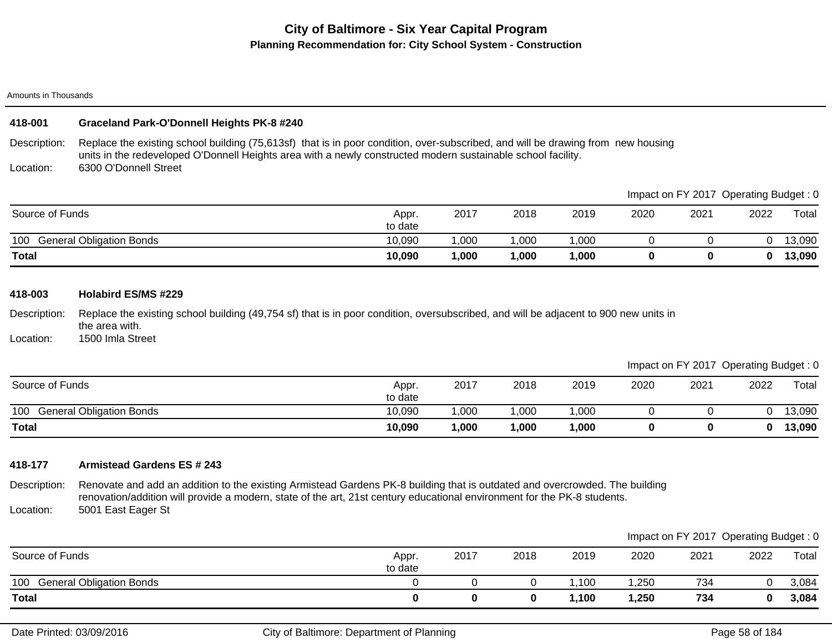## **City of Baltimore - Six Year Capital Program Planning Recommendation for: City School System - Construction**

Amounts in Thousands

## **418-001 Graceland Park-O'Donnell Heights PK-8 #240**

Description: Location: Replace the existing school building (75,613sf) that is in poor condition, over-subscribed, and will be drawing from new housing units in the redeveloped O'Donnell Heights area with a newly constructed modern sustainable school facility. 6300 O'Donnell Street

|                                        |                  |       |      |        |      |      | mpaol on F zo n Operaling Baagol . 0 |        |
|----------------------------------------|------------------|-------|------|--------|------|------|--------------------------------------|--------|
| Source of Funds                        | Appr.<br>to date | 2017  | 2018 | 2019   | 2020 | 2021 | 2022                                 | Total  |
| <b>General Obligation Bonds</b><br>100 | 10,090           | 000,  | ,000 | ,000   |      |      |                                      | 13,090 |
| <b>Total</b>                           | 10,090           | 1,000 | ,000 | 000, ا |      |      |                                      | 13,090 |

#### **418-003 Holabird ES/MS #229**

Description: Replace the existing school building (49,754 sf) that is in poor condition, oversubscribed, and will be adjacent to 900 new units in the area with.

Location: 1500 Imla Street

Impact on FY 2017 Operating Budget : 0

Impact on FV 2017, Operating Budget : 0

| Source of Funds                        | Appr.<br>to date | 2017  | 2018 | 2019   | 2020 | 2021 | 2022 | Total  |
|----------------------------------------|------------------|-------|------|--------|------|------|------|--------|
| 100<br><b>General Obligation Bonds</b> | 10,090           | ,000  | ,000 | ,000   |      |      |      | 13,090 |
| <b>Total</b>                           | 10,090           | 1,000 | ,000 | 000, ا |      |      |      | 13,090 |

### **418-177 Armistead Gardens ES # 243**

Description: Location: Renovate and add an addition to the existing Armistead Gardens PK-8 building that is outdated and overcrowded. The building renovation/addition will provide a modern, state of the art, 21st century educational environment for the PK-8 students. 5001 East Eager St

|                                        |                  |      |      |       |       |      | Impact on FY 2017 Operating Budget: 0 |       |
|----------------------------------------|------------------|------|------|-------|-------|------|---------------------------------------|-------|
| Source of Funds                        | Appr.<br>to date | 2017 | 2018 | 2019  | 2020  | 2021 | 2022                                  | Total |
| <b>General Obligation Bonds</b><br>100 |                  |      |      | ,100  | ,250  | 734  |                                       | 3,084 |
| <b>Total</b>                           |                  |      |      | 1,100 | 1,250 | 734  |                                       | 3,084 |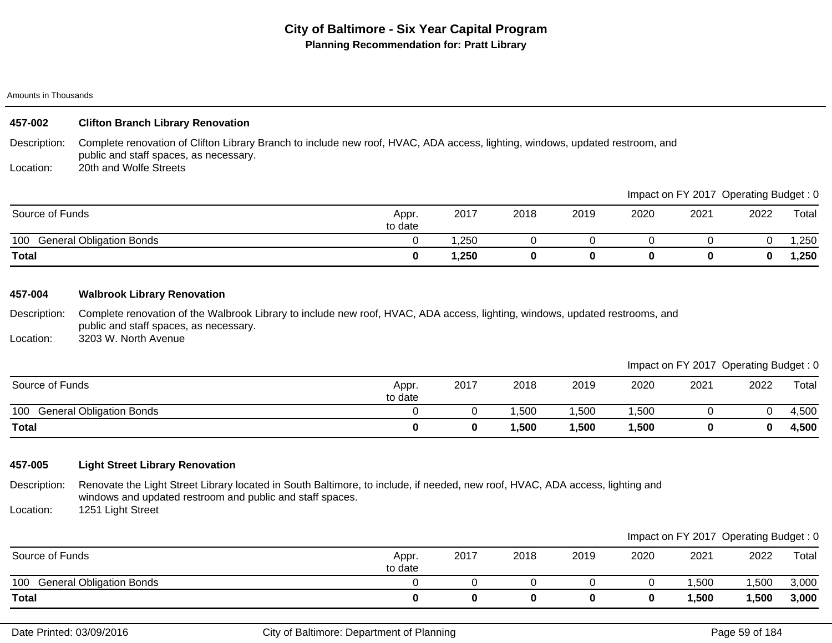## **City of Baltimore - Six Year Capital Program Planning Recommendation for: Pratt Library**

#### Amounts in Thousands

### **457-002 Clifton Branch Library Renovation**

Description: Complete renovation of Clifton Library Branch to include new roof, HVAC, ADA access, lighting, windows, updated restroom, and public and staff spaces, as necessary.

Location: 20th and Wolfe Streets

|                                        |                  |      |      |      |      |      | impact on Fit 2017 Operating Budget. U |        |
|----------------------------------------|------------------|------|------|------|------|------|----------------------------------------|--------|
| Source of Funds                        | Appr.<br>to date | 2017 | 2018 | 2019 | 2020 | 2021 | 2022                                   | Total  |
| 100<br><b>General Obligation Bonds</b> |                  | .250 |      |      |      |      |                                        | ,250   |
| <b>Total</b>                           |                  | ,250 |      |      |      |      |                                        | 250, ا |

### **457-004 Walbrook Library Renovation**

Description: Complete renovation of the Walbrook Library to include new roof, HVAC, ADA access, lighting, windows, updated restrooms, and public and staff spaces, as necessary.

Location: 3203 W. North Avenue

### Impact on FY 2017 Operating Budget : 0

Impact on FY 2017 Operating Budget : 0

|                                        |                  |      |      |      |      |      | $\sim$ | __    |
|----------------------------------------|------------------|------|------|------|------|------|--------|-------|
| Source of Funds                        | Appr.<br>to date | 2017 | 2018 | 2019 | 2020 | 2021 | 2022   | Total |
| <b>General Obligation Bonds</b><br>100 |                  |      | ,500 | ,500 | ,500 |      |        | 4,500 |
| <b>Total</b>                           |                  |      | ,500 | ,500 | ,500 |      | 0      | 4,500 |

## **457-005 Light Street Library Renovation**

Description: Renovate the Light Street Library located in South Baltimore, to include, if needed, new roof, HVAC, ADA access, lighting and windows and updated restroom and public and staff spaces.

Location: 1251 Light Street

|                                        |                  |      |      |      |      |       | Impact on FY 2017 Operating Budget: 0 |       |
|----------------------------------------|------------------|------|------|------|------|-------|---------------------------------------|-------|
| Source of Funds                        | Appr.<br>to date | 2017 | 2018 | 2019 | 2020 | 2021  | 2022                                  | Total |
| <b>General Obligation Bonds</b><br>100 |                  |      |      |      |      | ,500  | ,500                                  | 3,000 |
| <b>Total</b>                           |                  |      |      |      |      | 1,500 | ,500                                  | 3,000 |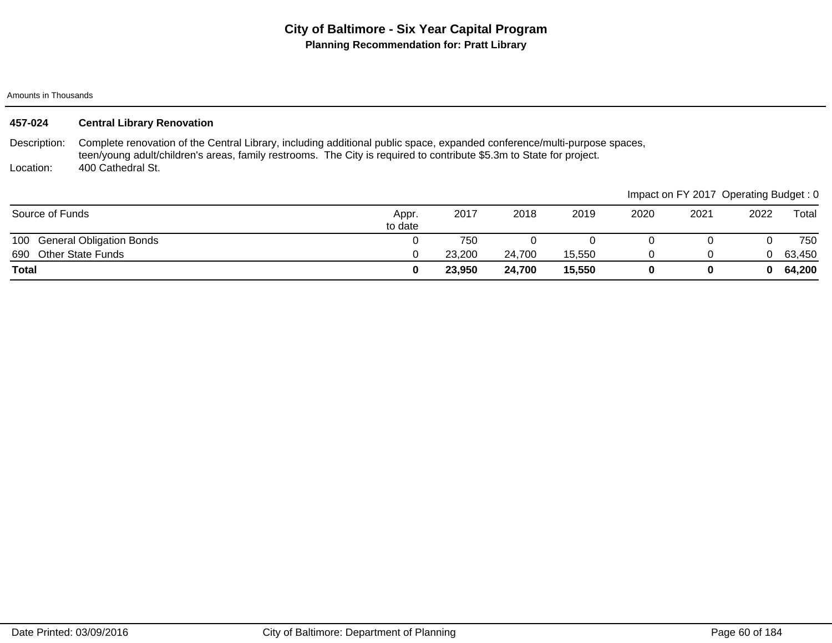# **City of Baltimore - Six Year Capital Program Planning Recommendation for: Pratt Library**

Amounts in Thousands

| 457-024         | <b>Central Library Renovation</b>                                                                                                                                                                                                                |                  |        |        |        |      |                                       |      |        |
|-----------------|--------------------------------------------------------------------------------------------------------------------------------------------------------------------------------------------------------------------------------------------------|------------------|--------|--------|--------|------|---------------------------------------|------|--------|
| Description:    | Complete renovation of the Central Library, including additional public space, expanded conference/multi-purpose spaces,<br>teen/young adult/children's areas, family restrooms. The City is required to contribute \$5.3m to State for project. |                  |        |        |        |      |                                       |      |        |
| Location:       | 400 Cathedral St.                                                                                                                                                                                                                                |                  |        |        |        |      |                                       |      |        |
|                 |                                                                                                                                                                                                                                                  |                  |        |        |        |      | Impact on FY 2017 Operating Budget: 0 |      |        |
| Source of Funds |                                                                                                                                                                                                                                                  | Appr.<br>to date | 2017   | 2018   | 2019   | 2020 | 2021                                  | 2022 | Total  |
|                 | 100 General Obligation Bonds                                                                                                                                                                                                                     |                  | 750    |        |        |      |                                       |      | 750    |
| 690             | <b>Other State Funds</b>                                                                                                                                                                                                                         |                  | 23,200 | 24,700 | 15.550 | 0    |                                       | 0    | 63,450 |
| <b>Total</b>    |                                                                                                                                                                                                                                                  | 0                | 23,950 | 24,700 | 15,550 | 0    | 0                                     | 0    | 64,200 |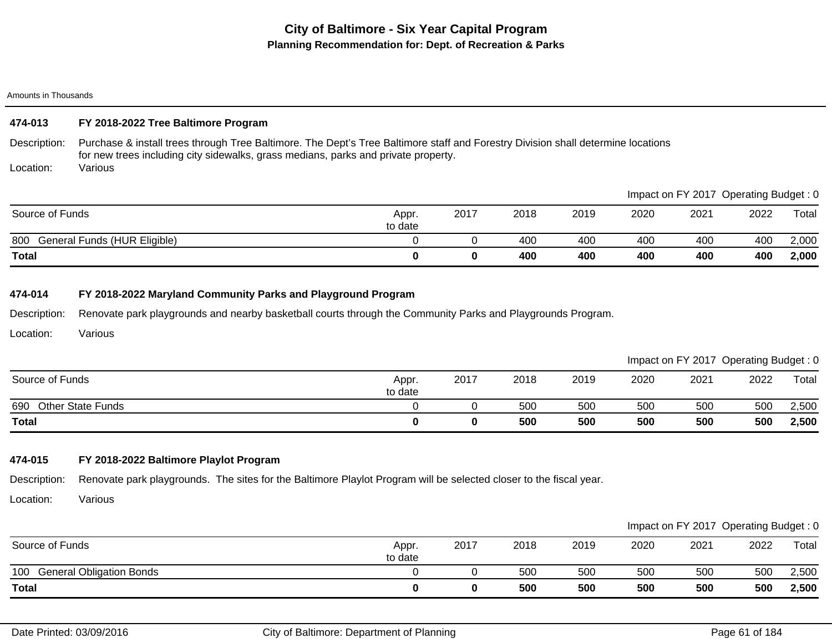#### Amounts in Thousands

## **474-013 FY 2018-2022 Tree Baltimore Program**

Description: Purchase & install trees through Tree Baltimore. The Dept's Tree Baltimore staff and Forestry Division shall determine locations for new trees including city sidewalks, grass medians, parks and private property.

Location: Various

| Total                               |                  |      | 400  | 400  | 400  | 400  | 400                                   | 2,000 |
|-------------------------------------|------------------|------|------|------|------|------|---------------------------------------|-------|
| 800<br>General Funds (HUR Eligible) |                  |      | 400  | 400  | 400  | 400  | 400                                   | 2,000 |
| Source of Funds                     | Appr.<br>to date | 2017 | 2018 | 2019 | 2020 | 2021 | 2022                                  | Total |
|                                     |                  |      |      |      |      |      | Impact on FY 2017 Operating Budget: 0 |       |

### **474-014 FY 2018-2022 Maryland Community Parks and Playground Program**

Description: Renovate park playgrounds and nearby basketball courts through the Community Parks and Playgrounds Program.

Location: Various

|                                 |                  |      |      |      |      | Impact on FY 2017 Operating Budget: 0 |      |       |
|---------------------------------|------------------|------|------|------|------|---------------------------------------|------|-------|
| Source of Funds                 | Appr.<br>to date | 2017 | 2018 | 2019 | 2020 | 2021                                  | 2022 | Total |
| <b>Other State Funds</b><br>690 |                  |      | 500  | 500  | 500  | 500                                   | 500  | 2,500 |
| <b>Total</b>                    |                  |      | 500  | 500  | 500  | 500                                   | 500  | 2,500 |

## **474-015 FY 2018-2022 Baltimore Playlot Program**

Description: Renovate park playgrounds. The sites for the Baltimore Playlot Program will be selected closer to the fiscal year.

Location: Various

|                                        |                  |      |      |      |      |      | Impact on FY 2017 Operating Budget: 0 |       |
|----------------------------------------|------------------|------|------|------|------|------|---------------------------------------|-------|
| Source of Funds                        | Appr.<br>to date | 2017 | 2018 | 2019 | 2020 | 2021 | 2022                                  | Total |
| <b>General Obligation Bonds</b><br>100 |                  |      | 500  | 500  | 500  | 500  | 500                                   | 2,500 |
| <b>Total</b>                           |                  |      | 500  | 500  | 500  | 500  | 500                                   | 2,500 |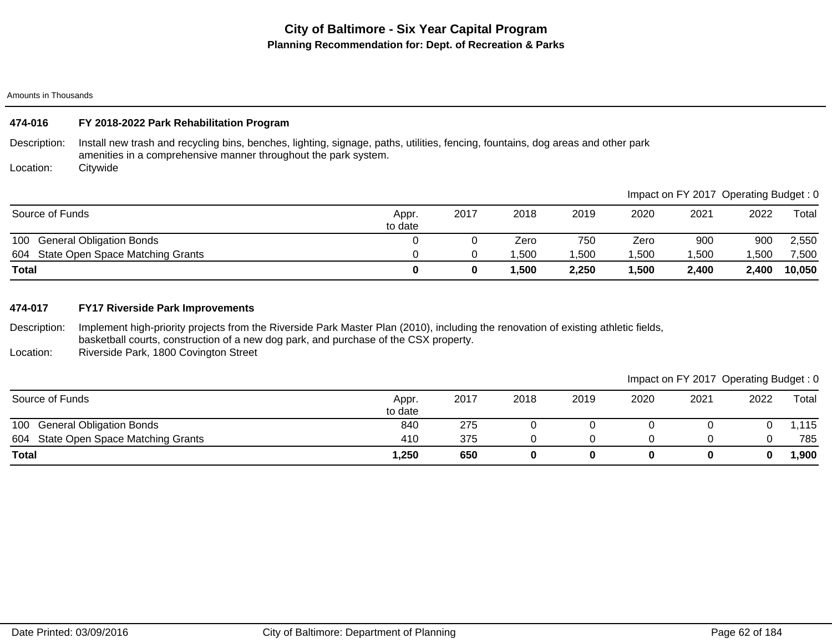Amounts in Thousands

## **474-016 FY 2018-2022 Park Rehabilitation Program**

Description: Install new trash and recycling bins, benches, lighting, signage, paths, utilities, fencing, fountains, dog areas and other park amenities in a comprehensive manner throughout the park system.

Location: **Citywide** 

|                                         |                  |      |        |       |      | Impact on FY 2017 Operating Budget: 0 |       |        |
|-----------------------------------------|------------------|------|--------|-------|------|---------------------------------------|-------|--------|
| Source of Funds                         | Appr.<br>to date | 2017 | 2018   | 2019  | 2020 | 2021                                  | 2022  | Total  |
| 100<br><b>General Obligation Bonds</b>  |                  |      | Zero   | 750   | Zero | 900                                   | 900   | 2,550  |
| State Open Space Matching Grants<br>604 |                  |      | .500   | 1,500 | ,500 | ,500                                  | ,500  | 7,500  |
| Total                                   |                  |      | 500. ا | 2,250 | ,500 | 2,400                                 | 2,400 | 10,050 |

## **474-017 FY17 Riverside Park Improvements**

Description: Implement high-priority projects from the Riverside Park Master Plan (2010), including the renovation of existing athletic fields, basketball courts, construction of a new dog park, and purchase of the CSX property.

Location: Riverside Park, 1800 Covington Street

| Source of Funds                        | Appr.<br>to date | 2017 | 2018 | 2019 | 2020 | 2021 | 2022 | Total |
|----------------------------------------|------------------|------|------|------|------|------|------|-------|
| <b>General Obligation Bonds</b><br>100 | 840              | 275  |      |      |      |      |      | ,115  |
| 604 State Open Space Matching Grants   | 410              | 375  |      |      |      |      |      | 785   |
| <b>Total</b>                           | 250, ا           | 650  |      |      |      |      | 0    | ,900  |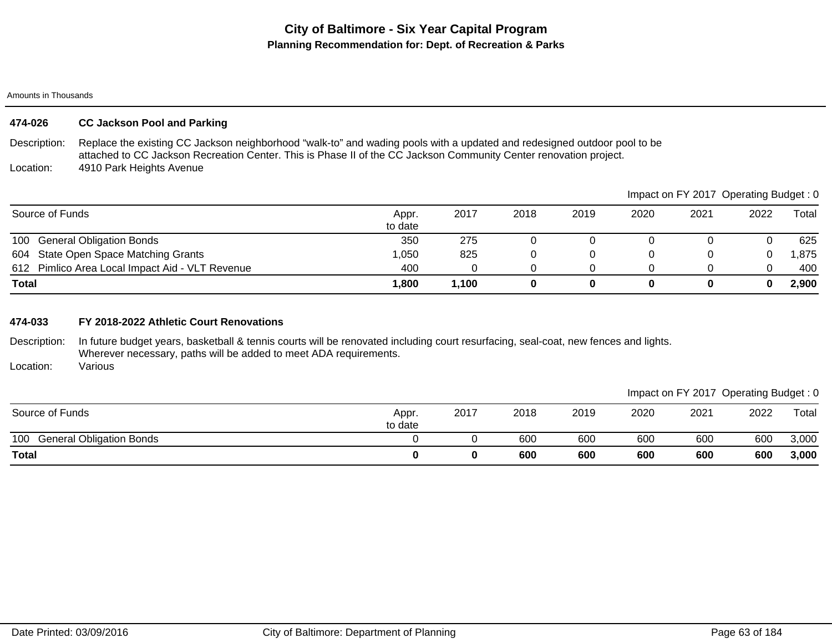#### Amounts in Thousands

## **474-026 CC Jackson Pool and Parking**

Description: Location: Replace the existing CC Jackson neighborhood "walk-to" and wading pools with a updated and redesigned outdoor pool to be attached to CC Jackson Recreation Center. This is Phase II of the CC Jackson Community Center renovation project. 4910 Park Heights Avenue

|                                                 |                  |       |      |      |      | Impact on FY 2017 Operating Budget: 0 |      |        |
|-------------------------------------------------|------------------|-------|------|------|------|---------------------------------------|------|--------|
| Source of Funds                                 | Appr.<br>to date | 2017  | 2018 | 2019 | 2020 | 2021                                  | 2022 | Total  |
| 100 General Obligation Bonds                    | 350              | 275   |      |      |      |                                       |      | 625    |
| 604 State Open Space Matching Grants            | 1,050            | 825   |      |      |      |                                       |      | 875, ا |
| 612 Pimlico Area Local Impact Aid - VLT Revenue | 400              |       |      |      |      |                                       |      | 400    |
| <b>Total</b>                                    | 1,800            | 1,100 |      |      |      |                                       |      | 2,900  |

### **474-033 FY 2018-2022 Athletic Court Renovations**

Description: In future budget years, basketball & tennis courts will be renovated including court resurfacing, seal-coat, new fences and lights. Wherever necessary, paths will be added to meet ADA requirements.

Location: Various

|                                        |                  |      |      |      |      | Impact on FY 2017 Operating Budget: 0 |      |       |
|----------------------------------------|------------------|------|------|------|------|---------------------------------------|------|-------|
| Source of Funds                        | Appr.<br>to date | 2017 | 2018 | 2019 | 2020 | 2021                                  | 2022 | Total |
| <b>General Obligation Bonds</b><br>100 |                  |      | 600  | 600  | 600  | 60 <sub>C</sub>                       | 600  | 3,000 |
| <b>Total</b>                           |                  |      | 600  | 600  | 600  | 600                                   | 600  | 3,000 |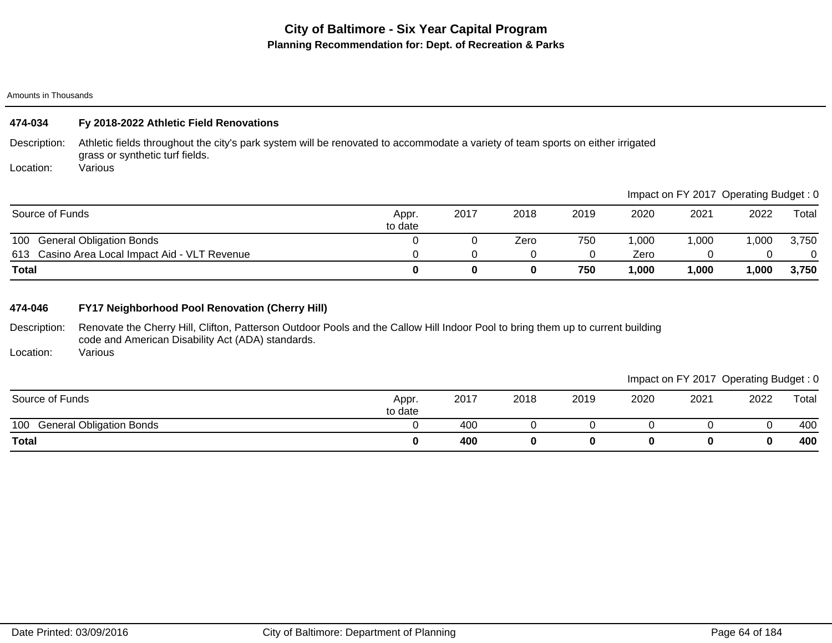#### Amounts in Thousands

| 474-034         | Fy 2018-2022 Athletic Field Renovations                                                                                                                            |                  |          |      |      |       |                                       |        |          |
|-----------------|--------------------------------------------------------------------------------------------------------------------------------------------------------------------|------------------|----------|------|------|-------|---------------------------------------|--------|----------|
| Description:    | Athletic fields throughout the city's park system will be renovated to accommodate a variety of team sports on either irrigated<br>grass or synthetic turf fields. |                  |          |      |      |       |                                       |        |          |
| Location:       | Various                                                                                                                                                            |                  |          |      |      |       |                                       |        |          |
|                 |                                                                                                                                                                    |                  |          |      |      |       | Impact on FY 2017 Operating Budget: 0 |        |          |
| Source of Funds |                                                                                                                                                                    | Appr.<br>to date | 2017     | 2018 | 2019 | 2020  | 2021                                  | 2022   | Total    |
| 100             | <b>General Obligation Bonds</b>                                                                                                                                    |                  |          | Zero | 750  | 000.1 | 1,000                                 | 000. ا | 3,750    |
|                 | 613 Casino Area Local Impact Aid - VLT Revenue                                                                                                                     |                  |          |      |      | Zero  |                                       | 0      | $\Omega$ |
| <b>Total</b>    |                                                                                                                                                                    | 0                | $\bf{0}$ | 0    | 750  | 1.000 | 1,000                                 | ,000   | 3,750    |

## **474-046 FY17 Neighborhood Pool Renovation (Cherry Hill)**

Description: Renovate the Cherry Hill, Clifton, Patterson Outdoor Pools and the Callow Hill Indoor Pool to bring them up to current building code and American Disability Act (ADA) standards.

Location: Various

| Source of Funds                        | Appr.<br>to date | 2017 | 2018 | 2019 | 2020 | 2021 | 2022 | Total |
|----------------------------------------|------------------|------|------|------|------|------|------|-------|
| <b>General Obligation Bonds</b><br>100 |                  | 400  |      |      |      |      |      | 400   |
| <b>Total</b>                           |                  | 400  |      |      |      |      |      | 400   |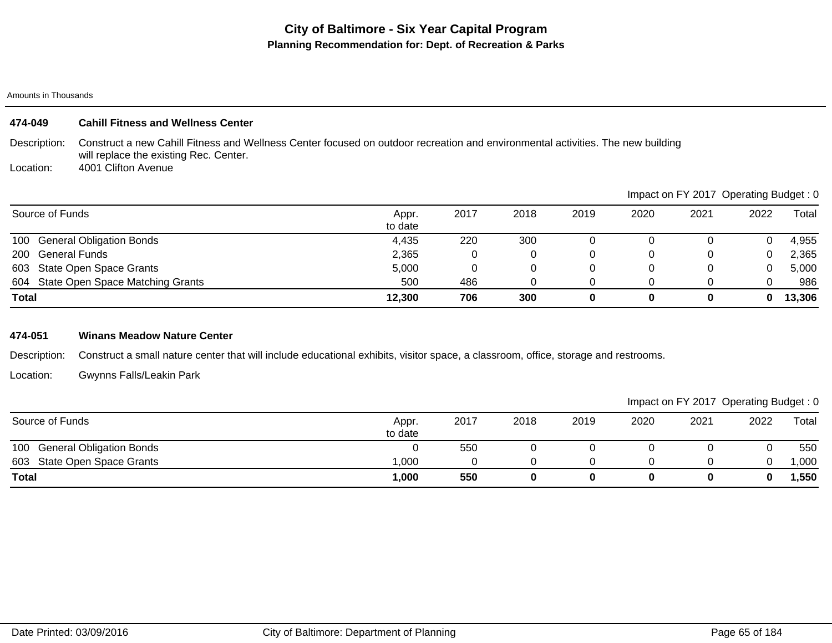#### Amounts in Thousands

### **474-049 Cahill Fitness and Wellness Center**

Description: Construct a new Cahill Fitness and Wellness Center focused on outdoor recreation and environmental activities. The new building will replace the existing Rec. Center.

Location: 4001 Clifton Avenue

|                                      |                  |      |      |      |      | Impact on FY 2017 Operating Budget: 0 |      |        |
|--------------------------------------|------------------|------|------|------|------|---------------------------------------|------|--------|
| Source of Funds                      | Appr.<br>to date | 2017 | 2018 | 2019 | 2020 | 2021                                  | 2022 | Total  |
| 100 General Obligation Bonds         | 4,435            | 220  | 300  |      |      |                                       |      | 4,955  |
| 200 General Funds                    | 2,365            |      |      |      | 0    |                                       |      | 2,365  |
| 603 State Open Space Grants          | 5,000            |      |      |      |      |                                       |      | 5,000  |
| 604 State Open Space Matching Grants | 500              | 486  |      |      |      |                                       |      | 986    |
| <b>Total</b>                         | 12,300           | 706  | 300  | 0    | 0    | 0                                     | 0    | 13,306 |

## **474-051 Winans Meadow Nature Center**

Description: Construct a small nature center that will include educational exhibits, visitor space, a classroom, office, storage and restrooms.

Location: Gwynns Falls/Leakin Park

|                              |                  |      |      |      |      |      | Impact on FY 2017 Operating Budget: 0 |       |
|------------------------------|------------------|------|------|------|------|------|---------------------------------------|-------|
| Source of Funds              | Appr.<br>to date | 2017 | 2018 | 2019 | 2020 | 2021 | 2022                                  | Total |
| 100 General Obligation Bonds |                  | 550  |      |      |      |      |                                       | 550   |
| 603 State Open Space Grants  | .000             |      |      |      |      |      |                                       | ,000  |
| <b>Total</b>                 | 1,000            | 550  |      |      |      |      |                                       | ,550  |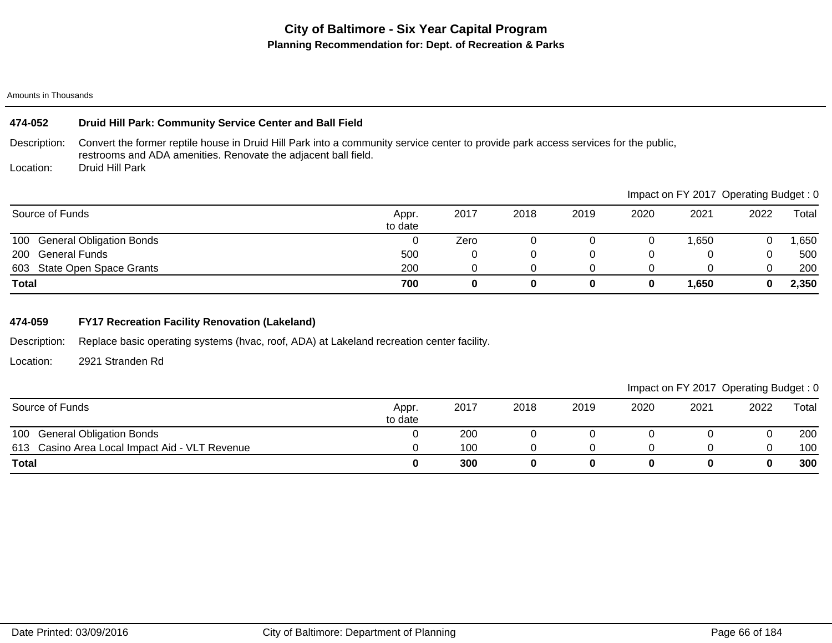#### Amounts in Thousands

| Druid Hill Park: Community Service Center and Ball Field<br>474-052 |                                                                                                                                                                                                       |                  |             |      |      |      |                                       |      |       |
|---------------------------------------------------------------------|-------------------------------------------------------------------------------------------------------------------------------------------------------------------------------------------------------|------------------|-------------|------|------|------|---------------------------------------|------|-------|
| Description:                                                        | Convert the former reptile house in Druid Hill Park into a community service center to provide park access services for the public,<br>restrooms and ADA amenities. Renovate the adjacent ball field. |                  |             |      |      |      |                                       |      |       |
| Location:                                                           | Druid Hill Park                                                                                                                                                                                       |                  |             |      |      |      |                                       |      |       |
|                                                                     |                                                                                                                                                                                                       |                  |             |      |      |      | Impact on FY 2017 Operating Budget: 0 |      |       |
| Source of Funds                                                     |                                                                                                                                                                                                       | Appr.<br>to date | 2017        | 2018 | 2019 | 2020 | 2021                                  | 2022 | Total |
|                                                                     | 100 General Obligation Bonds                                                                                                                                                                          | 0                | Zero        | 0    |      | 0    | 1,650                                 |      | ,650  |
| 200                                                                 | General Funds                                                                                                                                                                                         | 500              | 0           | 0    | 0    | 0    |                                       |      | 500   |
|                                                                     | 603 State Open Space Grants                                                                                                                                                                           | 200              | $\Omega$    | 0    | 0    | 0    | 0                                     | 0    | 200   |
| <b>Total</b>                                                        |                                                                                                                                                                                                       | 700              | $\mathbf 0$ | 0    | 0    | 0    | 1,650                                 | 0    | 2,350 |

## **474-059 FY17 Recreation Facility Renovation (Lakeland)**

Description: Replace basic operating systems (hvac, roof, ADA) at Lakeland recreation center facility.

Location: 2921 Stranden Rd

| Source of Funds                                | Appr.<br>to date | 2017 | 2018 | 2019 | 2020 | 2021 | 2022 | Total |
|------------------------------------------------|------------------|------|------|------|------|------|------|-------|
| <b>General Obligation Bonds</b><br>100         |                  | 200  |      |      |      |      |      | 200   |
| 613 Casino Area Local Impact Aid - VLT Revenue |                  | 100  |      |      |      |      |      | 100   |
| <b>Total</b>                                   |                  | 300  |      |      |      |      |      | 300   |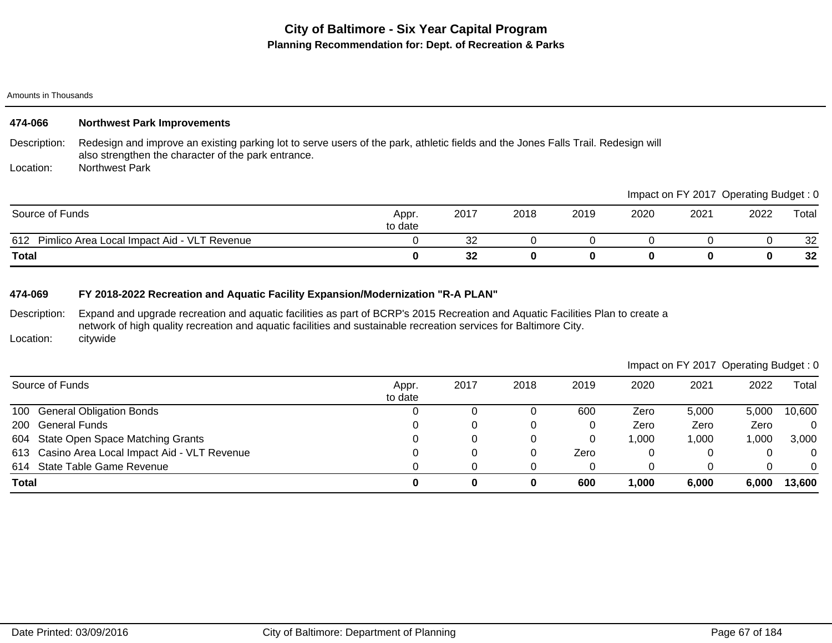Amounts in Thousands

| 474-066         | <b>Northwest Park Improvements</b>                                                                                                                                                       |                  |      |      |      |      |      |                                       |       |
|-----------------|------------------------------------------------------------------------------------------------------------------------------------------------------------------------------------------|------------------|------|------|------|------|------|---------------------------------------|-------|
| Description:    | Redesign and improve an existing parking lot to serve users of the park, athletic fields and the Jones Falls Trail. Redesign will<br>also strengthen the character of the park entrance. |                  |      |      |      |      |      |                                       |       |
| Location:       | <b>Northwest Park</b>                                                                                                                                                                    |                  |      |      |      |      |      |                                       |       |
|                 |                                                                                                                                                                                          |                  |      |      |      |      |      | Impact on FY 2017 Operating Budget: 0 |       |
| Source of Funds |                                                                                                                                                                                          | Appr.<br>to date | 2017 | 2018 | 2019 | 2020 | 2021 | 2022                                  | Total |
|                 | 612 Pimlico Area Local Impact Aid - VLT Revenue                                                                                                                                          |                  | 32   |      |      |      |      |                                       | 32    |
| <b>Total</b>    |                                                                                                                                                                                          | 0                | 32   | 0    | 0    | 0    | 0    |                                       | 32    |

## **474-069 FY 2018-2022 Recreation and Aquatic Facility Expansion/Modernization "R-A PLAN"**

Description: Location: Expand and upgrade recreation and aquatic facilities as part of BCRP's 2015 Recreation and Aquatic Facilities Plan to create a network of high quality recreation and aquatic facilities and sustainable recreation services for Baltimore City. citywide

|              |                                                |                  |      |      |      |       |       | Impact on FY 2017 Operating Budget: 0 |                |
|--------------|------------------------------------------------|------------------|------|------|------|-------|-------|---------------------------------------|----------------|
|              | Source of Funds                                | Appr.<br>to date | 2017 | 2018 | 2019 | 2020  | 2021  | 2022                                  | Total          |
|              | 100 General Obligation Bonds                   |                  |      |      | 600  | Zero  | 5,000 | 5.000                                 | 10,600         |
|              | 200 General Funds                              |                  |      |      |      | Zero  | Zero  | Zero                                  | $\mathbf{0}$   |
|              | 604 State Open Space Matching Grants           |                  |      |      | 0    | 1,000 | 1,000 | ,000                                  | 3,000          |
|              | 613 Casino Area Local Impact Aid - VLT Revenue |                  |      | 0    | Zero | 0     |       |                                       | $\overline{0}$ |
|              | 614 State Table Game Revenue                   |                  |      |      |      | 0     |       |                                       | $\Omega$       |
| <b>Total</b> |                                                | 0                | 0    | 0    | 600  | 1,000 | 6,000 | 6.000                                 | 13,600         |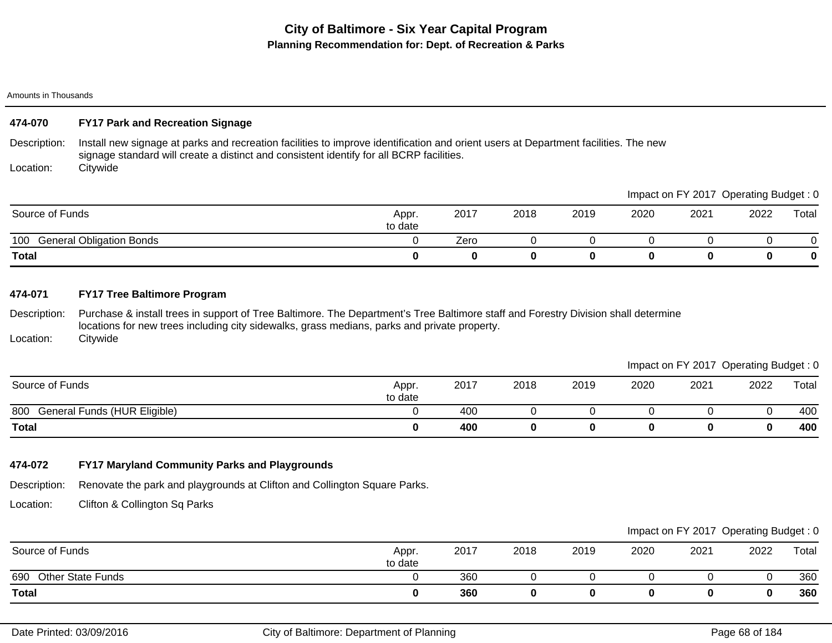#### Amounts in Thousands

## **474-070 FY17 Park and Recreation Signage**

Description: Install new signage at parks and recreation facilities to improve identification and orient users at Department facilities. The new signage standard will create a distinct and consistent identify for all BCRP facilities.

Location: **Citywide** 

|                                        |                  |      |      |      |      | Impact on FY 2017 Operating Budget: 0 |      |       |
|----------------------------------------|------------------|------|------|------|------|---------------------------------------|------|-------|
| Source of Funds                        | Appr.<br>to date | 2017 | 2018 | 2019 | 2020 | 2021                                  | 2022 | Total |
| 100<br><b>General Obligation Bonds</b> |                  | Zero |      |      |      |                                       |      |       |
| Total                                  |                  |      |      |      |      |                                       | 0    | 0     |

### **474-071 FY17 Tree Baltimore Program**

Description: Location: Purchase & install trees in support of Tree Baltimore. The Department's Tree Baltimore staff and Forestry Division shall determine locations for new trees including city sidewalks, grass medians, parks and private property. **Citywide** 

## Impact on FY 2017 Operating Budget : 0

| Source of Funds                     | Appr.<br>to date | 2017 | 2018 | 2019 | 2020 | 2021 | 2022 | Total |
|-------------------------------------|------------------|------|------|------|------|------|------|-------|
| 800<br>General Funds (HUR Eligible) |                  | 400  |      |      |      |      |      | 400   |
| <b>Total</b>                        |                  | 400  |      |      |      |      | 0    | 400   |

## **474-072 FY17 Maryland Community Parks and Playgrounds**

Description: Renovate the park and playgrounds at Clifton and Collington Square Parks.

Location: Clifton & Collington Sq Parks

|                                 |                  |      |      |      |      |      | $\sim$ | $\sim$ |
|---------------------------------|------------------|------|------|------|------|------|--------|--------|
| Source of Funds                 | Appr.<br>to date | 2017 | 2018 | 2019 | 2020 | 2021 | 2022   | Total  |
| 690<br><b>Other State Funds</b> |                  | 360  |      |      |      |      |        | 360    |
| <b>Total</b>                    |                  | 360  |      |      |      |      |        | 360    |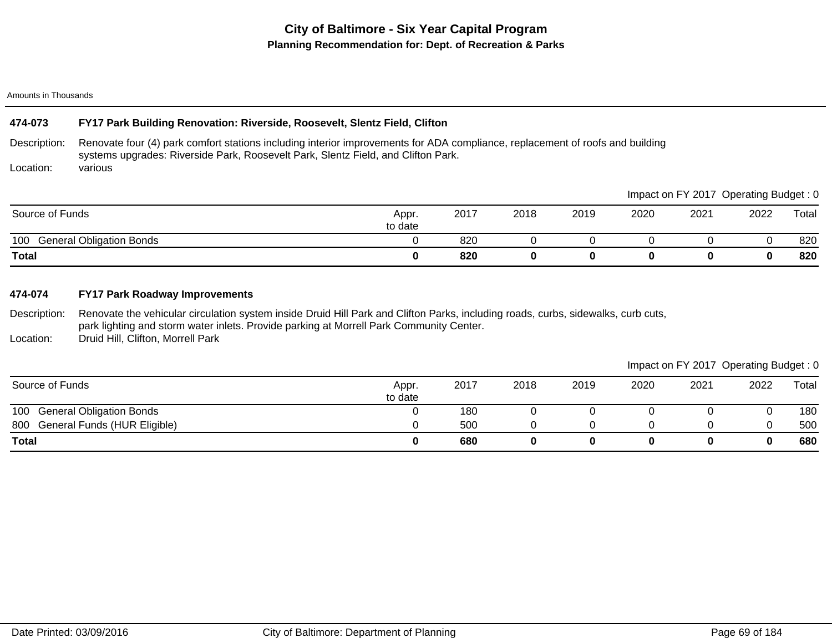#### Amounts in Thousands

### **474-073 FY17 Park Building Renovation: Riverside, Roosevelt, Slentz Field, Clifton**

Description: Location: Renovate four (4) park comfort stations including interior improvements for ADA compliance, replacement of roofs and building systems upgrades: Riverside Park, Roosevelt Park, Slentz Field, and Clifton Park. various

|                                        |                  |      |      |      |      |      | Impact on FY 2017 Operating Budget: 0 |       |
|----------------------------------------|------------------|------|------|------|------|------|---------------------------------------|-------|
| Source of Funds                        | Appr.<br>to date | 2017 | 2018 | 2019 | 2020 | 2021 | 2022                                  | Total |
| <b>General Obligation Bonds</b><br>100 |                  | 820  |      |      |      |      |                                       | 820   |
| <b>Total</b>                           |                  | 820  |      |      |      |      |                                       | 820   |

### **474-074 FY17 Park Roadway Improvements**

Description: Renovate the vehicular circulation system inside Druid Hill Park and Clifton Parks, including roads, curbs, sidewalks, curb cuts, park lighting and storm water inlets. Provide parking at Morrell Park Community Center.

Location: Druid Hill, Clifton, Morrell Park

### Impact on FY 2017 Operating Budget : 0

 $\blacksquare$ Impact on Fy 2017 Operation Budget : 0.00

| Source of Funds                        | Appr.<br>to date | 2017 | 2018 | 2019 | 2020 | 2021 | 2022 | Total |
|----------------------------------------|------------------|------|------|------|------|------|------|-------|
| 100<br><b>General Obligation Bonds</b> |                  | 180  |      |      |      |      |      | 180   |
| General Funds (HUR Eligible)<br>800    |                  | 500  |      |      |      |      |      | 500   |
| <b>Total</b>                           |                  | 680  |      |      |      |      |      | 680   |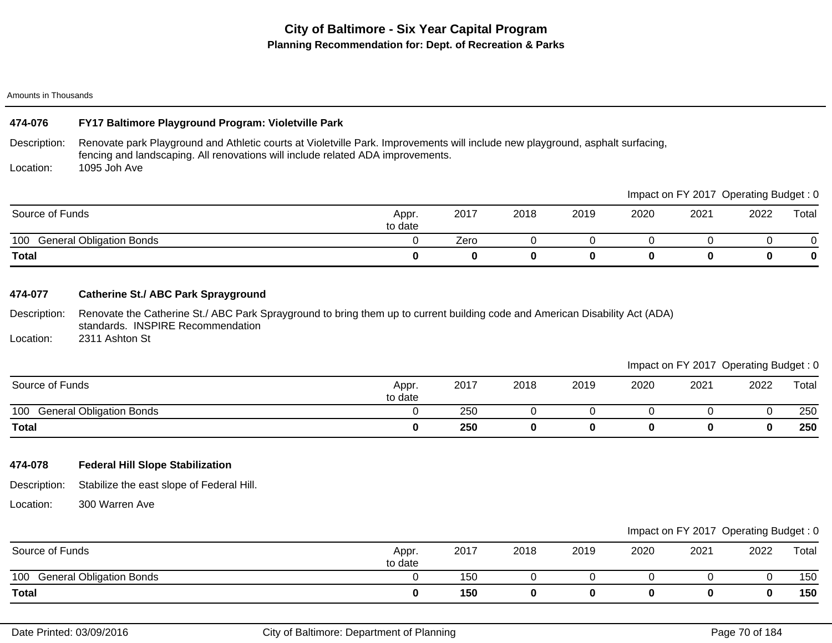#### Amounts in Thousands

### **474-076 FY17 Baltimore Playground Program: Violetville Park**

Description: Renovate park Playground and Athletic courts at Violetville Park. Improvements will include new playground, asphalt surfacing, fencing and landscaping. All renovations will include related ADA improvements.

Location: 1095 Joh Ave

|                                        |                  |      |      |      |      | Impact on FY 2017 Operating Budget: 0 |      |       |
|----------------------------------------|------------------|------|------|------|------|---------------------------------------|------|-------|
| Source of Funds                        | Appr.<br>to date | 2017 | 2018 | 2019 | 2020 | 2021                                  | 2022 | Total |
| <b>General Obligation Bonds</b><br>100 |                  | Zero |      |      |      |                                       |      |       |
| <b>Total</b>                           |                  |      | 0    |      |      |                                       | 0    |       |

### **474-077 Catherine St./ ABC Park Sprayground**

Description: Location: Renovate the Catherine St./ ABC Park Sprayground to bring them up to current building code and American Disability Act (ADA) standards. INSPIRE Recommendation 2311 Ashton St

Impact on FY 2017 Operating Budget : 0

|                                        |                  |      |      |      |      |      | ____ | _____ |
|----------------------------------------|------------------|------|------|------|------|------|------|-------|
| Source of Funds                        | Appr.<br>to date | 2017 | 2018 | 2019 | 2020 | 2021 | 2022 | Total |
| 100<br><b>General Obligation Bonds</b> |                  | 250  |      |      |      |      |      | 250   |
| <b>Total</b>                           |                  | 250  |      |      |      |      |      | 250   |

### **474-078 Federal Hill Slope Stabilization**

Description: Stabilize the east slope of Federal Hill.

Location: 300 Warren Ave

| Source of Funds                        | Appr.<br>to date | 2017 | 2018 | 2019 | 2020 | 2021 | 2022 | Total |
|----------------------------------------|------------------|------|------|------|------|------|------|-------|
| 100<br><b>General Obligation Bonds</b> |                  | 150  |      |      |      |      |      | 150   |
| <b>Total</b>                           |                  | 150  |      |      |      |      |      | 150   |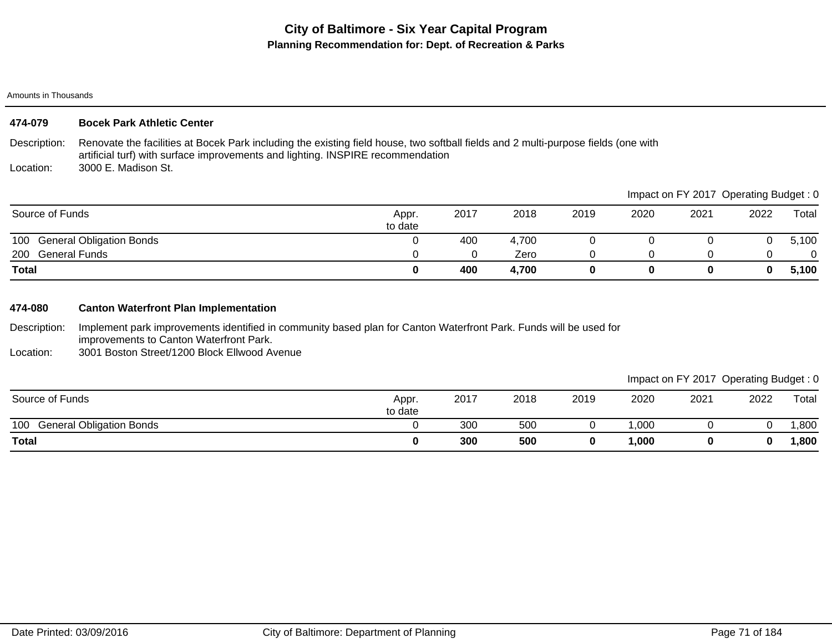#### Amounts in Thousands

| 474-079           | <b>Bocek Park Athletic Center</b>                                                                                                                                                                                     |                  |      |       |      |      |                                       |      |          |
|-------------------|-----------------------------------------------------------------------------------------------------------------------------------------------------------------------------------------------------------------------|------------------|------|-------|------|------|---------------------------------------|------|----------|
| Description:      | Renovate the facilities at Bocek Park including the existing field house, two softball fields and 2 multi-purpose fields (one with<br>artificial turf) with surface improvements and lighting. INSPIRE recommendation |                  |      |       |      |      |                                       |      |          |
| Location:         | 3000 E. Madison St.                                                                                                                                                                                                   |                  |      |       |      |      |                                       |      |          |
|                   |                                                                                                                                                                                                                       |                  |      |       |      |      | Impact on FY 2017 Operating Budget: 0 |      |          |
| Source of Funds   |                                                                                                                                                                                                                       | Appr.<br>to date | 2017 | 2018  | 2019 | 2020 | 2021                                  | 2022 | Total    |
| 100               | <b>General Obligation Bonds</b>                                                                                                                                                                                       |                  | 400  | 4.700 | O    |      |                                       |      | 5,100    |
| 200 General Funds |                                                                                                                                                                                                                       |                  | 0    | Zero  | 0    | 0    |                                       | 0    | $\Omega$ |
| <b>Total</b>      |                                                                                                                                                                                                                       | 0                | 400  | 4,700 | 0    | 0    | 0                                     | 0    | 5,100    |

## **474-080 Canton Waterfront Plan Implementation**

Description: Implement park improvements identified in community based plan for Canton Waterfront Park. Funds will be used for improvements to Canton Waterfront Park.

Location: 3001 Boston Street/1200 Block Ellwood Avenue

| Source of Funds                        | Appr.<br>to date | 2017 | 2018 | 2019 | 2020   | 2021 | 2022 | Total |
|----------------------------------------|------------------|------|------|------|--------|------|------|-------|
| 100<br><b>General Obligation Bonds</b> |                  | 300  | 500  |      | ,000   |      |      | ,800  |
| <b>Total</b>                           |                  | 300  | 500  |      | 000, ا |      | 0    | ,800  |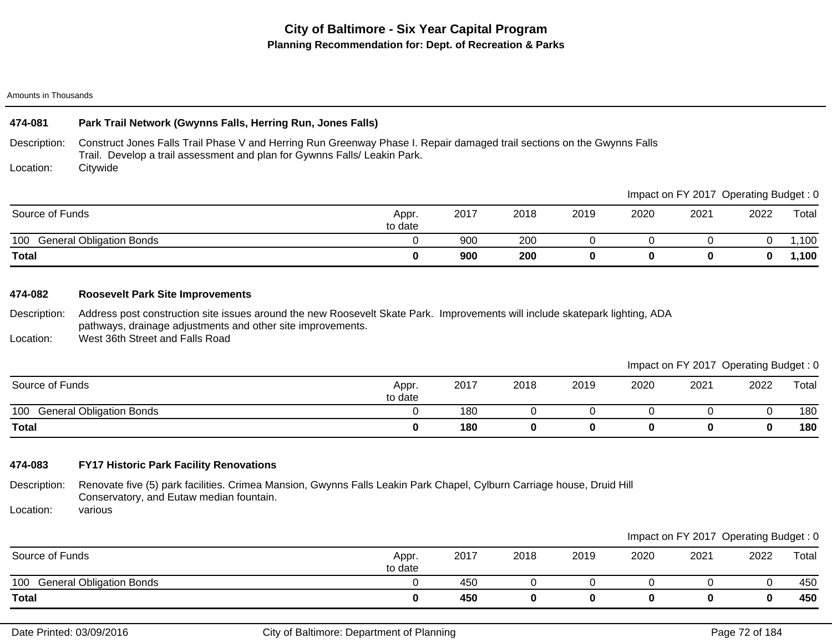#### Amounts in Thousands

## **474-081 Park Trail Network (Gwynns Falls, Herring Run, Jones Falls)**

Description: Construct Jones Falls Trail Phase V and Herring Run Greenway Phase I. Repair damaged trail sections on the Gwynns Falls Trail. Develop a trail assessment and plan for Gywnns Falls/ Leakin Park.

Location: **Citywide** 

|                                        |                  |      |      |      | Impact on FY 2017 Operating Budget: 0 |      |      |       |  |
|----------------------------------------|------------------|------|------|------|---------------------------------------|------|------|-------|--|
| Source of Funds                        | Appr.<br>to date | 2017 | 2018 | 2019 | 2020                                  | 2021 | 2022 | Total |  |
| <b>General Obligation Bonds</b><br>100 |                  | 900  | 200  |      |                                       |      |      | .100  |  |
| <b>Total</b>                           |                  | 900  | 200  |      |                                       |      | 0    | 1,100 |  |

### **474-082 Roosevelt Park Site Improvements**

Description: Address post construction site issues around the new Roosevelt Skate Park. Improvements will include skatepark lighting, ADA pathways, drainage adjustments and other site improvements.

Location: West 36th Street and Falls Road

Impact on FY 2017 Operating Budget : 0

|                                        |                  |      |      |      |      |      | ____ | ____  |
|----------------------------------------|------------------|------|------|------|------|------|------|-------|
| Source of Funds                        | Appr.<br>to date | 2017 | 2018 | 2019 | 2020 | 2021 | 2022 | Total |
| 100<br><b>General Obligation Bonds</b> |                  | 180  |      |      |      |      |      | 180   |
| <b>Total</b>                           |                  | 180  |      |      |      |      |      | 180   |

## **474-083 FY17 Historic Park Facility Renovations**

Description: Renovate five (5) park facilities. Crimea Mansion, Gwynns Falls Leakin Park Chapel, Cylburn Carriage house, Druid Hill Conservatory, and Eutaw median fountain.

Location: various

|                                        |                  |      |      |      | Impact on FY 2017 Operating Budget: 0 |      |      |       |  |
|----------------------------------------|------------------|------|------|------|---------------------------------------|------|------|-------|--|
| Source of Funds                        | Appr.<br>to date | 2017 | 2018 | 2019 | 2020                                  | 2021 | 2022 | Total |  |
| <b>General Obligation Bonds</b><br>100 |                  | 450  |      |      |                                       |      |      | 450   |  |
| <b>Total</b>                           |                  | 450  | 0    |      |                                       |      |      | 450   |  |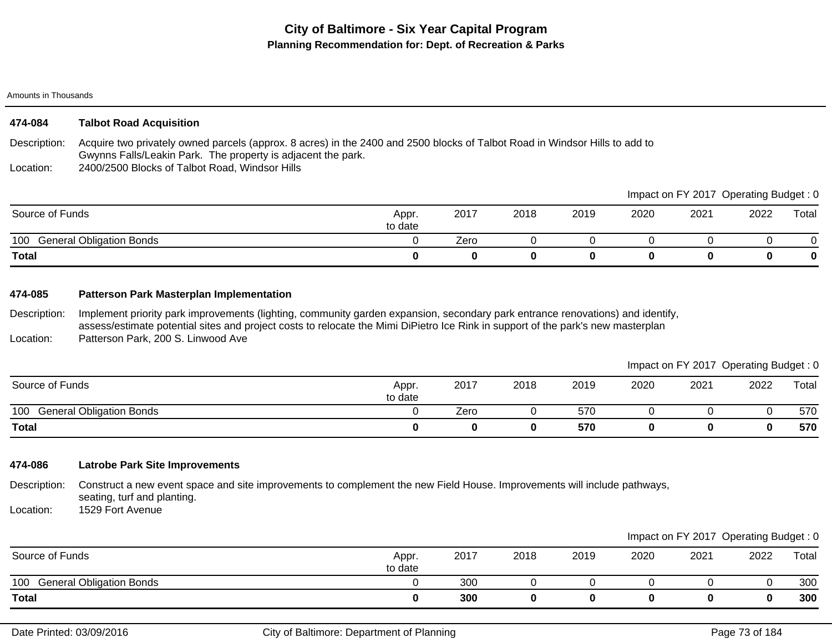| 474-084 | <b>Talbot Road Acquisition</b>                                       |
|---------|----------------------------------------------------------------------|
|         | Description: Acquire two privately owned parcels (approx 8 acres) in |

Description: the 2400 and 2500 blocks of Talbot Road in Windsor Hills to add to Gwynns Falls/Leakin Park. The property is adjacent the park.

Location: 2400/2500 Blocks of Talbot Road, Windsor Hills

|                                        |                  |      |      |      |      |      | Impact on FY 2017 Operating Budget: 0 |       |
|----------------------------------------|------------------|------|------|------|------|------|---------------------------------------|-------|
| Source of Funds                        | Appr.<br>to date | 2017 | 2018 | 2019 | 2020 | 2021 | 2022                                  | Total |
| <b>General Obligation Bonds</b><br>100 |                  | Zero |      |      |      |      |                                       |       |
| <b>Total</b>                           |                  |      |      |      |      |      |                                       | 0     |

# **474-085 Patterson Park Masterplan Implementation**

Description: Location: Implement priority park improvements (lighting, community garden expansion, secondary park entrance renovations) and identify, assess/estimate potential sites and project costs to relocate the Mimi DiPietro Ice Rink in support of the park's new masterplan Patterson Park, 200 S. Linwood Ave

|                              |                  |      |      |      |      | Impact on FY 2017 Operating Budget: 0 |      |       |
|------------------------------|------------------|------|------|------|------|---------------------------------------|------|-------|
| Source of Funds              | Appr.<br>to date | 2017 | 2018 | 2019 | 2020 | 2021                                  | 2022 | Total |
| 100 General Obligation Bonds |                  | Zero |      | 570  |      |                                       |      | 570   |
| <b>Total</b>                 |                  |      | 0    | 570  |      |                                       |      | 570   |

# **474-086 Latrobe Park Site Improvements**

Description: Construct a new event space and site improvements to complement the new Field House. Improvements will include pathways, seating, turf and planting.

Location: 1529 Fort Avenue

|                                        |                  |      |      |      |      |      | Impact on FY 2017 Operating Budget: 0 |       |
|----------------------------------------|------------------|------|------|------|------|------|---------------------------------------|-------|
| Source of Funds                        | Appr.<br>to date | 2017 | 2018 | 2019 | 2020 | 2021 | 2022                                  | Total |
| <b>General Obligation Bonds</b><br>100 |                  | 300  |      |      |      |      |                                       | 300   |
| Total                                  |                  | 300  |      |      |      |      |                                       | 300   |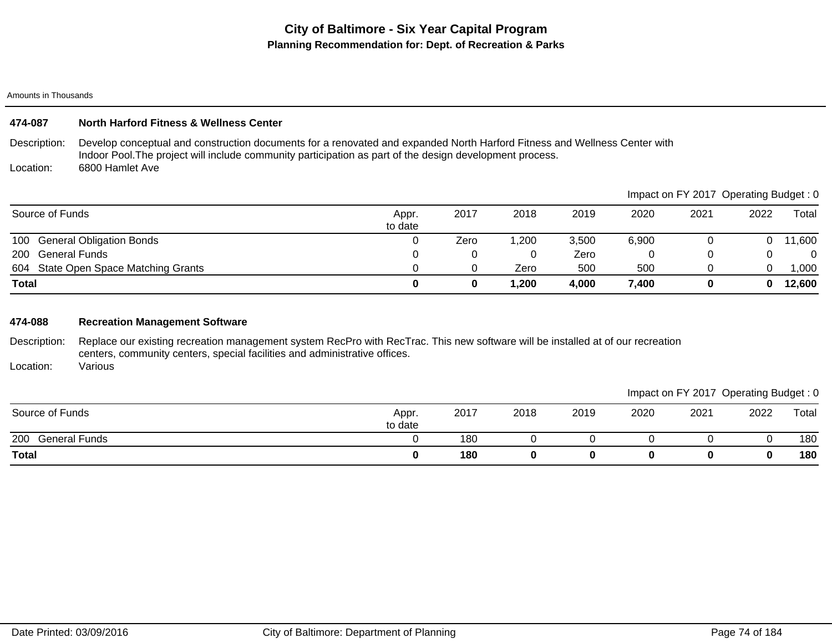| 474-087 |  | <b>North Harford Fitness &amp; Wellness Center</b> |
|---------|--|----------------------------------------------------|
|---------|--|----------------------------------------------------|

Description: Location: Develop conceptual and construction documents for a renovated and expanded North Harford Fitness and Wellness Center with Indoor Pool.The project will include community participation as part of the design development process. 6800 Hamlet Ave

604 State Open Space Matching Grants 0 0 Zero 500 500 0 0 1,000 100 General Obligation Bonds 0 Zero 1,200 3,500 6,900 0 0 11,600 200 General Funds 0 0 Zero 0 0 0 0 **Total 0 0 1,200 4,000 7,400 0 0 12,600** Source of Funds Appr. to date 2017 2018 2019 2020 2021 2022 Total Impact on FY 2017 Operating Budget : 0

### **474-088 Recreation Management Software**

Description: Replace our existing recreation management system RecPro with RecTrac. This new software will be installed at of our recreation centers, community centers, special facilities and administrative offices.

Location: Various

|                             |                  |      |      |      |      | Impact on FY 2017 Operating Budget: 0 |      |       |
|-----------------------------|------------------|------|------|------|------|---------------------------------------|------|-------|
| Source of Funds             | Appr.<br>to date | 2017 | 2018 | 2019 | 2020 | 2021                                  | 2022 | Total |
| 200<br><b>General Funds</b> |                  | 180  |      |      |      |                                       |      | 180   |
| <b>Total</b>                |                  | 180  |      |      |      |                                       |      | 180   |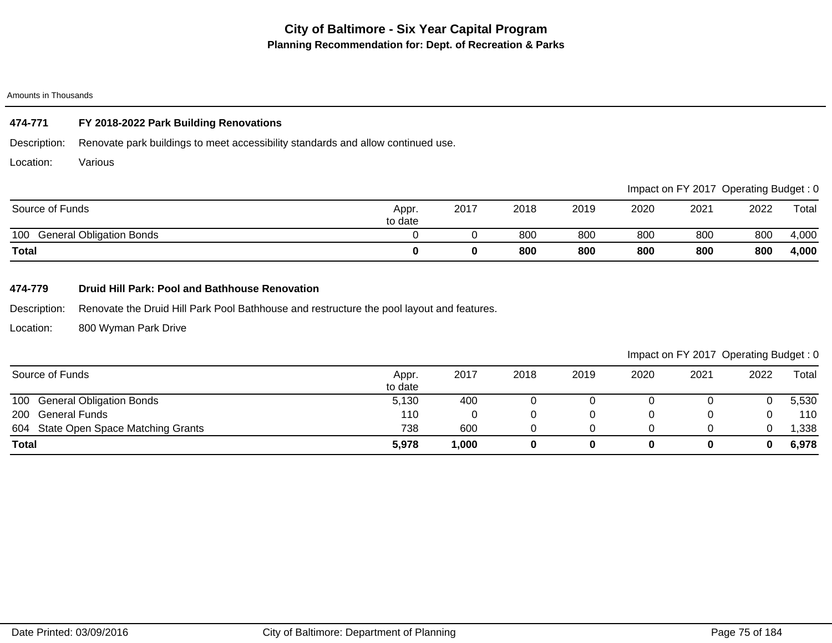# **474-771 FY 2018-2022 Park Building Renovations**

Description: Renovate park buildings to meet accessibility standards and allow continued use.

Location: Various

|                                        |                  |      |      |      |      |      | Impact on FY 2017 Operating Budget: 0 |       |
|----------------------------------------|------------------|------|------|------|------|------|---------------------------------------|-------|
| Source of Funds                        | Appr.<br>to date | 2017 | 2018 | 2019 | 2020 | 2021 | 2022                                  | Total |
| 100<br><b>General Obligation Bonds</b> |                  |      | 800  | 800  | 800  | 800  | 800                                   | 4,000 |
| <b>Total</b>                           |                  |      | 800  | 800  | 800  | 800  | 800                                   | 4,000 |

## **474-779 Druid Hill Park: Pool and Bathhouse Renovation**

Description: Renovate the Druid Hill Park Pool Bathhouse and restructure the pool layout and features.

Location: 800 Wyman Park Drive

| Source of Funds                      | Appr.<br>to date | 2017 | 2018 | 2019 | 2020 | 2021 | 2022 | Total |
|--------------------------------------|------------------|------|------|------|------|------|------|-------|
| 100 General Obligation Bonds         | 5,130            | 400  |      |      |      |      |      | 5,530 |
| 200 General Funds                    | 110              |      |      |      |      |      |      | 110   |
| 604 State Open Space Matching Grants | 738              | 600  |      |      |      |      |      | .338  |
| <b>Total</b>                         | 5,978            | ,000 |      |      |      |      | 0    | 6,978 |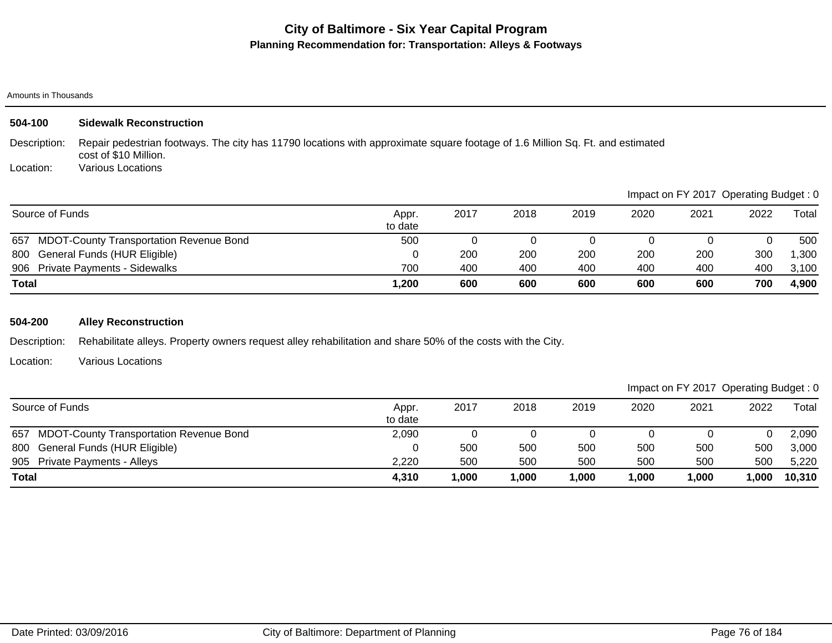### Amounts in Thousands

| 504-100         | <b>Sidewalk Reconstruction</b>                                                                                                                         |                  |      |      |      |      |      |                                       |       |
|-----------------|--------------------------------------------------------------------------------------------------------------------------------------------------------|------------------|------|------|------|------|------|---------------------------------------|-------|
| Description:    | Repair pedestrian footways. The city has 11790 locations with approximate square footage of 1.6 Million Sq. Ft. and estimated<br>cost of \$10 Million. |                  |      |      |      |      |      |                                       |       |
| Location:       | Various Locations                                                                                                                                      |                  |      |      |      |      |      |                                       |       |
|                 |                                                                                                                                                        |                  |      |      |      |      |      | Impact on FY 2017 Operating Budget: 0 |       |
| Source of Funds |                                                                                                                                                        | Appr.<br>to date | 2017 | 2018 | 2019 | 2020 | 2021 | 2022                                  | Total |
| 657             | <b>MDOT-County Transportation Revenue Bond</b>                                                                                                         | 500              | 0    |      |      |      |      | 0                                     | 500   |
| 800             | General Funds (HUR Eligible)                                                                                                                           | $\Omega$         | 200  | 200  | 200  | 200  | 200  | 300                                   | 1,300 |
|                 | 906 Private Payments - Sidewalks                                                                                                                       | 700              | 400  | 400  | 400  | 400  | 400  | 400                                   | 3,100 |
| Total           |                                                                                                                                                        | 1,200            | 600  | 600  | 600  | 600  | 600  | 700                                   | 4,900 |

# **504-200 Alley Reconstruction**

Description: Rehabilitate alleys. Property owners request alley rehabilitation and share 50% of the costs with the City.

Location: Various Locations

|              | Source of Funds                                | Appr.<br>to date | 2017  | 2018   | 2019  | 2020  | 2021 | 2022 | Total  |
|--------------|------------------------------------------------|------------------|-------|--------|-------|-------|------|------|--------|
| 657          | <b>MDOT-County Transportation Revenue Bond</b> | 2,090            |       |        |       |       |      |      | 2,090  |
|              | 800 General Funds (HUR Eligible)               |                  | 500   | 500    | 500   | 500   | 500  | 500  | 3,000  |
|              | 905 Private Payments - Alleys                  | 2,220            | 500   | 500    | 500   | 500   | 500  | 500  | 5,220  |
| <b>Total</b> |                                                | 4,310            | 1,000 | 000, ا | 1,000 | 1,000 | 000, | ,000 | 10,310 |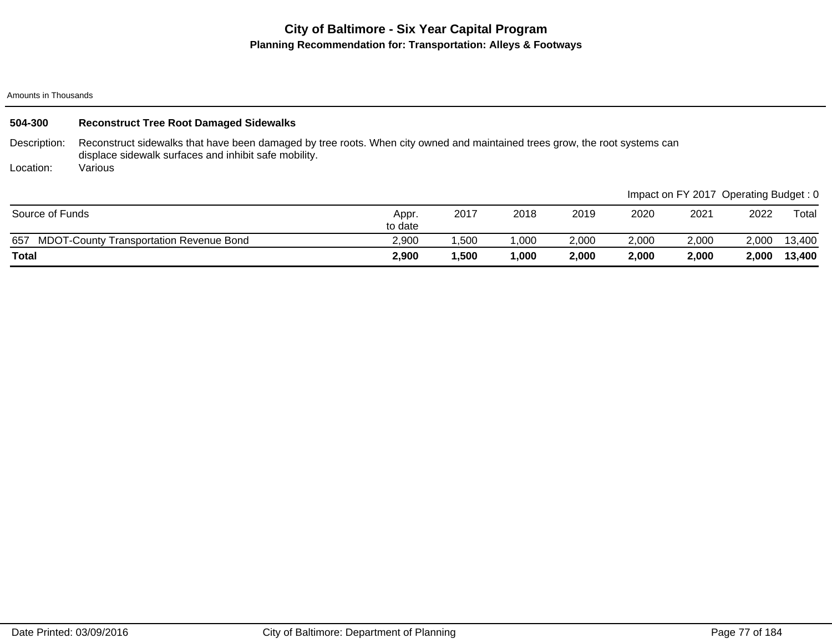#### Amounts in Thousands

| 504-300         | <b>Reconstruct Tree Root Damaged Sidewalks</b>                                                                                                                                       |                  |       |       |       |       |                                       |       |        |
|-----------------|--------------------------------------------------------------------------------------------------------------------------------------------------------------------------------------|------------------|-------|-------|-------|-------|---------------------------------------|-------|--------|
| Description:    | Reconstruct sidewalks that have been damaged by tree roots. When city owned and maintained trees grow, the root systems can<br>displace sidewalk surfaces and inhibit safe mobility. |                  |       |       |       |       |                                       |       |        |
| Location:       | Various                                                                                                                                                                              |                  |       |       |       |       |                                       |       |        |
|                 |                                                                                                                                                                                      |                  |       |       |       |       | Impact on FY 2017 Operating Budget: 0 |       |        |
| Source of Funds |                                                                                                                                                                                      | Appr.<br>to date | 2017  | 2018  | 2019  | 2020  | 2021                                  | 2022  | Total  |
| 657             | <b>MDOT-County Transportation Revenue Bond</b>                                                                                                                                       | 2.900            | .500  | 1.000 | 2,000 | 2,000 | 2,000                                 | 2.000 | 13,400 |
| <b>Total</b>    |                                                                                                                                                                                      | 2,900            | 1,500 | 1,000 | 2,000 | 2,000 | 2,000                                 | 2.000 | 13,400 |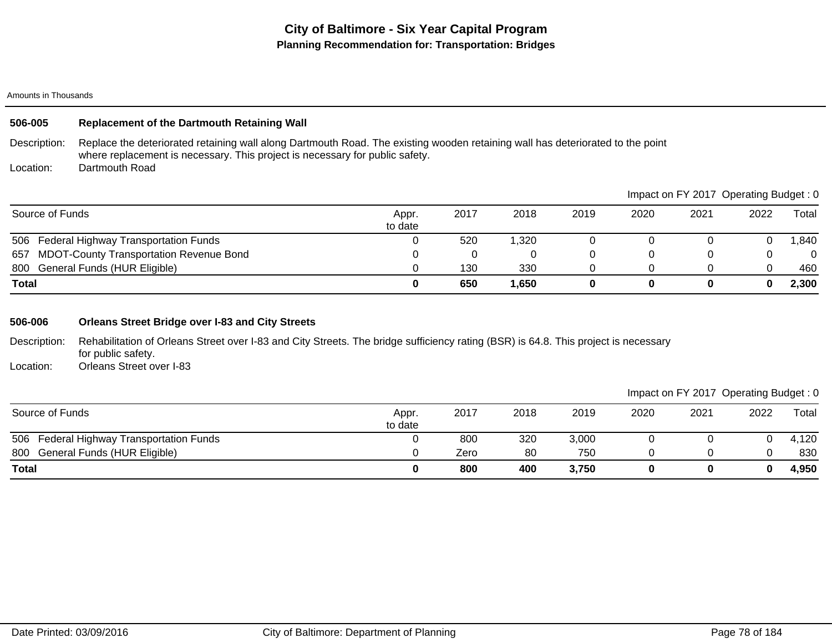# **506-005 Replacement of the Dartmouth Retaining Wall**

Description: Replace the deteriorated retaining wall along Dartmouth Road. The existing wooden retaining wall has deteriorated to the point where replacement is necessary. This project is necessary for public safety.

Location: Dartmouth Road

|                                             |                  |      |        |      |      | Impact on FY 2017 Operating Budget: 0 |      |          |
|---------------------------------------------|------------------|------|--------|------|------|---------------------------------------|------|----------|
| Source of Funds                             | Appr.<br>to date | 2017 | 2018   | 2019 | 2020 | 2021                                  | 2022 | Total    |
| 506 Federal Highway Transportation Funds    |                  | 520  | 320, ا |      |      |                                       |      | ,840     |
| 657 MDOT-County Transportation Revenue Bond |                  |      |        |      |      |                                       |      | $\Omega$ |
| 800 General Funds (HUR Eligible)            |                  | 130  | 330    |      |      |                                       |      | 460      |
| Total                                       |                  | 650  | 1,650  | 0    |      |                                       | 0    | 2,300    |

### **506-006 Orleans Street Bridge over I-83 and City Streets**

Description: Rehabilitation of Orleans Street over I-83 and City Streets. The bridge sufficiency rating (BSR) is 64.8. This project is necessary for public safety.

Location: Orleans Street over I-83

|                                          |                  |      |      |       |      | Impact on FY 2017 Operating Budget: 0 |      |       |
|------------------------------------------|------------------|------|------|-------|------|---------------------------------------|------|-------|
| Source of Funds                          | Appr.<br>to date | 2017 | 2018 | 2019  | 2020 | 2021                                  | 2022 | Total |
| 506 Federal Highway Transportation Funds |                  | 800  | 320  | 3,000 |      |                                       |      | 4,120 |
| 800 General Funds (HUR Eligible)         |                  | Zero | 80   | 750   |      |                                       |      | 830   |
| <b>Total</b>                             |                  | 800  | 400  | 3,750 |      |                                       | 0    | 4,950 |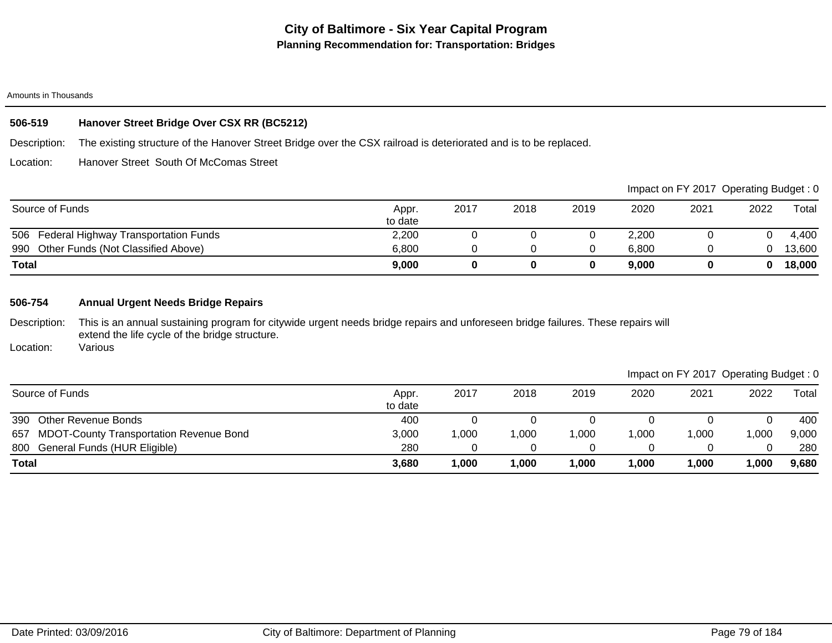# **506-519 Hanover Street Bridge Over CSX RR (BC5212)**

Description: The existing structure of the Hanover Street Bridge over the CSX railroad is deteriorated and is to be replaced.

Location: Hanover Street South Of McComas Street

|                                          |                  |      |      |      |       |      | Impact on FY 2017 Operating Budget: 0 |        |
|------------------------------------------|------------------|------|------|------|-------|------|---------------------------------------|--------|
| Source of Funds                          | Appr.<br>to date | 2017 | 2018 | 2019 | 2020  | 2021 | 2022                                  | Total  |
| 506 Federal Highway Transportation Funds | 2,200            |      |      |      | 2,200 |      |                                       | 4,400  |
| 990 Other Funds (Not Classified Above)   | 6,800            |      |      |      | 6.800 |      |                                       | 13,600 |
| <b>Total</b>                             | 9,000            |      |      |      | 9,000 |      |                                       | 18,000 |

### **506-754 Annual Urgent Needs Bridge Repairs**

Description: This is an annual sustaining program for citywide urgent needs bridge repairs and unforeseen bridge failures. These repairs will extend the life cycle of the bridge structure.

Location: Various

|              | Source of Funds                             | Appr.<br>to date | 2017  | 2018 | 2019  | 2020  | 2021   | 2022 | Total |
|--------------|---------------------------------------------|------------------|-------|------|-------|-------|--------|------|-------|
|              | 390 Other Revenue Bonds                     | 400              |       |      |       |       |        |      | 400   |
|              | 657 MDOT-County Transportation Revenue Bond | 3,000            | 1,000 | ,000 | 1,000 | ,000  | ,000   | ,000 | 9,000 |
|              | 800 General Funds (HUR Eligible)            | 280              |       |      |       |       |        |      | 280   |
| <b>Total</b> |                                             | 3,680            | 1,000 | ,000 | 1,000 | 1,000 | 000, I | ,000 | 9,680 |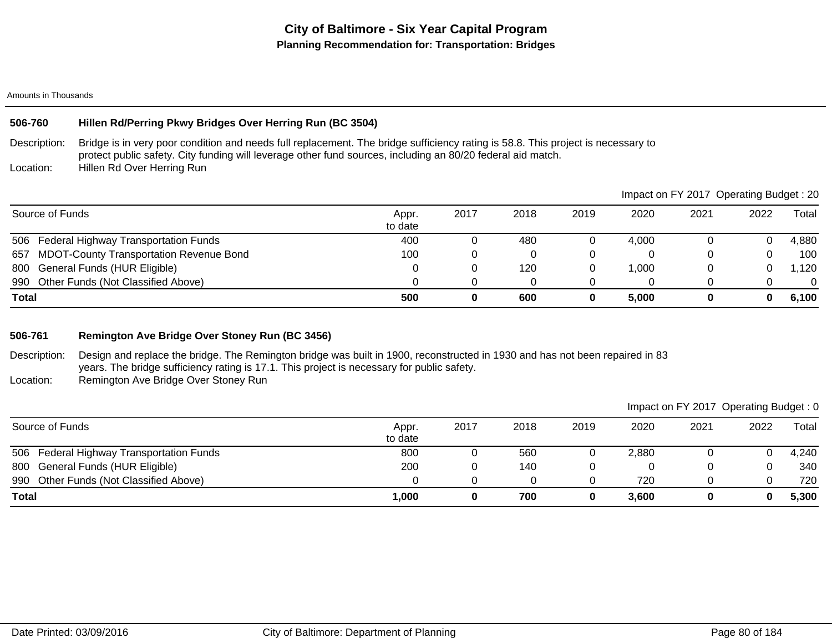# **506-760 Hillen Rd/Perring Pkwy Bridges Over Herring Run (BC 3504)**

Description: Bridge is in very poor condition and needs full replacement. The bridge sufficiency rating is 58.8. This project is necessary to protect public safety. City funding will leverage other fund sources, including an 80/20 federal aid match.

Location: Hillen Rd Over Herring Run

| Impact on FY 2017 Operating Budget: 20                |                  |      |      |      |       |      |      |          |
|-------------------------------------------------------|------------------|------|------|------|-------|------|------|----------|
| Source of Funds                                       | Appr.<br>to date | 2017 | 2018 | 2019 | 2020  | 2021 | 2022 | Total    |
| 506 Federal Highway Transportation Funds              | 400              |      | 480  |      | 4.000 |      |      | 4,880    |
| <b>MDOT-County Transportation Revenue Bond</b><br>657 | 100              |      |      |      |       |      |      | 100      |
| 800 General Funds (HUR Eligible)                      |                  |      | 120  |      | .000  |      |      | 1,120    |
| 990 Other Funds (Not Classified Above)                |                  |      |      |      |       |      |      | $\Omega$ |
| <b>Total</b>                                          | 500              | 0    | 600  |      | 5.000 |      |      | 6,100    |

## **506-761 Remington Ave Bridge Over Stoney Run (BC 3456)**

Description: Location: Design and replace the bridge. The Remington bridge was built in 1900, reconstructed in 1930 and has not been repaired in 83 years. The bridge sufficiency rating is 17.1. This project is necessary for public safety. Remington Ave Bridge Over Stoney Run

|                                          |                  |      |      |      |       |      | Impact on FY 2017 Operating Budget: 0 |       |
|------------------------------------------|------------------|------|------|------|-------|------|---------------------------------------|-------|
| Source of Funds                          | Appr.<br>to date | 2017 | 2018 | 2019 | 2020  | 2021 | 2022                                  | Total |
| 506 Federal Highway Transportation Funds | 800              |      | 560  | J    | 2.880 |      |                                       | 4,240 |
| 800 General Funds (HUR Eligible)         | 200              |      | 140  |      |       |      |                                       | 340   |
| 990 Other Funds (Not Classified Above)   |                  |      | 0    |      | 720   |      |                                       | 720   |
| <b>Total</b>                             | 1,000            |      | 700  | 0    | 3,600 |      |                                       | 5,300 |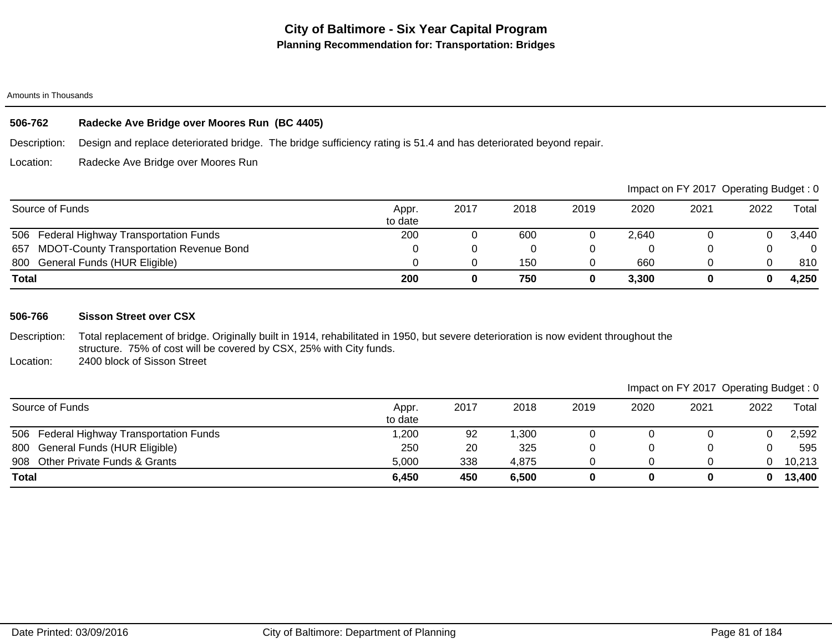# **506-762 Radecke Ave Bridge over Moores Run (BC 4405)**

Description: Design and replace deteriorated bridge. The bridge sufficiency rating is 51.4 and has deteriorated beyond repair.

Location: Radecke Ave Bridge over Moores Run

|                                             |                  |      |      |      |       | Impact on FY 2017 Operating Budget: 0 |      |          |
|---------------------------------------------|------------------|------|------|------|-------|---------------------------------------|------|----------|
| Source of Funds                             | Appr.<br>to date | 2017 | 2018 | 2019 | 2020  | 2021                                  | 2022 | Total    |
| 506 Federal Highway Transportation Funds    | 200              |      | 600  |      | 2.640 |                                       |      | 3.440    |
| 657 MDOT-County Transportation Revenue Bond |                  |      |      |      |       |                                       |      | $\Omega$ |
| 800 General Funds (HUR Eligible)            |                  |      | 150  |      | 660   |                                       |      | 810      |
| Total                                       | 200              |      | 750  |      | 3,300 |                                       |      | 4,250    |

### **506-766 Sisson Street over CSX**

Description: Total replacement of bridge. Originally built in 1914, rehabilitated in 1950, but severe deterioration is now evident throughout the structure. 75% of cost will be covered by CSX, 25% with City funds. 2400 block of Sisson Street

Location:

| Source of Funds                          | Appr.<br>to date | 2017 | 2018  | 2019 | 2020 | 2021 | 2022 | $\tau$ otal |
|------------------------------------------|------------------|------|-------|------|------|------|------|-------------|
| 506 Federal Highway Transportation Funds | ,200             | 92   | ,300  |      |      |      |      | 2,592       |
| 800 General Funds (HUR Eligible)         | 250              | 20   | 325   |      |      |      |      | 595         |
| 908 Other Private Funds & Grants         | 5,000            | 338  | 4.875 |      |      |      |      | 10,213      |
| <b>Total</b>                             | 6,450            | 450  | 6,500 |      |      |      |      | 13,400      |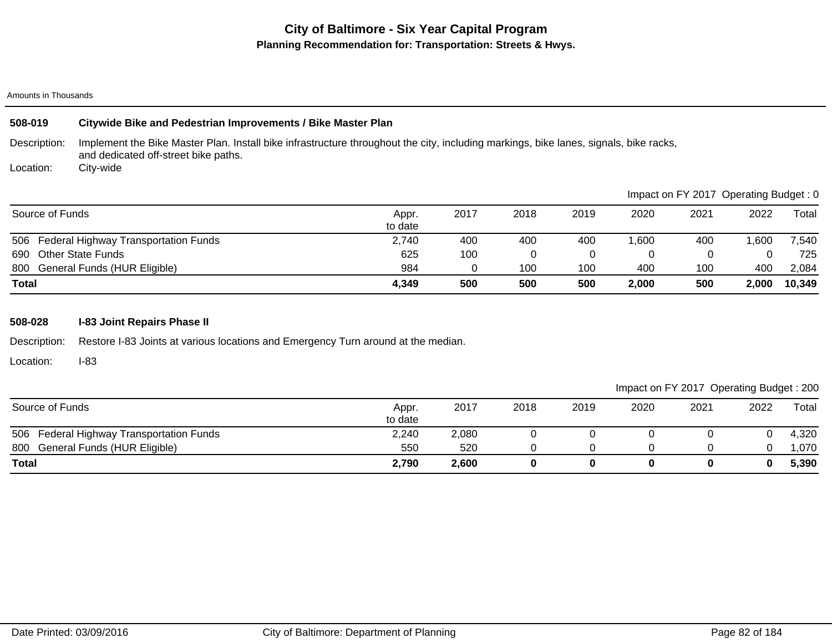### Amounts in Thousands

| 508-019         | Citywide Bike and Pedestrian Improvements / Bike Master Plan                                                                                                                  |                  |      |      |      |       |      |                                       |        |
|-----------------|-------------------------------------------------------------------------------------------------------------------------------------------------------------------------------|------------------|------|------|------|-------|------|---------------------------------------|--------|
| Description:    | Implement the Bike Master Plan. Install bike infrastructure throughout the city, including markings, bike lanes, signals, bike racks,<br>and dedicated off-street bike paths. |                  |      |      |      |       |      |                                       |        |
| Location:       | City-wide                                                                                                                                                                     |                  |      |      |      |       |      |                                       |        |
|                 |                                                                                                                                                                               |                  |      |      |      |       |      | Impact on FY 2017 Operating Budget: 0 |        |
| Source of Funds |                                                                                                                                                                               | Appr.<br>to date | 2017 | 2018 | 2019 | 2020  | 2021 | 2022                                  | Total  |
| 506             | Federal Highway Transportation Funds                                                                                                                                          | 2,740            | 400  | 400  | 400  | 1.600 | 400  | 006,                                  | 7,540  |
| 690             | <b>Other State Funds</b>                                                                                                                                                      | 625              | 100  | 0    | 0    | 0     |      | C                                     | 725    |
|                 | 800 General Funds (HUR Eligible)                                                                                                                                              | 984              | 0    | 100  | 100  | 400   | 100  | 400                                   | 2,084  |
| <b>Total</b>    |                                                                                                                                                                               | 4,349            | 500  | 500  | 500  | 2,000 | 500  | 2.000                                 | 10,349 |

# **508-028 I-83 Joint Repairs Phase II**

Description: Restore I-83 Joints at various locations and Emergency Turn around at the median.

Location: I-83

| Source of Funds                          | Appr.<br>to date | 2017  | 2018 | 2019 | 2020 | 2021 | 2022 | Total |
|------------------------------------------|------------------|-------|------|------|------|------|------|-------|
| 506 Federal Highway Transportation Funds | 2,240            | 2,080 |      |      |      |      |      | 4,320 |
| 800 General Funds (HUR Eligible)         | 550              | 520   |      |      |      |      |      | 1,070 |
| <b>Total</b>                             | 2,790            | 2,600 |      |      |      |      |      | 5,390 |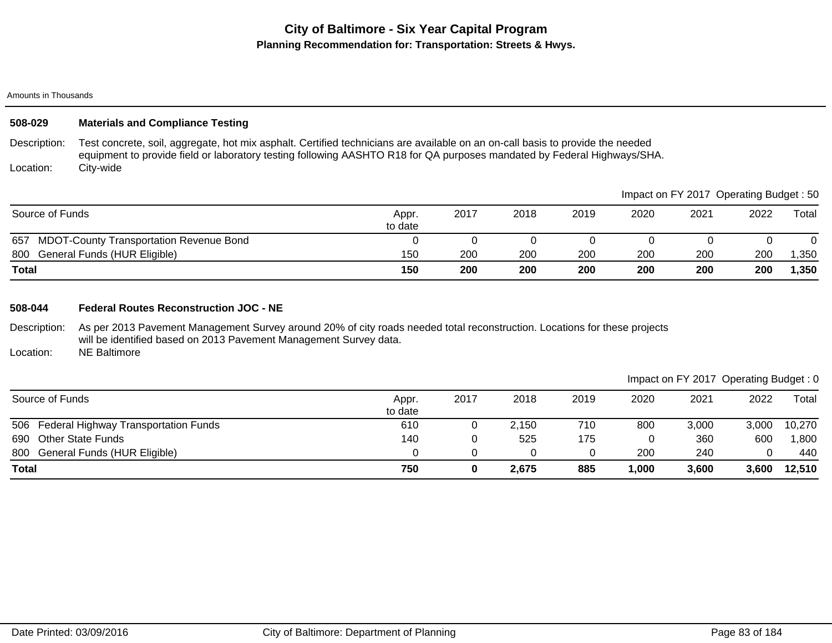### Amounts in Thousands

## **508-029 Materials and Compliance Testing**

Description: Location: Test concrete, soil, aggregate, hot mix asphalt. Certified technicians are available on an on-call basis to provide the needed equipment to provide field or laboratory testing following AASHTO R18 for QA purposes mandated by Federal Highways/SHA. City-wide

|                                             |                  |      |      |      |      | Impact on FY 2017 Operating Budget: 50 |      |       |
|---------------------------------------------|------------------|------|------|------|------|----------------------------------------|------|-------|
| Source of Funds                             | Appr.<br>to date | 2017 | 2018 | 2019 | 2020 | 2021                                   | 2022 | Total |
| 657 MDOT-County Transportation Revenue Bond |                  |      |      |      |      |                                        |      |       |
| 800 General Funds (HUR Eligible)            | 150              | 200  | 200  | 200  | 200  | 200                                    | 200  | ,350  |
| <b>Total</b>                                | 150              | 200  | 200  | 200  | 200  | 200                                    | 200  | 1,350 |

### **508-044 Federal Routes Reconstruction JOC - NE**

Description: As per 2013 Pavement Management Survey around 20% of city roads needed total reconstruction. Locations for these projects will be identified based on 2013 Pavement Management Survey data.

Location: NE Baltimore

|                                          |                  |      |       |      |       | Impact on FY 2017 Operating Budget: 0 |       |        |
|------------------------------------------|------------------|------|-------|------|-------|---------------------------------------|-------|--------|
| Source of Funds                          | Appr.<br>to date | 2017 | 2018  | 2019 | 2020  | 2021                                  | 2022  | Total  |
| 506 Federal Highway Transportation Funds | 610              |      | 2.150 | 710  | 800   | 3,000                                 | 3,000 | 10,270 |
| 690 Other State Funds                    | 140              |      | 525   | 175  |       | 360                                   | 600   | ,800   |
| 800 General Funds (HUR Eligible)         |                  |      |       |      | 200   | 240                                   |       | 440    |
| <b>Total</b>                             | 750              |      | 2,675 | 885  | 1,000 | 3,600                                 | 3,600 | 12,510 |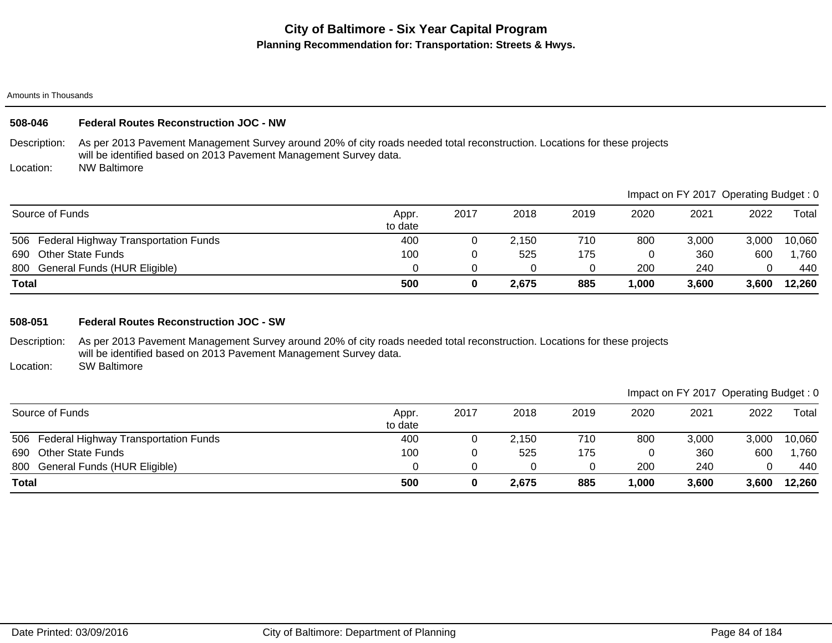Amounts in Thousands

## **508-046 Federal Routes Reconstruction JOC - NW**

Description: As per 2013 Pavement Management Survey around 20% of city roads needed total reconstruction. Locations for these projects will be identified based on 2013 Pavement Management Survey data.

Location: NW Baltimore

|                                          |                  |      |       |      |       | Impact on FY 2017 Operating Budget: 0 |       |        |
|------------------------------------------|------------------|------|-------|------|-------|---------------------------------------|-------|--------|
| Source of Funds                          | Appr.<br>to date | 2017 | 2018  | 2019 | 2020  | 2021                                  | 2022  | Total  |
| 506 Federal Highway Transportation Funds | 400              |      | 2,150 | 710  | 800   | 3,000                                 | 3,000 | 10,060 |
| <b>Other State Funds</b><br>690          | 100              |      | 525   | 175  |       | 360                                   | 600   | ,760   |
| 800 General Funds (HUR Eligible)         |                  |      |       |      | 200   | 240                                   |       | 440    |
| Total                                    | 500              |      | 2.675 | 885  | 1.000 | 3,600                                 | 3,600 | 12,260 |

### **508-051 Federal Routes Reconstruction JOC - SW**

Description: As per 2013 Pavement Management Survey around 20% of city roads needed total reconstruction. Locations for these projects will be identified based on 2013 Pavement Management Survey data.

Location: SW Baltimore

|                                          |                  |      |       |      |      |       | Impact on FY 2017 Operating Budget: 0 |        |
|------------------------------------------|------------------|------|-------|------|------|-------|---------------------------------------|--------|
| Source of Funds                          | Appr.<br>to date | 2017 | 2018  | 2019 | 2020 | 2021  | 2022                                  | Total  |
| 506 Federal Highway Transportation Funds | 400              |      | 2.150 | 710  | 800  | 3,000 | 3.000                                 | 10,060 |
| 690 Other State Funds                    | 100              |      | 525   | 175  |      | 360   | 600                                   | 1,760  |
| 800 General Funds (HUR Eligible)         |                  |      | 0     |      | 200  | 240   |                                       | 440    |
| <b>Total</b>                             | 500              | 0    | 2,675 | 885  | ,000 | 3,600 | 3.600                                 | 12,260 |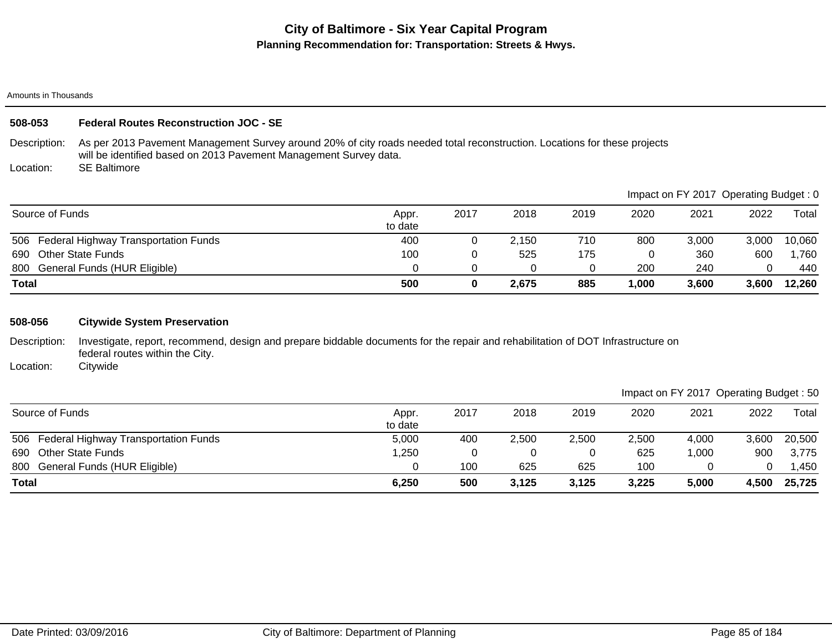Amounts in Thousands

## **508-053 Federal Routes Reconstruction JOC - SE**

Description: As per 2013 Pavement Management Survey around 20% of city roads needed total reconstruction. Locations for these projects will be identified based on 2013 Pavement Management Survey data.

Location: SE Baltimore

|                                          |                  |      |       |      | Impact on FY 2017 Operating Budget: 0 |       |       |        |  |
|------------------------------------------|------------------|------|-------|------|---------------------------------------|-------|-------|--------|--|
| Source of Funds                          | Appr.<br>to date | 2017 | 2018  | 2019 | 2020                                  | 2021  | 2022  | Total  |  |
| 506 Federal Highway Transportation Funds | 400              |      | 2,150 | 710  | 800                                   | 3,000 | 3,000 | 10,060 |  |
| <b>Other State Funds</b><br>690          | 100              |      | 525   | 175  |                                       | 360   | 600   | ,760   |  |
| 800 General Funds (HUR Eligible)         |                  |      |       |      | 200                                   | 240   |       | 440    |  |
| <b>Total</b>                             | 500              |      | 2.675 | 885  | 1,000                                 | 3,600 | 3,600 | 12,260 |  |

### **508-056 Citywide System Preservation**

Description: Investigate, report, recommend, design and prepare biddable documents for the repair and rehabilitation of DOT Infrastructure on federal routes within the City.

Location: **Citywide** 

|                                          |                  |      |       |       |       |       |       | ___    |
|------------------------------------------|------------------|------|-------|-------|-------|-------|-------|--------|
| Source of Funds                          | Appr.<br>to date | 2017 | 2018  | 2019  | 2020  | 2021  | 2022  | Total  |
| 506 Federal Highway Transportation Funds | 5,000            | 400  | 2,500 | 2,500 | 2,500 | 4,000 | 3,600 | 20,500 |
| 690 Other State Funds                    | ,250             |      |       |       | 625   | 1,000 | 900   | 3,775  |
| 800 General Funds (HUR Eligible)         |                  | 100  | 625   | 625   | 100   |       |       | .450   |
| <b>Total</b>                             | 6,250            | 500  | 3,125 | 3,125 | 3,225 | 5,000 | 4,500 | 25,725 |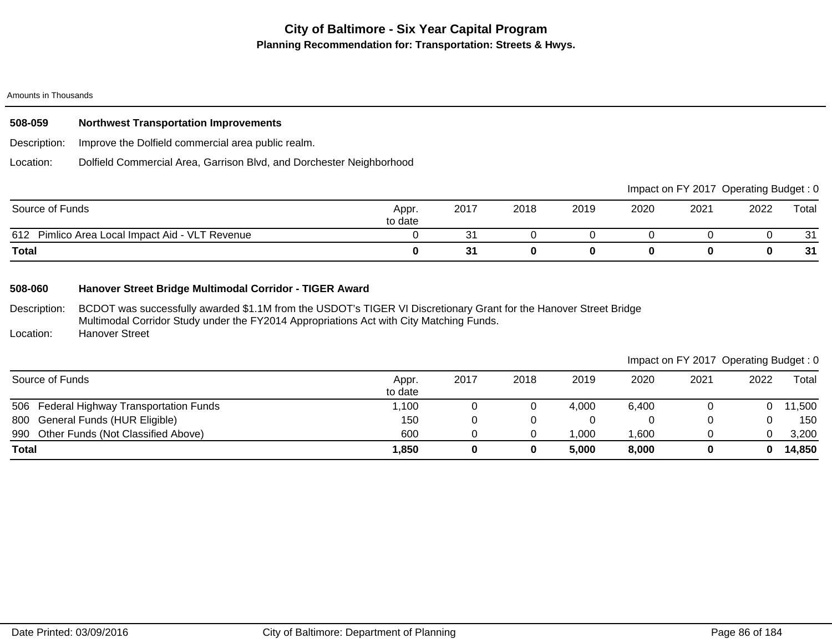### Amounts in Thousands

| 508-059                        | <b>Northwest Transportation Improvements</b>                         |                                        |      |      |      |      |     |                                       |                    |
|--------------------------------|----------------------------------------------------------------------|----------------------------------------|------|------|------|------|-----|---------------------------------------|--------------------|
| Description:                   | Improve the Dolfield commercial area public realm.                   |                                        |      |      |      |      |     |                                       |                    |
| Location:                      | Dolfield Commercial Area, Garrison Blvd, and Dorchester Neighborhood |                                        |      |      |      |      |     |                                       |                    |
|                                |                                                                      |                                        |      |      |      |      |     | Impact on FY 2017 Operating Budget: 0 |                    |
| $O_{\text{a}1}$ and $I$ $\Box$ |                                                                      | $\mathbf{A}$ $\mathbf{A}$ $\mathbf{A}$ | 0017 | 0010 | 0010 | 0000 | 001 | הממ                                   | $T_{\text{shell}}$ |

| Source of Funds                                    | Appr.<br>to date | 2017    | 2018 | 2019 | 2020 | 2021 | 2022 | Total     |
|----------------------------------------------------|------------------|---------|------|------|------|------|------|-----------|
| Pimlico Area Local Impact Aid - VLT Revenue<br>612 |                  | ື       |      |      |      |      |      | 24<br>ູບ. |
| <b>Total</b>                                       |                  | 21<br>ິ |      |      |      |      |      | 31        |

## **508-060 Hanover Street Bridge Multimodal Corridor - TIGER Award**

Description: BCDOT was successfully awarded \$1.1M from the USDOT's TIGER VI Discretionary Grant for the Hanover Street Bridge Multimodal Corridor Study under the FY2014 Appropriations Act with City Matching Funds.

Location: Hanover Street

|                                          |                  |      |      |       | Impact on FY 2017 Operating Budget: 0 |      |      |        |
|------------------------------------------|------------------|------|------|-------|---------------------------------------|------|------|--------|
| Source of Funds                          | Appr.<br>to date | 2017 | 2018 | 2019  | 2020                                  | 2021 | 2022 | Total  |
| 506 Federal Highway Transportation Funds | 1,100            |      |      | 4,000 | 6,400                                 |      |      | 11,500 |
| 800 General Funds (HUR Eligible)         | 150              |      |      |       |                                       |      |      | 150    |
| 990 Other Funds (Not Classified Above)   | 600              |      |      | 1.000 | .600                                  |      |      | 3,200  |
| <b>Total</b>                             | 1,850            |      | 0    | 5.000 | 8,000                                 |      |      | 14,850 |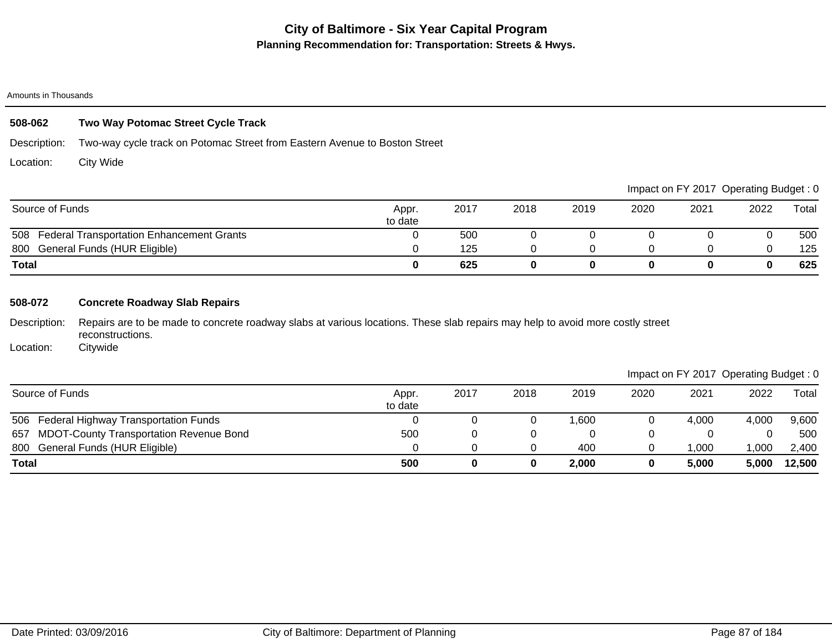#### Amounts in Thousands

# **508-062 Two Way Potomac Street Cycle Track**

Description: Two-way cycle track on Potomac Street from Eastern Avenue to Boston Street

Location: City Wide

|                                               |                  |      |      |      |      | Impact on FY 2017 Operating Budget: 0 |      |       |
|-----------------------------------------------|------------------|------|------|------|------|---------------------------------------|------|-------|
| Source of Funds                               | Appr.<br>to date | 2017 | 2018 | 2019 | 2020 | 2021                                  | 2022 | Total |
| 508 Federal Transportation Enhancement Grants |                  | 500  |      |      |      |                                       |      | 500   |
| 800 General Funds (HUR Eligible)              |                  | 125  |      |      |      |                                       |      | 125   |
| <b>Total</b>                                  |                  | 625  |      |      |      |                                       | 0    | 625   |

## **508-072 Concrete Roadway Slab Repairs**

Description: Repairs are to be made to concrete roadway slabs at various locations. These slab repairs may help to avoid more costly street reconstructions.

Location: **Citywide** 

|  | Impact on FY 2017 Operating Budget: 0 |  |
|--|---------------------------------------|--|
|  |                                       |  |

| Source of Funds                             | Appr.<br>to date | 2017 | 2018 | 2019  | 2020 | 2021  | 2022  | Total  |
|---------------------------------------------|------------------|------|------|-------|------|-------|-------|--------|
| 506 Federal Highway Transportation Funds    |                  |      |      | 1.600 |      | 4,000 | 4,000 | 9,600  |
| 657 MDOT-County Transportation Revenue Bond | 500              |      |      |       |      |       |       | 500    |
| 800 General Funds (HUR Eligible)            |                  |      |      | 400   |      | ,000  | ,000  | 2,400  |
| <b>Total</b>                                | 500              |      | 0    | 2,000 |      | 5,000 | 5,000 | 12,500 |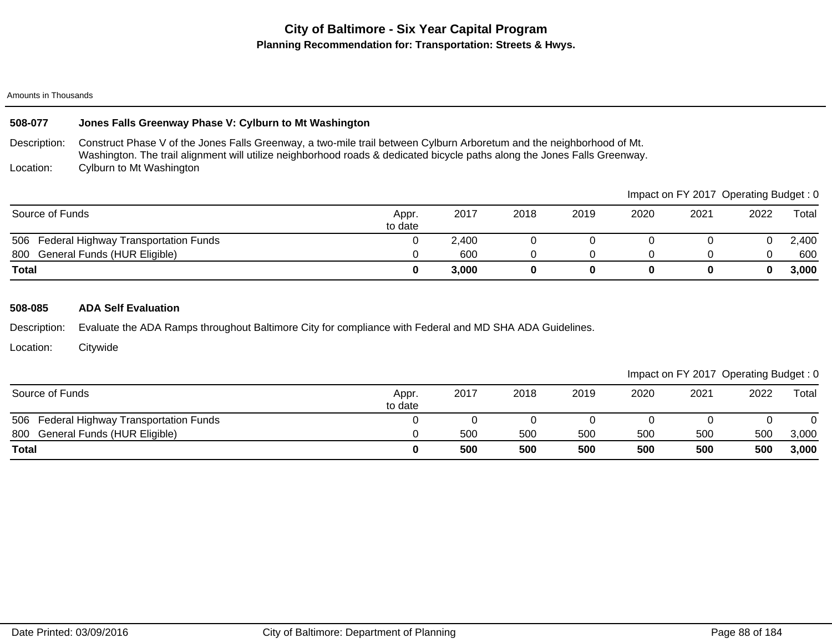### Amounts in Thousands

## **508-077 Jones Falls Greenway Phase V: Cylburn to Mt Washington**

Description: Location: Construct Phase V of the Jones Falls Greenway, a two-mile trail between Cylburn Arboretum and the neighborhood of Mt. Washington. The trail alignment will utilize neighborhood roads & dedicated bicycle paths along the Jones Falls Greenway. Cylburn to Mt Washington

|                                          |                  |       |      |      |      |      | Impact on FY 2017 Operating Budget: 0 |       |
|------------------------------------------|------------------|-------|------|------|------|------|---------------------------------------|-------|
| Source of Funds                          | Appr.<br>to date | 2017  | 2018 | 2019 | 2020 | 2021 | 2022                                  | Total |
| 506 Federal Highway Transportation Funds |                  | 2,400 |      |      |      |      |                                       | 2,400 |
| 800 General Funds (HUR Eligible)         |                  | 600   |      |      |      |      |                                       | 600   |
| <b>Total</b>                             |                  | 3,000 |      |      |      |      |                                       | 3,000 |

### **508-085 ADA Self Evaluation**

Description: Evaluate the ADA Ramps throughout Baltimore City for compliance with Federal and MD SHA ADA Guidelines.

Location: **Citywide** 

| Source of Funds                          | Appr.<br>to date | 2017 | 2018 | 2019 | 2020 | 2021 | 2022 | Total |
|------------------------------------------|------------------|------|------|------|------|------|------|-------|
| 506 Federal Highway Transportation Funds |                  |      |      |      |      |      |      |       |
| 800 General Funds (HUR Eligible)         |                  | 500  | 500  | 500  | 500  | 500  | 500  | 3,000 |
| <b>Total</b>                             |                  | 500  | 500  | 500  | 500  | 500  | 500  | 3,000 |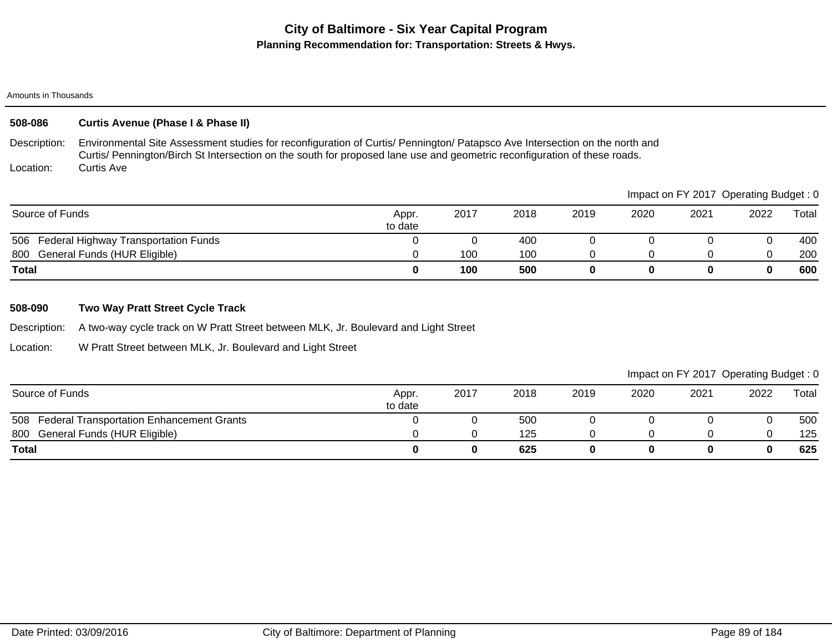### Amounts in Thousands

# **508-086 Curtis Avenue (Phase I & Phase II)**

Description: Location: Environmental Site Assessment studies for reconfiguration of Curtis/ Pennington/ Patapsco Ave Intersection on the north and Curtis/ Pennington/Birch St Intersection on the south for proposed lane use and geometric reconfiguration of these roads. Curtis Ave

|                                          |                  |      |      |      |      |      | Impact on FY 2017 Operating Budget: 0 |       |
|------------------------------------------|------------------|------|------|------|------|------|---------------------------------------|-------|
| Source of Funds                          | Appr.<br>to date | 2017 | 2018 | 2019 | 2020 | 2021 | 2022                                  | Total |
| 506 Federal Highway Transportation Funds |                  |      | 400  |      |      |      |                                       | 400   |
| 800 General Funds (HUR Eligible)         |                  | 100  | 100  |      |      |      |                                       | 200   |
| <b>Total</b>                             |                  | 100  | 500  |      |      |      |                                       | 600   |

## **508-090 Two Way Pratt Street Cycle Track**

Description: A two-way cycle track on W Pratt Street between MLK, Jr. Boulevard and Light Street

Location: W Pratt Street between MLK, Jr. Boulevard and Light Street

| Source of Funds                               | Appr.<br>to date | 2017 | 2018 | 2019 | 2020 | 2021 | 2022 | Total |
|-----------------------------------------------|------------------|------|------|------|------|------|------|-------|
| 508 Federal Transportation Enhancement Grants |                  |      | 500  |      |      |      |      | 500   |
| 800<br>General Funds (HUR Eligible)           |                  |      | 125  |      |      |      |      | 125   |
| <b>Total</b>                                  |                  |      | 625  |      |      |      |      | 625   |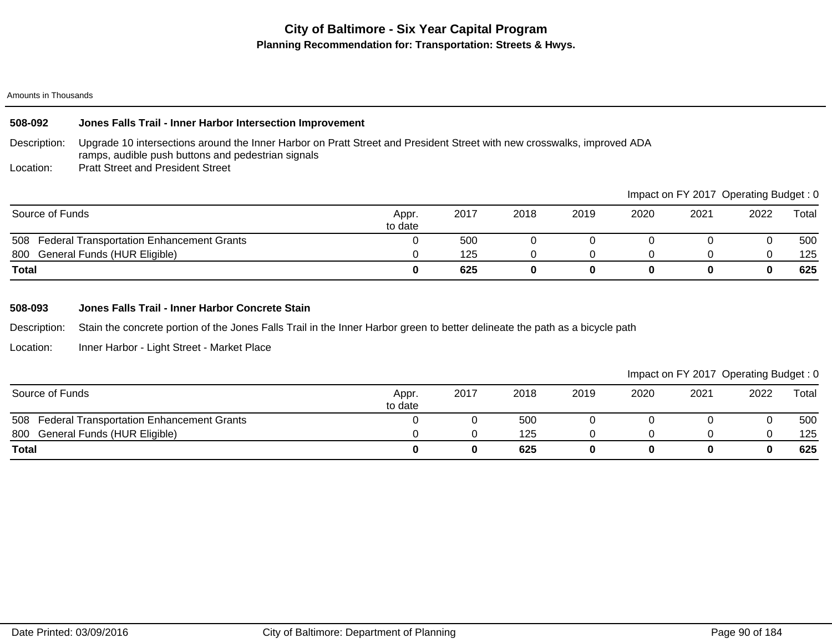### Amounts in Thousands

### **508-092 Jones Falls Trail - Inner Harbor Intersection Improvement**

Description: Upgrade 10 intersections around the Inner Harbor on Pratt Street and President Street with new crosswalks, improved ADA ramps, audible push buttons and pedestrian signals

Location: Pratt Street and President Street

|                                                         |                  |      |      |      |      |      | Impact on $FY$ 2017 Uperating Budget : 0 |       |
|---------------------------------------------------------|------------------|------|------|------|------|------|------------------------------------------|-------|
| Source of Funds                                         | Appr.<br>to date | 2017 | 2018 | 2019 | 2020 | 2021 | 2022                                     | Total |
| <b>Federal Transportation Enhancement Grants</b><br>508 |                  | 500  |      |      |      |      |                                          | 500   |
| General Funds (HUR Eligible)<br>800                     |                  | 125  |      |      |      |      |                                          | 125   |
| <b>Total</b>                                            |                  | 625  |      |      |      |      |                                          | 625   |

### **508-093 Jones Falls Trail - Inner Harbor Concrete Stain**

Description: Stain the concrete portion of the Jones Falls Trail in the Inner Harbor green to better delineate the path as a bicycle path

Location: Inner Harbor - Light Street - Market Place

## Impact on FY 2017 Operating Budget : 0

 $\blacksquare$ Impact on Fy 2017 Operations on Fy 2017 Operations of  $\blacksquare$ 

| Source of Funds                                         | Appr.<br>to date | 2017 | 2018 | 2019 | 2020 | 2021 | 2022 | Total |
|---------------------------------------------------------|------------------|------|------|------|------|------|------|-------|
| 508<br><b>Federal Transportation Enhancement Grants</b> |                  |      | 500  |      |      |      |      | 500   |
| General Funds (HUR Eligible)<br>800                     |                  |      | 125  |      |      |      |      | 125   |
| <b>Total</b>                                            |                  |      | 625  |      |      |      | 0    | 625   |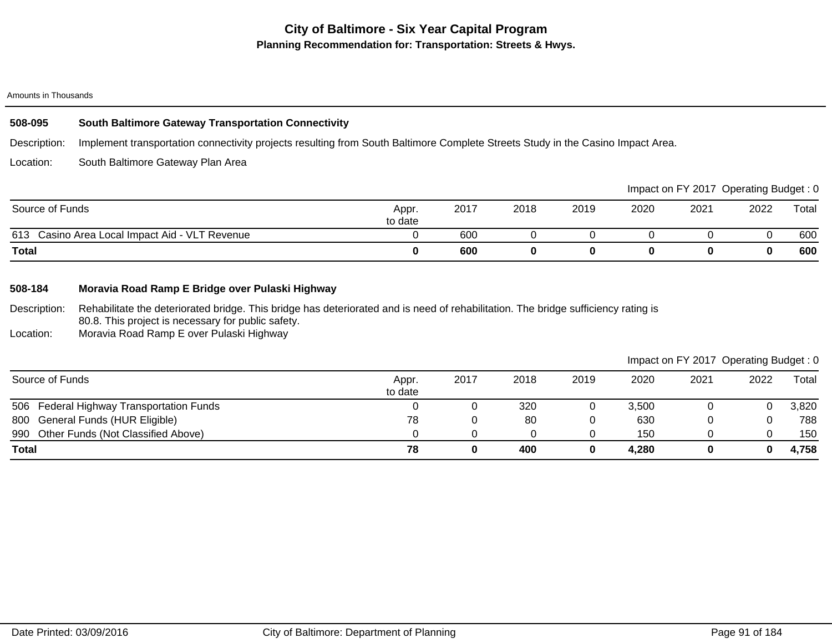### Amounts in Thousands

## **508-095 South Baltimore Gateway Transportation Connectivity**

Description: Implement transportation connectivity projects resulting from South Baltimore Complete Streets Study in the Casino Impact Area.

Location: South Baltimore Gateway Plan Area

|                                                   |                  |      |      |      |      |      | Impact on FY 2017 Operating Budget: 0 |       |
|---------------------------------------------------|------------------|------|------|------|------|------|---------------------------------------|-------|
| Source of Funds                                   | Appr.<br>to date | 2017 | 2018 | 2019 | 2020 | 2021 | 2022                                  | Total |
| Casino Area Local Impact Aid - VLT Revenue<br>613 |                  | 600  |      |      |      |      |                                       | 600   |
| Total                                             |                  | 600  |      |      |      |      |                                       | 600   |

# **508-184 Moravia Road Ramp E Bridge over Pulaski Highway**

Description: Rehabilitate the deteriorated bridge. This bridge has deteriorated and is need of rehabilitation. The bridge sufficiency rating is 80.8. This project is necessary for public safety.

Location: Moravia Road Ramp E over Pulaski Highway

|                                          |                  |      |      |      |       | Impact on FY 2017 Operating Budget: 0 |      |       |
|------------------------------------------|------------------|------|------|------|-------|---------------------------------------|------|-------|
| Source of Funds                          | Appr.<br>to date | 2017 | 2018 | 2019 | 2020  | 2021                                  | 2022 | Total |
| 506 Federal Highway Transportation Funds |                  |      | 320  |      | 3,500 |                                       |      | 3,820 |
| 800 General Funds (HUR Eligible)         | 78               |      | 80   |      | 630   |                                       |      | 788   |
| 990 Other Funds (Not Classified Above)   |                  |      |      |      | 150   |                                       |      | 150   |
| <b>Total</b>                             | 78               |      | 400  | 0    | 4,280 |                                       | 0    | 4,758 |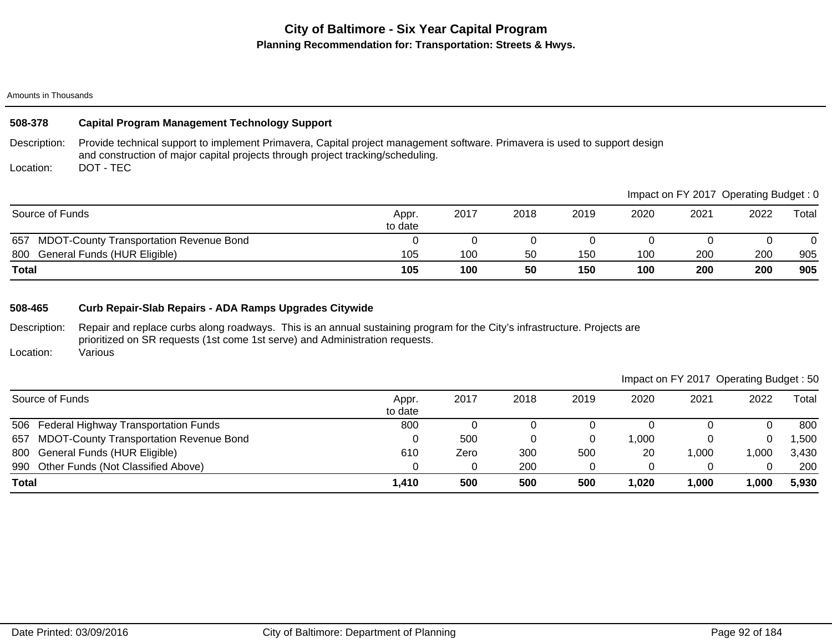### Amounts in Thousands

## **508-378 Capital Program Management Technology Support**

Description: Provide technical support to implement Primavera, Capital project management software. Primavera is used to support design and construction of major capital projects through project tracking/scheduling. DOT - TEC

Location:

|                                                       |                  |      |      |      |      | Impact on FY 2017 Operating Budget: 0 |      |       |
|-------------------------------------------------------|------------------|------|------|------|------|---------------------------------------|------|-------|
| Source of Funds                                       | Appr.<br>to date | 2017 | 2018 | 2019 | 2020 | 2021                                  | 2022 | Total |
| 657<br><b>MDOT-County Transportation Revenue Bond</b> |                  |      |      |      |      |                                       |      |       |
| General Funds (HUR Eligible)<br>800                   | 105              | 100  | 50   | 150  | 100  | 200                                   | 200  | 905   |
| <b>Total</b>                                          | 105              | 100  | 50   | 150  | 100  | 200                                   | 200  | 905   |

## **508-465 Curb Repair-Slab Repairs - ADA Ramps Upgrades Citywide**

Description: Repair and replace curbs along roadways. This is an annual sustaining program for the City's infrastructure. Projects are prioritized on SR requests (1st come 1st serve) and Administration requests. Various

Location:

| Source of Funds                             | Appr.<br>to date | 2017 | 2018 | 2019 | 2020  | 2021  | 2022 | Total |
|---------------------------------------------|------------------|------|------|------|-------|-------|------|-------|
| 506 Federal Highway Transportation Funds    | 800              |      |      |      |       |       |      | 800   |
| 657 MDOT-County Transportation Revenue Bond |                  | 500  | 0    | 0    | 1.000 |       |      | .500  |
| 800 General Funds (HUR Eligible)            | 610              | Zero | 300  | 500  | 20    | ,000  | ,000 | 3,430 |
| 990 Other Funds (Not Classified Above)      |                  |      | 200  |      |       |       |      | 200   |
| <b>Total</b>                                | 1,410            | 500  | 500  | 500  | 1,020 | 1,000 | ,000 | 5,930 |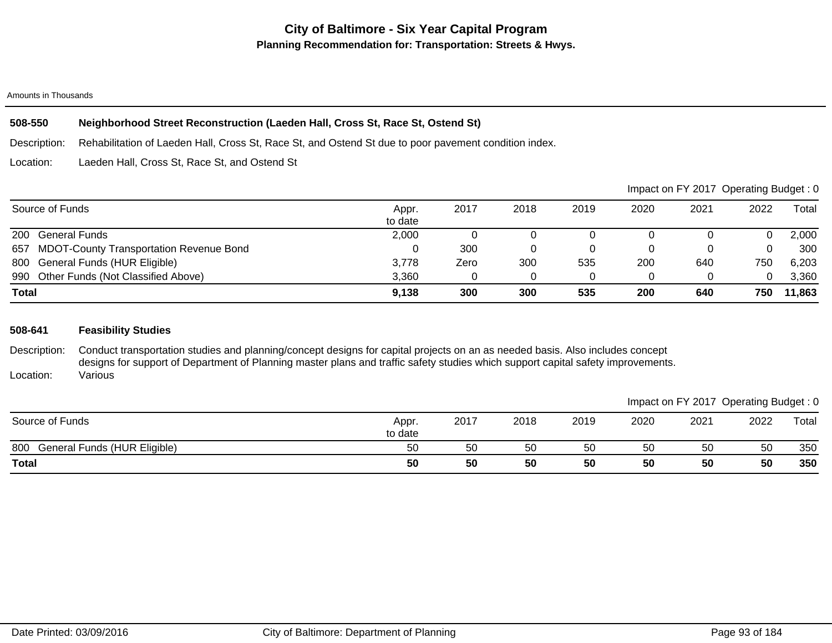### Amounts in Thousands

# **508-550 Neighborhood Street Reconstruction (Laeden Hall, Cross St, Race St, Ostend St)**

Description: Rehabilitation of Laeden Hall, Cross St, Race St, and Ostend St due to poor pavement condition index.

Location: Laeden Hall, Cross St, Race St, and Ostend St

|                                                       |                  |      |      |      |      | Impact on FY 2017 Operating Budget: 0 |      |        |
|-------------------------------------------------------|------------------|------|------|------|------|---------------------------------------|------|--------|
| Source of Funds                                       | Appr.<br>to date | 2017 | 2018 | 2019 | 2020 | 2021                                  | 2022 | Total  |
| 200<br><b>General Funds</b>                           | 2,000            |      |      |      |      |                                       |      | 2,000  |
| <b>MDOT-County Transportation Revenue Bond</b><br>657 |                  | 300  |      |      |      |                                       |      | 300    |
| 800 General Funds (HUR Eligible)                      | 3,778            | Zero | 300  | 535  | 200  | 640                                   | 750  | 6,203  |
| 990 Other Funds (Not Classified Above)                | 3.360            |      |      |      |      |                                       | 0    | 3,360  |
| <b>Total</b>                                          | 9,138            | 300  | 300  | 535  | 200  | 640                                   | 750  | 11,863 |

## **508-641 Feasibility Studies**

Description: Location: Conduct transportation studies and planning/concept designs for capital projects on an as needed basis. Also includes concept designs for support of Department of Planning master plans and traffic safety studies which support capital safety improvements. Various

|                                     |                  |      |      |      |      |      | Impact on FY 2017 Operating Budget: 0 |       |
|-------------------------------------|------------------|------|------|------|------|------|---------------------------------------|-------|
| Source of Funds                     | Appr.<br>to date | 2017 | 2018 | 2019 | 2020 | 2021 | 2022                                  | Total |
| General Funds (HUR Eligible)<br>800 | -50              | 50   | 50   | 50   | 50   | 50   | 50                                    | 350   |
| <b>Total</b>                        | 50               | 50   | 50   | 50   | 50   | 50   | 50                                    | 350   |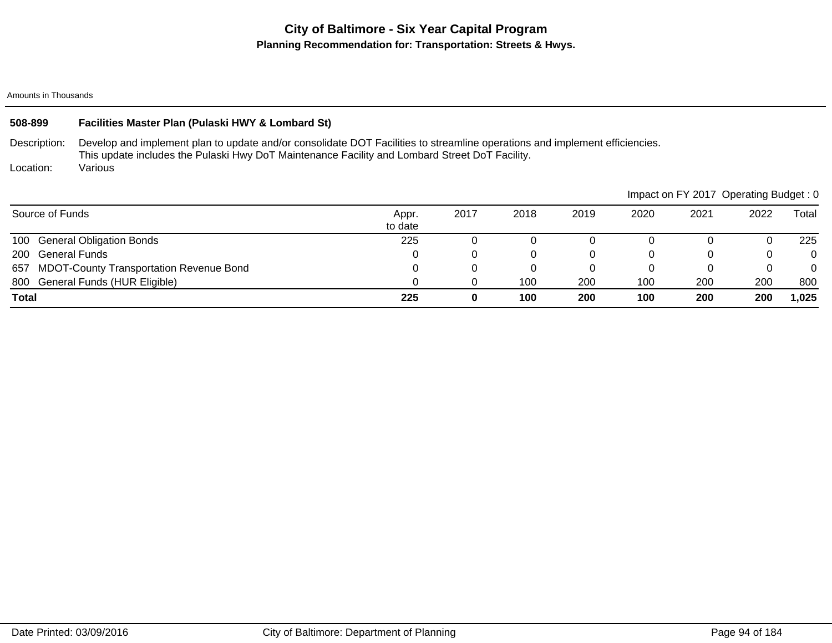Amounts in Thousands

| 508-899                   | Facilities Master Plan (Pulaski HWY & Lombard St)                                                                                                                                                                                        |                  |      |      |      |          |      |                                       |          |  |
|---------------------------|------------------------------------------------------------------------------------------------------------------------------------------------------------------------------------------------------------------------------------------|------------------|------|------|------|----------|------|---------------------------------------|----------|--|
| Description:<br>Location: | Develop and implement plan to update and/or consolidate DOT Facilities to streamline operations and implement efficiencies.<br>This update includes the Pulaski Hwy DoT Maintenance Facility and Lombard Street DoT Facility.<br>Various |                  |      |      |      |          |      |                                       |          |  |
|                           |                                                                                                                                                                                                                                          |                  |      |      |      |          |      | Impact on FY 2017 Operating Budget: 0 |          |  |
| Source of Funds           |                                                                                                                                                                                                                                          | Appr.<br>to date | 2017 | 2018 | 2019 | 2020     | 2021 | 2022                                  | Total    |  |
| 100                       | <b>General Obligation Bonds</b>                                                                                                                                                                                                          | 225              |      |      |      |          |      |                                       | 225      |  |
| 200                       | General Funds                                                                                                                                                                                                                            |                  | 0    | 0    |      | 0        | 0    | 0                                     | $\Omega$ |  |
| 657                       | <b>MDOT-County Transportation Revenue Bond</b>                                                                                                                                                                                           |                  | 0    | 0    |      | $\Omega$ | 0    | 0                                     | $\Omega$ |  |
|                           | 800 General Funds (HUR Eligible)                                                                                                                                                                                                         |                  |      | 100  | 200  | 100      | 200  | 200                                   | 800      |  |

**Total 225 0 100 200 100 200 200 1,025**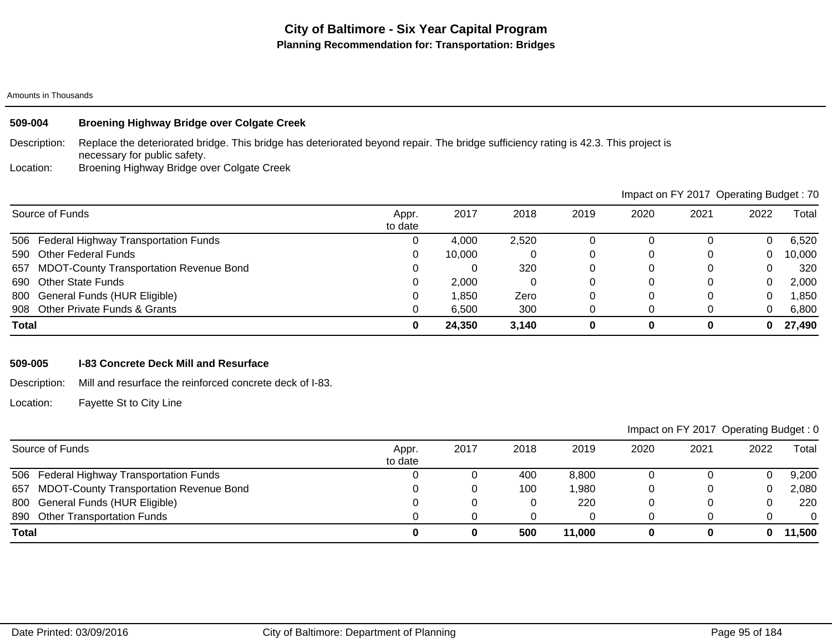## **509-004 Broening Highway Bridge over Colgate Creek**

Description: Replace the deteriorated bridge. This bridge has deteriorated beyond repair. The bridge sufficiency rating is 42.3. This project is necessary for public safety.

Location: Broening Highway Bridge over Colgate Creek

|                                                       |                  |        |       |      | Impact on FY 2017 Operating Budget: 70 |      |      |        |
|-------------------------------------------------------|------------------|--------|-------|------|----------------------------------------|------|------|--------|
| Source of Funds                                       | Appr.<br>to date | 2017   | 2018  | 2019 | 2020                                   | 2021 | 2022 | Total  |
| 506 Federal Highway Transportation Funds              | U                | 4.000  | 2,520 |      |                                        |      | 0    | 6,520  |
| Other Federal Funds<br>590                            | 0                | 10.000 |       |      | O                                      |      | 0    | 10,000 |
| <b>MDOT-County Transportation Revenue Bond</b><br>657 |                  |        | 320   |      | 0                                      |      | 0    | 320    |
| <b>Other State Funds</b><br>690                       | 0                | 2,000  |       |      |                                        |      | 0    | 2,000  |
| 800 General Funds (HUR Eligible)                      | 0                | 1.850  | Zero  |      | 0                                      | 0    | 0    | 850, ا |
| 908 Other Private Funds & Grants                      |                  | 6,500  | 300   |      |                                        |      | 0    | 6,800  |
| <b>Total</b>                                          | 0                | 24,350 | 3,140 |      | 0                                      | 0    | 0    | 27,490 |

### **509-005 I-83 Concrete Deck Mill and Resurface**

Description: Mill and resurface the reinforced concrete deck of I-83.

Location: Fayette St to City Line

| Source of Funds                             | Appr.<br>to date | 2017 | 2018 | 2019   | 2020 | 2021 | 2022 | Total  |
|---------------------------------------------|------------------|------|------|--------|------|------|------|--------|
| 506 Federal Highway Transportation Funds    |                  |      | 400  | 8,800  |      |      |      | 9,200  |
| 657 MDOT-County Transportation Revenue Bond |                  |      | 100  | ,980   |      |      | 0    | 2,080  |
| 800 General Funds (HUR Eligible)            |                  |      |      | 220    |      |      |      | 220    |
| <b>Other Transportation Funds</b><br>890    |                  |      |      |        |      |      |      |        |
| <b>Total</b>                                |                  |      | 500  | 11,000 |      |      | 0    | 11,500 |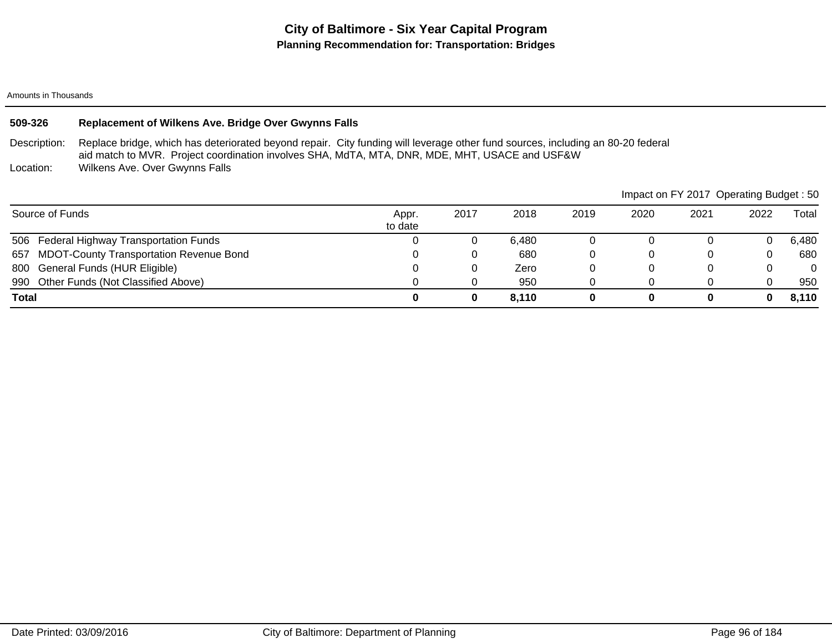## **509-326 Replacement of Wilkens Ave. Bridge Over Gwynns Falls**

Description: Replace bridge, which has deteriorated beyond repair. City funding will leverage other fund sources, including an 80-20 federal aid match to MVR. Project coordination involves SHA, MdTA, MTA, DNR, MDE, MHT, USACE and USF&W

Location: Wilkens Ave. Over Gwynns Falls

|                                                       |                  |      |       |      |      | Impact on FY 2017 Operating Budget : 50 |      |          |
|-------------------------------------------------------|------------------|------|-------|------|------|-----------------------------------------|------|----------|
| Source of Funds                                       | Appr.<br>to date | 2017 | 2018  | 2019 | 2020 | 2021                                    | 2022 | Total    |
| 506 Federal Highway Transportation Funds              |                  |      | 6.480 |      |      |                                         |      | 6,480    |
| <b>MDOT-County Transportation Revenue Bond</b><br>657 |                  |      | 680   |      |      |                                         | 0    | 680      |
| 800 General Funds (HUR Eligible)                      |                  |      | Zero  |      |      |                                         | 0    | $\Omega$ |
| 990 Other Funds (Not Classified Above)                |                  |      | 950   |      |      |                                         |      | 950      |
| <b>Total</b>                                          |                  |      | 8.110 |      |      |                                         | 0    | 8,110    |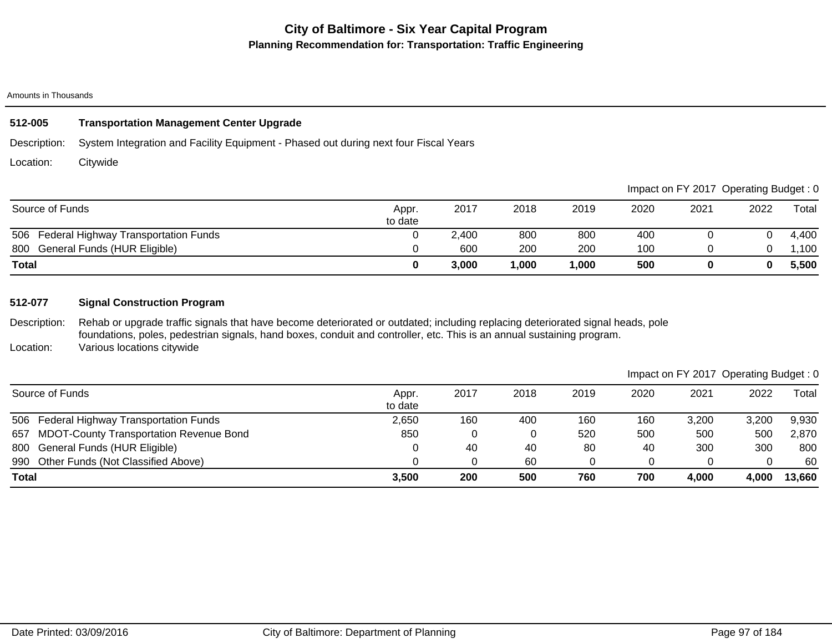# **512-005 Transportation Management Center Upgrade**

Description: System Integration and Facility Equipment - Phased out during next four Fiscal Years

Location: **Citywide** 

|                                          |                  |       |        |       |      |      | Impact on FY 2017 Operating Budget: 0 |        |
|------------------------------------------|------------------|-------|--------|-------|------|------|---------------------------------------|--------|
| Source of Funds                          | Appr.<br>to date | 2017  | 2018   | 2019  | 2020 | 2021 | 2022                                  | Total  |
| 506 Federal Highway Transportation Funds |                  | 2,400 | 800    | 800   | 400  |      |                                       | 4,400  |
| 800 General Funds (HUR Eligible)         |                  | 600   | 200    | 200   | 100  |      |                                       | .100 ا |
| <b>Total</b>                             |                  | 3,000 | 000, ا | 1,000 | 500  |      |                                       | 5,500  |

### **512-077 Signal Construction Program**

Description: Location: Rehab or upgrade traffic signals that have become deteriorated or outdated; including replacing deteriorated signal heads, pole foundations, poles, pedestrian signals, hand boxes, conduit and controller, etc. This is an annual sustaining program. Various locations citywide

|              |                                             |                  |      |      |      |      |       | Impact on FY 2017 Operating Budget: 0 |        |
|--------------|---------------------------------------------|------------------|------|------|------|------|-------|---------------------------------------|--------|
|              | Source of Funds                             | Appr.<br>to date | 2017 | 2018 | 2019 | 2020 | 2021  | 2022                                  | Total  |
|              | 506 Federal Highway Transportation Funds    | 2,650            | 160  | 400  | 160  | 160  | 3,200 | 3.200                                 | 9,930  |
|              | 657 MDOT-County Transportation Revenue Bond | 850              |      | 0    | 520  | 500  | 500   | 500                                   | 2,870  |
|              | 800 General Funds (HUR Eligible)            |                  | 40   | 40   | 80   | 40   | 300   | 300                                   | 800    |
|              | 990 Other Funds (Not Classified Above)      |                  |      | 60   |      |      |       | 0                                     | 60     |
| <b>Total</b> |                                             | 3,500            | 200  | 500  | 760  | 700  | 4,000 | 4.000                                 | 13,660 |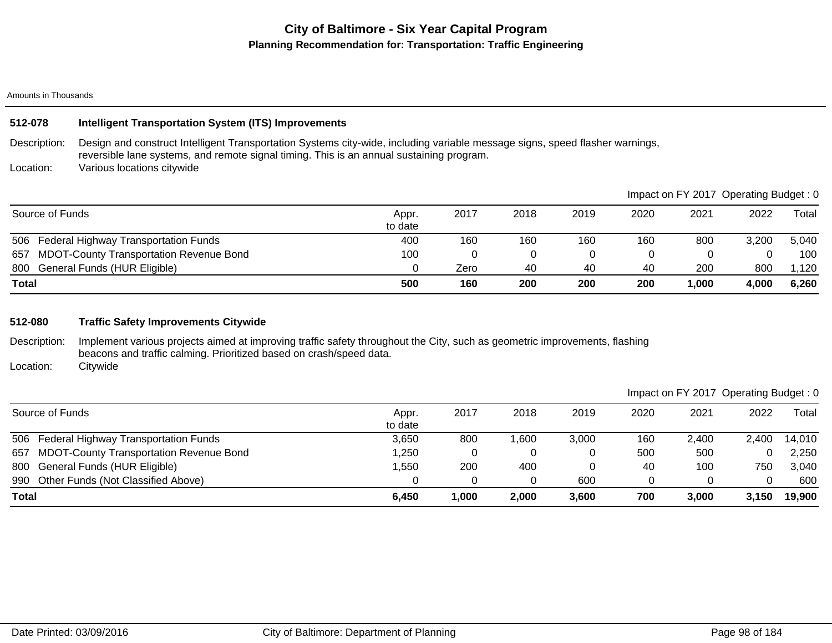# **City of Baltimore - Six Year Capital Program Planning Recommendation for: Transportation: Traffic Engineering**

### Amounts in Thousands

## **512-078 Intelligent Transportation System (ITS) Improvements**

Description: Design and construct Intelligent Transportation Systems city-wide, including variable message signs, speed flasher warnings, reversible lane systems, and remote signal timing. This is an annual sustaining program.

Location: Various locations citywide

|                                                       |                  |      |      |      |      | Impact on FY 2017 Operating Budget: 0 |       |       |
|-------------------------------------------------------|------------------|------|------|------|------|---------------------------------------|-------|-------|
| Source of Funds                                       | Appr.<br>to date | 2017 | 2018 | 2019 | 2020 | 2021                                  | 2022  | Total |
| 506 Federal Highway Transportation Funds              | 400              | 160  | 160  | 160  | 160  | 800                                   | 3,200 | 5,040 |
| <b>MDOT-County Transportation Revenue Bond</b><br>657 | 100              |      | 0    |      |      |                                       |       | 100   |
| 800 General Funds (HUR Eligible)                      |                  | Zero | 40   | 40   | 40   | 200                                   | 800   | .120  |
| <b>Total</b>                                          | 500              | 160  | 200  | 200  | 200  | 1,000                                 | 4,000 | 6,260 |

### **512-080 Traffic Safety Improvements Citywide**

Description: Implement various projects aimed at improving traffic safety throughout the City, such as geometric improvements, flashing beacons and traffic calming. Prioritized based on crash/speed data.

Location: **Citywide** 

| 506 Federal Highway Transportation Funds<br>657 MDOT-County Transportation Revenue Bond | 3,650<br>,250 | 800    | 600, ا | 3.000 | 160<br>500 | 2.400<br>500 | 2,400 | 14,010<br>2,250 |
|-----------------------------------------------------------------------------------------|---------------|--------|--------|-------|------------|--------------|-------|-----------------|
| 800 General Funds (HUR Eligible)                                                        | ,550          | 200    | 400    |       | -40        | 100          | 750   | 3,040           |
| 990 Other Funds (Not Classified Above)                                                  |               |        |        | 600   |            |              |       | 600             |
| Total                                                                                   | 6,450         | 000, ا | 2,000  | 3,600 | 700        | 3,000        | 3.150 | 19,900          |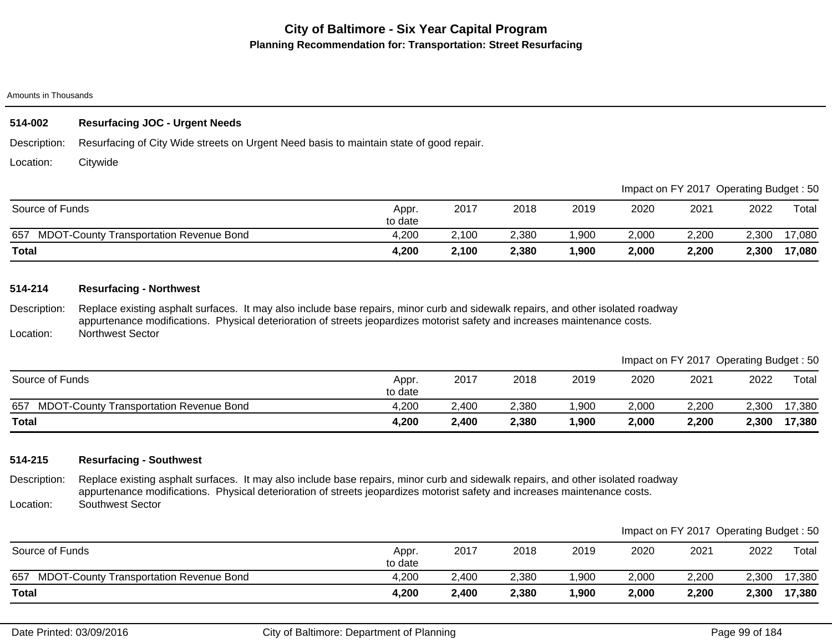### Amounts in Thousands

## **514-002 Resurfacing JOC - Urgent Needs**

Description: Resurfacing of City Wide streets on Urgent Need basis to maintain state of good repair.

Location: **Citywide** 

|                                                       |                  |       |       |       |       | Impact on FY 2017 Operating Budget: 50 |       |        |
|-------------------------------------------------------|------------------|-------|-------|-------|-------|----------------------------------------|-------|--------|
| Source of Funds                                       | Appr.<br>to date | 2017  | 2018  | 2019  | 2020  | 2021                                   | 2022  | Total  |
| <b>MDOT-County Transportation Revenue Bond</b><br>657 | 4,200            | 2,100 | 2,380 | ,900  | 2,000 | 2,200                                  | 2,300 | 17,080 |
| <b>Total</b>                                          | 4,200            | 2,100 | 2,380 | 1,900 | 2,000 | 2,200                                  | 2,300 | 17,080 |

## **514-214 Resurfacing - Northwest**

Description: Replace existing asphalt surfaces. It may also include base repairs, minor curb and sidewalk repairs, and other isolated roadway appurtenance modifications. Physical deterioration of streets jeopardizes motorist safety and increases maintenance costs.

Location: Northwest Sector

|                                                       |                  |       |       |      |       | Impact on FY 2017 Operating Budget: 50 |       |        |
|-------------------------------------------------------|------------------|-------|-------|------|-------|----------------------------------------|-------|--------|
| Source of Funds                                       | Appr.<br>to date | 2017  | 2018  | 2019 | 2020  | 2021                                   | 2022  | Total  |
| 657<br><b>MDOT-County Transportation Revenue Bond</b> | 4.200            | 2,400 | 2,380 | 900, | 2.000 | 2.200                                  | 2.300 | 17,380 |
| <b>Total</b>                                          | 4,200            | 2,400 | 2,380 | 900, | 2,000 | 2,200                                  | 2,300 | 17,380 |

### **514-215 Resurfacing - Southwest**

Description: Location: Replace existing asphalt surfaces. It may also include base repairs, minor curb and sidewalk repairs, and other isolated roadway appurtenance modifications. Physical deterioration of streets jeopardizes motorist safety and increases maintenance costs. Southwest Sector

|                                             |                  |       |       |       |       | Impact on FY 2017 Operating Budget: 50 |       |             |
|---------------------------------------------|------------------|-------|-------|-------|-------|----------------------------------------|-------|-------------|
| Source of Funds                             | Appr.<br>to date | 2017  | 2018  | 2019  | 2020  | 2021                                   | 2022  | $\tau$ otal |
| 657 MDOT-County Transportation Revenue Bond | 4.200            | 2.400 | 2,380 | .900  | 2,000 | 2,200                                  | 2,300 | 17,380      |
| <b>Total</b>                                | 4,200            | 2,400 | 2,380 | 1,900 | 2,000 | 2,200                                  | 2,300 | 17,380      |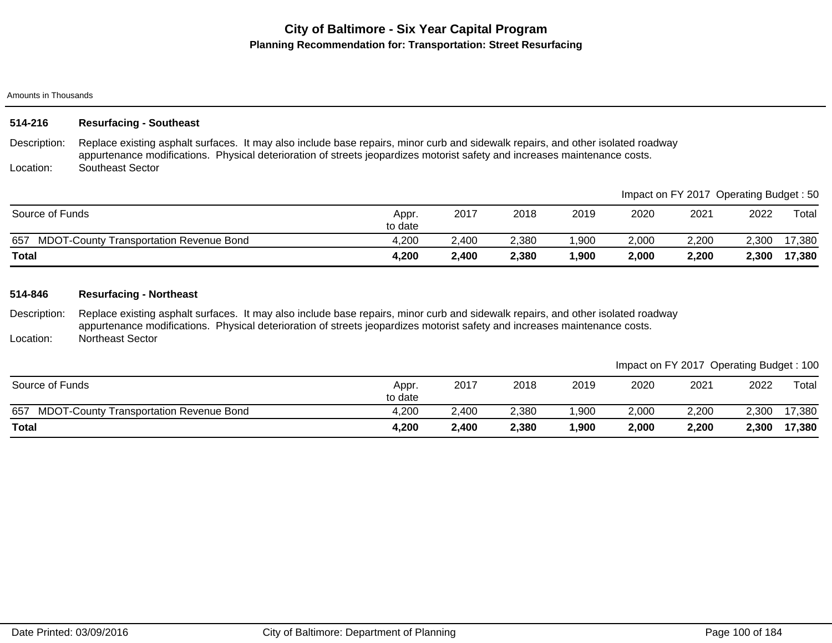### Amounts in Thousands

| 514-216      | <b>Resurfacing - Southeast</b>                                                                                                                                                                                                                                 |
|--------------|----------------------------------------------------------------------------------------------------------------------------------------------------------------------------------------------------------------------------------------------------------------|
| Description: | Replace existing asphalt surfaces. It may also include base repairs, minor curb and sidewalk repairs, and other isolated roadway<br>appurtenance modifications. Physical deterioration of streets jeopardizes motorist safety and increases maintenance costs. |
| Location:    | Southeast Sector                                                                                                                                                                                                                                               |

|                                                       |                  |       |       |      |       | Impact on FY 2017 Operating Budget : 50 |       |                  |
|-------------------------------------------------------|------------------|-------|-------|------|-------|-----------------------------------------|-------|------------------|
| Source of Funds                                       | Appr.<br>to date | 2017  | 2018  | 2019 | 2020  | 2021                                    | 2022  | $\mathsf{Total}$ |
| 657<br><b>MDOT-County Transportation Revenue Bond</b> | 4,200            | 2.400 | 2,380 | ,900 | 2,000 | 2,200                                   | 2,300 | 17,380           |
| <b>Total</b>                                          | 4,200            | 2,400 | 2,380 | ,900 | 2,000 | 2,200                                   | 2,300 | 17,380           |

## **514-846 Resurfacing - Northeast**

Description: Location: Replace existing asphalt surfaces. It may also include base repairs, minor curb and sidewalk repairs, and other isolated roadway appurtenance modifications. Physical deterioration of streets jeopardizes motorist safety and increases maintenance costs. Northeast Sector

|                                                       |                  |       |       |      |       | Impact on FY 2017 Operating Budget: 100 |       |        |
|-------------------------------------------------------|------------------|-------|-------|------|-------|-----------------------------------------|-------|--------|
| Source of Funds                                       | Appr.<br>to date | 2017  | 2018  | 2019 | 2020  | 2021                                    | 2022  | Total  |
| <b>MDOT-County Transportation Revenue Bond</b><br>657 | 4,200            | 2.400 | 2,380 | ,900 | 2.000 | 2.200                                   | 2.300 | 17,380 |
| <b>Total</b>                                          | 4,200            | 2,400 | 2,380 | ,900 | 2,000 | 2,200                                   | 2,300 | 17,380 |

 $\blacksquare$ Impact on Figure : 500  $\blacksquare$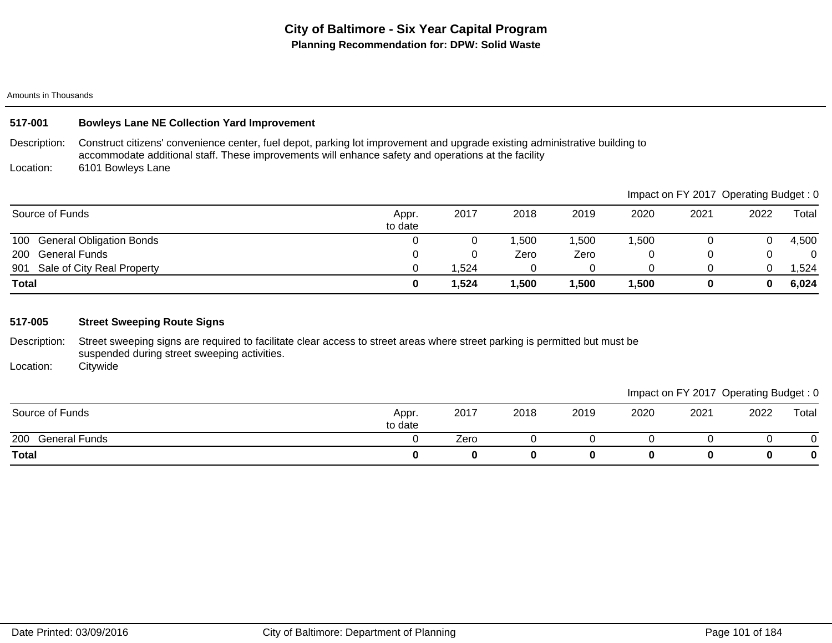| <b>Total</b>    |                                                                                                                                                                                                                                    | 0                | 1,524 | 1,500 | 1,500 | 1,500 | 0                                     | 0    | 6,024 |
|-----------------|------------------------------------------------------------------------------------------------------------------------------------------------------------------------------------------------------------------------------------|------------------|-------|-------|-------|-------|---------------------------------------|------|-------|
| 901             | Sale of City Real Property                                                                                                                                                                                                         | $\Omega$         | ,524  | 0     | 0     | 0     | 0                                     | 0    | 1,524 |
| 200             | <b>General Funds</b>                                                                                                                                                                                                               | 0                |       | Zero  | Zero  | 0     | 0                                     | 0    | 0     |
| 100             | <b>General Obligation Bonds</b>                                                                                                                                                                                                    | $\Omega$         | 0     | 1,500 | 1,500 | 1,500 | 0                                     | 0    | 4,500 |
| Source of Funds |                                                                                                                                                                                                                                    | Appr.<br>to date | 2017  | 2018  | 2019  | 2020  | 2021                                  | 2022 | Total |
|                 |                                                                                                                                                                                                                                    |                  |       |       |       |       | Impact on FY 2017 Operating Budget: 0 |      |       |
| Location:       | 6101 Bowleys Lane                                                                                                                                                                                                                  |                  |       |       |       |       |                                       |      |       |
| Description:    | Construct citizens' convenience center, fuel depot, parking lot improvement and upgrade existing administrative building to<br>accommodate additional staff. These improvements will enhance safety and operations at the facility |                  |       |       |       |       |                                       |      |       |
| 517-001         | <b>Bowleys Lane NE Collection Yard Improvement</b>                                                                                                                                                                                 |                  |       |       |       |       |                                       |      |       |
|                 |                                                                                                                                                                                                                                    |                  |       |       |       |       |                                       |      |       |

Description: Street sweeping signs are required to facilitate clear access to street areas where street parking is permitted but must be suspended during street sweeping activities.

Location: **Citywide** 

|                      |                  |      |      |      |      |      | ັ    | ັ           |
|----------------------|------------------|------|------|------|------|------|------|-------------|
| Source of Funds      | Appr.<br>to date | 2017 | 2018 | 2019 | 2020 | 2021 | 2022 | Total       |
| 200<br>General Funds |                  | Zero |      |      |      |      |      | ъ.          |
| <b>Total</b>         |                  |      |      |      |      | 0    |      | $\mathbf 0$ |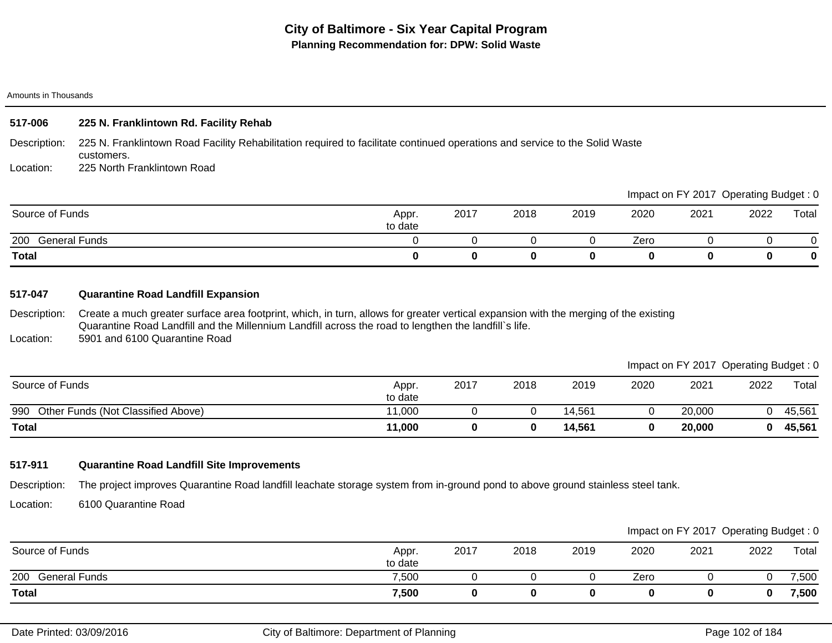| 517-006      | 225 N. Franklintown Rd. Facility Rehab                                                                                                    |
|--------------|-------------------------------------------------------------------------------------------------------------------------------------------|
| Description: | 225 N. Franklintown Road Facility Rehabilitation required to facilitate continued operations and service to the Solid Waste<br>customers. |
| Location:    | 225 North Franklintown Road                                                                                                               |
|              | Impact on FY 2017 Operating Budget: 0                                                                                                     |
|              |                                                                                                                                           |

| <b>Total</b>                |                  |      |      |      |      |      |      | 0     |
|-----------------------------|------------------|------|------|------|------|------|------|-------|
| 200<br>General Funds        |                  |      |      |      | Zero |      |      | ັ     |
| . .<br>Source of I<br>Funds | Appr.<br>to date | 2017 | 2018 | 2019 | 2020 | 2021 | 2022 | Total |

## **517-047 Quarantine Road Landfill Expansion**

Description: Location: Create a much greater surface area footprint, which, in turn, allows for greater vertical expansion with the merging of the existing Quarantine Road Landfill and the Millennium Landfill across the road to lengthen the landfill`s life. 5901 and 6100 Quarantine Road

|                                        |                  |      |      |        |      | Impact on FY 2017 Operating Budget: 0 |      |        |
|----------------------------------------|------------------|------|------|--------|------|---------------------------------------|------|--------|
| Source of Funds                        | Appr.<br>to date | 2017 | 2018 | 2019   | 2020 | 2021                                  | 2022 | Total  |
| 990 Other Funds (Not Classified Above) | 11.000           |      |      | 14.561 |      | 20,000                                |      | 45.561 |
| <b>Total</b>                           | 11,000           |      | 0    | 14,561 |      | 20,000                                |      | 45,561 |

# **517-911 Quarantine Road Landfill Site Improvements**

Description: The project improves Quarantine Road landfill leachate storage system from in-ground pond to above ground stainless steel tank.

Location: 6100 Quarantine Road

|                             |                  |      |      |      |      |      | Impact on FY 2017 Operating Budget: 0 |       |
|-----------------------------|------------------|------|------|------|------|------|---------------------------------------|-------|
| Source of Funds             | Appr.<br>to date | 2017 | 2018 | 2019 | 2020 | 2021 | 2022                                  | Total |
| 200<br><b>General Funds</b> | 7,500            |      |      |      | Zero |      |                                       | ,500  |
| <b>Total</b>                | 7,500            |      |      |      |      |      | 0                                     | 7,500 |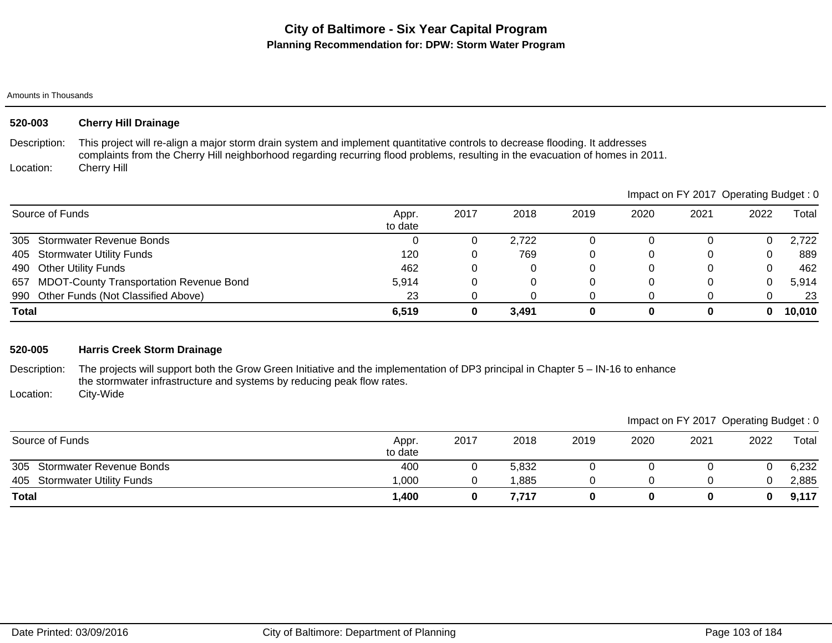| 520-003                   | <b>Cherry Hill Drainage</b>                                                                                                                                                                                                                                                   |                  |      |       |          |      |                                       |      |        |
|---------------------------|-------------------------------------------------------------------------------------------------------------------------------------------------------------------------------------------------------------------------------------------------------------------------------|------------------|------|-------|----------|------|---------------------------------------|------|--------|
| Description:<br>Location: | This project will re-align a major storm drain system and implement quantitative controls to decrease flooding. It addresses<br>complaints from the Cherry Hill neighborhood regarding recurring flood problems, resulting in the evacuation of homes in 2011.<br>Cherry Hill |                  |      |       |          |      |                                       |      |        |
|                           |                                                                                                                                                                                                                                                                               |                  |      |       |          |      | Impact on FY 2017 Operating Budget: 0 |      |        |
| Source of Funds           |                                                                                                                                                                                                                                                                               | Appr.<br>to date | 2017 | 2018  | 2019     | 2020 | 2021                                  | 2022 | Total  |
| 305                       | <b>Stormwater Revenue Bonds</b>                                                                                                                                                                                                                                               | 0                |      | 2,722 | 0        | 0    | $\Omega$                              | 0    | 2,722  |
| 405                       | <b>Stormwater Utility Funds</b>                                                                                                                                                                                                                                               | 120              |      | 769   | 0        | 0    | $\Omega$                              | 0    | 889    |
| 490                       | <b>Other Utility Funds</b>                                                                                                                                                                                                                                                    | 462              |      | 0     | 0        | 0    | 0                                     | 0    | 462    |
| 657                       | <b>MDOT-County Transportation Revenue Bond</b>                                                                                                                                                                                                                                | 5,914            |      | 0     | 0        | 0    | 0                                     | 0    | 5,914  |
| 990                       | Other Funds (Not Classified Above)                                                                                                                                                                                                                                            | 23               |      | 0     | 0        | 0    | 0                                     | 0    | 23     |
| <b>Total</b>              |                                                                                                                                                                                                                                                                               | 6,519            | 0    | 3,491 | $\bf{0}$ | 0    | 0                                     | 0    | 10,010 |

# **520-005 Harris Creek Storm Drainage**

Description: The projects will support both the Grow Green Initiative and the implementation of DP3 principal in Chapter 5 – IN-16 to enhance the stormwater infrastructure and systems by reducing peak flow rates. City-Wide

Location:

|                              |                  |      |       |      |      | Impact on FY 2017 Operating Budget: 0 |      |       |
|------------------------------|------------------|------|-------|------|------|---------------------------------------|------|-------|
| Source of Funds              | Appr.<br>to date | 2017 | 2018  | 2019 | 2020 | 2021                                  | 2022 | Total |
| 305 Stormwater Revenue Bonds | 400              |      | 5,832 |      |      |                                       |      | 6,232 |
| 405 Stormwater Utility Funds | 1.000            |      | ,885  |      |      |                                       |      | 2,885 |
| <b>Total</b>                 | 1,400            |      | 7.717 |      |      |                                       |      | 9,117 |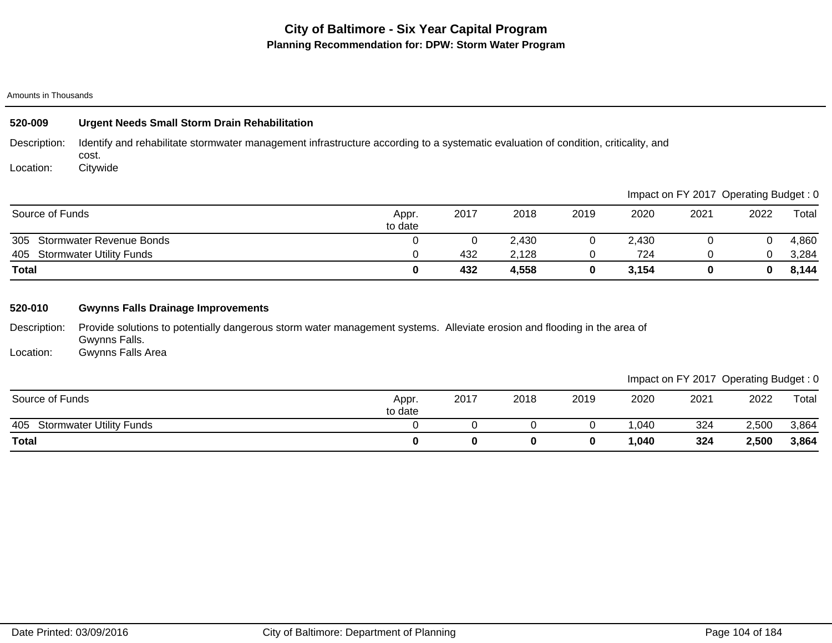# **City of Baltimore - Six Year Capital Program Planning Recommendation for: DPW: Storm Water Program**

### Amounts in Thousands

| 520-009      | <b>Urgent Needs Small Storm Drain Rehabilitation</b>                                                                                        |
|--------------|---------------------------------------------------------------------------------------------------------------------------------------------|
| Description: | Identify and rehabilitate stormwater management infrastructure according to a systematic evaluation of condition, criticality, and<br>cost. |
| Location:    | Citvwide                                                                                                                                    |

|                                 |                  |      |       |      |       |      | Impact on FY 2017 Operating Budget: 0 |       |
|---------------------------------|------------------|------|-------|------|-------|------|---------------------------------------|-------|
| Source of Funds                 | Appr.<br>to date | 2017 | 2018  | 2019 | 2020  | 2021 | 2022                                  | Total |
| 305<br>Stormwater Revenue Bonds |                  |      | 2,430 |      | 2.430 |      |                                       | 4,860 |
| 405 Stormwater Utility Funds    |                  | 432  | 2,128 |      | 724   |      |                                       | 3,284 |
| <b>Total</b>                    |                  | 432  | 4,558 |      | 3,154 |      |                                       | 8,144 |

# **520-010 Gwynns Falls Drainage Improvements**

Description: Provide solutions to potentially dangerous storm water management systems. Alleviate erosion and flooding in the area of Gwynns Falls.

Location: Gwynns Falls Area

|                          |      |      |      |      | Impact on FY 2017 Operating Budget: 0 |       |
|--------------------------|------|------|------|------|---------------------------------------|-------|
| 2017<br>Appr.<br>to date | 2018 | 2019 | 2020 | 2021 | 2022                                  | Total |

| Source of Funds                        | Appr.<br>to date | 2017 | 2018 | 2019 | 2020   | 2021 | 2022  | Total |
|----------------------------------------|------------------|------|------|------|--------|------|-------|-------|
| 405<br><b>Stormwater Utility Funds</b> |                  |      |      |      | .040   | 324  | 2,500 | 3,864 |
| <b>Total</b>                           |                  |      |      |      | 040, ا | 324  | 2,500 | 3,864 |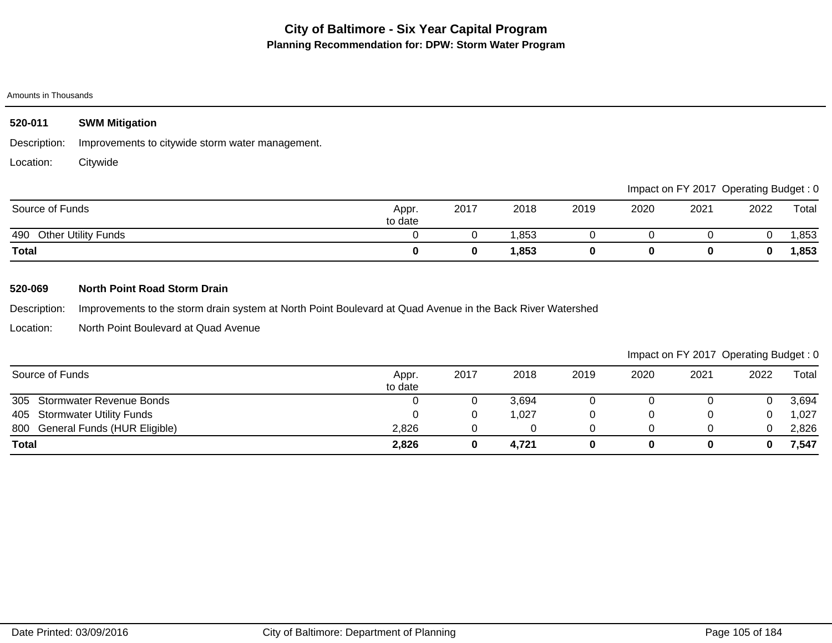| 520-011         | <b>SWM Mitigation</b>                            |                  |      |       |      |      |                                       |      |       |
|-----------------|--------------------------------------------------|------------------|------|-------|------|------|---------------------------------------|------|-------|
| Description:    | Improvements to citywide storm water management. |                  |      |       |      |      |                                       |      |       |
| Location:       | Citywide                                         |                  |      |       |      |      |                                       |      |       |
|                 |                                                  |                  |      |       |      |      | Impact on FY 2017 Operating Budget: 0 |      |       |
| Source of Funds |                                                  | Appr.<br>to date | 2017 | 2018  | 2019 | 2020 | 2021                                  | 2022 | Total |
| 490             | <b>Other Utility Funds</b>                       |                  |      | 1,853 |      | υ    |                                       | 0    | 1,853 |

**Total 0 0 1,853 0 0 0 0 1,853**

## **520-069 North Point Road Storm Drain**

Description: Improvements to the storm drain system at North Point Boulevard at Quad Avenue in the Back River Watershed

Location: North Point Boulevard at Quad Avenue

| Source of Funds                  | Appr.<br>to date | 2017 | 2018  | 2019 | 2020 | 2021 | 2022     | Total |
|----------------------------------|------------------|------|-------|------|------|------|----------|-------|
| 305 Stormwater Revenue Bonds     |                  |      | 3,694 |      |      |      |          | 3,694 |
| 405 Stormwater Utility Funds     |                  |      | ,027  |      |      |      | $\Omega$ | 1,027 |
| 800 General Funds (HUR Eligible) | 2,826            |      |       |      |      |      | 0        | 2,826 |
| <b>Total</b>                     | 2,826            |      | 4,721 |      |      |      | 0        | 7,547 |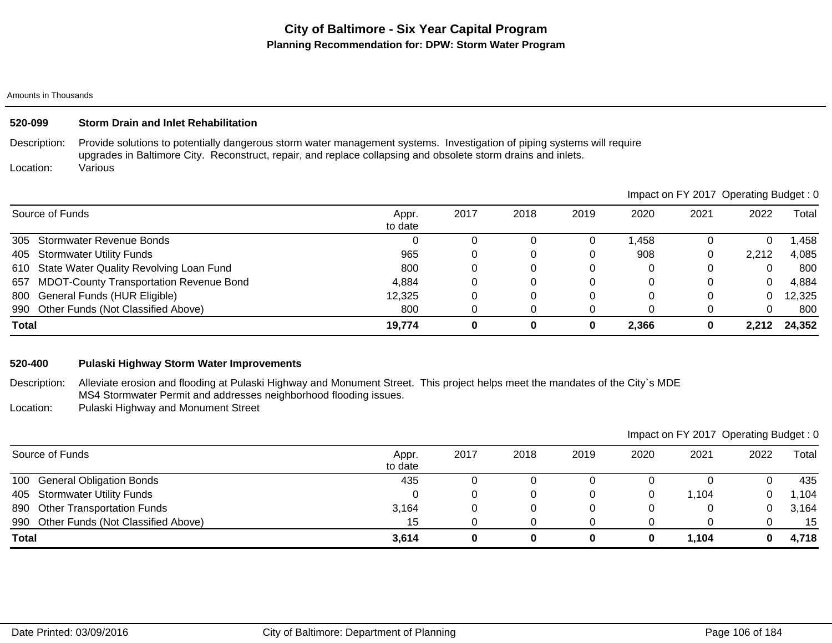## **520-099 Storm Drain and Inlet Rehabilitation**

Description: Provide solutions to potentially dangerous storm water management systems. Investigation of piping systems will require upgrades in Baltimore City. Reconstruct, repair, and replace collapsing and obsolete storm drains and inlets. Various

Location:

|                                             |                  |      |      |      |       | impact on F t 2017 Operating Budget. U |       |        |
|---------------------------------------------|------------------|------|------|------|-------|----------------------------------------|-------|--------|
| Source of Funds                             | Appr.<br>to date | 2017 | 2018 | 2019 | 2020  | 2021                                   | 2022  | Total  |
| 305 Stormwater Revenue Bonds                |                  |      |      |      | ,458  |                                        |       | ,458   |
| 405 Stormwater Utility Funds                | 965              |      |      |      | 908   |                                        | 2.212 | 4,085  |
| 610 State Water Quality Revolving Loan Fund | 800              |      | 0    |      |       |                                        |       | 800    |
| 657 MDOT-County Transportation Revenue Bond | 4.884            |      |      |      |       |                                        | 0     | 4,884  |
| 800 General Funds (HUR Eligible)            | 12,325           |      |      |      |       |                                        |       | 12,325 |
| 990 Other Funds (Not Classified Above)      | 800              |      |      |      |       |                                        | 0     | 800    |
| <b>Total</b>                                | 19,774           | 0    | 0    | 0    | 2,366 |                                        | 2.212 | 24,352 |

### **520-400 Pulaski Highway Storm Water Improvements**

- Description: Alleviate erosion and flooding at Pulaski Highway and Monument Street. This project helps meet the mandates of the City`s MDE MS4 Stormwater Permit and addresses neighborhood flooding issues.
- Location: Pulaski Highway and Monument Street

|                                          |                  |      |      |      | Impact on FY 2017 Operating Budget: 0 |       |      |       |
|------------------------------------------|------------------|------|------|------|---------------------------------------|-------|------|-------|
| Source of Funds                          | Appr.<br>to date | 2017 | 2018 | 2019 | 2020                                  | 2021  | 2022 | Total |
| 100 General Obligation Bonds             | 435              |      |      |      |                                       |       |      | 435   |
| 405 Stormwater Utility Funds             |                  |      |      |      | 0                                     | 1.104 | 0    | 1,104 |
| <b>Other Transportation Funds</b><br>890 | 3,164            |      | U    |      | 0                                     |       | 0    | 3,164 |
| 990 Other Funds (Not Classified Above)   | 15               |      |      |      |                                       |       |      | 15    |
| <b>Total</b>                             | 3,614            |      | 0    |      | 0                                     | 1,104 | 0    | 4,718 |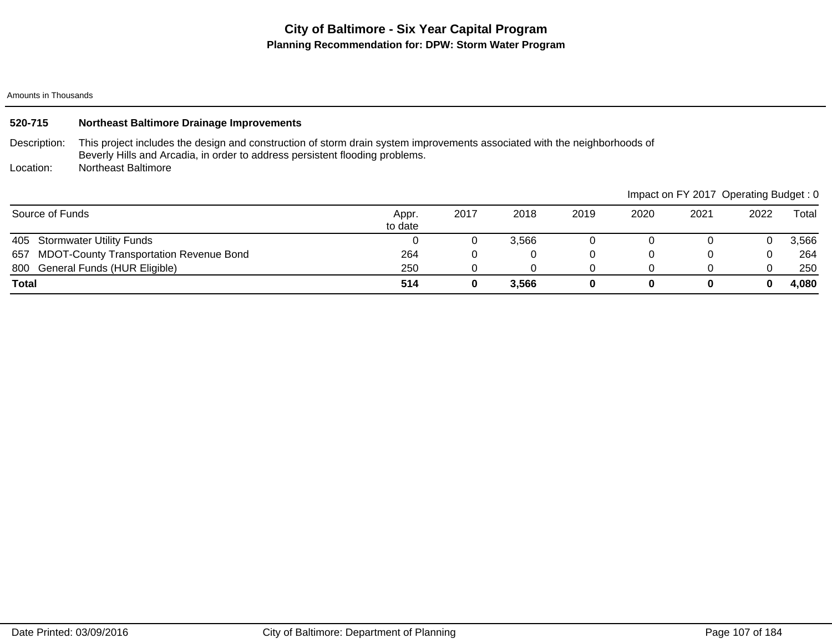# **City of Baltimore - Six Year Capital Program Planning Recommendation for: DPW: Storm Water Program**

Amounts in Thousands

| 520-715         | <b>Northeast Baltimore Drainage Improvements</b>                                                                                                                                                          |                  |      |       |      |      |      |                                       |       |  |  |
|-----------------|-----------------------------------------------------------------------------------------------------------------------------------------------------------------------------------------------------------|------------------|------|-------|------|------|------|---------------------------------------|-------|--|--|
| Description:    | This project includes the design and construction of storm drain system improvements associated with the neighborhoods of<br>Beverly Hills and Arcadia, in order to address persistent flooding problems. |                  |      |       |      |      |      |                                       |       |  |  |
| Location:       | <b>Northeast Baltimore</b>                                                                                                                                                                                |                  |      |       |      |      |      |                                       |       |  |  |
|                 |                                                                                                                                                                                                           |                  |      |       |      |      |      | Impact on FY 2017 Operating Budget: 0 |       |  |  |
| Source of Funds |                                                                                                                                                                                                           | Appr.<br>to date | 2017 | 2018  | 2019 | 2020 | 2021 | 2022                                  | Total |  |  |
| 405             | <b>Stormwater Utility Funds</b>                                                                                                                                                                           |                  |      | 3,566 | 0    | 0    |      | 0                                     | 3,566 |  |  |
| 657             | <b>MDOT-County Transportation Revenue Bond</b>                                                                                                                                                            | 264              |      | 0     | 0    | 0    | 0    | 0                                     | 264   |  |  |
|                 | 800 General Funds (HUR Eligible)                                                                                                                                                                          | 250              |      | 0     | 0    |      | 0    | 0                                     | 250   |  |  |
| Total           |                                                                                                                                                                                                           | 514              |      | 3,566 | 0    | 0    | 0    |                                       | 4,080 |  |  |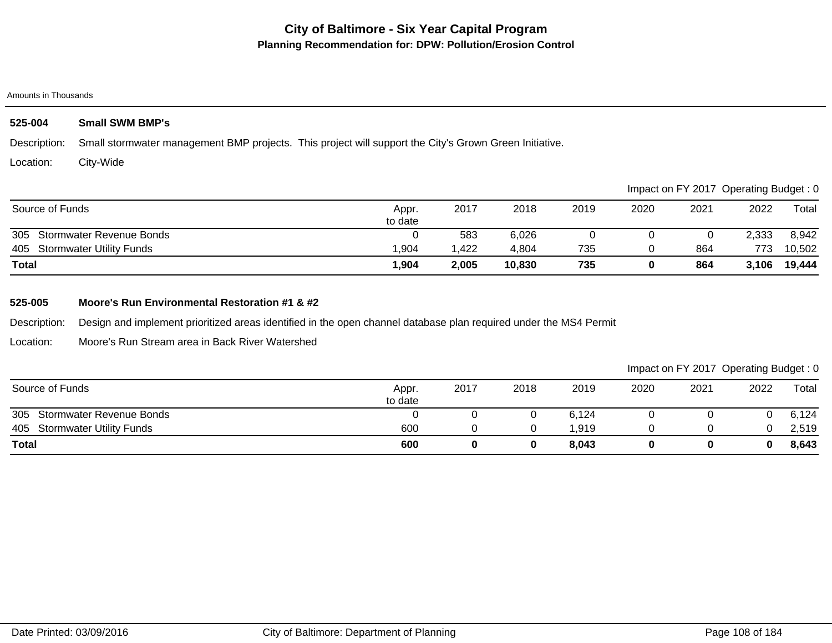## **525-004 Small SWM BMP's**

Description: Small stormwater management BMP projects. This project will support the City's Grown Green Initiative.

Location: City-Wide

|                              |                  |       |        |      |      |      | Impact on FY 2017 Operating Budget: 0 |        |
|------------------------------|------------------|-------|--------|------|------|------|---------------------------------------|--------|
| Source of Funds              | Appr.<br>to date | 2017  | 2018   | 2019 | 2020 | 2021 | 2022                                  | Total  |
| 305 Stormwater Revenue Bonds |                  | 583   | 6,026  |      |      |      | 2,333                                 | 8,942  |
| 405 Stormwater Utility Funds | 1,904            | .422  | 4,804  | 735  |      | 864  | 773                                   | 10,502 |
| <b>Total</b>                 | 1,904            | 2,005 | 10,830 | 735  |      | 864  | 3,106                                 | 19,444 |

## **525-005 Moore's Run Environmental Restoration #1 & #2**

Description: Design and implement prioritized areas identified in the open channel database plan required under the MS4 Permit

Location: Moore's Run Stream area in Back River Watershed

| Source of Funds                        | Appr.<br>to date | 2017 | 2018 | 2019            | 2020 | 2021 | 2022 | Total |
|----------------------------------------|------------------|------|------|-----------------|------|------|------|-------|
| 305<br><b>Stormwater Revenue Bonds</b> |                  |      | υ    | 6,124           |      |      |      | 6,124 |
| <b>Stormwater Utility Funds</b><br>405 | 600              |      |      | $^{\circ}$ ,919 |      |      |      | 2,519 |
| <b>Total</b>                           | 600              |      | 0    | 8,043           |      |      |      | 8,643 |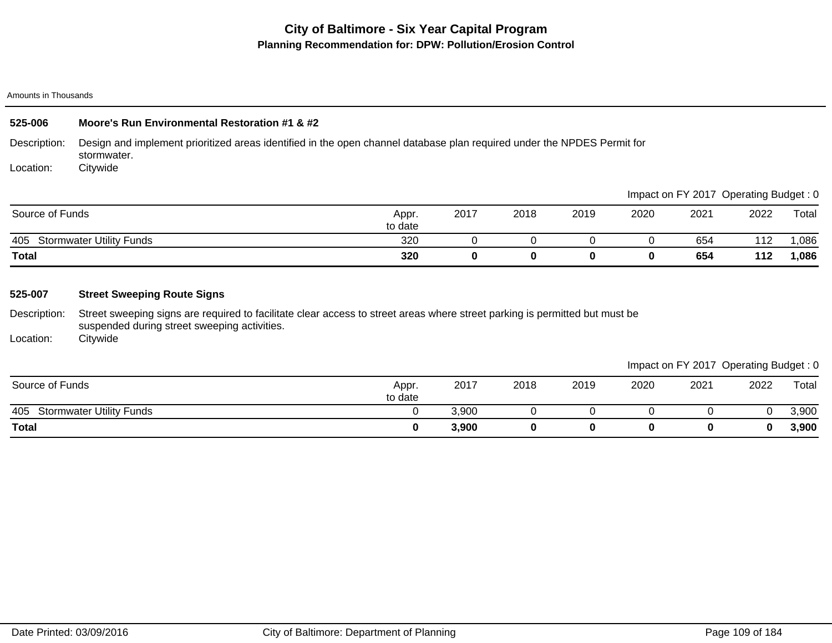Amounts in Thousands

| 525-006         | Moore's Run Environmental Restoration #1 & #2                                                                                          |                  |      |      |      |      |                                       |      |       |
|-----------------|----------------------------------------------------------------------------------------------------------------------------------------|------------------|------|------|------|------|---------------------------------------|------|-------|
| Description:    | Design and implement prioritized areas identified in the open channel database plan required under the NPDES Permit for<br>stormwater. |                  |      |      |      |      |                                       |      |       |
| Location:       | Citywide                                                                                                                               |                  |      |      |      |      |                                       |      |       |
|                 |                                                                                                                                        |                  |      |      |      |      | Impact on FY 2017 Operating Budget: 0 |      |       |
| Source of Funds |                                                                                                                                        | Appr.<br>to date | 2017 | 2018 | 2019 | 2020 | 2021                                  | 2022 | Total |

|                                                                | $A^{\sim}$<br>to uate |  |  |     |                                            |      |
|----------------------------------------------------------------|-----------------------|--|--|-----|--------------------------------------------|------|
| $\overline{\phantom{0}}$<br>405<br>Funds<br>stormwater<br>litv | 320                   |  |  | 654 | $\overline{A}$<br>$\overline{\phantom{a}}$ | ,086 |
| <b>Total</b>                                                   | 320                   |  |  | 654 | .<br>╹╹∠                                   | ,086 |

# **525-007 Street Sweeping Route Signs**

Description: Street sweeping signs are required to facilitate clear access to street areas where street parking is permitted but must be suspended during street sweeping activities.

Location: **Citywide** 

|                                        |                  |       |      |      |      |      | $\tilde{\phantom{a}}$ | $\tilde{\phantom{a}}$ |
|----------------------------------------|------------------|-------|------|------|------|------|-----------------------|-----------------------|
| Source of Funds                        | Appr.<br>to date | 2017  | 2018 | 2019 | 2020 | 2021 | 2022                  | Total                 |
| 405<br><b>Stormwater Utility Funds</b> |                  | 3,900 |      |      |      |      |                       | 3,900                 |
| <b>Total</b>                           |                  | 3,900 |      |      |      |      | $\bf{0}$              | 3,900                 |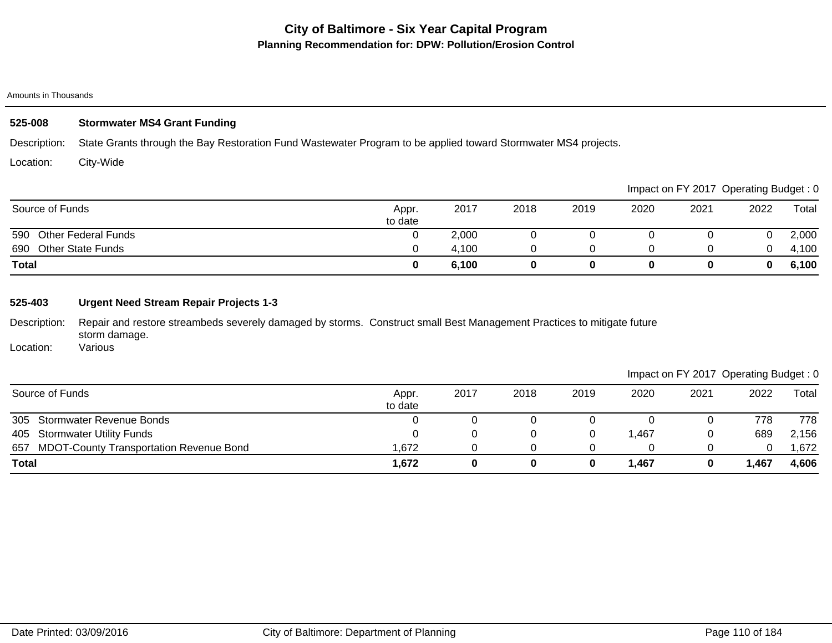## Amounts in Thousands

# **525-008 Stormwater MS4 Grant Funding**

Description: State Grants through the Bay Restoration Fund Wastewater Program to be applied toward Stormwater MS4 projects.

Location: City-Wide

|                                 |                  |       |      |      |      |      | Impact on FY 2017 Operating Budget: 0 |       |
|---------------------------------|------------------|-------|------|------|------|------|---------------------------------------|-------|
| Source of Funds                 | Appr.<br>to date | 2017  | 2018 | 2019 | 2020 | 2021 | 2022                                  | Total |
| 590 Other Federal Funds         |                  | 2,000 |      |      |      |      |                                       | 2,000 |
| <b>Other State Funds</b><br>690 |                  | 4,100 |      |      |      |      | 0                                     | 4,100 |
| <b>Total</b>                    |                  | 6,100 |      |      |      |      | $\mathbf{0}$                          | 6,100 |

# **525-403 Urgent Need Stream Repair Projects 1-3**

Description: Repair and restore streambeds severely damaged by storms. Construct small Best Management Practices to mitigate future storm damage. Various

Location:

| Source of Funds                             | Appr.<br>to date | 2017 | 2018 | 2019 | 2020   | 2021 | 2022 | Total  |
|---------------------------------------------|------------------|------|------|------|--------|------|------|--------|
| 305<br><b>Stormwater Revenue Bonds</b>      |                  |      |      |      |        |      | 778  | 778    |
| 405 Stormwater Utility Funds                |                  |      |      |      | 467, ا |      | 689  | 2,156  |
| 657 MDOT-County Transportation Revenue Bond | .672             |      |      |      |        |      |      | .672 ا |
| <b>Total</b>                                | 1,672            |      |      |      | 1,467  |      | .467 | 4,606  |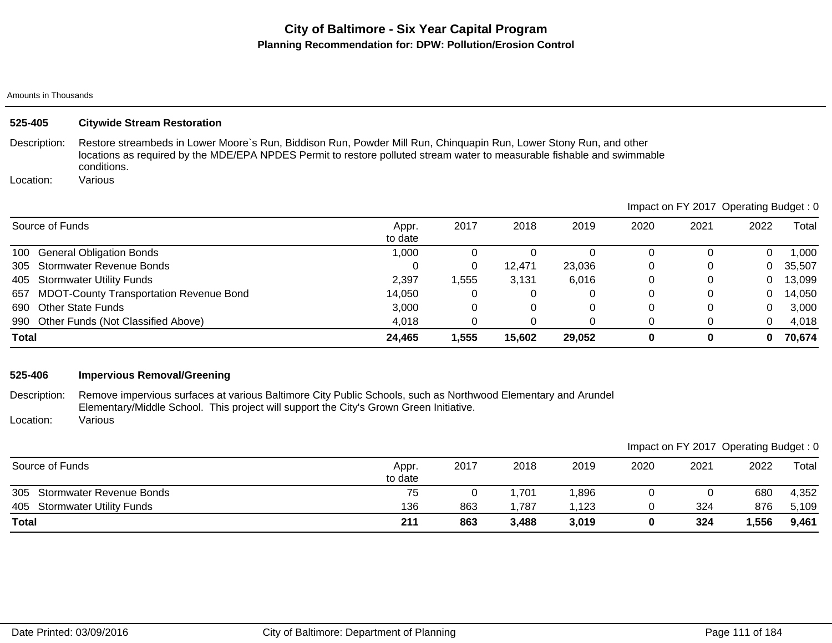## Amounts in Thousands

| 525-405         | <b>Citywide Stream Restoration</b>                                                                                                                                                                                                                           |                  |       |        |        |      |                                       |          |        |
|-----------------|--------------------------------------------------------------------------------------------------------------------------------------------------------------------------------------------------------------------------------------------------------------|------------------|-------|--------|--------|------|---------------------------------------|----------|--------|
| Description:    | Restore streambeds in Lower Moore's Run, Biddison Run, Powder Mill Run, Chinguapin Run, Lower Stony Run, and other<br>locations as required by the MDE/EPA NPDES Permit to restore polluted stream water to measurable fishable and swimmable<br>conditions. |                  |       |        |        |      |                                       |          |        |
| Location:       | Various                                                                                                                                                                                                                                                      |                  |       |        |        |      |                                       |          |        |
|                 |                                                                                                                                                                                                                                                              |                  |       |        |        |      | Impact on FY 2017 Operating Budget: 0 |          |        |
| Source of Funds |                                                                                                                                                                                                                                                              | Appr.<br>to date | 2017  | 2018   | 2019   | 2020 | 2021                                  | 2022     | Total  |
| 100             | <b>General Obligation Bonds</b>                                                                                                                                                                                                                              | 1,000            |       | 0      | 0      | 0    | $\Omega$                              | $\Omega$ | 000, ا |
| 305             | Stormwater Revenue Bonds                                                                                                                                                                                                                                     | 0                | 0     | 12.471 | 23,036 | 0    | 0                                     | 0        | 35,507 |
| 405             | <b>Stormwater Utility Funds</b>                                                                                                                                                                                                                              | 2,397            | 1,555 | 3,131  | 6,016  | 0    | 0                                     | 0        | 13,099 |
| 657             | <b>MDOT-County Transportation Revenue Bond</b>                                                                                                                                                                                                               | 14,050           | 0     | 0      |        | 0    | 0                                     | 0        | 14,050 |
| 690             | <b>Other State Funds</b>                                                                                                                                                                                                                                     | 3,000            | 0     | 0      |        | 0    | 0                                     | 0        | 3,000  |
| 990             | Other Funds (Not Classified Above)                                                                                                                                                                                                                           | 4,018            | 0     | 0      |        | 0    | 0                                     | 0        | 4,018  |
| Total           |                                                                                                                                                                                                                                                              | 24,465           | 1,555 | 15,602 | 29,052 | 0    | $\bf{0}$                              | 0        | 70,674 |

# **525-406 Impervious Removal/Greening**

Description: Location: Remove impervious surfaces at various Baltimore City Public Schools, such as Northwood Elementary and Arundel Elementary/Middle School. This project will support the City's Grown Green Initiative. Various

|                                        |                  |      |       |       |      |      |      | $\tilde{\phantom{a}}$ |
|----------------------------------------|------------------|------|-------|-------|------|------|------|-----------------------|
| Source of Funds                        | Appr.<br>to date | 2017 | 2018  | 2019  | 2020 | 2021 | 2022 | Total                 |
| 305<br><b>Stormwater Revenue Bonds</b> | 75               |      | .701  | 896,  |      |      | 680  | 4,352                 |
| <b>Stormwater Utility Funds</b><br>405 | 136              | 863  | .787  | .123  |      | 324  | 876  | 5,109                 |
| <b>Total</b>                           | 211              | 863  | 3,488 | 3,019 |      | 324  | ,556 | 9,461                 |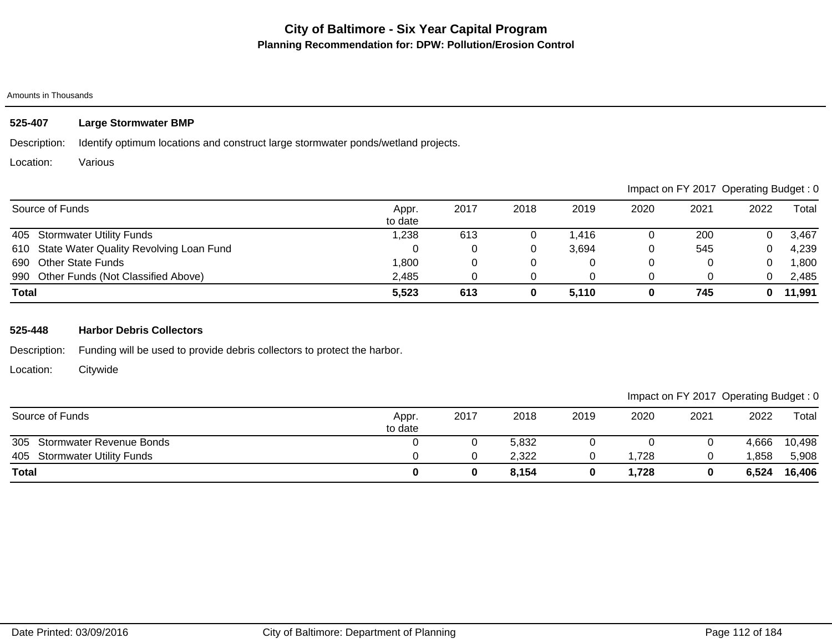# **525-407 Large Stormwater BMP**

Description: Identify optimum locations and construct large stormwater ponds/wetland projects.

Location: Various

|                                             |                  |      |      |       |      | Impact on FY 2017 Operating Budget: 0 |      |        |
|---------------------------------------------|------------------|------|------|-------|------|---------------------------------------|------|--------|
| Source of Funds                             | Appr.<br>to date | 2017 | 2018 | 2019  | 2020 | 2021                                  | 2022 | Total  |
| 405 Stormwater Utility Funds                | 1,238            | 613  | U    | 1.416 |      | 200                                   |      | 3,467  |
| 610 State Water Quality Revolving Loan Fund |                  |      | 0    | 3,694 |      | 545                                   |      | 4,239  |
| 690 Other State Funds                       | 1,800            |      |      |       |      |                                       |      | ,800   |
| 990 Other Funds (Not Classified Above)      | 2,485            |      |      |       |      |                                       |      | 2,485  |
| <b>Total</b>                                | 5,523            | 613  | 0    | 5.110 |      | 745                                   |      | 11,991 |

# **525-448 Harbor Debris Collectors**

Description: Funding will be used to provide debris collectors to protect the harbor.

Location: **Citywide** 

|                              |                  |      |       |      |       |      | Impact on FY 2017 Operating Budget: 0 |        |
|------------------------------|------------------|------|-------|------|-------|------|---------------------------------------|--------|
| Source of Funds              | Appr.<br>to date | 2017 | 2018  | 2019 | 2020  | 2021 | 2022                                  | Total  |
| 305 Stormwater Revenue Bonds |                  |      | 5,832 |      |       |      | 4,666                                 | 10,498 |
| 405 Stormwater Utility Funds |                  |      | 2,322 |      | .728  |      | ,858                                  | 5,908  |
| Total                        |                  |      | 8.154 |      | 1.728 |      | 6.524                                 | 16,406 |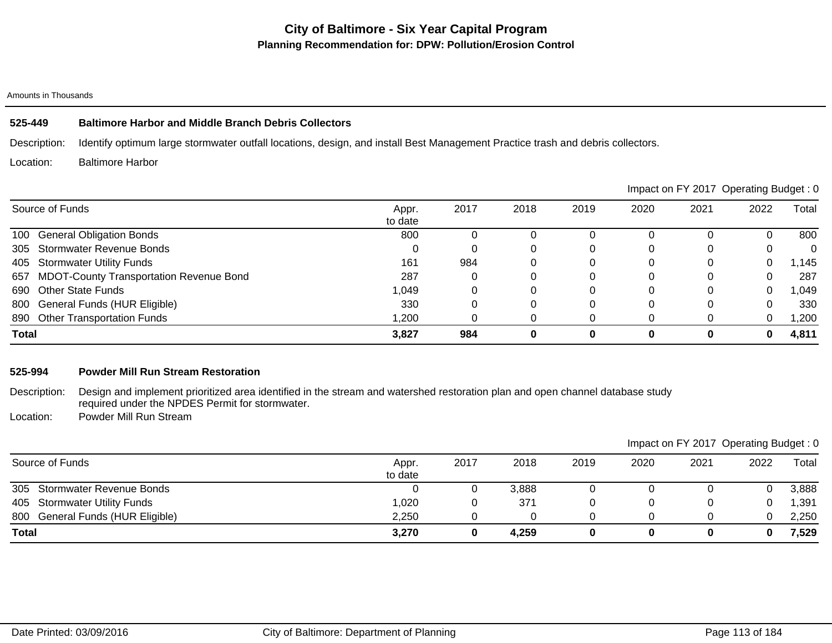## **525-449 Baltimore Harbor and Middle Branch Debris Collectors**

Description: Identify optimum large stormwater outfall locations, design, and install Best Management Practice trash and debris collectors.

Location: Baltimore Harbor

|                                                       |                  |      |      |      |      | Impact on FY 2017 Operating Budget: 0 |          |              |
|-------------------------------------------------------|------------------|------|------|------|------|---------------------------------------|----------|--------------|
| Source of Funds                                       | Appr.<br>to date | 2017 | 2018 | 2019 | 2020 | 2021                                  | 2022     | Total        |
| 100 General Obligation Bonds                          | 800              |      |      |      |      |                                       |          | 800          |
| 305 Stormwater Revenue Bonds                          |                  |      |      |      |      |                                       |          | $\mathbf{0}$ |
| 405 Stormwater Utility Funds                          | 161              | 984  |      |      | 0    |                                       | 0        | 1,145        |
| <b>MDOT-County Transportation Revenue Bond</b><br>657 | 287              |      |      |      |      |                                       |          | 287          |
| 690 Other State Funds                                 | 1,049            |      |      |      |      |                                       | 0        | 1,049        |
| 800 General Funds (HUR Eligible)                      | 330              |      |      |      |      |                                       |          | 330          |
| 890 Other Transportation Funds                        | 1,200            |      |      |      |      |                                       | $\Omega$ | 1,200        |
| <b>Total</b>                                          | 3,827            | 984  |      | 0    |      | 0                                     | 0        | 4,811        |

**Total 3,270 0 4,259 0 0 0 0 7,529**

## **525-994 Powder Mill Run Stream Restoration**

Description: Design and implement prioritized area identified in the stream and watershed restoration plan and open channel database study required under the NPDES Permit for stormwater.

Location: Powder Mill Run Stream

|                                  |                  |      |       |      |      | Impact on FY 2017 Operating Budget: 0 |      |       |
|----------------------------------|------------------|------|-------|------|------|---------------------------------------|------|-------|
| Source of Funds                  | Appr.<br>to date | 2017 | 2018  | 2019 | 2020 | 2021                                  | 2022 | Total |
| 305 Stormwater Revenue Bonds     |                  |      | 3.888 |      |      |                                       |      | 3,888 |
| 405 Stormwater Utility Funds     | 1,020            |      | 371   |      |      |                                       |      | 1,391 |
| 800 General Funds (HUR Eligible) | 2,250            |      |       |      |      |                                       |      | 2,250 |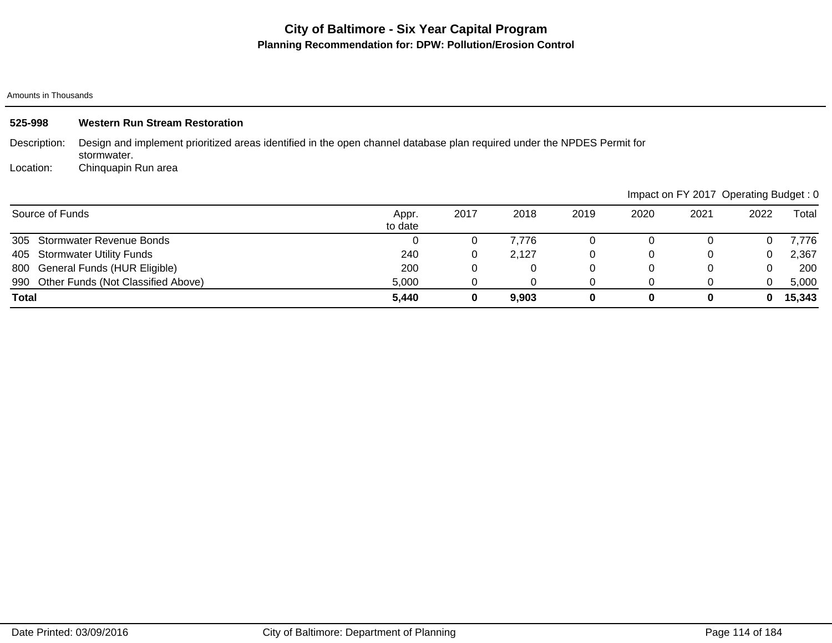Amounts in Thousands

| 525-998         | <b>Western Run Stream Restoration</b>                                                                                                  |                  |      |       |      |          |      |                                       |        |
|-----------------|----------------------------------------------------------------------------------------------------------------------------------------|------------------|------|-------|------|----------|------|---------------------------------------|--------|
| Description:    | Design and implement prioritized areas identified in the open channel database plan required under the NPDES Permit for<br>stormwater. |                  |      |       |      |          |      |                                       |        |
| Location:       | Chinquapin Run area                                                                                                                    |                  |      |       |      |          |      |                                       |        |
|                 |                                                                                                                                        |                  |      |       |      |          |      | Impact on FY 2017 Operating Budget: 0 |        |
| Source of Funds |                                                                                                                                        | Appr.<br>to date | 2017 | 2018  | 2019 | 2020     | 2021 | 2022                                  | Total  |
| 305             | <b>Stormwater Revenue Bonds</b>                                                                                                        | 0                | 0    | 7,776 | 0    |          |      | $\Omega$                              | 7,776  |
| 405             | <b>Stormwater Utility Funds</b>                                                                                                        | 240              | 0    | 2,127 | 0    | 0        |      | 0                                     | 2,367  |
| 800             | General Funds (HUR Eligible)                                                                                                           | 200              | 0    | 0     | 0    | $\Omega$ |      | $\Omega$                              | 200    |
|                 | 990 Other Funds (Not Classified Above)                                                                                                 | 5,000            | 0    | 0     | 0    | 0        |      | 0                                     | 5,000  |
| <b>Total</b>    |                                                                                                                                        | 5,440            | 0    | 9,903 | 0    | 0        | 0    | 0                                     | 15,343 |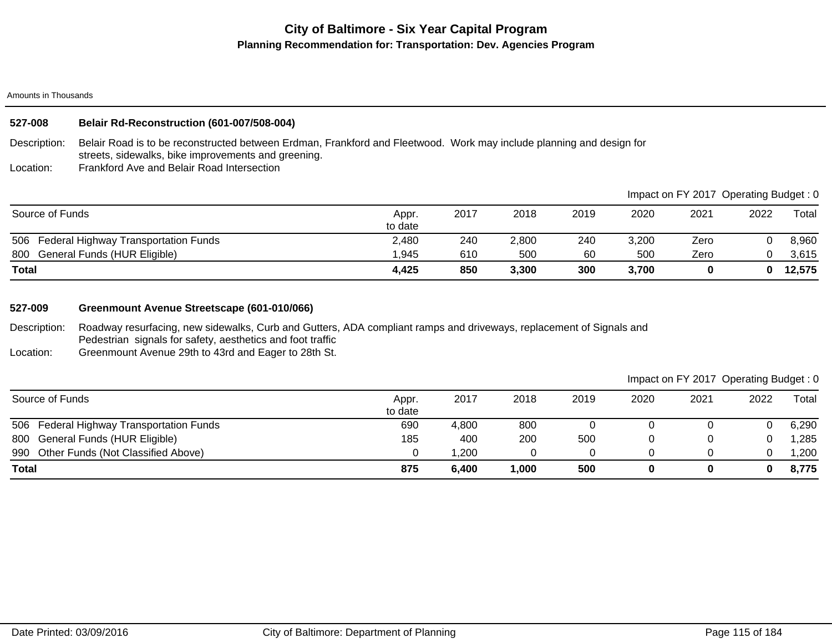Amounts in Thousands

# **527-008 Belair Rd-Reconstruction (601-007/508-004)**

Description: Belair Road is to be reconstructed between Erdman, Frankford and Fleetwood. Work may include planning and design for streets, sidewalks, bike improvements and greening.

Location: Frankford Ave and Belair Road Intersection

|                                          |                  |      |       |      |       |      | Impact on FY 2017 Operating Budget: 0 |        |
|------------------------------------------|------------------|------|-------|------|-------|------|---------------------------------------|--------|
| Source of Funds                          | Appr.<br>to date | 2017 | 2018  | 2019 | 2020  | 2021 | 2022                                  | Total  |
| 506 Federal Highway Transportation Funds | 2.480            | 240  | 2,800 | 240  | 3,200 | Zero |                                       | 8,960  |
| General Funds (HUR Eligible)<br>800      | 1.945            | 610  | 500   | 60   | 500   | Zero |                                       | 3,615  |
| <b>Total</b>                             | 4,425            | 850  | 3,300 | 300  | 3,700 |      | 0                                     | 12,575 |

# **527-009 Greenmount Avenue Streetscape (601-010/066)**

Description: Roadway resurfacing, new sidewalks, Curb and Gutters, ADA compliant ramps and driveways, replacement of Signals and Pedestrian signals for safety, aesthetics and foot traffic

Location: Greenmount Avenue 29th to 43rd and Eager to 28th St.

| Source of Funds                             | Appr.<br>to date | 2017   | 2018  | 2019 | 2020 | 2021 | 2022 | Total |
|---------------------------------------------|------------------|--------|-------|------|------|------|------|-------|
| Federal Highway Transportation Funds<br>506 | 690              | 4,800  | 800   |      |      |      |      | 6,290 |
| 800 General Funds (HUR Eligible)            | 185              | 400    | 200   | 500  |      |      |      | ,285  |
| 990 Other Funds (Not Classified Above)      |                  | 200. ا |       |      |      |      |      | ,200  |
| <b>Total</b>                                | 875              | 6,400  | 1,000 | 500  |      |      | 0    | 8,775 |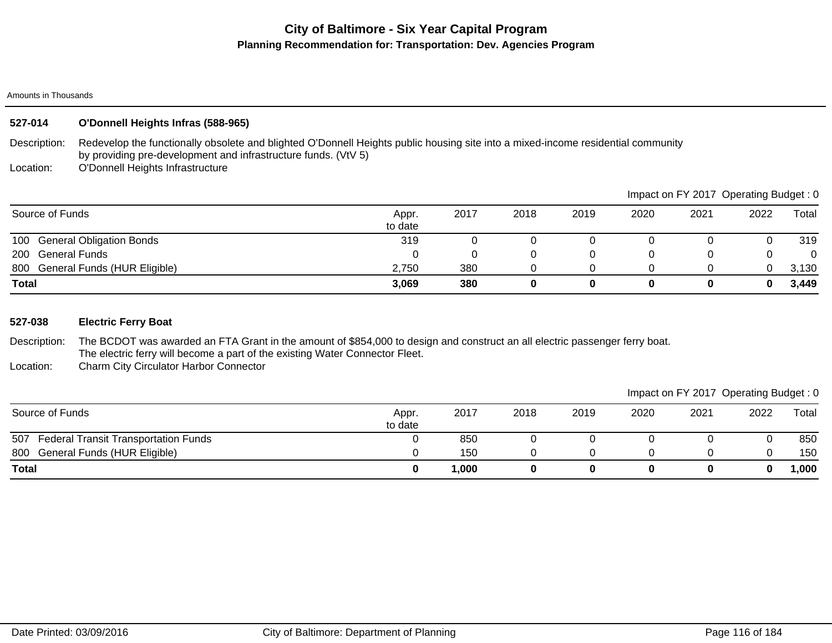## Amounts in Thousands

# **527-014 O'Donnell Heights Infras (588-965)**

Description: Redevelop the functionally obsolete and blighted O'Donnell Heights public housing site into a mixed-income residential community by providing pre-development and infrastructure funds. (VtV 5)

Location: O'Donnell Heights Infrastructure

|                                            |                  |      |      |      |      | impact on F t ZOTT Operating Budget. U |      |       |
|--------------------------------------------|------------------|------|------|------|------|----------------------------------------|------|-------|
| Source of Funds                            | Appr.<br>to date | 2017 | 2018 | 2019 | 2020 | 2021                                   | 2022 | Total |
| <b>General Obligation Bonds</b><br>100     | 319              |      |      |      |      |                                        |      | 319   |
| <b>General Funds</b><br>200                |                  |      |      |      |      |                                        |      |       |
| <b>General Funds (HUR Eligible)</b><br>800 | 2,750            | 380  |      |      |      |                                        |      | 3,130 |
| Total                                      | 3,069            | 380  |      |      | 0    |                                        |      | 3,449 |

## **527-038 Electric Ferry Boat**

Description: The BCDOT was awarded an FTA Grant in the amount of \$854,000 to design and construct an all electric passenger ferry boat. The electric ferry will become a part of the existing Water Connector Fleet.

Location: Charm City Circulator Harbor Connector

| Impact on FY 2017 Operating Budget: 0 |  |  |
|---------------------------------------|--|--|
|                                       |  |  |

|                                                    |                  |       |      |      |      |      | ັ    | ັ      |
|----------------------------------------------------|------------------|-------|------|------|------|------|------|--------|
| Source of Funds                                    | Appr.<br>to date | 2017  | 2018 | 2019 | 2020 | 2021 | 2022 | Total  |
| <b>Federal Transit Transportation Funds</b><br>507 |                  | 850   | u    |      |      |      |      | 850    |
| 800 General Funds (HUR Eligible)                   |                  | 150   |      |      |      |      |      | 150    |
| <b>Total</b>                                       |                  | 1,000 |      |      |      |      | 0    | 000, ا |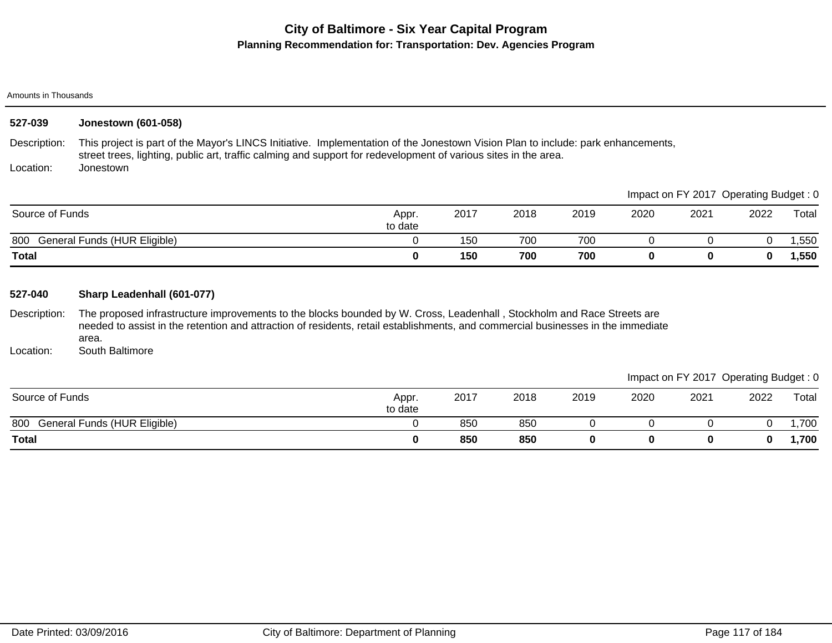Amounts in Thousands

| 527-039                              | <b>Jonestown (601-058)</b>                                                                                                                                                                                                                                                                                           |                  |      |      |          |      |          |                                       |       |
|--------------------------------------|----------------------------------------------------------------------------------------------------------------------------------------------------------------------------------------------------------------------------------------------------------------------------------------------------------------------|------------------|------|------|----------|------|----------|---------------------------------------|-------|
| Description:                         | This project is part of the Mayor's LINCS Initiative. Implementation of the Jonestown Vision Plan to include: park enhancements,<br>street trees, lighting, public art, traffic calming and support for redevelopment of various sites in the area.                                                                  |                  |      |      |          |      |          |                                       |       |
| Location:                            | Jonestown                                                                                                                                                                                                                                                                                                            |                  |      |      |          |      |          |                                       |       |
|                                      |                                                                                                                                                                                                                                                                                                                      |                  |      |      |          |      |          | Impact on FY 2017 Operating Budget: 0 |       |
| Source of Funds                      |                                                                                                                                                                                                                                                                                                                      | Appr.<br>to date | 2017 | 2018 | 2019     | 2020 | 2021     | 2022                                  | Total |
|                                      | 800 General Funds (HUR Eligible)                                                                                                                                                                                                                                                                                     | 0                | 150  | 700  | 700      | 0    | 0        | 0                                     | 1,550 |
| <b>Total</b>                         |                                                                                                                                                                                                                                                                                                                      | 0                | 150  | 700  | 700      | 0    | $\bf{0}$ | 0                                     | 1,550 |
| 527-040<br>Description:<br>Location: | Sharp Leadenhall (601-077)<br>The proposed infrastructure improvements to the blocks bounded by W. Cross, Leadenhall, Stockholm and Race Streets are<br>needed to assist in the retention and attraction of residents, retail establishments, and commercial businesses in the immediate<br>area.<br>South Baltimore |                  |      |      |          |      |          |                                       |       |
|                                      |                                                                                                                                                                                                                                                                                                                      |                  |      |      |          |      |          | Impact on FY 2017 Operating Budget: 0 |       |
|                                      |                                                                                                                                                                                                                                                                                                                      |                  |      |      |          |      |          |                                       |       |
| Source of Funds                      |                                                                                                                                                                                                                                                                                                                      | Appr.<br>to date | 2017 | 2018 | 2019     | 2020 | 2021     | 2022                                  | Total |
| 800                                  | General Funds (HUR Eligible)                                                                                                                                                                                                                                                                                         | 0                | 850  | 850  | 0        | 0    | 0        | 0                                     | 1,700 |
| <b>Total</b>                         |                                                                                                                                                                                                                                                                                                                      | 0                | 850  | 850  | $\bf{0}$ |      | $\bf{0}$ | 0                                     | 1,700 |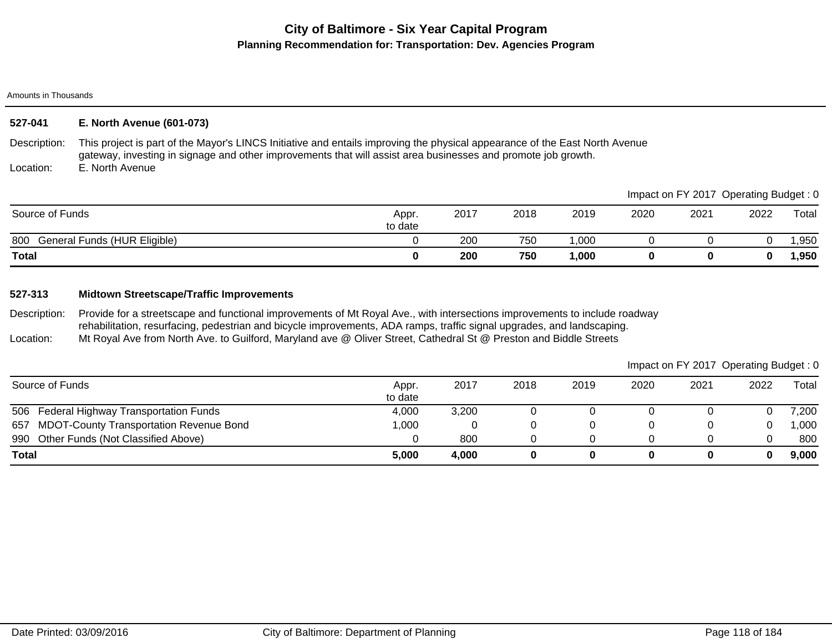Amounts in Thousands

# **527-041 E. North Avenue (601-073)**

Description: This project is part of the Mayor's LINCS Initiative and entails improving the physical appearance of the East North Avenue gateway, investing in signage and other improvements that will assist area businesses and promote job growth.

Location: E. North Avenue

|                                     |                  |      |      |       |      |      | Impact on FY 2017 Operating Budget: 0 |        |
|-------------------------------------|------------------|------|------|-------|------|------|---------------------------------------|--------|
| Source of Funds                     | Appr.<br>to date | 2017 | 2018 | 2019  | 2020 | 2021 | 2022                                  | Total  |
| General Funds (HUR Eligible)<br>800 |                  | 200  | 750  | ,000  |      |      |                                       | ,950   |
| <b>Total</b>                        |                  | 200  | 750  | 1,000 |      |      |                                       | 950, ا |

# **527-313 Midtown Streetscape/Traffic Improvements**

Description: Location: Provide for a streetscape and functional improvements of Mt Royal Ave., with intersections improvements to include roadway rehabilitation, resurfacing, pedestrian and bicycle improvements, ADA ramps, traffic signal upgrades, and landscaping. Mt Royal Ave from North Ave. to Guilford, Maryland ave @ Oliver Street, Cathedral St @ Preston and Biddle Streets

|                                             |                  |       |      |      |      | Impact on FY 2017 Operating Budget: 0 |      |       |
|---------------------------------------------|------------------|-------|------|------|------|---------------------------------------|------|-------|
| Source of Funds                             | Appr.<br>to date | 2017  | 2018 | 2019 | 2020 | 2021                                  | 2022 | Total |
| 506 Federal Highway Transportation Funds    | 4,000            | 3,200 |      |      |      |                                       |      | 7,200 |
| 657 MDOT-County Transportation Revenue Bond | 1,000            |       |      |      |      |                                       |      | 000,1 |
| 990 Other Funds (Not Classified Above)      |                  | 800   |      |      |      |                                       |      | 800   |
| <b>Total</b>                                | 5,000            | 4.000 |      |      |      |                                       | 0    | 9,000 |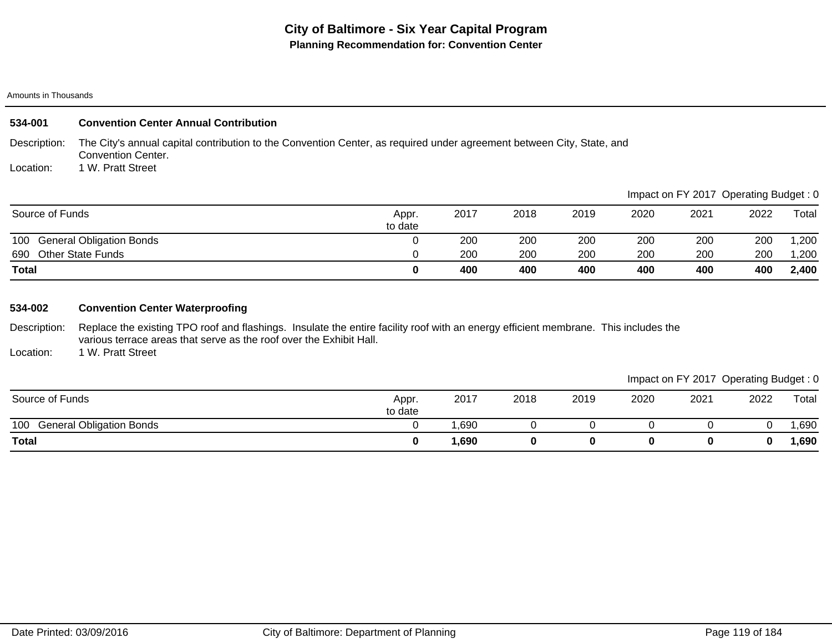| 534-001         | <b>Convention Center Annual Contribution</b>                                                                                                       |                  |      |      |      |      |                                       |      |       |
|-----------------|----------------------------------------------------------------------------------------------------------------------------------------------------|------------------|------|------|------|------|---------------------------------------|------|-------|
| Description:    | The City's annual capital contribution to the Convention Center, as required under agreement between City, State, and<br><b>Convention Center.</b> |                  |      |      |      |      |                                       |      |       |
| Location:       | 1 W. Pratt Street                                                                                                                                  |                  |      |      |      |      |                                       |      |       |
|                 |                                                                                                                                                    |                  |      |      |      |      | Impact on FY 2017 Operating Budget: 0 |      |       |
| Source of Funds |                                                                                                                                                    | Appr.<br>to date | 2017 | 2018 | 2019 | 2020 | 2021                                  | 2022 | Total |

|                                        | . .<br>to date |     |     |     |     |     |     |       |
|----------------------------------------|----------------|-----|-----|-----|-----|-----|-----|-------|
| 100<br><b>General Obligation Bonds</b> |                | 200 | 200 | 200 | 200 | 200 | 200 | ,200  |
| 690<br><b>Other State Funds</b>        |                | 200 | 200 | 200 | 200 | 200 | 200 | 1,200 |
| <b>Total</b>                           |                | 400 | 400 | 400 | 400 | 400 | 400 | 2,400 |

# **534-002 Convention Center Waterproofing**

Description: Replace the existing TPO roof and flashings. Insulate the entire facility roof with an energy efficient membrane. This includes the various terrace areas that serve as the roof over the Exhibit Hall.

Location: 1 W. Pratt Street

| Source of Funds                        | Appr.<br>to date | 2017 | 2018 | 2019 | 2020 | 2021 | 2022     | Total |
|----------------------------------------|------------------|------|------|------|------|------|----------|-------|
| 100<br><b>General Obligation Bonds</b> |                  | ,690 |      |      |      |      |          | ,690  |
| <b>Total</b>                           |                  | ,690 |      |      |      |      | $\bf{0}$ | ,690  |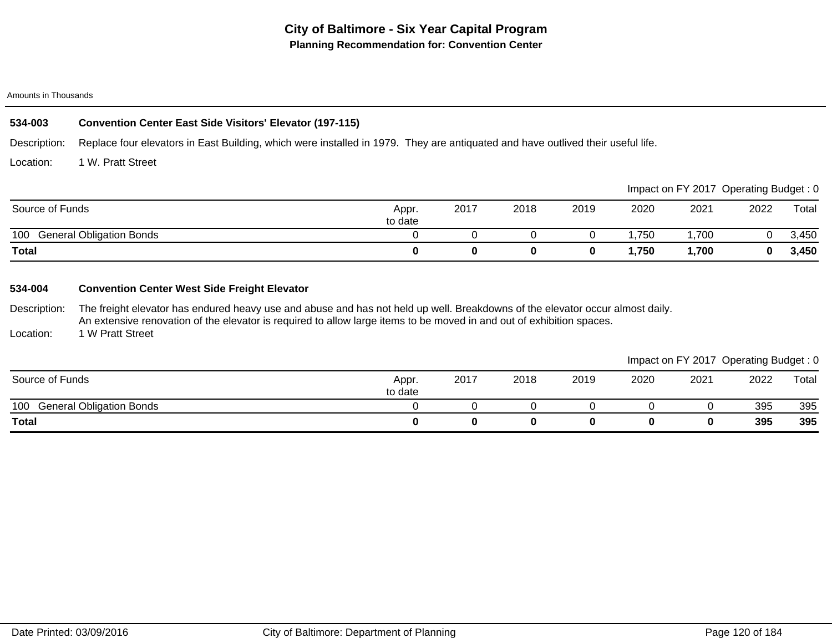# **534-003 Convention Center East Side Visitors' Elevator (197-115)**

Description: Replace four elevators in East Building, which were installed in 1979. They are antiquated and have outlived their useful life.

Location: 1 W. Pratt Street

|                                        |                  |      |      |      |      |      | Impact on FY 2017 Operating Budget: 0 |       |
|----------------------------------------|------------------|------|------|------|------|------|---------------------------------------|-------|
| Source of Funds                        | Appr.<br>to date | 2017 | 2018 | 2019 | 2020 | 2021 | 2022                                  | Total |
| <b>General Obligation Bonds</b><br>100 |                  |      |      |      | .750 | ,700 |                                       | 3,450 |
| <b>Total</b>                           |                  |      |      |      | ,750 | 700, |                                       | 3,450 |

# **534-004 Convention Center West Side Freight Elevator**

Description: The freight elevator has endured heavy use and abuse and has not held up well. Breakdowns of the elevator occur almost daily. An extensive renovation of the elevator is required to allow large items to be moved in and out of exhibition spaces.

Location: 1 W Pratt Street

|                                        |                  |      |      |      |      | Impact on FY 2017 Operating Budget: 0 |      |       |
|----------------------------------------|------------------|------|------|------|------|---------------------------------------|------|-------|
| Source of Funds                        | Appr.<br>to date | 2017 | 2018 | 2019 | 2020 | 2021                                  | 2022 | Total |
| <b>General Obligation Bonds</b><br>100 |                  |      |      |      |      |                                       | 395  | 395   |
| <b>Total</b>                           |                  |      |      | 0    |      |                                       | 395  | 395   |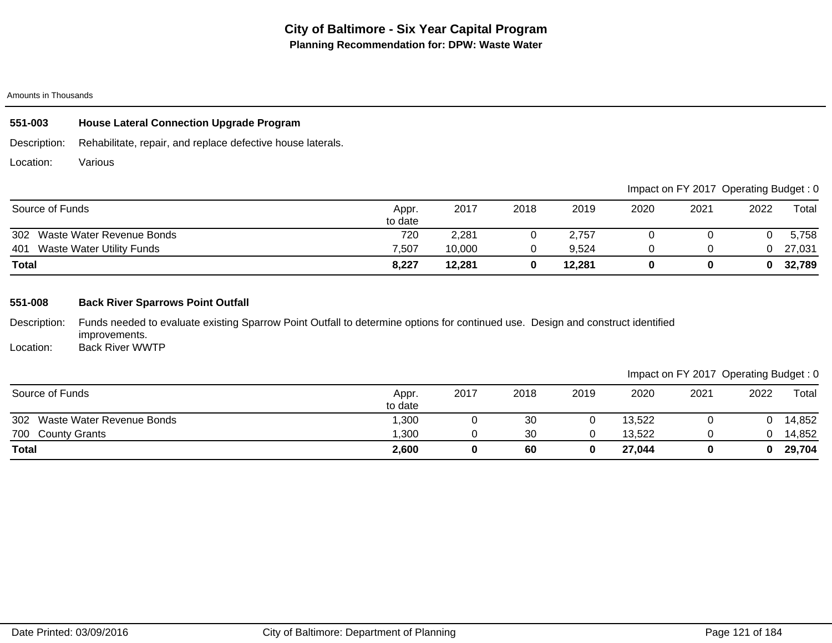| 551-003   | <b>House Lateral Connection Upgrade Program</b>                          |
|-----------|--------------------------------------------------------------------------|
|           | Description: Rehabilitate, repair, and replace defective house laterals. |
| Location: | Various                                                                  |

|                                         |                  |        |      |        |      |      | Impact on FY 2017 Operating Budget: 0 |        |
|-----------------------------------------|------------------|--------|------|--------|------|------|---------------------------------------|--------|
| Source of Funds                         | Appr.<br>to date | 2017   | 2018 | 2019   | 2020 | 2021 | 2022                                  | Total  |
| 302 Waste Water Revenue Bonds           | 720              | 2.281  | O    | 2.757  |      |      |                                       | 5,758  |
| <b>Waste Water Utility Funds</b><br>401 | 7.507            | 10.000 |      | 9.524  |      |      |                                       | 27,031 |
| Total                                   | 8,227            | 12,281 | 0    | 12,281 |      |      |                                       | 32,789 |

# **551-008 Back River Sparrows Point Outfall**

Description: Location: Funds needed to evaluate existing Sparrow Point Outfall to determine options for continued use. Design and construct identified improvements. Back River WWTP

|                               |                  |      |      |      |        | $m$ pack on $r + 2$ if $r - 3$ potating Baago, $r - 3$ |      |        |
|-------------------------------|------------------|------|------|------|--------|--------------------------------------------------------|------|--------|
| Source of Funds               | Appr.<br>to date | 2017 | 2018 | 2019 | 2020   | 2021                                                   | 2022 | Total  |
| 302 Waste Water Revenue Bonds | 300, ا           |      | 30   |      | 13,522 |                                                        |      | 14,852 |
| 700 County Grants             | 1,300            |      | 30   |      | 13,522 |                                                        |      | 14,852 |
| <b>Total</b>                  | 2,600            |      | 60   |      | 27,044 |                                                        |      | 29,704 |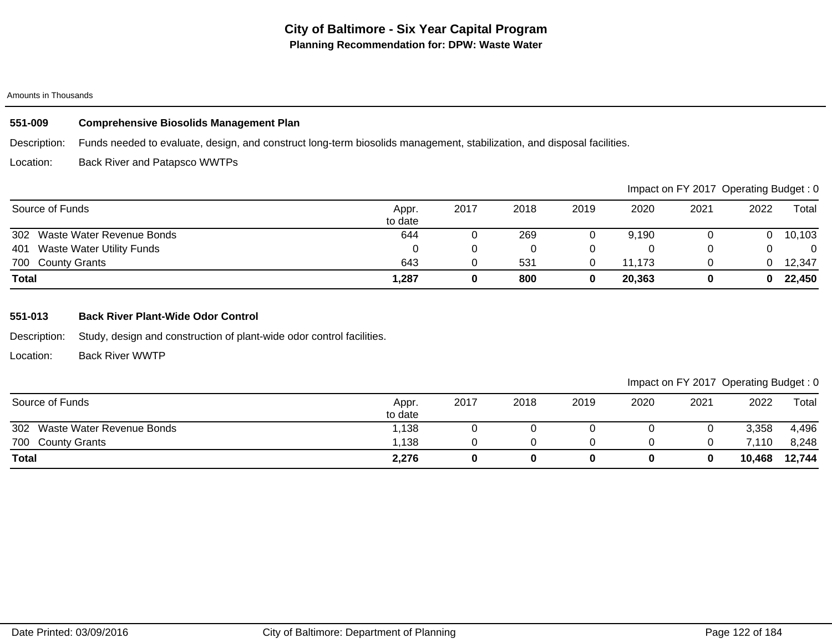## **551-009 Comprehensive Biosolids Management Plan**

Description: Funds needed to evaluate, design, and construct long-term biosolids management, stabilization, and disposal facilities.

Location: Back River and Patapsco WWTPs

|                                         |                  |      |      |      |        | Impact on FY 2017 Operating Budget: 0 |      |        |
|-----------------------------------------|------------------|------|------|------|--------|---------------------------------------|------|--------|
| Source of Funds                         | Appr.<br>to date | 2017 | 2018 | 2019 | 2020   | 2021                                  | 2022 | Total  |
| 302 Waste Water Revenue Bonds           | 644              |      | 269  |      | 9.190  |                                       |      | 10,103 |
| <b>Waste Water Utility Funds</b><br>401 |                  |      |      |      |        |                                       |      | 0      |
| 700 County Grants                       | 643              |      | 531  |      | 11.173 |                                       |      | 12,347 |
| <b>Total</b>                            | 1,287            |      | 800  |      | 20,363 |                                       |      | 22,450 |

## **551-013 Back River Plant-Wide Odor Control**

Description: Study, design and construction of plant-wide odor control facilities.

Location: Back River WWTP

|                               |                  |      |      |      |      | Impact on FY 2017 Operating Budget: 0 |        |        |
|-------------------------------|------------------|------|------|------|------|---------------------------------------|--------|--------|
| Source of Funds               | Appr.<br>to date | 2017 | 2018 | 2019 | 2020 | 2021                                  | 2022   | Total  |
| 302 Waste Water Revenue Bonds | 1.138            |      |      |      |      |                                       | 3,358  | 4,496  |
| 700 County Grants             | 1.138            |      |      |      |      |                                       | 7.110  | 8,248  |
| <b>Total</b>                  | 2,276            |      | 0    |      |      |                                       | 10,468 | 12,744 |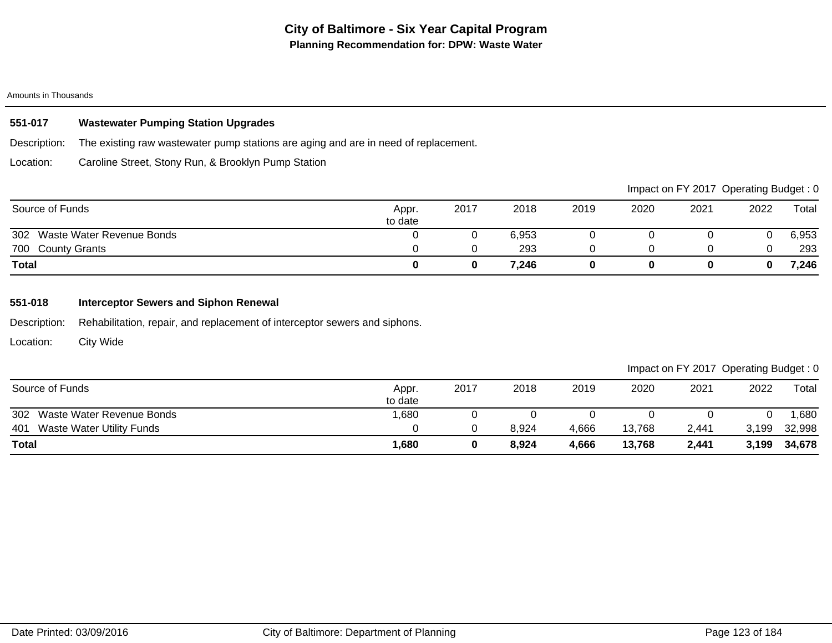# **551-017 Wastewater Pumping Station Upgrades**

Description: The existing raw wastewater pump stations are aging and are in need of replacement.

Location: Caroline Street, Stony Run, & Brooklyn Pump Station

|                               |                  |      |       |      |      |      | Impact on FY 2017 Operating Budget: 0 |       |
|-------------------------------|------------------|------|-------|------|------|------|---------------------------------------|-------|
| Source of Funds               | Appr.<br>to date | 2017 | 2018  | 2019 | 2020 | 2021 | 2022                                  | Total |
| 302 Waste Water Revenue Bonds |                  |      | 6.953 |      |      |      |                                       | 6,953 |
| 700 County Grants             |                  |      | 293   |      |      |      |                                       | 293   |
| <b>Total</b>                  |                  |      | 7.246 |      |      |      |                                       | 7,246 |

# **551-018 Interceptor Sewers and Siphon Renewal**

Description: Rehabilitation, repair, and replacement of interceptor sewers and siphons.

Location: City Wide

| Source of Funds                  | Appr.<br>to date | 2017 | 2018  | 2019  | 2020   | 2021  | 2022  | $\tau$ <sub>otal</sub> |
|----------------------------------|------------------|------|-------|-------|--------|-------|-------|------------------------|
| 302 Waste Water Revenue Bonds    | 1,680            |      |       |       |        |       |       | ,680                   |
| 401<br>Waste Water Utility Funds |                  |      | 8,924 | 4,666 | 13,768 | 2,441 | 3,199 | 32,998                 |
| <b>Total</b>                     | <b>1,680</b>     |      | 8,924 | 4,666 | 13,768 | 2,441 | 3,199 | 34,678                 |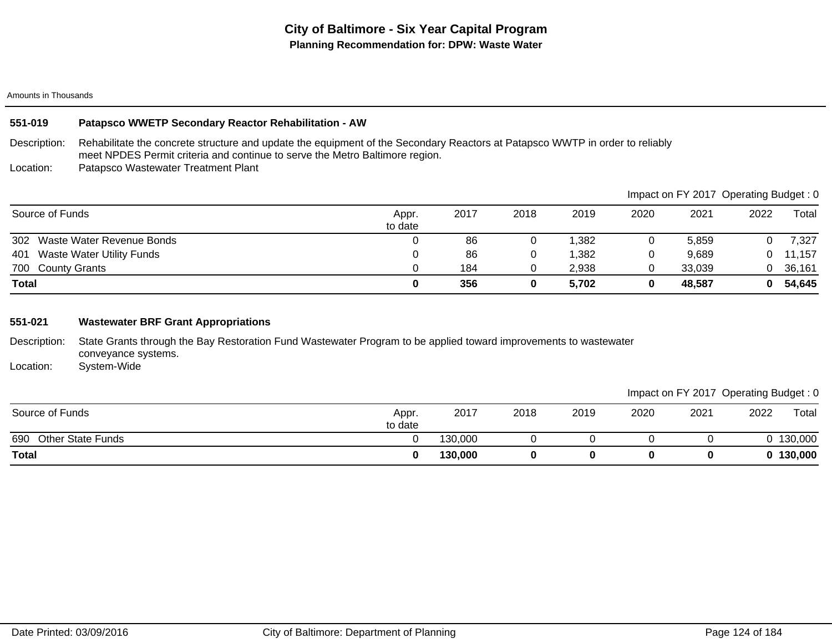## **551-019 Patapsco WWETP Secondary Reactor Rehabilitation - AW**

Description: Rehabilitate the concrete structure and update the equipment of the Secondary Reactors at Patapsco WWTP in order to reliably meet NPDES Permit criteria and continue to serve the Metro Baltimore region.

Location: Patapsco Wastewater Treatment Plant

|                                         |                  |      |      |       |      |        | Impact on FY 2017 Operating Budget: 0 |            |
|-----------------------------------------|------------------|------|------|-------|------|--------|---------------------------------------|------------|
| Source of Funds                         | Appr.<br>to date | 2017 | 2018 | 2019  | 2020 | 2021   | 2022                                  | Total      |
| 302 Waste Water Revenue Bonds           |                  | 86   |      | 1,382 |      | 5,859  |                                       | 7,327      |
| <b>Waste Water Utility Funds</b><br>401 |                  | 86   |      | 1,382 |      | 9,689  |                                       | $0$ 11,157 |
| 700 County Grants                       |                  | 184  |      | 2,938 |      | 33.039 |                                       | 36,161     |
| <b>Total</b>                            |                  | 356  |      | 5,702 |      | 48,587 | 0                                     | 54,645     |

## **551-021 Wastewater BRF Grant Appropriations**

Description: State Grants through the Bay Restoration Fund Wastewater Program to be applied toward improvements to wastewater conveyance systems.

Location: System-Wide

|                                 |                  |         |      |      |      |      | ັ    | ັ         |
|---------------------------------|------------------|---------|------|------|------|------|------|-----------|
| Source of Funds                 | Appr.<br>to date | 2017    | 2018 | 2019 | 2020 | 2021 | 2022 | Total     |
| <b>Other State Funds</b><br>690 |                  | 130,000 |      |      |      |      |      | 130,000   |
| <b>Total</b>                    |                  | 130,000 |      |      |      |      |      | 0 130,000 |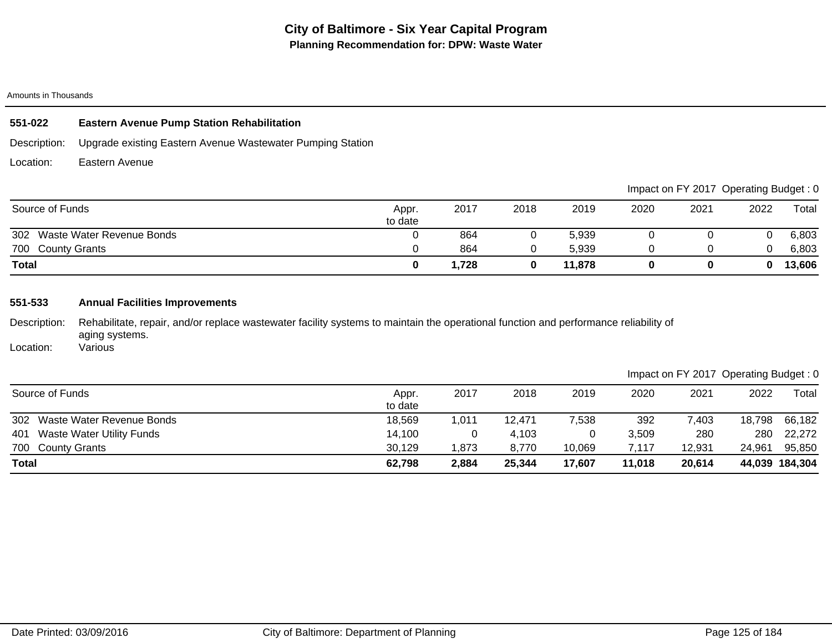# **551-022 Eastern Avenue Pump Station Rehabilitation**

Description: Upgrade existing Eastern Avenue Wastewater Pumping Station

Location: Eastern Avenue

|                                  |                  |       |      |        |      |      | Impact on FY 2017 Operating Budget: 0 |        |
|----------------------------------|------------------|-------|------|--------|------|------|---------------------------------------|--------|
| Source of Funds                  | Appr.<br>to date | 2017  | 2018 | 2019   | 2020 | 2021 | 2022                                  | Total  |
| 302<br>Waste Water Revenue Bonds |                  | 864   |      | 5,939  |      |      |                                       | 6,803  |
| 700 County Grants                |                  | 864   |      | 5,939  |      |      |                                       | 6,803  |
| <b>Total</b>                     |                  | 1,728 |      | 11,878 |      |      | 0                                     | 13,606 |

# **551-533 Annual Facilities Improvements**

Description: Rehabilitate, repair, and/or replace wastewater facility systems to maintain the operational function and performance reliability of aging systems. **Various** 

Location:

| Source of Funds                         | Appr.<br>to date | 2017  | 2018   | 2019   | 2020   | 2021   | 2022   | $\tau$ otal    |
|-----------------------------------------|------------------|-------|--------|--------|--------|--------|--------|----------------|
| 302 Waste Water Revenue Bonds           | 18,569           | 1,011 | 12,471 | 7,538  | 392    | 7,403  | 18,798 | 66,182         |
| <b>Waste Water Utility Funds</b><br>401 | 14,100           |       | 4.103  |        | 3.509  | 280    | 280    | 22,272         |
| 700 County Grants                       | 30,129           | 1.873 | 8.770  | 10.069 | 7.117  | 12,931 | 24.961 | 95,850         |
| <b>Total</b>                            | 62,798           | 2,884 | 25,344 | 17,607 | 11,018 | 20,614 |        | 44,039 184,304 |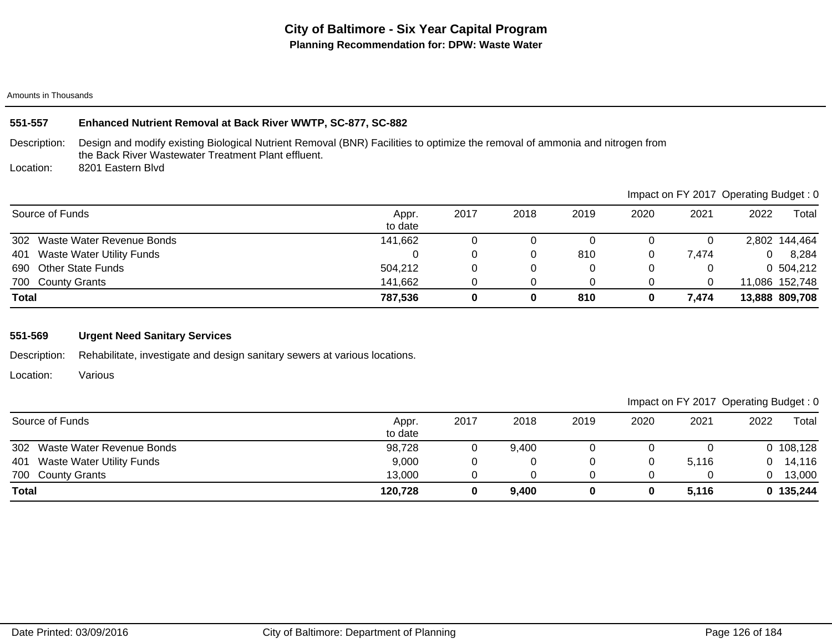# **551-557 Enhanced Nutrient Removal at Back River WWTP, SC-877, SC-882**

Description: Design and modify existing Biological Nutrient Removal (BNR) Facilities to optimize the removal of ammonia and nitrogen from the Back River Wastewater Treatment Plant effluent.

Location: 8201 Eastern Blvd

|                                  |                  |      |      |      |      |       | Impact on F r ZO T Operating Budget. 0 |                |
|----------------------------------|------------------|------|------|------|------|-------|----------------------------------------|----------------|
| Source of Funds                  | Appr.<br>to date | 2017 | 2018 | 2019 | 2020 | 2021  | 2022                                   | Total          |
| 302 Waste Water Revenue Bonds    | 141,662          |      | U    |      |      |       |                                        | 2,802 144,464  |
| Waste Water Utility Funds<br>401 |                  |      |      | 810  |      | 7.474 | 0                                      | 8,284          |
| 690 Other State Funds            | 504,212          |      | 0    |      |      |       |                                        | 0 504,212      |
| 700 County Grants                | 141,662          |      |      |      |      |       |                                        | 11,086 152,748 |
| <b>Total</b>                     | 787,536          |      | 0    | 810  |      | 7,474 |                                        | 13,888 809,708 |

# **551-569 Urgent Need Sanitary Services**

Description: Rehabilitate, investigate and design sanitary sewers at various locations.

Location: Various

Impact on FY 2017 Operating Budget : 0

| Source of Funds                         | Appr.<br>to date | 2017 | 2018  | 2019 | 2020 | 2021  | 2022 | $\tau$ otal |
|-----------------------------------------|------------------|------|-------|------|------|-------|------|-------------|
| 302<br>Waste Water Revenue Bonds        | 98,728           |      | 9,400 |      |      |       |      | 0, 108, 128 |
| <b>Waste Water Utility Funds</b><br>401 | 9,000            |      |       |      |      | 5.116 |      | 14,116      |
| 700 County Grants                       | 13,000           |      |       |      |      |       |      | 13,000      |
| <b>Total</b>                            | 120,728          |      | 9,400 |      |      | 5.116 |      | 0 135,244   |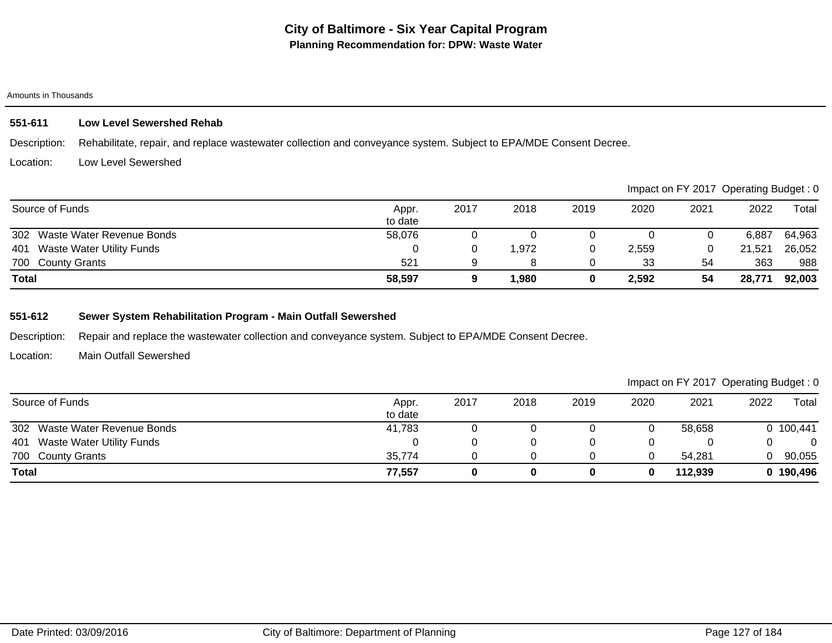# **551-611 Low Level Sewershed Rehab**

Description: Rehabilitate, repair, and replace wastewater collection and conveyance system. Subject to EPA/MDE Consent Decree.

#### Location: Low Level Sewershed

|                                         |                  |      |      |      |       |      | Impact on FY 2017 Operating Budget: 0 |        |
|-----------------------------------------|------------------|------|------|------|-------|------|---------------------------------------|--------|
| Source of Funds                         | Appr.<br>to date | 2017 | 2018 | 2019 | 2020  | 2021 | 2022                                  | Total  |
| 302 Waste Water Revenue Bonds           | 58,076           |      |      |      |       |      | 6.887                                 | 64,963 |
| <b>Waste Water Utility Funds</b><br>401 |                  |      | .972 |      | 2,559 |      | 21,521                                | 26,052 |
| 700 County Grants                       | 521              |      |      |      | 33    | 54   | 363                                   | 988    |
| <b>Total</b>                            | 58,597           |      | .980 |      | 2,592 | 54   | 28,771                                | 92,003 |

# **551-612 Sewer System Rehabilitation Program - Main Outfall Sewershed**

Description: Repair and replace the wastewater collection and conveyance system. Subject to EPA/MDE Consent Decree.

Location: Main Outfall Sewershed

| Source of Funds                         | Appr.<br>to date | 2017 | 2018 | 2019 | 2020 | 2021    | 2022 | Total     |
|-----------------------------------------|------------------|------|------|------|------|---------|------|-----------|
| 302 Waste Water Revenue Bonds           | 41,783           |      |      |      |      | 58,658  |      | 0 100,441 |
| <b>Waste Water Utility Funds</b><br>401 |                  |      |      |      |      |         |      |           |
| 700 County Grants                       | 35,774           |      |      |      |      | 54,281  |      | 90,055    |
| <b>Total</b>                            | 77,557           |      |      |      |      | 112,939 |      | 0 190,496 |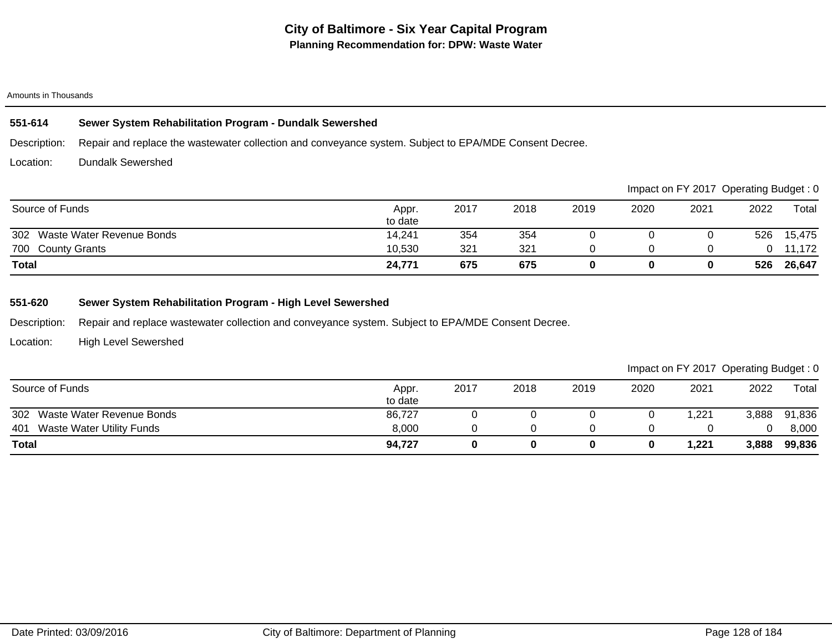## **551-614 Sewer System Rehabilitation Program - Dundalk Sewershed**

Description: Repair and replace the wastewater collection and conveyance system. Subject to EPA/MDE Consent Decree.

Location: Dundalk Sewershed

|                               |                  |      |      |      |      |      | Impact on FY 2017 Operating Budget: 0 |        |
|-------------------------------|------------------|------|------|------|------|------|---------------------------------------|--------|
| Source of Funds               | Appr.<br>to date | 2017 | 2018 | 2019 | 2020 | 2021 | 2022                                  | Total  |
| 302 Waste Water Revenue Bonds | 14,241           | 354  | 354  |      |      |      | 526                                   | 15,475 |
| 700 County Grants             | 10,530           | 321  | 321  |      |      |      |                                       | 11,172 |
| <b>Total</b>                  | 24,771           | 675  | 675  |      |      |      | 526                                   | 26,647 |

# **551-620 Sewer System Rehabilitation Program - High Level Sewershed**

Description: Repair and replace wastewater collection and conveyance system. Subject to EPA/MDE Consent Decree.

Location: High Level Sewershed

| Source of Funds                         | Appr.<br>to date | 2017 | 2018 | 2019 | 2020 | 2021  | 2022  | Total  |
|-----------------------------------------|------------------|------|------|------|------|-------|-------|--------|
| 302<br>Waste Water Revenue Bonds        | 86,727           |      |      |      |      | ,221  | 3,888 | 91,836 |
| <b>Waste Water Utility Funds</b><br>401 | 8,000            |      |      |      |      |       |       | 8,000  |
| <b>Total</b>                            | 94.727           |      |      |      |      | 1,221 | 3,888 | 99,836 |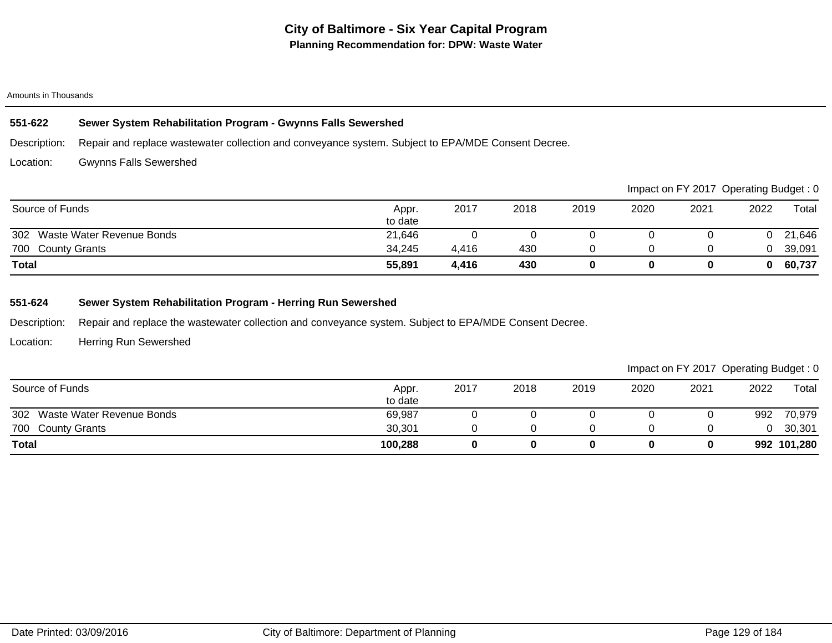## **551-622 Sewer System Rehabilitation Program - Gwynns Falls Sewershed**

Description: Repair and replace wastewater collection and conveyance system. Subject to EPA/MDE Consent Decree.

Location: Gwynns Falls Sewershed

|                               |                  |       |      |      |      |      | Impact on FY 2017 Operating Budget: 0 |        |
|-------------------------------|------------------|-------|------|------|------|------|---------------------------------------|--------|
| Source of Funds               | Appr.<br>to date | 2017  | 2018 | 2019 | 2020 | 2021 | 2022                                  | Total  |
| 302 Waste Water Revenue Bonds | 21,646           |       |      |      |      |      |                                       | 21,646 |
| 700 County Grants             | 34,245           | 4,416 | 430  |      |      |      |                                       | 39,091 |
| <b>Total</b>                  | 55,891           | 4,416 | 430  |      |      |      |                                       | 60,737 |

# **551-624 Sewer System Rehabilitation Program - Herring Run Sewershed**

Description: Repair and replace the wastewater collection and conveyance system. Subject to EPA/MDE Consent Decree.

Location: Herring Run Sewershed

| Source of Funds                  | Appr.<br>to date | 2017 | 2018 | 2019 | 2020 | 2021 | 2022 | Total       |
|----------------------------------|------------------|------|------|------|------|------|------|-------------|
| 302<br>Waste Water Revenue Bonds | 69,987           |      |      |      |      |      | 992  | 70,979      |
| 700 County Grants                | 30,301           |      |      |      |      |      |      | 30,301      |
| <b>Total</b>                     | 100,288          |      |      |      |      |      |      | 992 101,280 |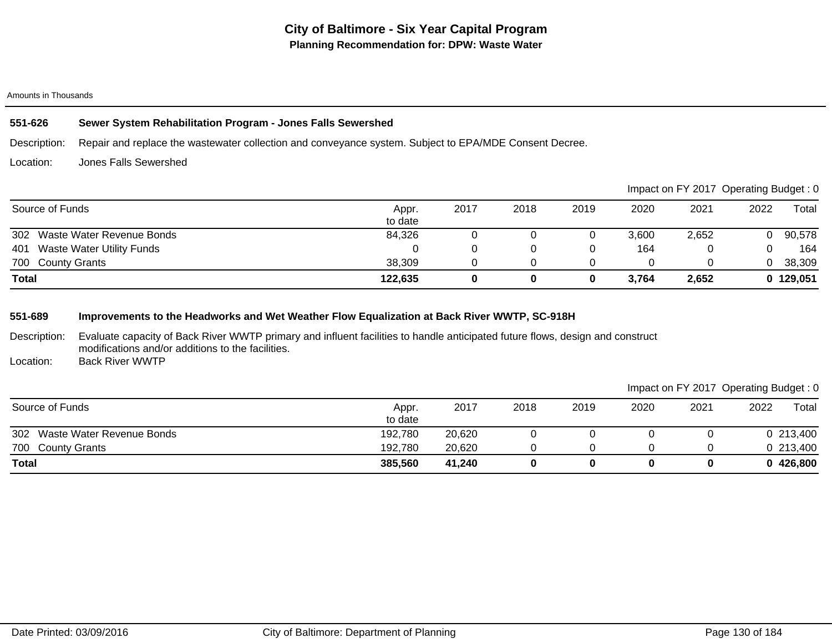## **551-626 Sewer System Rehabilitation Program - Jones Falls Sewershed**

Description: Repair and replace the wastewater collection and conveyance system. Subject to EPA/MDE Consent Decree.

Location: Jones Falls Sewershed

|                                         |                  |      |      |      |       | Impact on FY 2017 Operating Budget: 0 |      |           |
|-----------------------------------------|------------------|------|------|------|-------|---------------------------------------|------|-----------|
| Source of Funds                         | Appr.<br>to date | 2017 | 2018 | 2019 | 2020  | 2021                                  | 2022 | Total     |
| 302<br>Waste Water Revenue Bonds        | 84,326           |      |      |      | 3,600 | 2,652                                 | 0.   | 90,578    |
| <b>Waste Water Utility Funds</b><br>401 |                  |      |      |      | 164   |                                       |      | 164       |
| 700 County Grants                       | 38,309           |      |      |      |       |                                       | 0.   | 38,309    |
| <b>Total</b>                            | 122,635          | 0    |      |      | 3,764 | 2,652                                 |      | 0 129,051 |

# **551-689 Improvements to the Headworks and Wet Weather Flow Equalization at Back River WWTP, SC-918H**

Description: Evaluate capacity of Back River WWTP primary and influent facilities to handle anticipated future flows, design and construct modifications and/or additions to the facilities.

Location: Back River WWTP

| Source of Funds                  | Appr.<br>to date | 2017   | 2018 | 2019 | 2020 | 2021 | 2022 | Total     |
|----------------------------------|------------------|--------|------|------|------|------|------|-----------|
| Waste Water Revenue Bonds<br>302 | 192,780          | 20,620 |      |      |      |      |      | 0 213,400 |
| 700 County Grants                | 192,780          | 20,620 |      |      |      |      |      | 0 213,400 |
| <b>Total</b>                     | 385,560          | 41.240 |      |      |      |      |      | 0426,800  |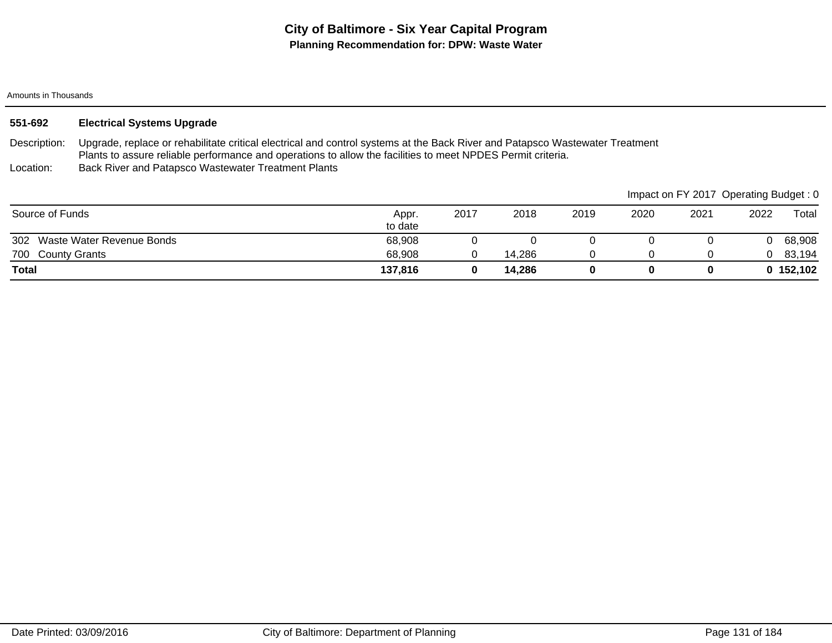| 551-692 | <b>Electrical Systems Upgrade</b> |
|---------|-----------------------------------|
|---------|-----------------------------------|

Description: Upgrade, replace or rehabilitate critical electrical and control systems at the Back River and Patapsco Wastewater Treatment Plants to assure reliable performance and operations to allow the facilities to meet NPDES Permit criteria.

Location: Back River and Patapsco Wastewater Treatment Plants

|                               |                  |      |        |      |      |      | Impact on FY 2017 Operating Budget: 0 |             |
|-------------------------------|------------------|------|--------|------|------|------|---------------------------------------|-------------|
| Source of Funds               | Appr.<br>to date | 2017 | 2018   | 2019 | 2020 | 2021 | 2022                                  | Total       |
| 302 Waste Water Revenue Bonds | 68,908           |      |        |      |      |      |                                       | 68,908      |
| 700 County Grants             | 68,908           |      | 14,286 |      |      |      |                                       | 83,194      |
| Total                         | 137,816          |      | 14,286 |      |      | 0    |                                       | 0, 152, 102 |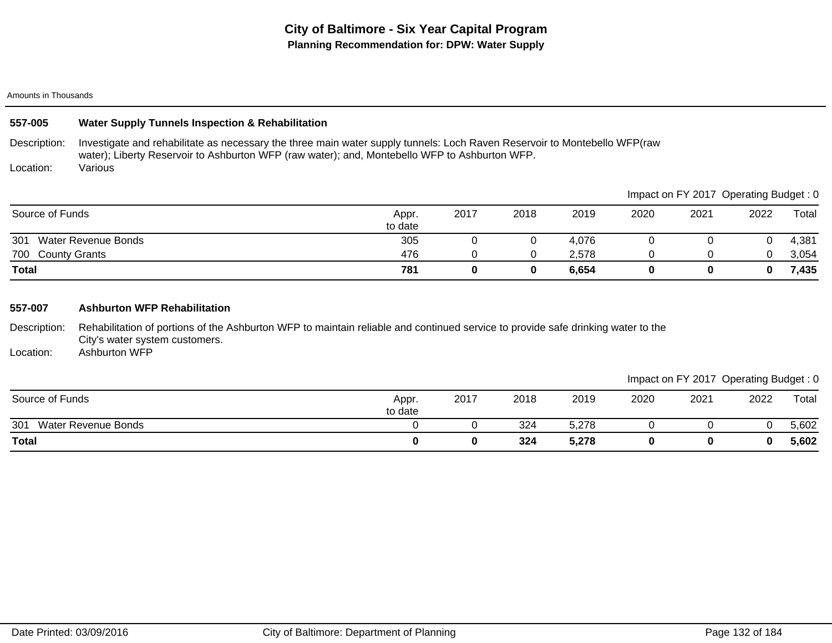| 557-005           | <b>Water Supply Tunnels Inspection &amp; Rehabilitation</b>                                                                                                                                                                |                  |      |      |       |      |                                       |      |       |
|-------------------|----------------------------------------------------------------------------------------------------------------------------------------------------------------------------------------------------------------------------|------------------|------|------|-------|------|---------------------------------------|------|-------|
| Description:      | Investigate and rehabilitate as necessary the three main water supply tunnels: Loch Raven Reservoir to Montebello WFP(raw<br>water); Liberty Reservoir to Ashburton WFP (raw water); and, Montebello WFP to Ashburton WFP. |                  |      |      |       |      |                                       |      |       |
| Location:         | Various                                                                                                                                                                                                                    |                  |      |      |       |      |                                       |      |       |
|                   |                                                                                                                                                                                                                            |                  |      |      |       |      | Impact on FY 2017 Operating Budget: 0 |      |       |
| Source of Funds   |                                                                                                                                                                                                                            | Appr.<br>to date | 2017 | 2018 | 2019  | 2020 | 2021                                  | 2022 | Total |
| 301               | <b>Water Revenue Bonds</b>                                                                                                                                                                                                 | 305              |      |      | 4,076 |      |                                       |      | 4,381 |
| 700 County Grants |                                                                                                                                                                                                                            | 476              | 0    | 0    | 2,578 |      |                                       |      | 3,054 |
| Total             |                                                                                                                                                                                                                            | 781              | 0    | 0    | 6,654 | 0    | 0                                     | 0    | 7,435 |

## **557-007 Ashburton WFP Rehabilitation**

Description: Rehabilitation of portions of the Ashburton WFP to maintain reliable and continued service to provide safe drinking water to the City's water system customers.

Location: Ashburton WFP

|                                   |                  |      |      |       |      |      | Impact on FY 2017 Operating Budget: 0 |       |
|-----------------------------------|------------------|------|------|-------|------|------|---------------------------------------|-------|
| Source of Funds                   | Appr.<br>to date | 2017 | 2018 | 2019  | 2020 | 2021 | 2022                                  | Total |
| 301<br><b>Water Revenue Bonds</b> |                  |      | 324  | 5,278 |      |      |                                       | 5,602 |
| Total                             |                  |      | 324  | 5,278 |      |      |                                       | 5,602 |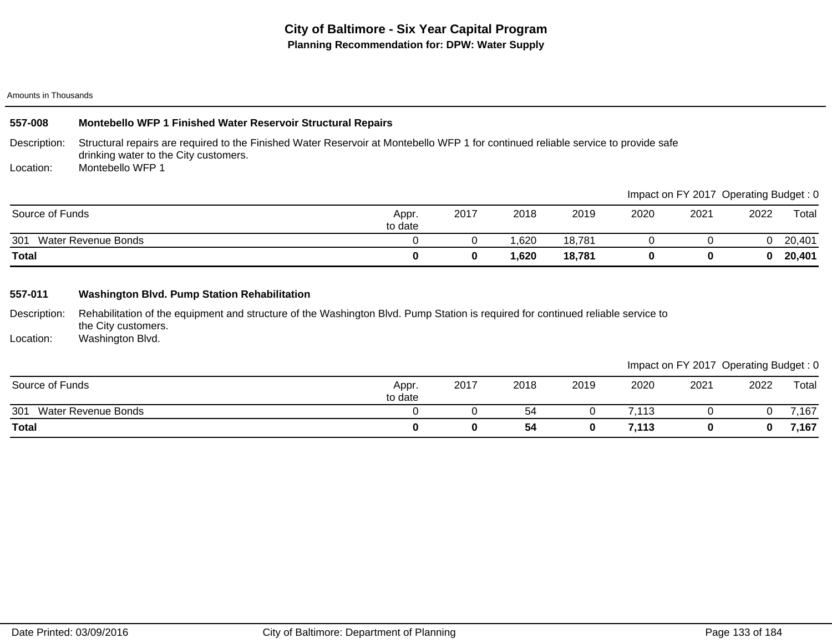## **557-008 Montebello WFP 1 Finished Water Reservoir Structural Repairs**

Description: Structural repairs are required to the Finished Water Reservoir at Montebello WFP 1 for continued reliable service to provide safe drinking water to the City customers.

Location: Montebello WFP 1

|                            |                  |      |      |        |      | Impact on FY 2017 Operating Budget: 0 |      |        |
|----------------------------|------------------|------|------|--------|------|---------------------------------------|------|--------|
| Source of Funds            | Appr.<br>to date | 2017 | 2018 | 2019   | 2020 | 2021                                  | 2022 | Total  |
| Water Revenue Bonds<br>301 |                  |      | .620 | 18,781 |      |                                       |      | 20,401 |
| <b>Total</b>               |                  |      | ,620 | 18,781 |      |                                       |      | 20,401 |

## **557-011 Washington Blvd. Pump Station Rehabilitation**

Description: Rehabilitation of the equipment and structure of the Washington Blvd. Pump Station is required for continued reliable service to the City customers.

Location: Washington Blvd.

|                            |                  |      |      |      |       |      | ____ | _____ |
|----------------------------|------------------|------|------|------|-------|------|------|-------|
| Source of Funds            | Appr.<br>to date | 2017 | 2018 | 2019 | 2020  | 2021 | 2022 | Total |
| 301<br>Water Revenue Bonds |                  |      | 54   |      | 113.' |      |      | ,167  |
| <b>Total</b>               |                  |      | 54   |      | 7,113 |      | 0    | 7,167 |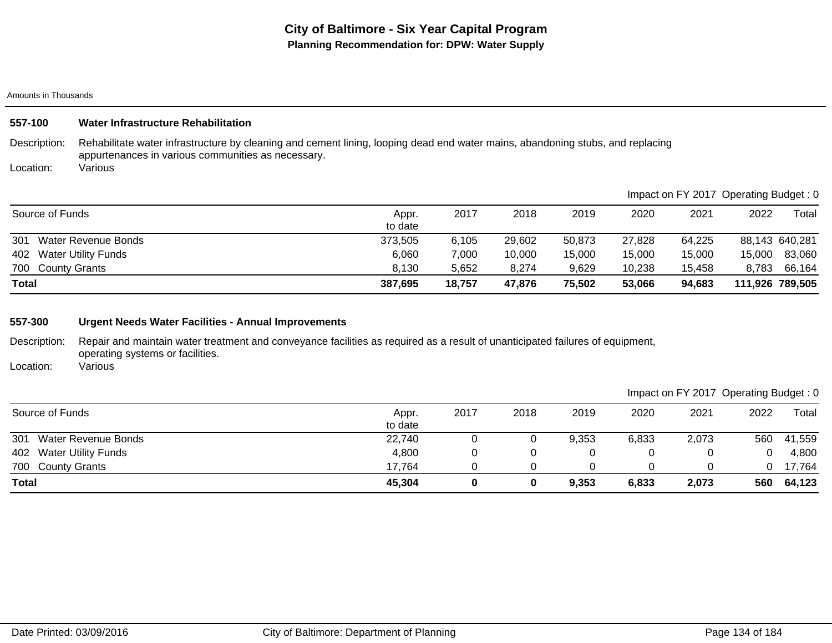| 557-100         | Water Infrastructure Rehabilitation                                                                                                                                                  |                  |        |        |        |        |                                       |        |                 |
|-----------------|--------------------------------------------------------------------------------------------------------------------------------------------------------------------------------------|------------------|--------|--------|--------|--------|---------------------------------------|--------|-----------------|
| Description:    | Rehabilitate water infrastructure by cleaning and cement lining, looping dead end water mains, abandoning stubs, and replacing<br>appurtenances in various communities as necessary. |                  |        |        |        |        |                                       |        |                 |
| Location:       | Various                                                                                                                                                                              |                  |        |        |        |        |                                       |        |                 |
|                 |                                                                                                                                                                                      |                  |        |        |        |        | Impact on FY 2017 Operating Budget: 0 |        |                 |
| Source of Funds |                                                                                                                                                                                      | Appr.<br>to date | 2017   | 2018   | 2019   | 2020   | 2021                                  | 2022   | Total           |
| 301             | Water Revenue Bonds                                                                                                                                                                  | 373,505          | 6,105  | 29,602 | 50,873 | 27,828 | 64,225                                |        | 88,143 640,281  |
| 402             | <b>Water Utility Funds</b>                                                                                                                                                           | 6,060            | 7,000  | 10,000 | 15,000 | 15,000 | 15,000                                | 15,000 | 83,060          |
| 700             | <b>County Grants</b>                                                                                                                                                                 | 8,130            | 5,652  | 8,274  | 9,629  | 10,238 | 15,458                                | 8,783  | 66,164          |
| <b>Total</b>    |                                                                                                                                                                                      | 387,695          | 18,757 | 47,876 | 75,502 | 53,066 | 94,683                                |        | 111,926 789,505 |
|                 |                                                                                                                                                                                      |                  |        |        |        |        |                                       |        |                 |
| 557-300         | <b>Urgent Needs Water Facilities - Annual Improvements</b>                                                                                                                           |                  |        |        |        |        |                                       |        |                 |

Description: Repair and maintain water treatment and conveyance facilities as required as a result of unanticipated failures of equipment, operating systems or facilities.

Location: Various

|  | Impact on FY 2017 Operating Budget: 0 |
|--|---------------------------------------|
|--|---------------------------------------|

| Source of Funds            | Appr.<br>to date | 2017 | 2018 | 2019  | 2020  | 2021  | 2022 | Total  |
|----------------------------|------------------|------|------|-------|-------|-------|------|--------|
| 301<br>Water Revenue Bonds | 22,740           |      | 0    | 9,353 | 6,833 | 2,073 | 560  | 41,559 |
| 402 Water Utility Funds    | 4,800            |      |      |       |       |       |      | 4,800  |
| 700 County Grants          | 17.764           |      |      |       |       |       |      | 17,764 |
| <b>Total</b>               | 45,304           |      | 0    | 9,353 | 6,833 | 2,073 | 560  | 64,123 |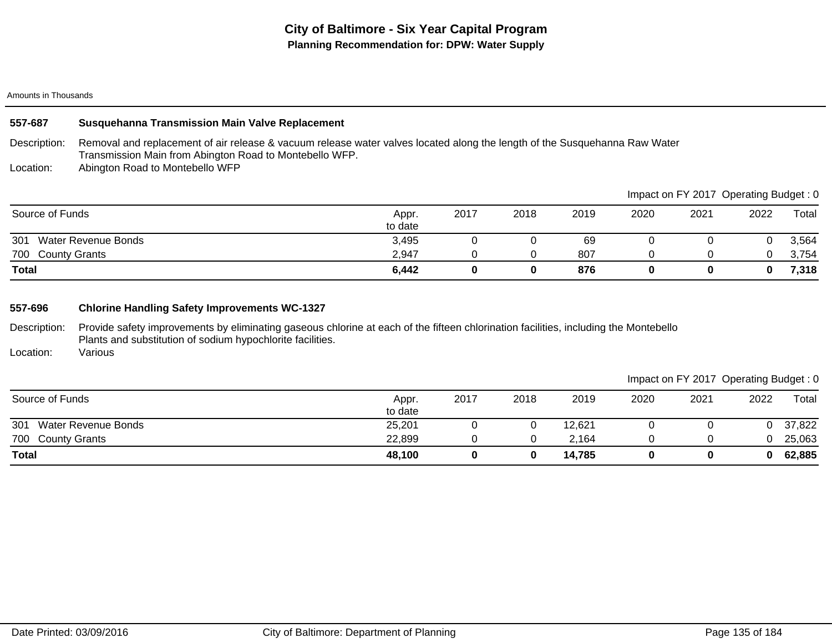# Description: Location: **557-687 Susquehanna Transmission Main Valve Replacement** Removal and replacement of air release & vacuum release water valves located along the length of the Susquehanna Raw Water Transmission Main from Abington Road to Montebello WFP. Abington Road to Montebello WFP 700 County Grants 2,754 2,947 0 0 807 0 0 0 3,754 301 Water Revenue Bonds 3,495 0 0 69 0 0 0 3,564 **Total 6,442 0 0 876 0 0 0 7,318** Source of Funds Appr. to date 2017 2018 2019 2020 2021 2022 Total Impact on FY 2017 Operating Budget : 0

# **557-696 Chlorine Handling Safety Improvements WC-1327**

Description: Provide safety improvements by eliminating gaseous chlorine at each of the fifteen chlorination facilities, including the Montebello Plants and substitution of sodium hypochlorite facilities.

Location: Various

|                         |                  |      |      |        |      |      | Impact on FY 2017 Operating Budget: 0 |        |
|-------------------------|------------------|------|------|--------|------|------|---------------------------------------|--------|
| Source of Funds         | Appr.<br>to date | 2017 | 2018 | 2019   | 2020 | 2021 | 2022                                  | Total  |
| 301 Water Revenue Bonds | 25,201           |      |      | 12.621 |      |      |                                       | 37,822 |
| 700 County Grants       | 22,899           |      |      | 2.164  |      |      |                                       | 25,063 |
| <b>Total</b>            | 48,100           |      | 0    | 14,785 |      |      |                                       | 62,885 |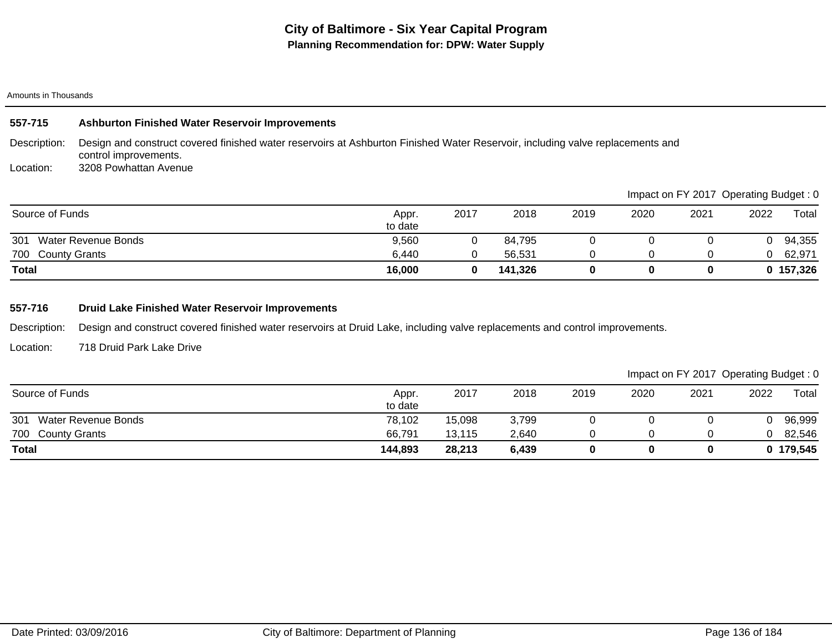| 557-715           | <b>Ashburton Finished Water Reservoir Improvements</b>                                                                                                  |                  |      |         |      |      |                                       |      |           |
|-------------------|---------------------------------------------------------------------------------------------------------------------------------------------------------|------------------|------|---------|------|------|---------------------------------------|------|-----------|
| Description:      | Design and construct covered finished water reservoirs at Ashburton Finished Water Reservoir, including valve replacements and<br>control improvements. |                  |      |         |      |      |                                       |      |           |
| Location:         | 3208 Powhattan Avenue                                                                                                                                   |                  |      |         |      |      |                                       |      |           |
|                   |                                                                                                                                                         |                  |      |         |      |      | Impact on FY 2017 Operating Budget: 0 |      |           |
| Source of Funds   |                                                                                                                                                         | Appr.<br>to date | 2017 | 2018    | 2019 | 2020 | 2021                                  | 2022 | Total     |
| 301               | Water Revenue Bonds                                                                                                                                     | 9,560            |      | 84,795  |      |      |                                       |      | 94,355    |
| 700 County Grants |                                                                                                                                                         | 6,440            |      | 56.531  | 0    |      |                                       |      | 62,971    |
| Total             |                                                                                                                                                         | 16,000           | 0    | 141,326 | 0    | 0    | 0                                     |      | 0 157,326 |

# **557-716 Druid Lake Finished Water Reservoir Improvements**

Description: Design and construct covered finished water reservoirs at Druid Lake, including valve replacements and control improvements.

Location: 718 Druid Park Lake Drive

|                                   |                  |        |       |      |      |      | $\sim$ | ີ         |
|-----------------------------------|------------------|--------|-------|------|------|------|--------|-----------|
| Source of Funds                   | Appr.<br>to date | 2017   | 2018  | 2019 | 2020 | 2021 | 2022   | Total     |
| 301<br><b>Water Revenue Bonds</b> | 78,102           | 15,098 | 3,799 |      |      |      |        | 96,999    |
| 700 County Grants                 | 66,791           | 13,115 | 2,640 |      |      |      |        | 82,546    |
| <b>Total</b>                      | 144,893          | 28,213 | 6,439 |      |      |      |        | 0 179,545 |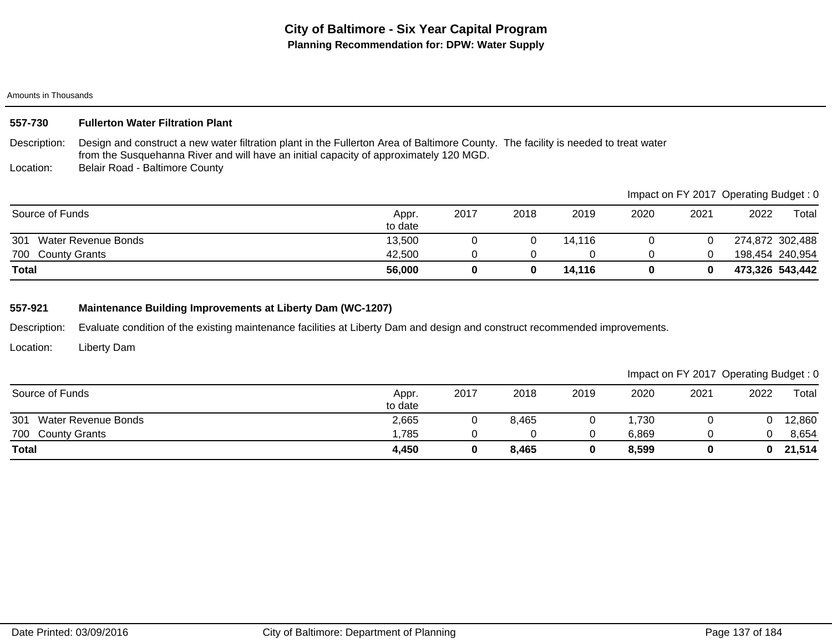## **557-730 Fullerton Water Filtration Plant**

Description: Design and construct a new water filtration plant in the Fullerton Area of Baltimore County. The facility is needed to treat water from the Susquehanna River and will have an initial capacity of approximately 120 MGD.

Location: Belair Road - Baltimore County

|                            |                  |      |      |        |      |      | Impact on FY 2017 Operating Budget: 0 |                 |
|----------------------------|------------------|------|------|--------|------|------|---------------------------------------|-----------------|
| Source of Funds            | Appr.<br>to date | 2017 | 2018 | 2019   | 2020 | 2021 | 2022                                  | Total           |
| 301<br>Water Revenue Bonds | 13,500           |      |      | 14.116 |      |      |                                       | 274,872 302,488 |
| 700 County Grants          | 42,500           |      |      |        |      |      |                                       | 198,454 240,954 |
| Total                      | 56,000           |      |      | 14.116 |      |      | 473,326 543,442                       |                 |

# **557-921 Maintenance Building Improvements at Liberty Dam (WC-1207)**

Description: Evaluate condition of the existing maintenance facilities at Liberty Dam and design and construct recommended improvements.

Location: Liberty Dam

| Source of Funds            | Appr.<br>to date | 2017 | 2018  | 2019 | 2020  | 2021 | 2022 | Total  |
|----------------------------|------------------|------|-------|------|-------|------|------|--------|
| 301<br>Water Revenue Bonds | 2,665            |      | 8,465 |      | ,730  |      |      | 12,860 |
| 700 County Grants          | .785             |      |       |      | 6.869 |      |      | 8,654  |
| <b>Total</b>               | 4,450            |      | 8,465 |      | 8,599 |      |      | 21,514 |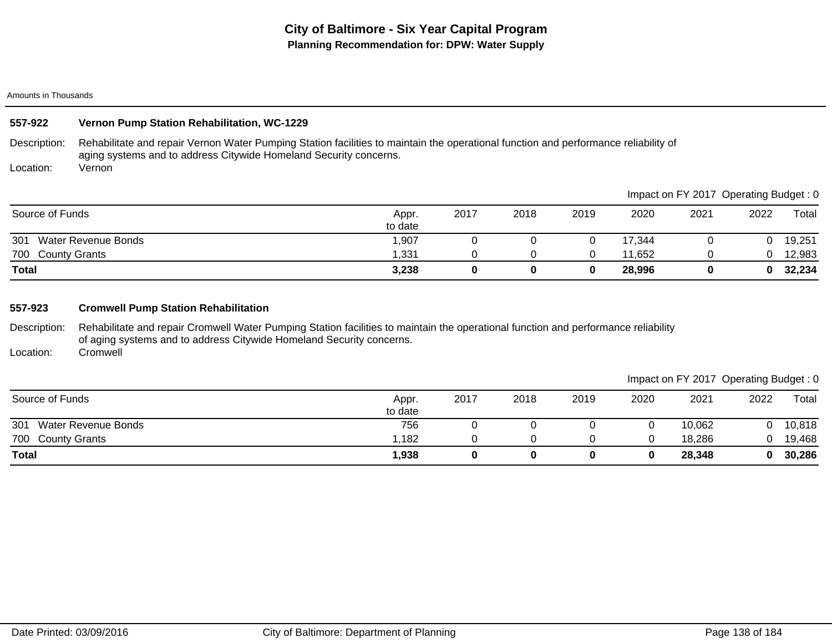# **557-922 Vernon Pump Station Rehabilitation, WC-1229**

Description: Rehabilitate and repair Vernon Water Pumping Station facilities to maintain the operational function and performance reliability of aging systems and to address Citywide Homeland Security concerns.

Location: Vernon

|                            |                  |      |      |      |        |      | Impact on FY 2017 Operating Budget: 0 |        |
|----------------------------|------------------|------|------|------|--------|------|---------------------------------------|--------|
| Source of Funds            | Appr.<br>to date | 2017 | 2018 | 2019 | 2020   | 2021 | 2022                                  | Total  |
| 301<br>Water Revenue Bonds | 1,907            |      |      |      | 17.344 |      | 0                                     | 19,251 |
| 700 County Grants          | 1,331            |      |      |      | 11,652 |      |                                       | 12,983 |
| <b>Total</b>               | 3,238            |      | 0    |      | 28,996 |      | $\mathbf{0}$                          | 32,234 |

# **557-923 Cromwell Pump Station Rehabilitation**

Description: Rehabilitate and repair Cromwell Water Pumping Station facilities to maintain the operational function and performance reliability of aging systems and to address Citywide Homeland Security concerns.

Location: **Cromwell** 

|                            |                  |      |      |      |      |        | Impact on FY 2017 Operating Budget: 0 |        |
|----------------------------|------------------|------|------|------|------|--------|---------------------------------------|--------|
| Source of Funds            | Appr.<br>to date | 2017 | 2018 | 2019 | 2020 | 2021   | 2022                                  | Total  |
| 301<br>Water Revenue Bonds | 756              |      |      |      |      | 10,062 |                                       | 10,818 |
| 700 County Grants          | l.182            |      |      |      |      | 18.286 |                                       | 19,468 |
| <b>Total</b>               | 1,938            |      | 0    |      |      | 28,348 | 0                                     | 30,286 |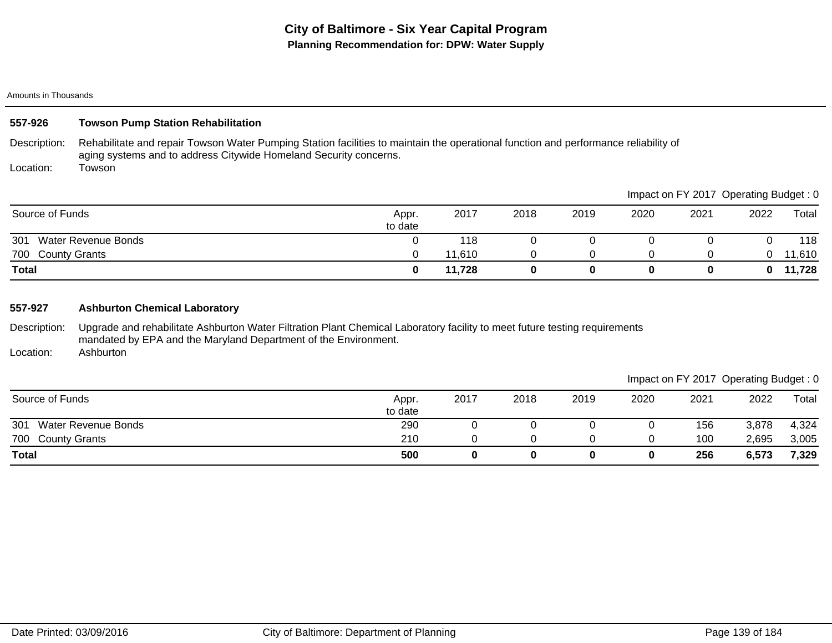# **557-926 Towson Pump Station Rehabilitation**

Description: Rehabilitate and repair Towson Water Pumping Station facilities to maintain the operational function and performance reliability of aging systems and to address Citywide Homeland Security concerns.

Location: Towson

|                                   |                  |        |      |      |      |      | Impact on FY 2017 Operating Budget: 0 |        |
|-----------------------------------|------------------|--------|------|------|------|------|---------------------------------------|--------|
| Source of Funds                   | Appr.<br>to date | 2017   | 2018 | 2019 | 2020 | 2021 | 2022                                  | Total  |
| 301<br><b>Water Revenue Bonds</b> |                  | 118    |      |      |      |      |                                       | 118    |
| 700 County Grants                 |                  | 1.610  |      |      |      |      | 0                                     | 11,610 |
| <b>Total</b>                      |                  | 11.728 |      |      |      |      | 0                                     | 11,728 |

# **557-927 Ashburton Chemical Laboratory**

Description: Upgrade and rehabilitate Ashburton Water Filtration Plant Chemical Laboratory facility to meet future testing requirements mandated by EPA and the Maryland Department of the Environment.

Location: Ashburton

|                            |                  |      |      |      |      | Impact on FY 2017 Operating Budget: 0 |       |       |
|----------------------------|------------------|------|------|------|------|---------------------------------------|-------|-------|
| Source of Funds            | Appr.<br>to date | 2017 | 2018 | 2019 | 2020 | 2021                                  | 2022  | Total |
| 301<br>Water Revenue Bonds | 290              |      |      |      |      | 156                                   | 3,878 | 4,324 |
| 700 County Grants          | 210              |      |      |      |      | 100                                   | 2,695 | 3,005 |
| <b>Total</b>               | 500              |      |      | 0    |      | 256                                   | 6,573 | 7,329 |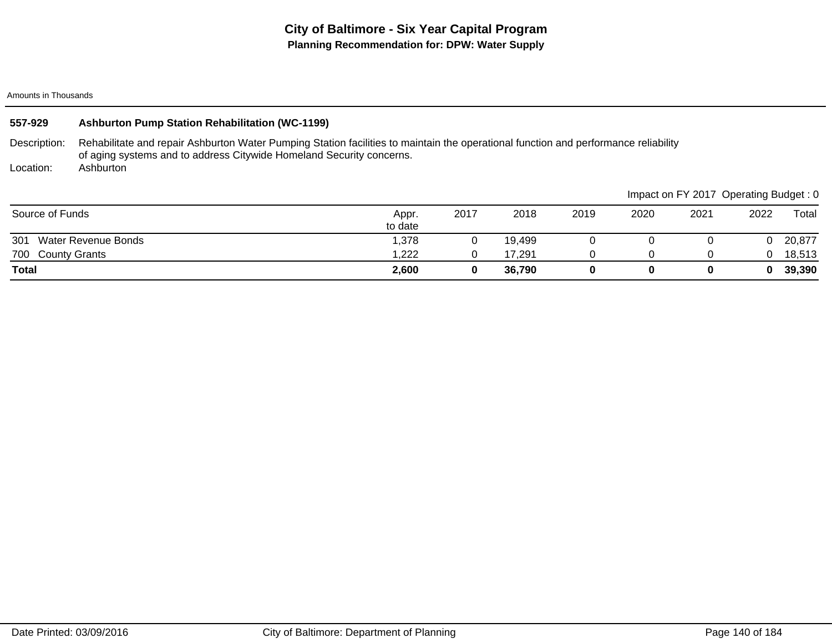| 557-929           | <b>Ashburton Pump Station Rehabilitation (WC-1199)</b>                                                                                                                                                      |                  |      |        |      |      |                                       |      |        |
|-------------------|-------------------------------------------------------------------------------------------------------------------------------------------------------------------------------------------------------------|------------------|------|--------|------|------|---------------------------------------|------|--------|
| Description:      | Rehabilitate and repair Ashburton Water Pumping Station facilities to maintain the operational function and performance reliability<br>of aging systems and to address Citywide Homeland Security concerns. |                  |      |        |      |      |                                       |      |        |
| Location:         | Ashburton                                                                                                                                                                                                   |                  |      |        |      |      |                                       |      |        |
|                   |                                                                                                                                                                                                             |                  |      |        |      |      | Impact on FY 2017 Operating Budget: 0 |      |        |
| Source of Funds   |                                                                                                                                                                                                             | Appr.<br>to date | 2017 | 2018   | 2019 | 2020 | 2021                                  | 2022 | Total  |
| 301               | Water Revenue Bonds                                                                                                                                                                                         | 1.378            |      | 19.499 |      |      |                                       |      | 20,877 |
| 700 County Grants |                                                                                                                                                                                                             | 1,222            | 0    | 17,291 | 0    |      |                                       |      | 18,513 |
| <b>Total</b>      |                                                                                                                                                                                                             | 2,600            | 0    | 36.790 | 0    | 0    | 0                                     | 0    | 39,390 |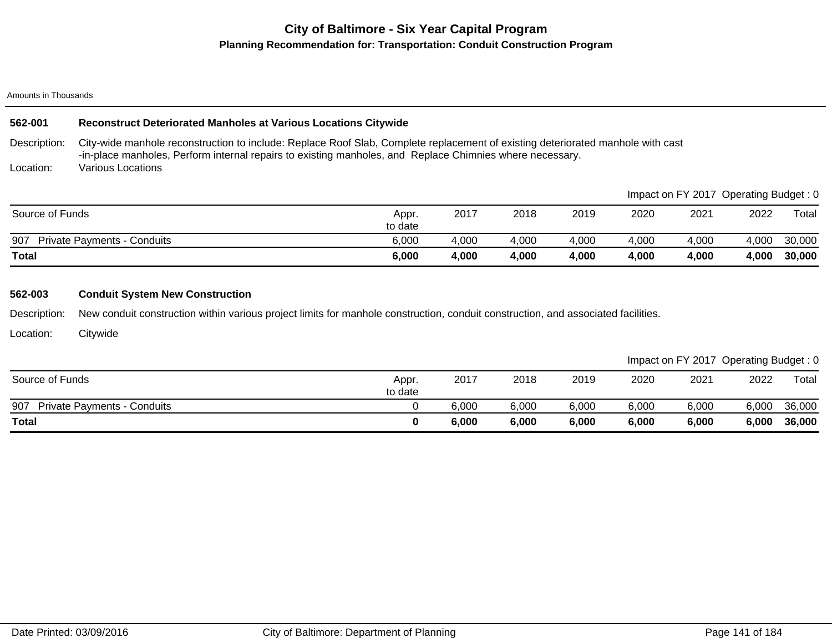# **City of Baltimore - Six Year Capital Program Planning Recommendation for: Transportation: Conduit Construction Program**

## Amounts in Thousands

# **562-001 Reconstruct Deteriorated Manholes at Various Locations Citywide**

Description: City-wide manhole reconstruction to include: Replace Roof Slab, Complete replacement of existing deteriorated manhole with cast -in-place manholes, Perform internal repairs to existing manholes, and Replace Chimnies where necessary.

Location: Various Locations

| <b>Total</b>                              | 6,000            | 4,000 | 4,000 | 4,000 | 4,000 | 4,000                                 | 4,000 | 30,000 |
|-------------------------------------------|------------------|-------|-------|-------|-------|---------------------------------------|-------|--------|
| 907<br><b>Private Payments - Conduits</b> | 6,000            | 4,000 | 4,000 | 4,000 | 4,000 | 4,000                                 | 4,000 | 30,000 |
| Source of Funds                           | Appr.<br>to date | 2017  | 2018  | 2019  | 2020  | 2021                                  | 2022  | Total  |
|                                           |                  |       |       |       |       | Impact on FY 2017 Uperating Budget: 0 |       |        |

## **562-003 Conduit System New Construction**

Description: New conduit construction within various project limits for manhole construction, conduit construction, and associated facilities.

Location: **Citywide** 

|                                           |                  |       |       |       |       | Impact on FY 2017 Operating Budget: 0 |       |        |
|-------------------------------------------|------------------|-------|-------|-------|-------|---------------------------------------|-------|--------|
| Source of Funds                           | Appr.<br>to date | 2017  | 2018  | 2019  | 2020  | 2021                                  | 2022  | Total  |
| 907<br><b>Private Payments - Conduits</b> |                  | 6,000 | 6,000 | 6,000 | 6,000 | 6,000                                 | 6,000 | 36,000 |
| <b>Total</b>                              |                  | 6,000 | 6,000 | 6,000 | 6,000 | 6,000                                 | 6,000 | 36,000 |

 $\blacksquare$ Impact on Fy 2017 Operations on  $\blacksquare$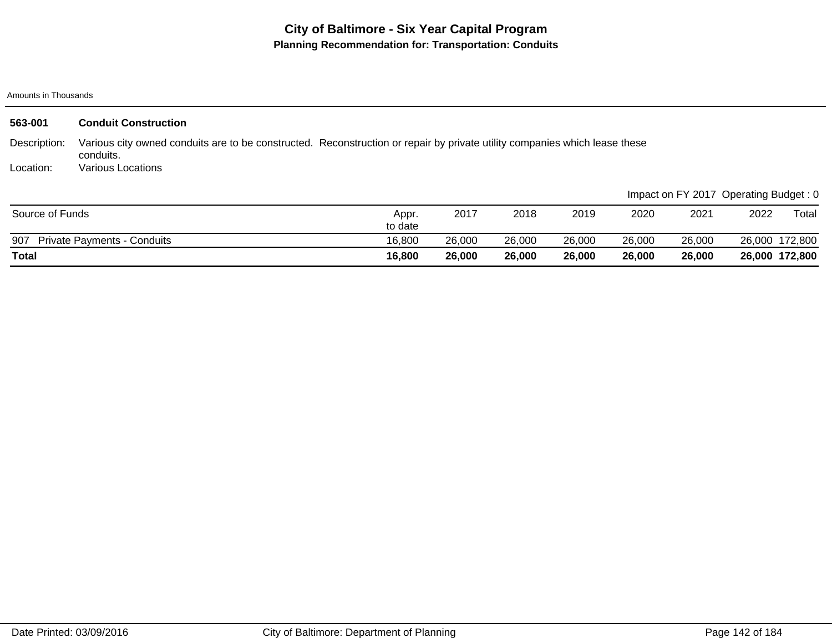| 563-001         | <b>Conduit Construction</b>                                                                                                             |                  |        |        |        |        |        |                                       |                |
|-----------------|-----------------------------------------------------------------------------------------------------------------------------------------|------------------|--------|--------|--------|--------|--------|---------------------------------------|----------------|
| Description:    | Various city owned conduits are to be constructed. Reconstruction or repair by private utility companies which lease these<br>conduits. |                  |        |        |        |        |        |                                       |                |
| Location:       | <b>Various Locations</b>                                                                                                                |                  |        |        |        |        |        |                                       |                |
|                 |                                                                                                                                         |                  |        |        |        |        |        | Impact on FY 2017 Operating Budget: 0 |                |
| Source of Funds |                                                                                                                                         | Appr.<br>to date | 2017   | 2018   | 2019   | 2020   | 2021   | 2022                                  | Total          |
| 907             | <b>Private Payments - Conduits</b>                                                                                                      | 16,800           | 26,000 | 26,000 | 26,000 | 26,000 | 26,000 |                                       | 26,000 172,800 |
| Total           |                                                                                                                                         | 16,800           | 26,000 | 26,000 | 26,000 | 26,000 | 26,000 |                                       | 26,000 172,800 |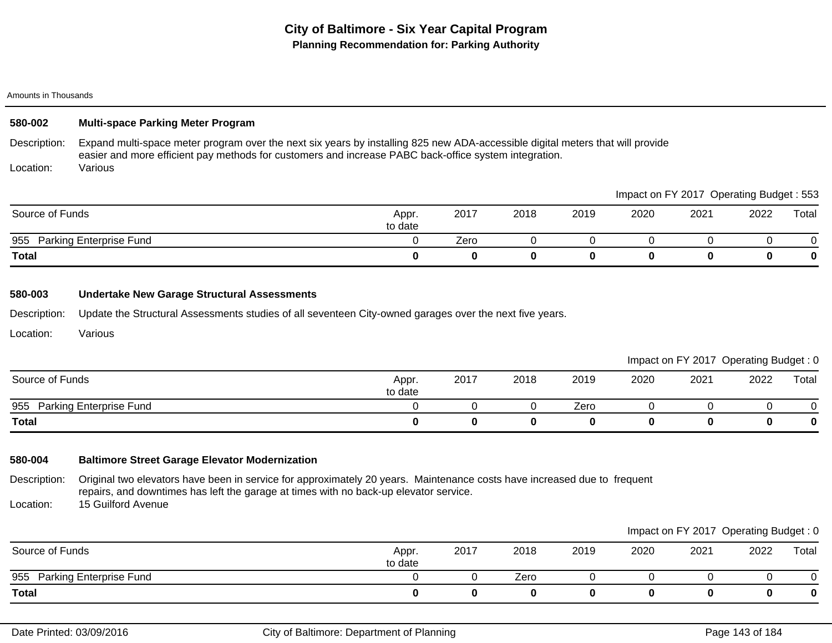# **580-002 Multi-space Parking Meter Program**

Description: Expand multi-space meter program over the next six years by installing 825 new ADA-accessible digital meters that will provide easier and more efficient pay methods for customers and increase PABC back-office system integration.

Location: Various

|                                       |                  |      |      |      |      | Impact on FY 2017 Operating Budget: 553 |      |       |
|---------------------------------------|------------------|------|------|------|------|-----------------------------------------|------|-------|
| Source of Funds                       | Appr.<br>to date | 2017 | 2018 | 2019 | 2020 | 2021                                    | 2022 | Total |
| <b>Parking Enterprise Fund</b><br>955 |                  | Zero |      |      |      |                                         |      |       |
| <b>Total</b>                          |                  | 0    |      |      |      |                                         |      | 0     |

## **580-003 Undertake New Garage Structural Assessments**

Description: Update the Structural Assessments studies of all seventeen City-owned garages over the next five years.

Location: Various

|                             |                  |      |      |      |      | Impact on FY 2017 Operating Budget: 0 |      |       |
|-----------------------------|------------------|------|------|------|------|---------------------------------------|------|-------|
| Source of Funds             | Appr.<br>to date | 2017 | 2018 | 2019 | 2020 | 2021                                  | 2022 | Total |
| 955 Parking Enterprise Fund |                  |      |      | Zero |      |                                       |      |       |
| Total                       |                  |      |      |      |      |                                       |      |       |

# **580-004 Baltimore Street Garage Elevator Modernization**

Description: Location: Original two elevators have been in service for approximately 20 years. Maintenance costs have increased due to frequent repairs, and downtimes has left the garage at times with no back-up elevator service. 15 Guilford Avenue

|                             |                  |      |      |      |      | Impact on FY 2017 Operating Budget: 0 |      |       |
|-----------------------------|------------------|------|------|------|------|---------------------------------------|------|-------|
| Source of Funds             | Appr.<br>to date | 2017 | 2018 | 2019 | 2020 | 2021                                  | 2022 | Total |
| 955 Parking Enterprise Fund |                  |      | Zero |      |      |                                       |      |       |
| <b>Total</b>                |                  |      |      |      |      |                                       |      |       |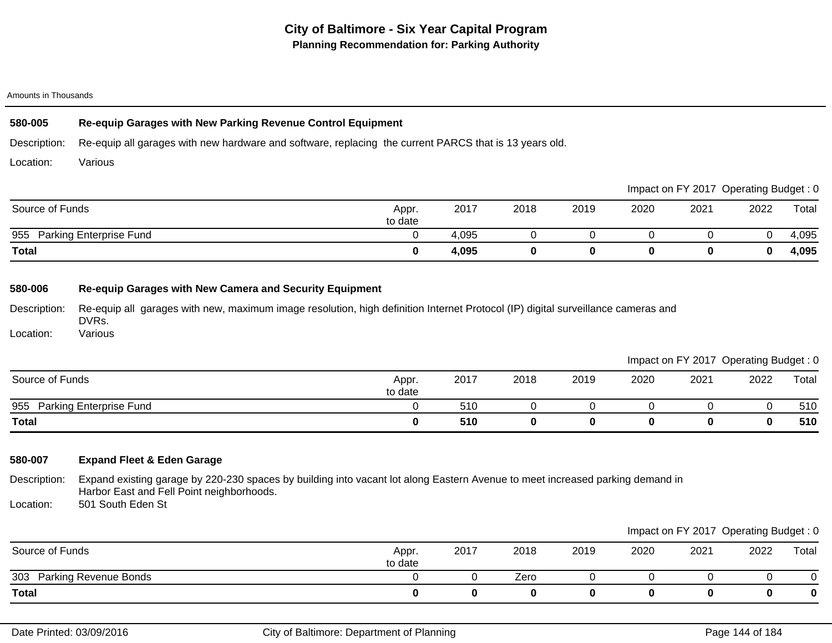# **580-005 Re-equip Garages with New Parking Revenue Control Equipment**

Description: Re-equip all garages with new hardware and software, replacing the current PARCS that is 13 years old.

Location: Various

|                                |                  |       |      |      |      |      | Impact on FY 2017 Operating Budget: 0 |       |
|--------------------------------|------------------|-------|------|------|------|------|---------------------------------------|-------|
| Source of Funds                | Appr.<br>to date | 2017  | 2018 | 2019 | 2020 | 2021 | 2022                                  | Total |
| Parking Enterprise Fund<br>955 |                  | 4,095 |      |      |      |      |                                       | 4,095 |
| <b>Total</b>                   |                  | 4,095 |      |      |      |      |                                       | 4,095 |

# **580-006 Re-equip Garages with New Camera and Security Equipment**

Description: Re-equip all garages with new, maximum image resolution, high definition Internet Protocol (IP) digital surveillance cameras and DVRs. Various

Location:

|                             |                  |      |      |      | Impact on FY 2017 Operating Budget: 0 |      |      |       |
|-----------------------------|------------------|------|------|------|---------------------------------------|------|------|-------|
| Source of Funds             | Appr.<br>to date | 2017 | 2018 | 2019 | 2020                                  | 2021 | 2022 | Total |
| 955 Parking Enterprise Fund |                  | 510  |      |      |                                       |      |      | 510   |
| <b>Total</b>                |                  | 510  |      |      |                                       |      | 0    | 510   |

# **580-007 Expand Fleet & Eden Garage**

Description: Expand existing garage by 220-230 spaces by building into vacant lot along Eastern Avenue to meet increased parking demand in Harbor East and Fell Point neighborhoods.

Location: 501 South Eden St

|                           |                  |      |      |      | Impact on FY 2017 Operating Budget: 0 |      |      |       |  |  |
|---------------------------|------------------|------|------|------|---------------------------------------|------|------|-------|--|--|
| Source of Funds           | Appr.<br>to date | 2017 | 2018 | 2019 | 2020                                  | 2021 | 2022 | Total |  |  |
| 303 Parking Revenue Bonds |                  |      | Zero |      |                                       |      |      |       |  |  |
| <b>Total</b>              |                  | n    | O    |      |                                       |      |      | 0     |  |  |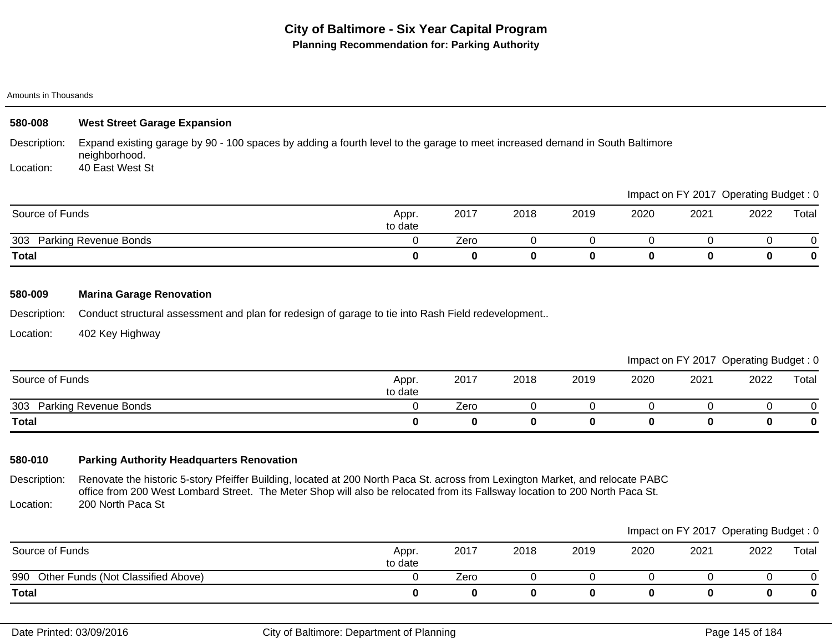| 580-008         | <b>West Street Garage Expansion</b> |                                                                                                                              |      |      |      |      |                                       |      |          |  |  |
|-----------------|-------------------------------------|------------------------------------------------------------------------------------------------------------------------------|------|------|------|------|---------------------------------------|------|----------|--|--|
| Description:    | neighborhood.                       | Expand existing garage by 90 - 100 spaces by adding a fourth level to the garage to meet increased demand in South Baltimore |      |      |      |      |                                       |      |          |  |  |
| Location:       | 40 East West St                     |                                                                                                                              |      |      |      |      |                                       |      |          |  |  |
|                 |                                     |                                                                                                                              |      |      |      |      | Impact on FY 2017 Operating Budget: 0 |      |          |  |  |
| Source of Funds |                                     | Appr.<br>to date                                                                                                             | 2017 | 2018 | 2019 | 2020 | 2021                                  | 2022 | Total    |  |  |
| 303             | <b>Parking Revenue Bonds</b>        |                                                                                                                              | Zero | 0    | 0    |      |                                       |      | 0        |  |  |
| <b>Total</b>    |                                     | 0                                                                                                                            | 0    | 0    | 0    | 0    | 0                                     | 0    | $\bf{0}$ |  |  |
| 580-009         | <b>Marina Garage Renovation</b>     |                                                                                                                              |      |      |      |      |                                       |      |          |  |  |

Description: Conduct structural assessment and plan for redesign of garage to tie into Rash Field redevelopment..

Location: 402 Key Highway

|                              |                  |      |      |      |      | Impact on FY 2017 Operating Budget: 0 |      |       |
|------------------------------|------------------|------|------|------|------|---------------------------------------|------|-------|
| Source of Funds              | Appr.<br>to date | 2017 | 2018 | 2019 | 2020 | 2021                                  | 2022 | Total |
| Parking Revenue Bonds<br>303 |                  | Zero |      |      |      |                                       |      |       |
| <b>Total</b>                 |                  |      |      |      |      |                                       |      |       |

## **580-010 Parking Authority Headquarters Renovation**

Description: Location: Renovate the historic 5-story Pfeiffer Building, located at 200 North Paca St. across from Lexington Market, and relocate PABC office from 200 West Lombard Street. The Meter Shop will also be relocated from its Fallsway location to 200 North Paca St. 200 North Paca St

|                                        |                  |      |      |      |      | Impact on FY 2017 Operating Budget: 0 |      |       |
|----------------------------------------|------------------|------|------|------|------|---------------------------------------|------|-------|
| Source of Funds                        | Appr.<br>to date | 2017 | 2018 | 2019 | 2020 | 2021                                  | 2022 | Total |
| 990 Other Funds (Not Classified Above) |                  | Zero |      |      |      |                                       |      |       |
| <b>Total</b>                           |                  |      |      |      |      |                                       |      | 0     |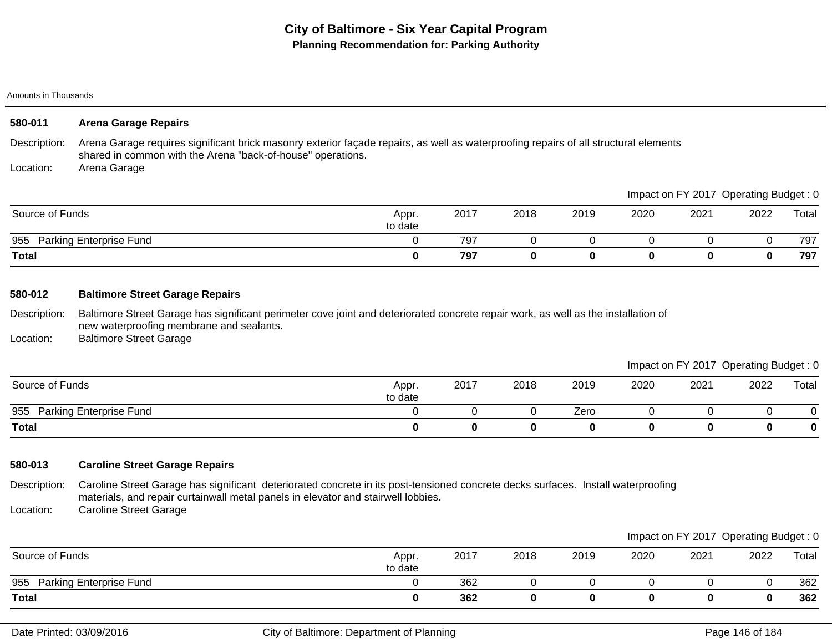| 580-011                   | <b>Arena Garage Repairs</b>                                                                                                                                                                                         |   |      |      |          |          |                                       |      |       |
|---------------------------|---------------------------------------------------------------------------------------------------------------------------------------------------------------------------------------------------------------------|---|------|------|----------|----------|---------------------------------------|------|-------|
| Description:<br>Location: | Arena Garage requires significant brick masonry exterior façade repairs, as well as waterproofing repairs of all structural elements<br>shared in common with the Arena "back-of-house" operations.<br>Arena Garage |   |      |      |          |          |                                       |      |       |
|                           |                                                                                                                                                                                                                     |   |      |      |          |          | Impact on FY 2017 Operating Budget: 0 |      |       |
|                           | Source of Funds                                                                                                                                                                                                     |   | 2017 | 2018 | 2019     | 2020     | 2021                                  | 2022 | Total |
|                           | 955 Parking Enterprise Fund                                                                                                                                                                                         | 0 | 797  | 0    | $\Omega$ | 0        | 0                                     | 0    | 797   |
| Total                     |                                                                                                                                                                                                                     | 0 | 797  | 0    | 0        | $\bf{0}$ | 0                                     | 0    | 797   |
| 580-012                   | <b>Baltimore Street Garage Repairs</b>                                                                                                                                                                              |   |      |      |          |          |                                       |      |       |
| Description:              | Baltimore Street Garage has significant perimeter cove joint and deteriorated concrete repair work, as well as the installation of<br>new waterproofing membrane and sealants.                                      |   |      |      |          |          |                                       |      |       |

Location: Baltimore Street Garage

Impact on FY 2017 Operating Budget : 0

|                                |                  |      |      |      |      |      | $\overline{\phantom{a}}$ | ັ     |
|--------------------------------|------------------|------|------|------|------|------|--------------------------|-------|
| Source of Funds                | Appr.<br>to date | 2017 | 2018 | 2019 | 2020 | 2021 | 2022                     | Total |
| 955<br>Parking Enterprise Fund |                  |      |      | Zero |      |      |                          |       |
| <b>Total</b>                   |                  |      |      |      |      |      |                          |       |

## **580-013 Caroline Street Garage Repairs**

Description: Location: Caroline Street Garage has significant deteriorated concrete in its post-tensioned concrete decks surfaces. Install waterproofing materials, and repair curtainwall metal panels in elevator and stairwell lobbies. Caroline Street Garage

|                             |                  |      |      |      |      |      | Impact on FY 2017 Operating Budget: 0 |       |
|-----------------------------|------------------|------|------|------|------|------|---------------------------------------|-------|
| Source of Funds             | Appr.<br>to date | 2017 | 2018 | 2019 | 2020 | 2021 | 2022                                  | Total |
| 955 Parking Enterprise Fund |                  | 362  |      |      |      |      |                                       | 362   |
| <b>Total</b>                |                  | 362  |      |      |      |      |                                       | 362   |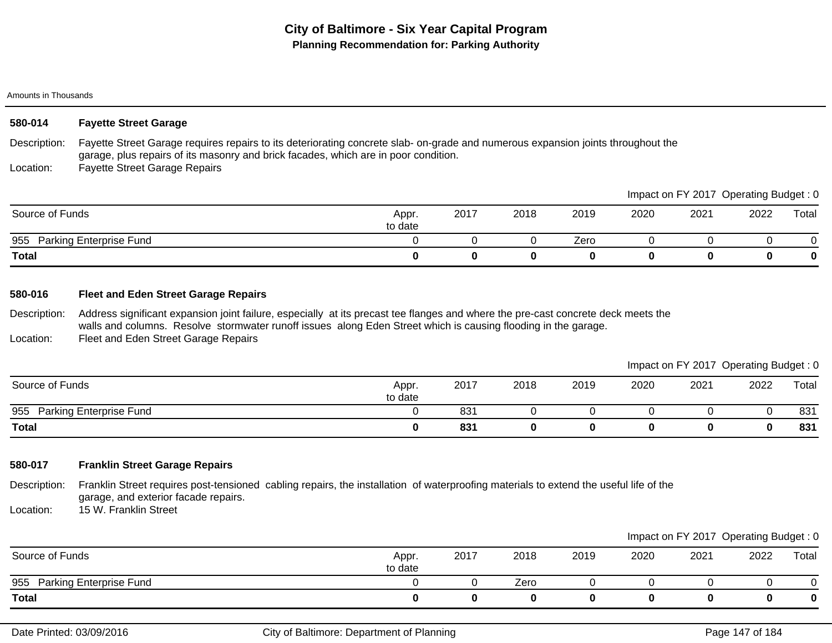| 580-014         | <b>Fayette Street Garage</b>                                                                                                                                                                                           |                  |      |      |      |      |      |                                       |          |
|-----------------|------------------------------------------------------------------------------------------------------------------------------------------------------------------------------------------------------------------------|------------------|------|------|------|------|------|---------------------------------------|----------|
| Description:    | Fayette Street Garage requires repairs to its deteriorating concrete slab-on-grade and numerous expansion joints throughout the<br>garage, plus repairs of its masonry and brick facades, which are in poor condition. |                  |      |      |      |      |      |                                       |          |
| Location:       | <b>Fayette Street Garage Repairs</b>                                                                                                                                                                                   |                  |      |      |      |      |      |                                       |          |
|                 |                                                                                                                                                                                                                        |                  |      |      |      |      |      | Impact on FY 2017 Operating Budget: 0 |          |
| Source of Funds |                                                                                                                                                                                                                        | Appr.<br>to date | 2017 | 2018 | 2019 | 2020 | 2021 | 2022                                  | Total    |
|                 | 955 Parking Enterprise Fund                                                                                                                                                                                            |                  |      |      | Zero |      |      |                                       |          |
| <b>Total</b>    |                                                                                                                                                                                                                        | 0                | 0    | 0    | 0    | 0    |      | 0                                     | $\bf{0}$ |

### **580-016 Fleet and Eden Street Garage Repairs**

Description: Location: Address significant expansion joint failure, especially at its precast tee flanges and where the pre-cast concrete deck meets the walls and columns. Resolve stormwater runoff issues along Eden Street which is causing flooding in the garage. Fleet and Eden Street Garage Repairs

|                             |                  |      |      |      |      | Impact on FY 2017 Operating Budget: 0 |      |       |
|-----------------------------|------------------|------|------|------|------|---------------------------------------|------|-------|
| Source of Funds             | Appr.<br>to date | 2017 | 2018 | 2019 | 2020 | 2021                                  | 2022 | Total |
| 955 Parking Enterprise Fund |                  | 831  |      |      |      |                                       |      | 831   |
| <b>Total</b>                |                  | 831  |      |      |      |                                       |      | 831   |

## **580-017 Franklin Street Garage Repairs**

Description: Franklin Street requires post-tensioned cabling repairs, the installation of waterproofing materials to extend the useful life of the garage, and exterior facade repairs.

Location: 15 W. Franklin Street

|                                       |                  |      |      |      |      |      | Impact on FY 2017 Operating Budget: 0 |       |
|---------------------------------------|------------------|------|------|------|------|------|---------------------------------------|-------|
| Source of Funds                       | Appr.<br>to date | 2017 | 2018 | 2019 | 2020 | 2021 | 2022                                  | Total |
| <b>Parking Enterprise Fund</b><br>955 |                  |      | Zero |      |      |      |                                       |       |
| <b>Total</b>                          |                  |      |      |      |      |      |                                       |       |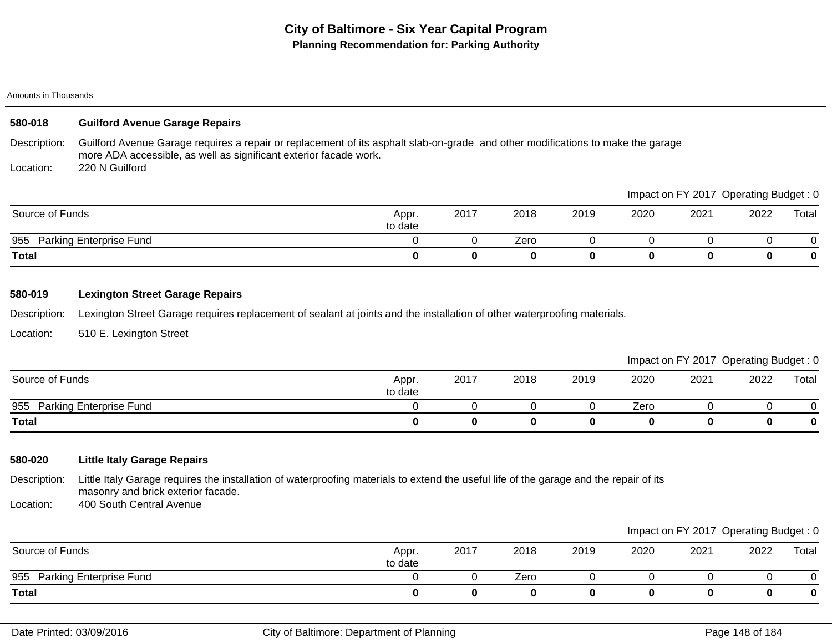## **580-018 Guilford Avenue Garage Repairs**

Description: Guilford Avenue Garage requires a repair or replacement of its asphalt slab-on-grade and other modifications to make the garage more ADA accessible, as well as significant exterior facade work.

Location: 220 N Guilford

|                                |                  |      |      |      |      | Impact on FY 2017 Operating Budget: 0 |      |          |
|--------------------------------|------------------|------|------|------|------|---------------------------------------|------|----------|
| Source of Funds                | Appr.<br>to date | 2017 | 2018 | 2019 | 2020 | 2021                                  | 2022 | Total    |
| Parking Enterprise Fund<br>955 |                  |      | Zero |      |      |                                       |      |          |
| <b>Total</b>                   |                  | 0    |      |      |      | 0                                     |      | $\bf{0}$ |

### **580-019 Lexington Street Garage Repairs**

Description: Lexington Street Garage requires replacement of sealant at joints and the installation of other waterproofing materials.

Location: 510 E. Lexington Street

|                             |                  |      |      |      |      | Impact on FY 2017 Operating Budget: 0 |      |       |
|-----------------------------|------------------|------|------|------|------|---------------------------------------|------|-------|
| Source of Funds             | Appr.<br>to date | 2017 | 2018 | 2019 | 2020 | 2021                                  | 2022 | Total |
| 955 Parking Enterprise Fund |                  |      |      |      | Zero |                                       |      |       |
| <b>Total</b>                |                  |      |      |      |      |                                       |      |       |

## **580-020 Little Italy Garage Repairs**

Description: Little Italy Garage requires the installation of waterproofing materials to extend the useful life of the garage and the repair of its masonry and brick exterior facade.

Location: 400 South Central Avenue

|                             |                  |      |      |      |      | Impact on FY 2017 Operating Budget: 0 |      |       |
|-----------------------------|------------------|------|------|------|------|---------------------------------------|------|-------|
| Source of Funds             | Appr.<br>to date | 2017 | 2018 | 2019 | 2020 | 2021                                  | 2022 | Total |
| 955 Parking Enterprise Fund |                  |      | Zero |      |      |                                       |      |       |
| Total                       |                  |      |      |      |      |                                       | 0    |       |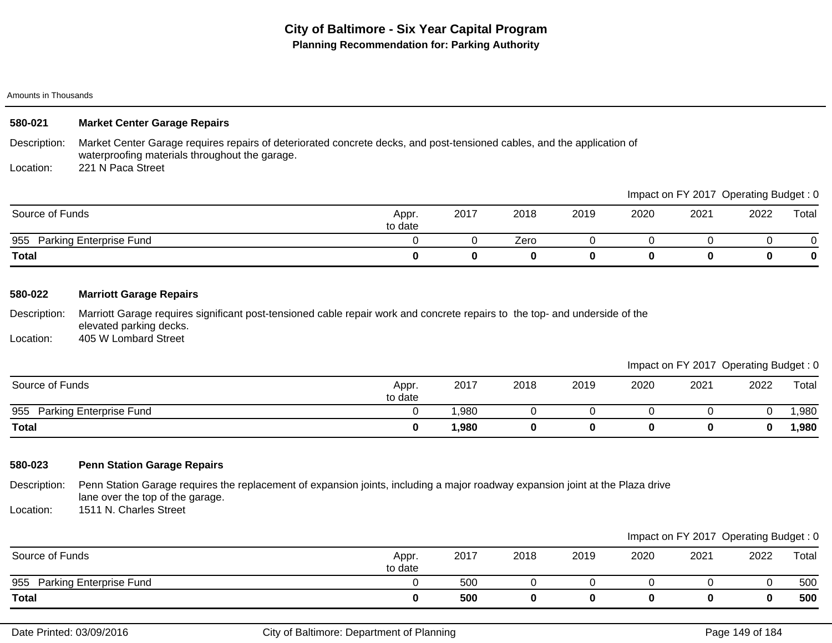| 580-021         | <b>Market Center Garage Repairs</b>                                                                                                                                       |                  |          |      |      |      |      |                                       |       |  |  |
|-----------------|---------------------------------------------------------------------------------------------------------------------------------------------------------------------------|------------------|----------|------|------|------|------|---------------------------------------|-------|--|--|
| Description:    | Market Center Garage requires repairs of deteriorated concrete decks, and post-tensioned cables, and the application of<br>waterproofing materials throughout the garage. |                  |          |      |      |      |      |                                       |       |  |  |
| Location:       | 221 N Paca Street                                                                                                                                                         |                  |          |      |      |      |      |                                       |       |  |  |
|                 |                                                                                                                                                                           |                  |          |      |      |      |      | Impact on FY 2017 Operating Budget: 0 |       |  |  |
| Source of Funds |                                                                                                                                                                           | Appr.<br>to date | 2017     | 2018 | 2019 | 2020 | 2021 | 2022                                  | Total |  |  |
|                 | 955 Parking Enterprise Fund                                                                                                                                               |                  |          | Zero |      |      |      |                                       | 0     |  |  |
| <b>Total</b>    |                                                                                                                                                                           | 0                | $\bf{0}$ | 0    | 0    | 0    | 0    | 0                                     | 0     |  |  |

### **580-022 Marriott Garage Repairs**

Description: Location: Marriott Garage requires significant post-tensioned cable repair work and concrete repairs to the top- and underside of the elevated parking decks. 405 W Lombard Street

Impact on FY 2017 Operating Budget : 0

|                                |                  |             |      |      |      |      | __   | __    |
|--------------------------------|------------------|-------------|------|------|------|------|------|-------|
| Source of Funds                | Appr.<br>to date | 2017        | 2018 | 2019 | 2020 | 2021 | 2022 | Total |
| 955<br>Parking Enterprise Fund |                  | ,980        |      |      |      |      |      | ,980  |
| <b>Total</b>                   |                  | <b>980,</b> |      |      |      |      |      | ,980  |

## **580-023 Penn Station Garage Repairs**

Description: Penn Station Garage requires the replacement of expansion joints, including a major roadway expansion joint at the Plaza drive lane over the top of the garage.

Location: 1511 N. Charles Street

|                                       |                  |      |      |      |      |      | Impact on FY 2017 Operating Budget: 0 |       |
|---------------------------------------|------------------|------|------|------|------|------|---------------------------------------|-------|
| Source of Funds                       | Appr.<br>to date | 2017 | 2018 | 2019 | 2020 | 2021 | 2022                                  | Total |
| 955<br><b>Parking Enterprise Fund</b> |                  | 500  |      |      |      |      |                                       | 500   |
| <b>Total</b>                          |                  | 500  |      |      |      |      |                                       | 500   |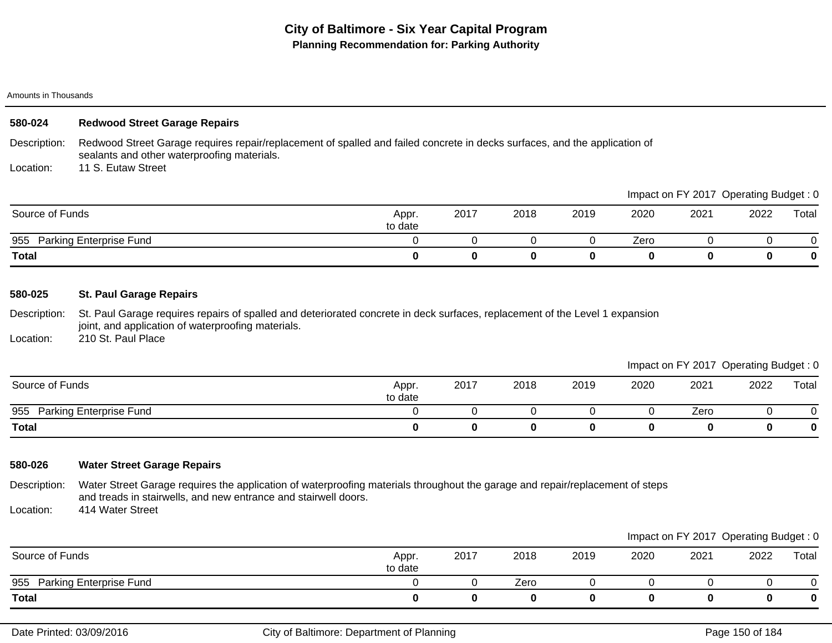| 580-024 |  | <b>Redwood Street Garage Repairs</b> |
|---------|--|--------------------------------------|
|---------|--|--------------------------------------|

Description: Redwood Street Garage requires repair/replacement of spalled and failed concrete in decks surfaces, and the application of sealants and other waterproofing materials.

Location: 11 S. Eutaw Street

|                                |                  |      |      |      |      |      | impact on Fit 2017 Operating Budget. U |       |
|--------------------------------|------------------|------|------|------|------|------|----------------------------------------|-------|
| Source of Funds                | Appr.<br>to date | 2017 | 2018 | 2019 | 2020 | 2021 | 2022                                   | Total |
| Parking Enterprise Fund<br>955 |                  |      |      |      | Zero |      |                                        |       |
| <b>Total</b>                   |                  |      |      |      |      |      |                                        |       |

### **580-025 St. Paul Garage Repairs**

Description: St. Paul Garage requires repairs of spalled and deteriorated concrete in deck surfaces, replacement of the Level 1 expansion joint, and application of waterproofing materials.

Location: 210 St. Paul Place

Impact on FY 2017 Operating Budget : 0

Impact on FY 2017 Operating Budget : 0

|                                       |                  |      |      |      |      |      | $\sim$ | __    |
|---------------------------------------|------------------|------|------|------|------|------|--------|-------|
| Source of Funds                       | Appr.<br>to date | 2017 | 2018 | 2019 | 2020 | 2021 | 2022   | Total |
| <b>Parking Enterprise Fund</b><br>955 |                  |      |      |      |      | Zero |        |       |
| <b>Total</b>                          |                  |      | 0    |      |      |      |        |       |

## **580-026 Water Street Garage Repairs**

Description: Water Street Garage requires the application of waterproofing materials throughout the garage and repair/replacement of steps and treads in stairwells, and new entrance and stairwell doors.

Location: 414 Water Street

|                                |                  |      |      |      |      |      | Impact on FY 2017 Operating Budget: 0 |       |
|--------------------------------|------------------|------|------|------|------|------|---------------------------------------|-------|
| Source of Funds                | Appr.<br>to date | 2017 | 2018 | 2019 | 2020 | 2021 | 2022                                  | Total |
| Parking Enterprise Fund<br>955 |                  |      | Zero |      |      |      |                                       |       |
| <b>Total</b>                   |                  |      |      |      |      |      |                                       |       |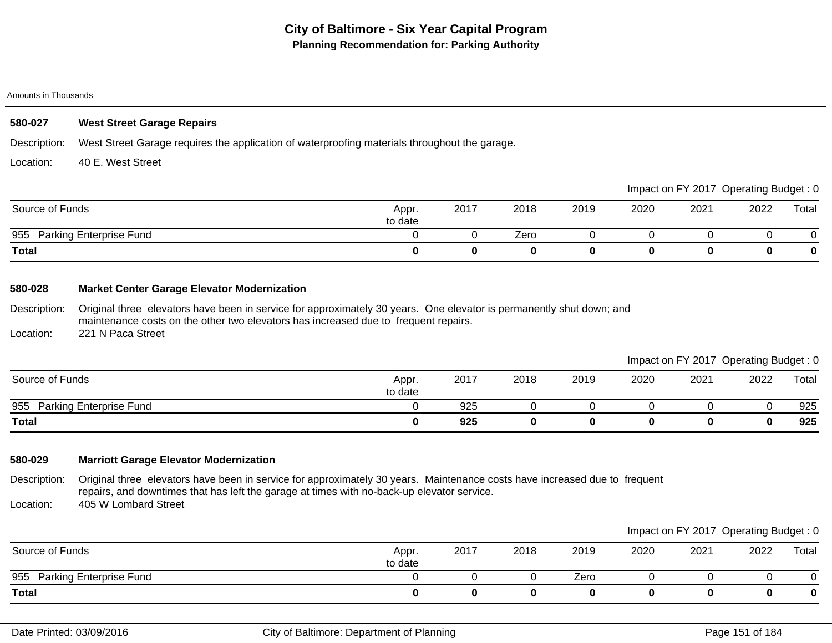### **580-027 West Street Garage Repairs**

Description: West Street Garage requires the application of waterproofing materials throughout the garage.

Location: 40 E. West Street

|                                |                  |      |      |      |      |      | Impact on FY 2017 Operating Budget: 0 |       |
|--------------------------------|------------------|------|------|------|------|------|---------------------------------------|-------|
| Source of Funds                | Appr.<br>to date | 2017 | 2018 | 2019 | 2020 | 2021 | 2022                                  | Total |
| Parking Enterprise Fund<br>955 |                  |      | Zero |      |      |      |                                       |       |
| <b>Total</b>                   |                  |      |      |      |      |      |                                       | 0     |

### **580-028 Market Center Garage Elevator Modernization**

Description: Original three elevators have been in service for approximately 30 years. One elevator is permanently shut down; and maintenance costs on the other two elevators has increased due to frequent repairs.

Location: 221 N Paca Street

|                             |                  |      |      |      |      | Impact on FY 2017 Operating Budget: 0 |      |       |
|-----------------------------|------------------|------|------|------|------|---------------------------------------|------|-------|
| Source of Funds             | Appr.<br>to date | 2017 | 2018 | 2019 | 2020 | 2021                                  | 2022 | Total |
| 955 Parking Enterprise Fund |                  | 925  |      |      |      |                                       |      | 925   |
| <b>Total</b>                |                  | 925  | 0    |      |      |                                       |      | 925   |

## **580-029 Marriott Garage Elevator Modernization**

Description: Location: Original three elevators have been in service for approximately 30 years. Maintenance costs have increased due to frequent repairs, and downtimes that has left the garage at times with no-back-up elevator service. 405 W Lombard Street

|                             |                  |      |      |      |      | Impact on FY 2017 Operating Budget: 0 |      |       |
|-----------------------------|------------------|------|------|------|------|---------------------------------------|------|-------|
| Source of Funds             | Appr.<br>to date | 2017 | 2018 | 2019 | 2020 | 2021                                  | 2022 | Total |
| 955 Parking Enterprise Fund |                  |      |      | Zero |      |                                       |      |       |
| <b>Total</b>                |                  |      |      |      |      |                                       | 0    | 0     |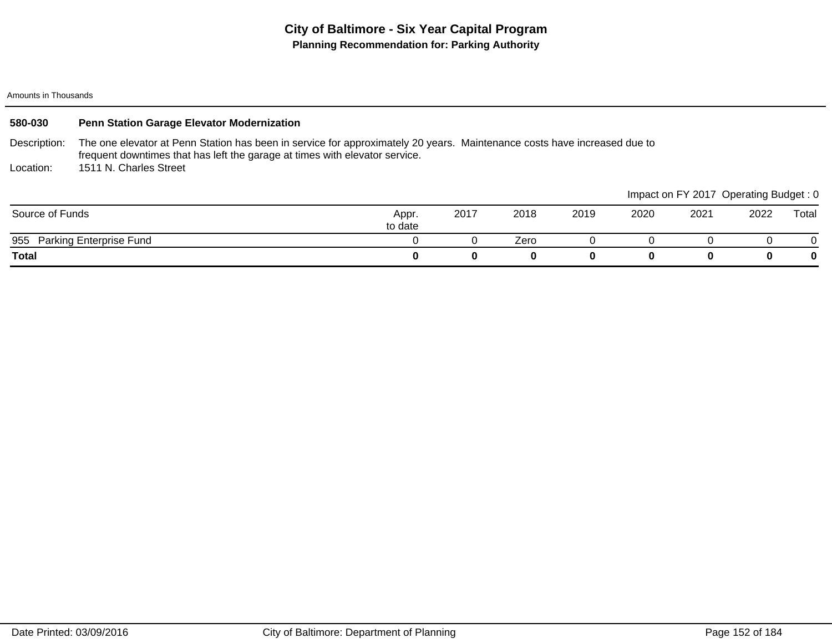| 580-030         | Penn Station Garage Elevator Modernization                                                                                                                                                              |                  |          |      |      |      |                                       |      |       |  |
|-----------------|---------------------------------------------------------------------------------------------------------------------------------------------------------------------------------------------------------|------------------|----------|------|------|------|---------------------------------------|------|-------|--|
| Description:    | The one elevator at Penn Station has been in service for approximately 20 years. Maintenance costs have increased due to<br>frequent downtimes that has left the garage at times with elevator service. |                  |          |      |      |      |                                       |      |       |  |
| Location:       | 1511 N. Charles Street                                                                                                                                                                                  |                  |          |      |      |      |                                       |      |       |  |
|                 |                                                                                                                                                                                                         |                  |          |      |      |      | Impact on FY 2017 Operating Budget: 0 |      |       |  |
| Source of Funds |                                                                                                                                                                                                         | Appr.<br>to date | 2017     | 2018 | 2019 | 2020 | 2021                                  | 2022 | Total |  |
|                 | 955 Parking Enterprise Fund                                                                                                                                                                             |                  |          | Zero |      |      |                                       |      |       |  |
| <b>Total</b>    |                                                                                                                                                                                                         | 0                | $\bf{0}$ | 0    | 0    | 0    | 0                                     |      | 0     |  |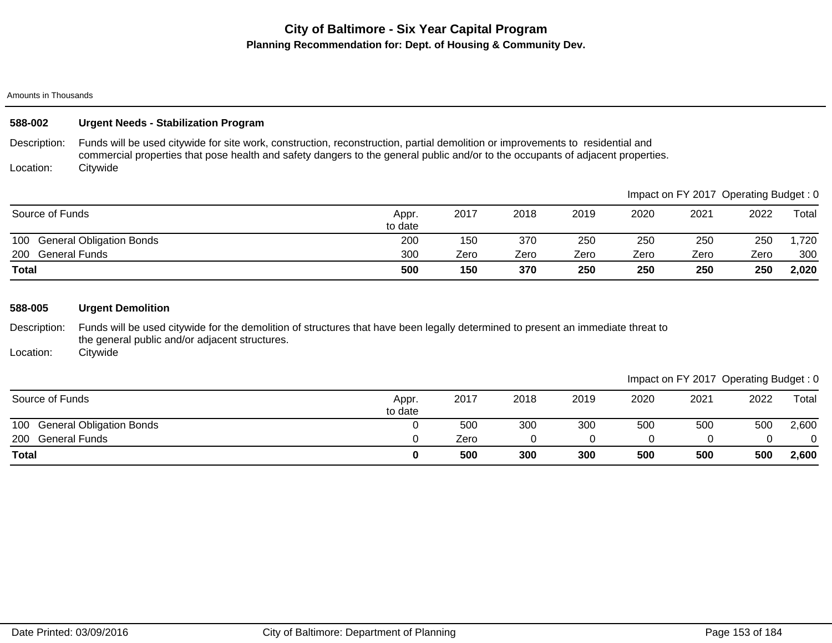#### Amounts in Thousands

| 588-002                                        | <b>Urgent Needs - Stabilization Program</b>                                                                                                                                                                                                                       |                  |      |      |      |      |      |                                       |       |  |  |
|------------------------------------------------|-------------------------------------------------------------------------------------------------------------------------------------------------------------------------------------------------------------------------------------------------------------------|------------------|------|------|------|------|------|---------------------------------------|-------|--|--|
| Description:                                   | Funds will be used citywide for site work, construction, reconstruction, partial demolition or improvements to residential and<br>commercial properties that pose health and safety dangers to the general public and/or to the occupants of adjacent properties. |                  |      |      |      |      |      |                                       |       |  |  |
| Location:                                      | Citywide                                                                                                                                                                                                                                                          |                  |      |      |      |      |      |                                       |       |  |  |
|                                                |                                                                                                                                                                                                                                                                   |                  |      |      |      |      |      | Impact on FY 2017 Operating Budget: 0 |       |  |  |
| Source of Funds                                |                                                                                                                                                                                                                                                                   | Appr.<br>to date | 2017 | 2018 | 2019 | 2020 | 2021 | 2022                                  | Total |  |  |
| 100                                            | <b>General Obligation Bonds</b>                                                                                                                                                                                                                                   | 200              | 150  | 370  | 250  | 250  | 250  | 250                                   | ,720  |  |  |
| 200                                            | <b>General Funds</b>                                                                                                                                                                                                                                              | 300              | Zero | Zero | Zero | Zero | Zero | Zero                                  | 300   |  |  |
| <b>Total</b>                                   |                                                                                                                                                                                                                                                                   | 500              | 150  | 370  | 250  | 250  | 250  | 250                                   | 2,020 |  |  |
|                                                |                                                                                                                                                                                                                                                                   |                  |      |      |      |      |      |                                       |       |  |  |
| 588-005                                        | <b>Urgent Demolition</b>                                                                                                                                                                                                                                          |                  |      |      |      |      |      |                                       |       |  |  |
| <b>Production of the contract of the state</b> | ■ 1014、 川上 1015年 1016、 「1107」。 「1101」。 「1101」, 「11011」。 「11011」, 「11011」, 「110111」, 「1101111111111111111111111                                                                                                                                                    |                  |      |      |      |      |      |                                       |       |  |  |

Description: Funds will be used citywide for the demolition of structures that have been legally determined to present an immediate threat to the general public and/or adjacent structures.

Location: **Citywide** 

## Impact on FY 2017 Operating Budget : 0

| Source of Funds              | Appr.<br>to date | 2017 | 2018 | 2019 | 2020 | 2021 | 2022 | Total    |
|------------------------------|------------------|------|------|------|------|------|------|----------|
| 100 General Obligation Bonds |                  | 500  | 300  | 300  | 500  | 500  | 500  | 2,600    |
| 200 General Funds            |                  | Zero |      |      |      |      |      | $\Omega$ |
| <b>Total</b>                 |                  | 500  | 300  | 300  | 500  | 500  | 500  | 2,600    |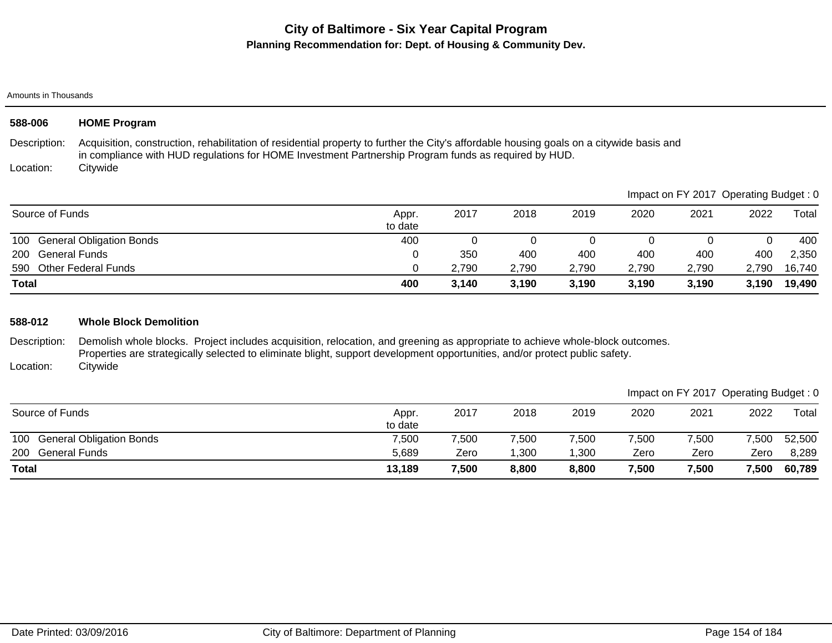Amounts in Thousands

| 588-006                   | <b>HOME Program</b>                                                                                                                                                                                                                                          |                  |          |       |       |       |          |                                       |        |
|---------------------------|--------------------------------------------------------------------------------------------------------------------------------------------------------------------------------------------------------------------------------------------------------------|------------------|----------|-------|-------|-------|----------|---------------------------------------|--------|
| Description:<br>Location: | Acquisition, construction, rehabilitation of residential property to further the City's affordable housing goals on a citywide basis and<br>in compliance with HUD regulations for HOME Investment Partnership Program funds as required by HUD.<br>Citywide |                  |          |       |       |       |          |                                       |        |
|                           |                                                                                                                                                                                                                                                              |                  |          |       |       |       |          | Impact on FY 2017 Operating Budget: 0 |        |
| Source of Funds           |                                                                                                                                                                                                                                                              | Appr.<br>to date | 2017     | 2018  | 2019  | 2020  | 2021     | 2022                                  | Total  |
| 100                       | <b>General Obligation Bonds</b>                                                                                                                                                                                                                              | 400              | $\Omega$ | 0     | 0     | 0     | $\Omega$ | $\Omega$                              | 400    |
| <b>200</b>                | <b>General Funds</b>                                                                                                                                                                                                                                         | 0                | 350      | 400   | 400   | 400   | 400      | 400                                   | 2,350  |
| 590                       | <b>Other Federal Funds</b>                                                                                                                                                                                                                                   | 0                | 2,790    | 2,790 | 2,790 | 2,790 | 2,790    | 2,790                                 | 16,740 |
| <b>Total</b>              |                                                                                                                                                                                                                                                              | 400              | 3,140    | 3,190 | 3,190 | 3,190 | 3,190    | 3,190                                 | 19,490 |
| 588-012                   | <b>Whole Block Demolition</b>                                                                                                                                                                                                                                |                  |          |       |       |       |          |                                       |        |
| Description:              | Demolish whole blocks. Project includes acquisition, relocation, and greening as appropriate to achieve whole-block outcomes.<br>Properties are strategically selected to eliminate blight, support development opportunities, and/or protect public safety. |                  |          |       |       |       |          |                                       |        |
| Location:                 | Citywide                                                                                                                                                                                                                                                     |                  |          |       |       |       |          |                                       |        |
|                           |                                                                                                                                                                                                                                                              |                  |          |       |       |       |          | Impact on FY 2017 Operating Budget: 0 |        |
| Source of Funds           |                                                                                                                                                                                                                                                              | Appr.<br>to date | 2017     | 2018  | 2019  | 2020  | 2021     | 2022                                  | Total  |

200 General Funds 5,689 Zero 1,300 1,300 Zero Zero Zero 8,289 100 General Obligation Bonds 7,500 7,500 7,500 7,500 7,500 7,500 7,500 52,500 **Total 13,189 7,500 8,800 8,800 7,500 7,500 7,500 60,789**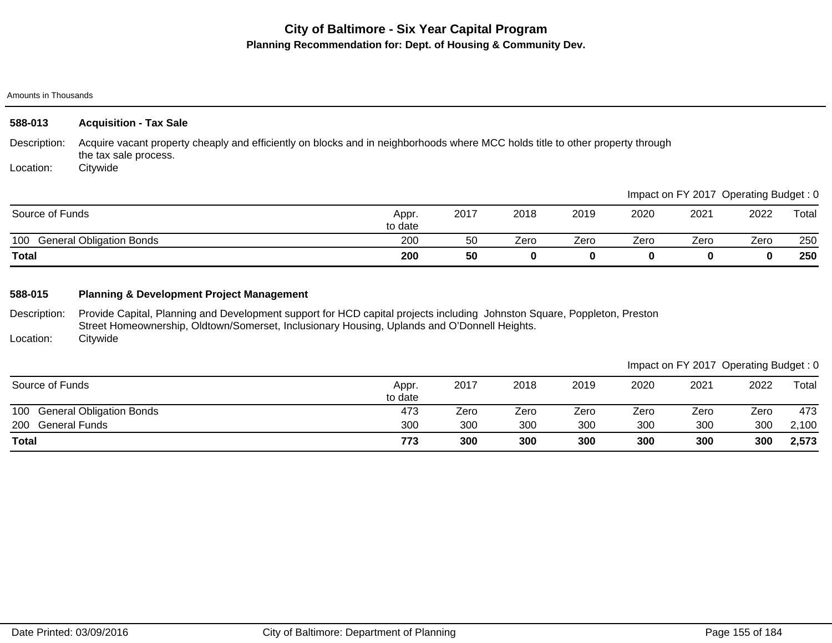### Amounts in Thousands

| 588-013         | <b>Acquisition - Tax Sale</b>                                                                                                                           |                  |      |      |             |      |      |                                       |       |
|-----------------|---------------------------------------------------------------------------------------------------------------------------------------------------------|------------------|------|------|-------------|------|------|---------------------------------------|-------|
| Description:    | Acquire vacant property cheaply and efficiently on blocks and in neighborhoods where MCC holds title to other property through<br>the tax sale process. |                  |      |      |             |      |      |                                       |       |
| Location:       | Citywide                                                                                                                                                |                  |      |      |             |      |      |                                       |       |
|                 |                                                                                                                                                         |                  |      |      |             |      |      | Impact on FY 2017 Operating Budget: 0 |       |
| Source of Funds |                                                                                                                                                         | Appr.<br>to date | 2017 | 2018 | 2019        | 2020 | 2021 | 2022                                  | Total |
| 100             | <b>General Obligation Bonds</b>                                                                                                                         | 200              | 50   | Zero | Zero        | Zero | Zero | Zero                                  | 250   |
| <b>Total</b>    |                                                                                                                                                         | 200              | 50   | 0    | $\mathbf 0$ | 0    | 0    | 0                                     | 250   |

## **588-015 Planning & Development Project Management**

Description: Location: Provide Capital, Planning and Development support for HCD capital projects including Johnston Square, Poppleton, Preston Street Homeownership, Oldtown/Somerset, Inclusionary Housing, Uplands and O'Donnell Heights. **Citywide** 

|                                        |                  |      |      |      |      |      | Impact on FY 2017 Operating Budget: 0 |       |
|----------------------------------------|------------------|------|------|------|------|------|---------------------------------------|-------|
| Source of Funds                        | Appr.<br>to date | 2017 | 2018 | 2019 | 2020 | 2021 | 2022                                  | Total |
| 100<br><b>General Obligation Bonds</b> | 473              | Zero | Zero | Zero | Zero | Zero | Zero                                  | 473   |
| <b>General Funds</b><br>200            | 300              | 300  | 300  | 300  | 300  | 300  | 300                                   | 2,100 |
| <b>Total</b>                           | 773              | 300  | 300  | 300  | 300  | 300  | 300                                   | 2,573 |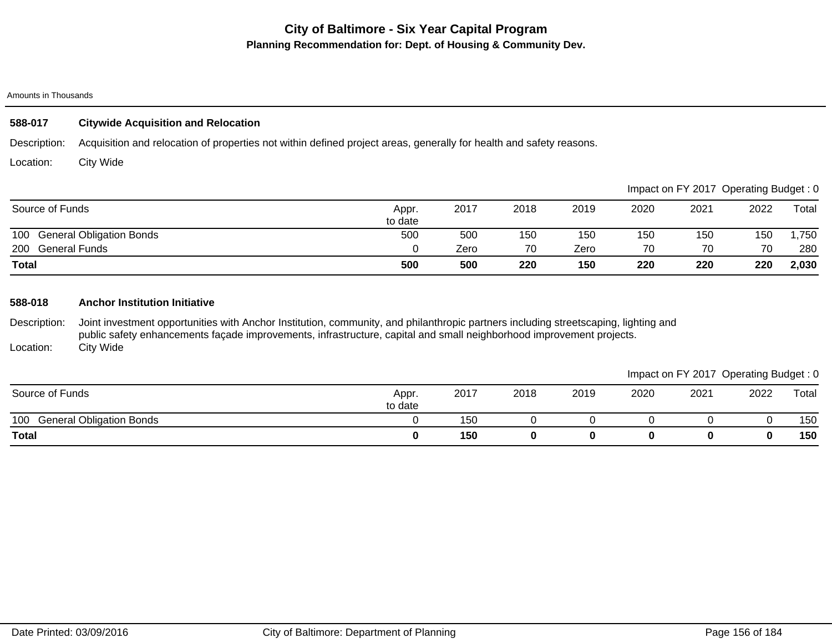#### Amounts in Thousands

### **588-017 Citywide Acquisition and Relocation**

Description: Acquisition and relocation of properties not within defined project areas, generally for health and safety reasons.

Location: City Wide

|                                        |                  |      |      |      |      |      | Impact on FY 2017 Operating Budget: 0 |       |
|----------------------------------------|------------------|------|------|------|------|------|---------------------------------------|-------|
| Source of Funds                        | Appr.<br>to date | 2017 | 2018 | 2019 | 2020 | 2021 | 2022                                  | Total |
| <b>General Obligation Bonds</b><br>100 | 500              | 500  | 150  | 150  | 150  | 150  | 150                                   | ,750  |
| 200 General Funds                      |                  | Zero | 70   | Zero | 70   | 70   | 70                                    | 280   |
| Total                                  | 500              | 500  | 220  | 150  | 220  | 220  | 220                                   | 2,030 |

### **588-018 Anchor Institution Initiative**

Description: Location: Joint investment opportunities with Anchor Institution, community, and philanthropic partners including streetscaping, lighting and public safety enhancements façade improvements, infrastructure, capital and small neighborhood improvement projects. City Wide

|                                        |                  |      |      |      |      | Impact on FY 2017 Operating Budget: 0 |      |       |
|----------------------------------------|------------------|------|------|------|------|---------------------------------------|------|-------|
| Source of Funds                        | Appr.<br>to date | 2017 | 2018 | 2019 | 2020 | 2021                                  | 2022 | Total |
| <b>General Obligation Bonds</b><br>100 |                  | 150  |      |      |      |                                       |      | 150   |
| <b>Total</b>                           |                  | 150  |      |      |      |                                       | 0    | 150   |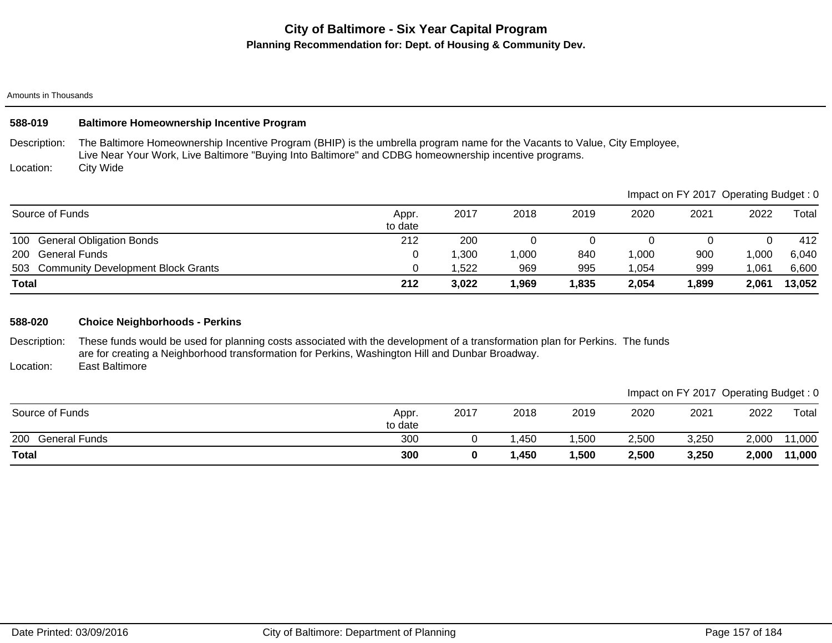Amounts in Thousands

## **588-019 Baltimore Homeownership Incentive Program**

Description: The Baltimore Homeownership Incentive Program (BHIP) is the umbrella program name for the Vacants to Value, City Employee, Live Near Your Work, Live Baltimore "Buying Into Baltimore" and CDBG homeownership incentive programs.

Location: City Wide

|                                        |                  |       |       |       |                | Impact on FY 2017 Operating Budget: 0 |       |        |
|----------------------------------------|------------------|-------|-------|-------|----------------|---------------------------------------|-------|--------|
| Source of Funds                        | Appr.<br>to date | 2017  | 2018  | 2019  | 2020           | 2021                                  | 2022  | Total  |
| <b>General Obligation Bonds</b><br>100 | 212              | 200   |       |       |                |                                       |       | 412    |
| General Funds<br>200                   |                  | 1,300 | 1,000 | 840   | $^{\circ},000$ | 900                                   | ,000  | 6,040  |
| 503 Community Development Block Grants |                  | 1.522 | 969   | 995   | .054           | 999                                   | ,061  | 6,600  |
| <b>Total</b>                           | 212              | 3,022 | 1,969 | 1,835 | 2,054          | 1,899                                 | 2,061 | 13,052 |

### **588-020 Choice Neighborhoods - Perkins**

Description: Location: These funds would be used for planning costs associated with the development of a transformation plan for Perkins. The funds are for creating a Neighborhood transformation for Perkins, Washington Hill and Dunbar Broadway. East Baltimore

|                             |                  |      |      |       |       |       | Impact on FY 2017 Operating Budget: 0 |        |
|-----------------------------|------------------|------|------|-------|-------|-------|---------------------------------------|--------|
| Source of Funds             | Appr.<br>to date | 2017 | 2018 | 2019  | 2020  | 2021  | 2022                                  | Total  |
| 200<br><b>General Funds</b> | 300              |      | .450 | ,500  | 2,500 | 3,250 | 2,000                                 | 11,000 |
| <b>Total</b>                | 300              |      | ,450 | 1,500 | 2,500 | 3,250 | 2,000                                 | 11,000 |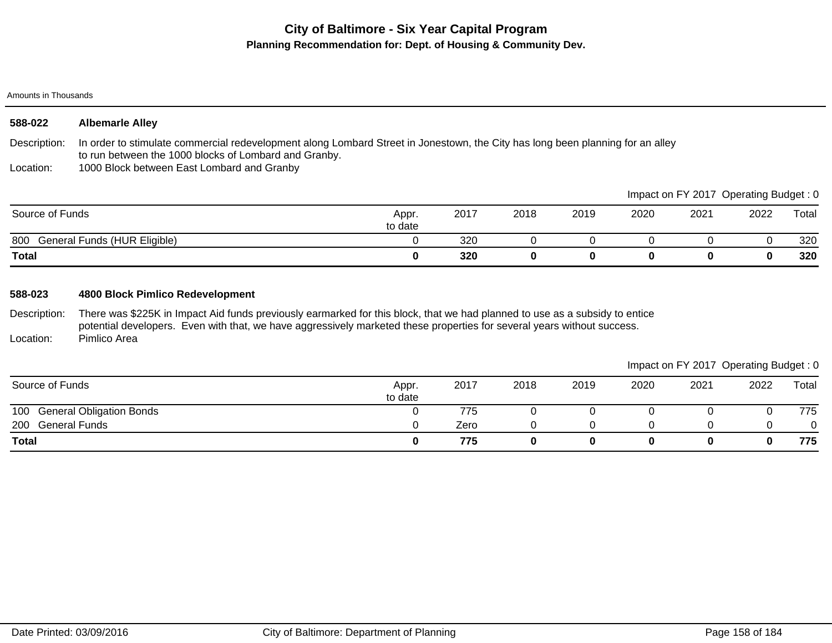#### Amounts in Thousands

| 588-022      | <b>Albemarle Alley</b>                      |
|--------------|---------------------------------------------|
| Dooorintion: | In order to otimulate commercial redevelopm |

Description: In order to stimulate commercial redevelopment along Lombard Street in Jonestown, the City has long been planning for an alley to run between the 1000 blocks of Lombard and Granby.

Location: 1000 Block between East Lombard and Granby

|                                     |                  |      |      |      |      |      | Impact on FY 2017 Operating Budget: 0 |       |
|-------------------------------------|------------------|------|------|------|------|------|---------------------------------------|-------|
| Source of Funds                     | Appr.<br>to date | 2017 | 2018 | 2019 | 2020 | 2021 | 2022                                  | Total |
| 800<br>General Funds (HUR Eligible) |                  | 320  |      |      |      |      |                                       | 320   |
| <b>Total</b>                        |                  | 320  |      |      |      |      |                                       | 320   |

### **588-023 4800 Block Pimlico Redevelopment**

Description: Location: There was \$225K in Impact Aid funds previously earmarked for this block, that we had planned to use as a subsidy to entice potential developers. Even with that, we have aggressively marketed these properties for several years without success. Pimlico Area

|                              |                  |      |      |      |      | Impact on FY 2017 Operating Budget: 0 |      |       |
|------------------------------|------------------|------|------|------|------|---------------------------------------|------|-------|
| Source of Funds              | Appr.<br>to date | 2017 | 2018 | 2019 | 2020 | 2021                                  | 2022 | Total |
| 100 General Obligation Bonds |                  | 775  |      |      |      |                                       |      | 775   |
| 200 General Funds            |                  | Zero | n    |      |      |                                       |      | 0     |
| Total                        |                  | 775  |      | 0    | 0    |                                       |      | 775   |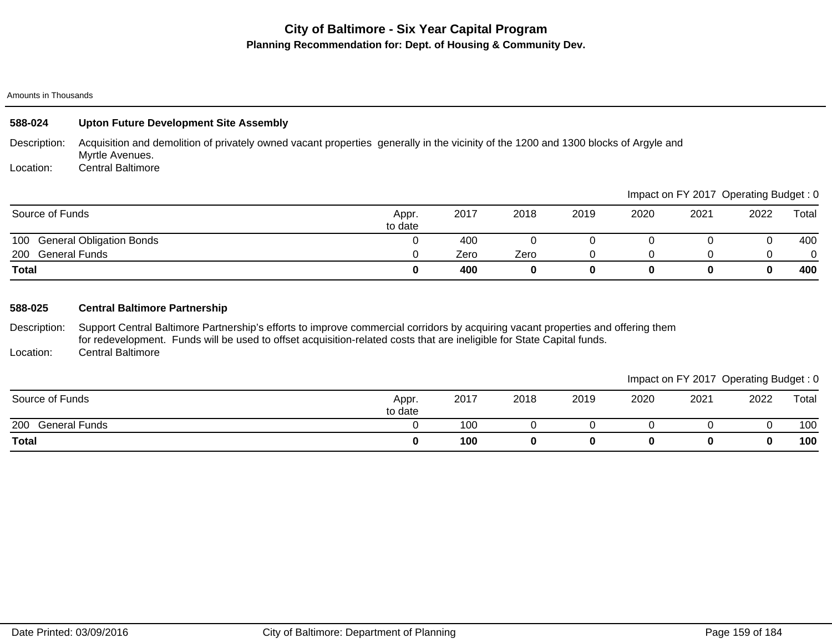#### Amounts in Thousands

| 588-024           | <b>Upton Future Development Site Assembly</b>                                                                                                          |                  |      |      |      |      |                                       |      |       |
|-------------------|--------------------------------------------------------------------------------------------------------------------------------------------------------|------------------|------|------|------|------|---------------------------------------|------|-------|
| Description:      | Acquisition and demolition of privately owned vacant properties generally in the vicinity of the 1200 and 1300 blocks of Argyle and<br>Myrtle Avenues. |                  |      |      |      |      |                                       |      |       |
| Location:         | <b>Central Baltimore</b>                                                                                                                               |                  |      |      |      |      |                                       |      |       |
|                   |                                                                                                                                                        |                  |      |      |      |      | Impact on FY 2017 Operating Budget: 0 |      |       |
| Source of Funds   |                                                                                                                                                        | Appr.<br>to date | 2017 | 2018 | 2019 | 2020 | 2021                                  | 2022 | Total |
| 100               | <b>General Obligation Bonds</b>                                                                                                                        | O                | 400  |      |      |      |                                       |      | 400   |
| 200 General Funds |                                                                                                                                                        |                  | Zero | Zero | 0    |      |                                       |      | 0     |
| Total             |                                                                                                                                                        | $\bf{0}$         | 400  | 0    | 0    | 0    | 0                                     |      | 400   |

### **588-025 Central Baltimore Partnership**

Description: Location: Support Central Baltimore Partnership's efforts to improve commercial corridors by acquiring vacant properties and offering them for redevelopment. Funds will be used to offset acquisition-related costs that are ineligible for State Capital funds. Central Baltimore

|                             |                  |      |      |      |      | Impact on FY 2017 Operating Budget: 0 |      |       |
|-----------------------------|------------------|------|------|------|------|---------------------------------------|------|-------|
| Source of Funds             | Appr.<br>to date | 2017 | 2018 | 2019 | 2020 | 2021                                  | 2022 | Total |
| 200<br><b>General Funds</b> |                  | 100  |      |      |      |                                       |      | 100   |
| <b>Total</b>                |                  | 100  |      |      |      |                                       | 0    | 100   |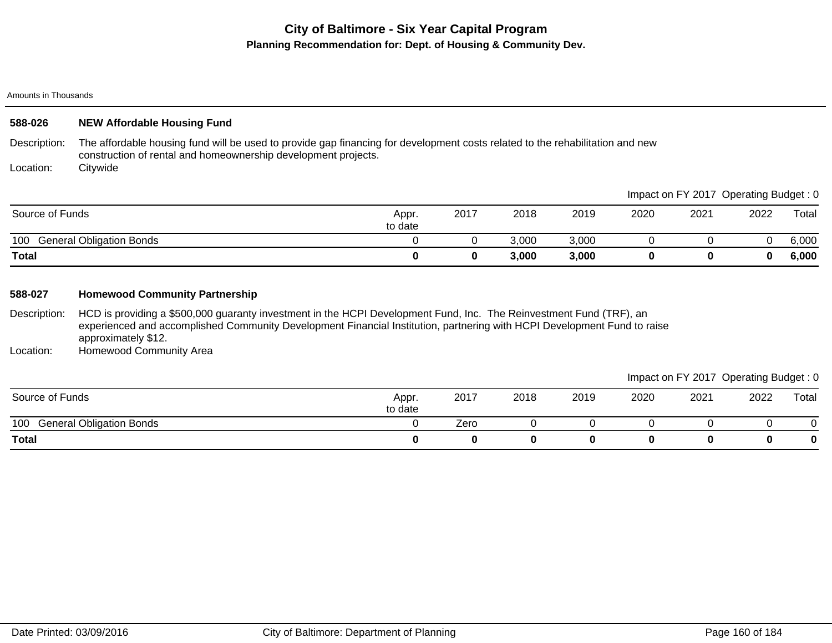#### Amounts in Thousands

| 588-026         | <b>NEW Affordable Housing Fund</b>                                                                                                                                                                                                                                     |                  |          |       |       |          |                                       |             |       |
|-----------------|------------------------------------------------------------------------------------------------------------------------------------------------------------------------------------------------------------------------------------------------------------------------|------------------|----------|-------|-------|----------|---------------------------------------|-------------|-------|
| Description:    | The affordable housing fund will be used to provide gap financing for development costs related to the rehabilitation and new<br>construction of rental and homeownership development projects.                                                                        |                  |          |       |       |          |                                       |             |       |
| Location:       | Citywide                                                                                                                                                                                                                                                               |                  |          |       |       |          |                                       |             |       |
|                 |                                                                                                                                                                                                                                                                        |                  |          |       |       |          | Impact on FY 2017 Operating Budget: 0 |             |       |
| Source of Funds |                                                                                                                                                                                                                                                                        | Appr.<br>to date | 2017     | 2018  | 2019  | 2020     | 2021                                  | 2022        | Total |
| 100             | <b>General Obligation Bonds</b>                                                                                                                                                                                                                                        | $\Omega$         | $\Omega$ | 3,000 | 3,000 | $\Omega$ | 0                                     | $\mathbf 0$ | 6,000 |
| <b>Total</b>    |                                                                                                                                                                                                                                                                        | $\bf{0}$         | $\bf{0}$ | 3,000 | 3,000 | 0        | 0                                     | $\mathbf 0$ | 6,000 |
| 588-027         | <b>Homewood Community Partnership</b>                                                                                                                                                                                                                                  |                  |          |       |       |          |                                       |             |       |
| Description:    | HCD is providing a \$500,000 guaranty investment in the HCPI Development Fund, Inc. The Reinvestment Fund (TRF), an<br>experienced and accomplished Community Development Financial Institution, partnering with HCPI Development Fund to raise<br>approximately \$12. |                  |          |       |       |          |                                       |             |       |
| Location:       | Homewood Community Area                                                                                                                                                                                                                                                |                  |          |       |       |          |                                       |             |       |
|                 |                                                                                                                                                                                                                                                                        |                  |          |       |       |          | Impact on FY 2017 Operating Budget: 0 |             |       |
| Source of Funds |                                                                                                                                                                                                                                                                        | Appr.<br>to date | 2017     | 2018  | 2019  | 2020     | 2021                                  | 2022        | Total |

100 General Obligation Bonds<br>
100 General Obligation Bonds<br>
100 General Obligation Bonds **Total 0 0 0 0 0 0 0 0**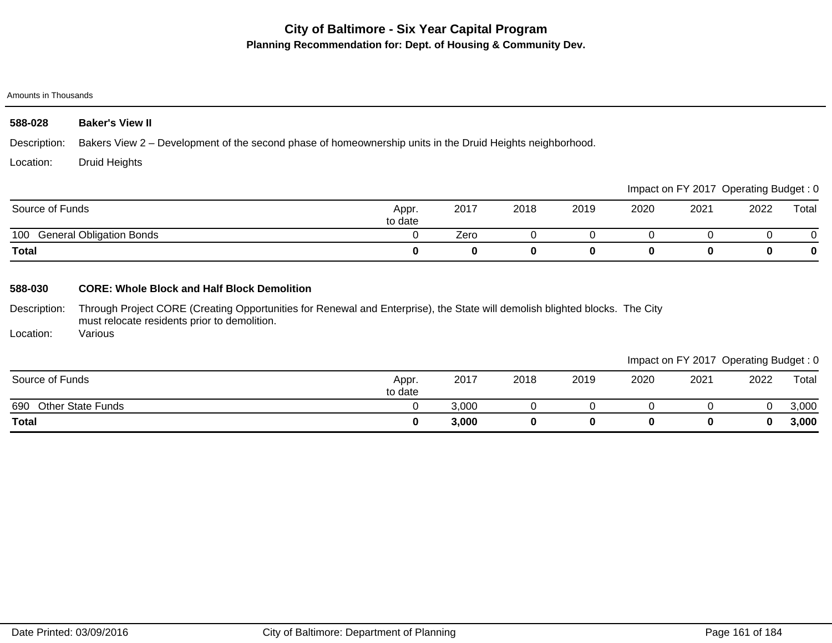#### Amounts in Thousands

| 588-028      | <b>Baker's View II</b>                                                                                    |
|--------------|-----------------------------------------------------------------------------------------------------------|
| Description: | Bakers View 2 – Development of the second phase of homeownership units in the Druid Heights neighborhood. |
| Location:    | Druid Heights                                                                                             |

|                                        |                  |      |      |      |      |      | Impact on FY 2017 Operating Budget: 0 |       |
|----------------------------------------|------------------|------|------|------|------|------|---------------------------------------|-------|
| Source of Funds                        | Appr.<br>to date | 2017 | 2018 | 2019 | 2020 | 2021 | 2022                                  | Total |
| <b>General Obligation Bonds</b><br>100 |                  | Zero |      |      |      |      |                                       |       |
| <b>Total</b>                           |                  |      |      |      |      |      |                                       | 0     |

## **588-030 CORE: Whole Block and Half Block Demolition**

Description: Through Project CORE (Creating Opportunities for Renewal and Enterprise), the State will demolish blighted blocks. The City must relocate residents prior to demolition.

Location: Various

|                                 |                  |       |      |      |      | Impact on FY 2017 Operating Budget: 0 |      |       |
|---------------------------------|------------------|-------|------|------|------|---------------------------------------|------|-------|
| Source of Funds                 | Appr.<br>to date | 2017  | 2018 | 2019 | 2020 | 2021                                  | 2022 | Total |
| <b>Other State Funds</b><br>690 |                  | 3,000 |      |      |      |                                       |      | 3,000 |
| <b>Total</b>                    |                  | 3,000 |      |      |      |                                       | 0    | 3,000 |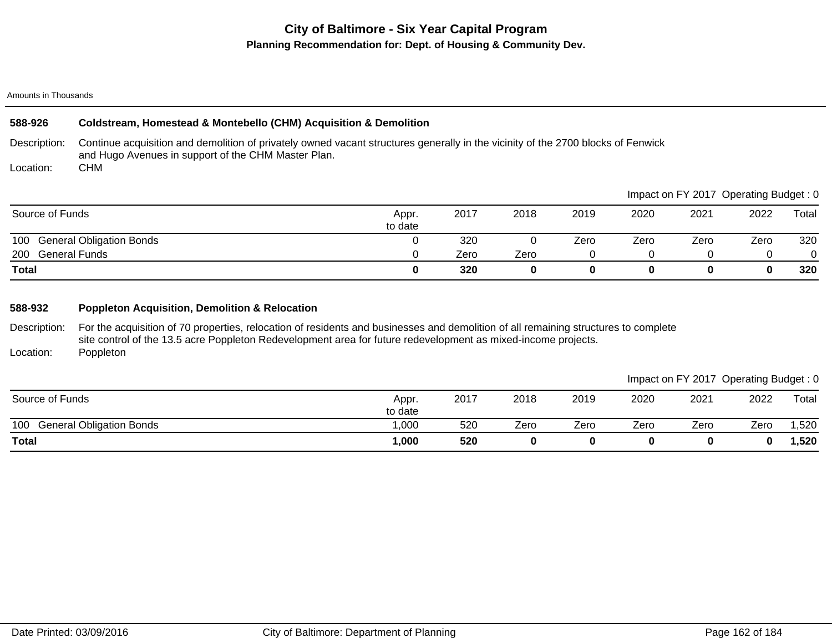#### Amounts in Thousands

### **588-926 Coldstream, Homestead & Montebello (CHM) Acquisition & Demolition**

Description: Continue acquisition and demolition of privately owned vacant structures generally in the vicinity of the 2700 blocks of Fenwick and Hugo Avenues in support of the CHM Master Plan. CHM

Location:

|                              |                  |      |      |      |      |      | Impact on FY 2017 Operating Budget: 0 |       |
|------------------------------|------------------|------|------|------|------|------|---------------------------------------|-------|
| Source of Funds              | Appr.<br>to date | 2017 | 2018 | 2019 | 2020 | 2021 | 2022                                  | Total |
| 100 General Obligation Bonds |                  | 320  |      | Zero | Zero | Zero | Zero                                  | 320   |
| 200<br><b>General Funds</b>  |                  | Zero | Zero |      |      |      |                                       |       |
| <b>Total</b>                 |                  | 320  | 0    |      |      |      |                                       | 320   |

## **588-932 Poppleton Acquisition, Demolition & Relocation**

Description: Location: For the acquisition of 70 properties, relocation of residents and businesses and demolition of all remaining structures to complete site control of the 13.5 acre Poppleton Redevelopment area for future redevelopment as mixed-income projects. Poppleton

100 General Obligation Bonds 1,000 520 Zero Zero Zero Zero Zero 1,520 **Total 1,000 520 0 0 0 0 0 1,520** Source of Funds Appr. to date 2017 2018 2019 2020 2021 2022 Total Impact on FY 2017 Operating Budget : 0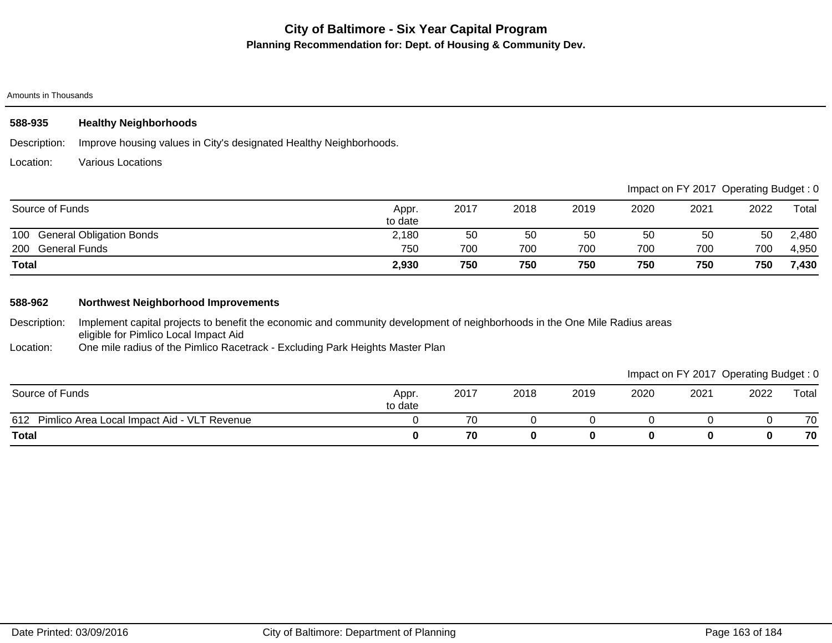#### Amounts in Thousands

### **588-935 Healthy Neighborhoods**

Description: Improve housing values in City's designated Healthy Neighborhoods.

Location: Various Locations

|                              |                  |      |      |      |      |      | Impact on FY 2017 Operating Budget: 0 |       |
|------------------------------|------------------|------|------|------|------|------|---------------------------------------|-------|
| Source of Funds              | Appr.<br>to date | 2017 | 2018 | 2019 | 2020 | 2021 | 2022                                  | Total |
| 100 General Obligation Bonds | 2,180            | 50   | 50   | 50   | 50   | 50   | 50                                    | 2,480 |
| 200 General Funds            | 750              | 700  | 700  | 700  | 700  | 700  | 700                                   | 4,950 |
| <b>Total</b>                 | 2,930            | 750  | 750  | 750  | 750  | 750  | 750                                   | 7,430 |

### **588-962 Northwest Neighborhood Improvements**

Description: Implement capital projects to benefit the economic and community development of neighborhoods in the One Mile Radius areas eligible for Pimlico Local Impact Aid

Location: One mile radius of the Pimlico Racetrack - Excluding Park Heights Master Plan

Impact on FY 2017 Operating Budget : 0

| Source of Funds                                    | Appr.<br>to date | 2017 | 2018 | 2019 | 2020 | 2021 | 2022 | Total |
|----------------------------------------------------|------------------|------|------|------|------|------|------|-------|
| 612<br>Pimlico Area Local Impact Aid - VLT Revenue |                  | 70   |      |      |      |      |      | 70    |
| <b>Total</b>                                       |                  | 70   |      |      |      | u    | o    | 70    |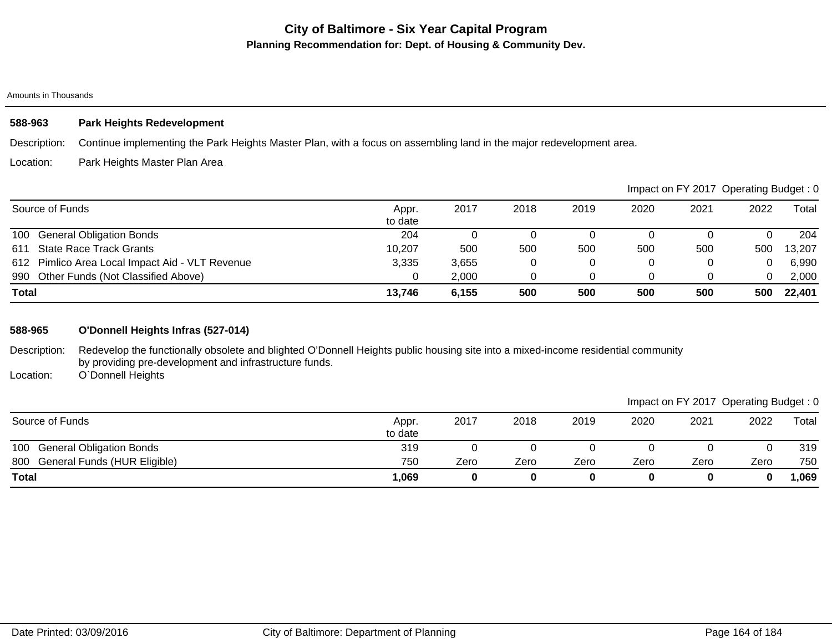#### Amounts in Thousands

## **588-963 Park Heights Redevelopment**

Description: Continue implementing the Park Heights Master Plan, with a focus on assembling land in the major redevelopment area.

#### Location: Park Heights Master Plan Area

|                                                 |                  |       |      |      |      | Impact on FY 2017 Operating Budget: 0 |      |        |
|-------------------------------------------------|------------------|-------|------|------|------|---------------------------------------|------|--------|
| Source of Funds                                 | Appr.<br>to date | 2017  | 2018 | 2019 | 2020 | 2021                                  | 2022 | Total  |
| 100 General Obligation Bonds                    | 204              |       |      |      |      |                                       |      | 204    |
| <b>State Race Track Grants</b><br>611           | 10,207           | 500   | 500  | 500  | 500  | 500                                   | 500  | 13,207 |
| 612 Pimlico Area Local Impact Aid - VLT Revenue | 3,335            | 3.655 |      |      | 0    |                                       |      | 6,990  |
| 990 Other Funds (Not Classified Above)          |                  | 2,000 |      |      |      |                                       |      | 2,000  |
| <b>Total</b>                                    | 13,746           | 6,155 | 500  | 500  | 500  | 500                                   | 500  | 22,401 |

### **588-965 O'Donnell Heights Infras (527-014)**

Description: Redevelop the functionally obsolete and blighted O'Donnell Heights public housing site into a mixed-income residential community by providing pre-development and infrastructure funds.

Location: O`Donnell Heights

## Impact on FY 2017 Operating Budget : 0

| Source of Funds                        | Appr.<br>to date | 2017 | 2018 | 2019 | 2020 | 2021 | 2022 | Total |
|----------------------------------------|------------------|------|------|------|------|------|------|-------|
| <b>General Obligation Bonds</b><br>100 | 319              |      |      |      |      |      |      | 319   |
| General Funds (HUR Eligible)<br>800    | 750              | Zero | Zero | Zero | Zero | Zero | Zero | 750   |
| <b>Total</b>                           | 069              |      | 0    |      |      |      |      | ,069  |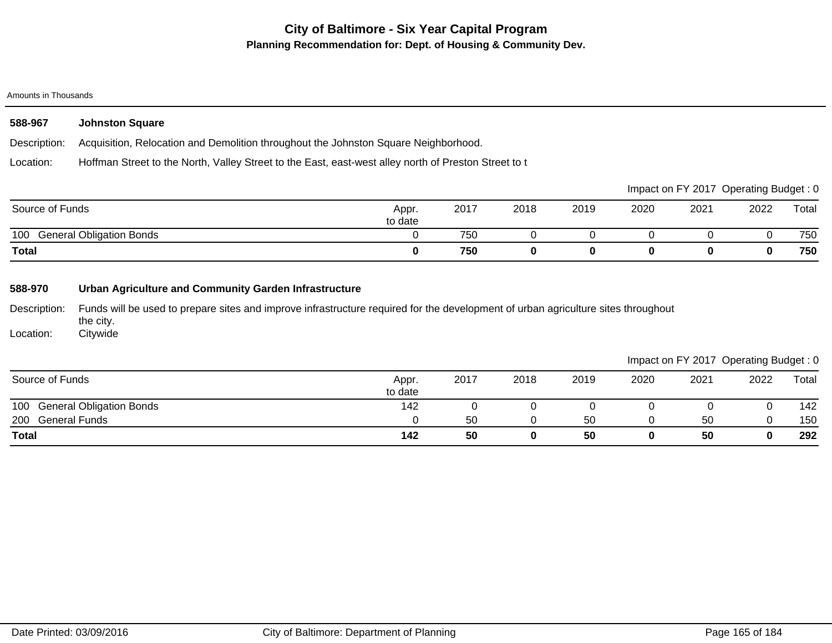#### Amounts in Thousands

| 588-967      | <b>Johnston Square</b>                                                                               |  |
|--------------|------------------------------------------------------------------------------------------------------|--|
| Description: | Acquisition, Relocation and Demolition throughout the Johnston Square Neighborhood.                  |  |
| Location:    | Hoffman Street to the North, Valley Street to the East, east-west alley north of Preston Street to t |  |
|              | Impact on EV 2017, Operating Budget : 0                                                              |  |

|                                        |                  |      |      |      |      |      | impact on F t ZOTT Operating Budget. U |       |
|----------------------------------------|------------------|------|------|------|------|------|----------------------------------------|-------|
| Source of Funds                        | Appr.<br>to date | 2017 | 2018 | 2019 | 2020 | 2021 | 2022                                   | Total |
| 100<br><b>General Obligation Bonds</b> |                  | 750  |      |      |      |      |                                        | 750   |
| <b>Total</b>                           |                  | 750  |      |      |      |      |                                        | 750   |

## **588-970 Urban Agriculture and Community Garden Infrastructure**

Description: Funds will be used to prepare sites and improve infrastructure required for the development of urban agriculture sites throughout the city.

Location: **Citywide** 

|                              |                  |      |      |      |      |      | Impact on FY 2017 Operating Budget: 0 |       |
|------------------------------|------------------|------|------|------|------|------|---------------------------------------|-------|
| Source of Funds              | Appr.<br>to date | 2017 | 2018 | 2019 | 2020 | 2021 | 2022                                  | Total |
| 100 General Obligation Bonds | 142              |      |      |      |      |      |                                       | 142   |
| 200 General Funds            |                  | 50   |      | 50   |      | 50   |                                       | 150   |
| <b>Total</b>                 | 142              | 50   | 0    | 50   |      | 50   | 0                                     | 292   |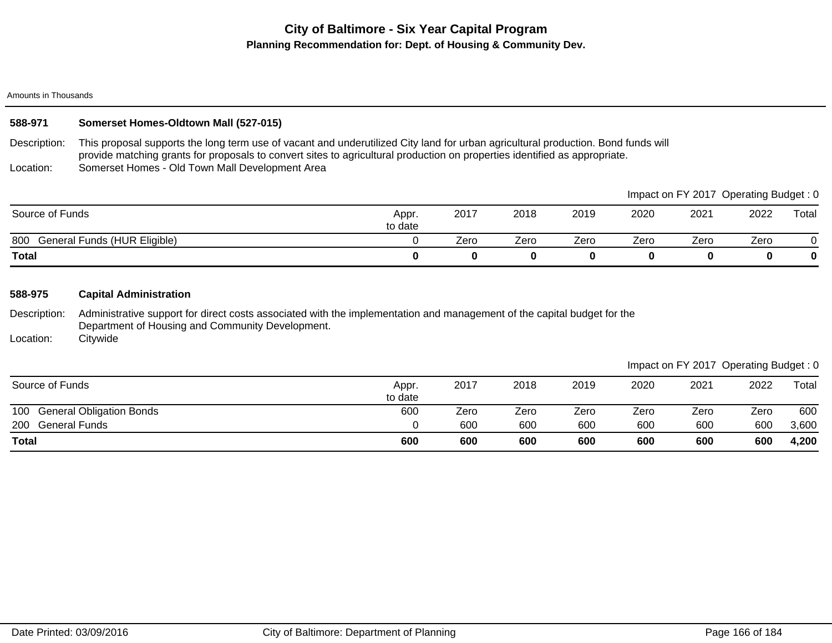Amounts in Thousands

## **588-971 Somerset Homes-Oldtown Mall (527-015)**

Description: This proposal supports the long term use of vacant and underutilized City land for urban agricultural production. Bond funds will provide matching grants for proposals to convert sites to agricultural production on properties identified as appropriate.

Location: Somerset Homes - Old Town Mall Development Area

|                                     |                  |      |      |      |      |      | Impact on FY 2017 Operating Budget: 0 |       |
|-------------------------------------|------------------|------|------|------|------|------|---------------------------------------|-------|
| Source of Funds                     | Appr.<br>to date | 2017 | 2018 | 2019 | 2020 | 2021 | 2022                                  | Total |
| General Funds (HUR Eligible)<br>800 |                  | Zero | Zero | Zero | Zero | Zero | Zero                                  |       |
| <b>Total</b>                        |                  |      |      |      |      |      |                                       | 0     |

### **588-975 Capital Administration**

Description: Administrative support for direct costs associated with the implementation and management of the capital budget for the Department of Housing and Community Development.

Location: **Citywide** 

### Impact on FY 2017 Operating Budget : 0

| Source of Funds                        | Appr.<br>to date | 2017 | 2018 | 2019 | 2020 | 2021 | 2022 | Total |
|----------------------------------------|------------------|------|------|------|------|------|------|-------|
| <b>General Obligation Bonds</b><br>100 | 600              | Zero | Zero | Zero | Zero | Zero | Zero | 600   |
| 200<br><b>General Funds</b>            |                  | 600  | 600  | 600  | 600  | 600  | 600  | 3,600 |
| <b>Total</b>                           | 600              | 600  | 600  | 600  | 600  | 600  | 600  | 4,200 |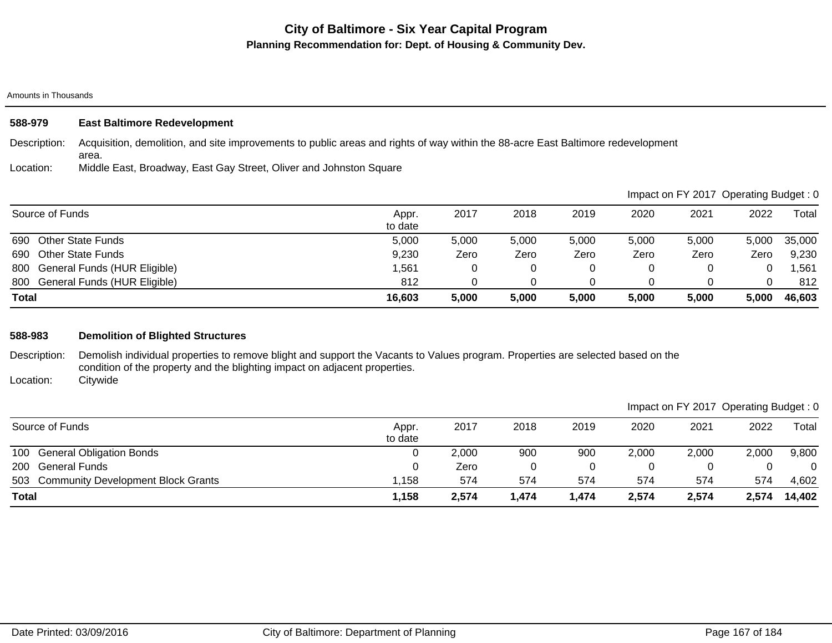#### Amounts in Thousands

| 588-979      | <b>East Baltimore Redevelopment</b>                                                                                                       |
|--------------|-------------------------------------------------------------------------------------------------------------------------------------------|
| Description: | Acquisition, demolition, and site improvements to public areas and rights of way within the 88-acre East Baltimore redevelopment<br>area. |
| Location:    | Middle East, Broadway, East Gay Street, Oliver and Johnston Square                                                                        |

|                                  |                  |       |       |       | Impact on FY 2017 Operating Budget: 0 |       |       |        |
|----------------------------------|------------------|-------|-------|-------|---------------------------------------|-------|-------|--------|
| Source of Funds                  | Appr.<br>to date | 2017  | 2018  | 2019  | 2020                                  | 2021  | 2022  | Total  |
| 690<br><b>Other State Funds</b>  | 5.000            | 5,000 | 5,000 | 5,000 | 5.000                                 | 5,000 | 5.000 | 35,000 |
| <b>Other State Funds</b><br>690  | 9,230            | Zero  | Zero  | Zero  | Zero                                  | Zero  | Zero  | 9,230  |
| 800 General Funds (HUR Eligible) | 1,561            | 0     | 0     |       |                                       |       |       | ,561   |
| 800 General Funds (HUR Eligible) | 812              |       |       |       |                                       |       |       | 812    |
| <b>Total</b>                     | 16,603           | 5,000 | 5,000 | 5,000 | 5,000                                 | 5,000 | 5,000 | 46,603 |

## **588-983 Demolition of Blighted Structures**

Description: Demolish individual properties to remove blight and support the Vacants to Values program. Properties are selected based on the condition of the property and the blighting impact on adjacent properties.

Location: **Citywide** 

|                                        |                  |       |       |       |       | Impact on FY 2017 Operating Budget: 0 |       |        |
|----------------------------------------|------------------|-------|-------|-------|-------|---------------------------------------|-------|--------|
| Source of Funds                        | Appr.<br>to date | 2017  | 2018  | 2019  | 2020  | 2021                                  | 2022  | Total  |
| 100 General Obligation Bonds           |                  | 2,000 | 900   | 900   | 2,000 | 2,000                                 | 2,000 | 9,800  |
| 200 General Funds                      |                  | Zero  |       |       | 0     |                                       |       | 0      |
| 503 Community Development Block Grants | ,158             | 574   | 574   | 574   | 574   | 574                                   | 574   | 4,602  |
| <b>Total</b>                           | 1,158            | 2,574 | 1,474 | 1,474 | 2,574 | 2,574                                 | 2,574 | 14,402 |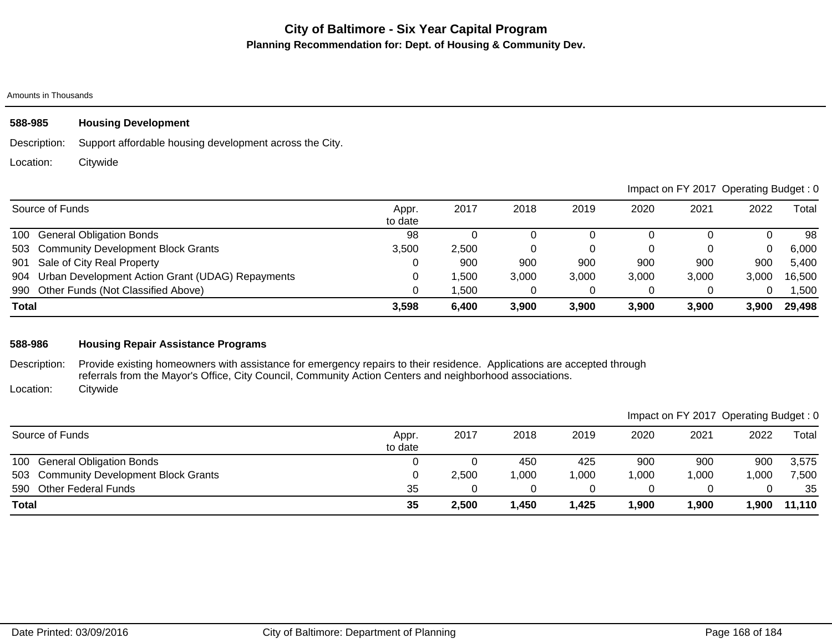Amounts in Thousands

# **588-985 Housing Development**

Description: Support affordable housing development across the City.

Location: **Citywide** 

|              |                                                      |                  |       |       |       | Impact on FY 2017 Operating Budget: 0 |       |       |        |  |
|--------------|------------------------------------------------------|------------------|-------|-------|-------|---------------------------------------|-------|-------|--------|--|
|              | Source of Funds                                      | Appr.<br>to date | 2017  | 2018  | 2019  | 2020                                  | 2021  | 2022  | Total  |  |
|              | 100 General Obligation Bonds                         | 98               |       |       |       |                                       |       |       | 98     |  |
|              | 503 Community Development Block Grants               | 3,500            | 2,500 |       |       | 0                                     |       | 0     | 6,000  |  |
|              | 901 Sale of City Real Property                       |                  | 900   | 900   | 900   | 900                                   | 900   | 900   | 5,400  |  |
|              | 904 Urban Development Action Grant (UDAG) Repayments |                  | .500  | 3,000 | 3,000 | 3,000                                 | 3,000 | 3,000 | 16,500 |  |
|              | 990 Other Funds (Not Classified Above)               |                  | .500  |       |       |                                       |       | 0     | 1,500  |  |
| <b>Total</b> |                                                      | 3,598            | 6,400 | 3,900 | 3.900 | 3,900                                 | 3,900 | 3.900 | 29,498 |  |

## **588-986 Housing Repair Assistance Programs**

Description: Location: Provide existing homeowners with assistance for emergency repairs to their residence. Applications are accepted through referrals from the Mayor's Office, City Council, Community Action Centers and neighborhood associations. **Citywide** 

|                                        |                  |       |      |       |        | Impact on FY 2017 Operating Budget: 0 |      |        |
|----------------------------------------|------------------|-------|------|-------|--------|---------------------------------------|------|--------|
| Source of Funds                        | Appr.<br>to date | 2017  | 2018 | 2019  | 2020   | 2021                                  | 2022 | Total  |
| 100<br><b>General Obligation Bonds</b> |                  |       | 450  | 425   | 900    | 900                                   | 900  | 3,575  |
| 503 Community Development Block Grants |                  | 2,500 | ,000 | 1,000 | ,000   | 1,000                                 | ,000 | 7,500  |
| 590 Other Federal Funds                | 35               |       |      |       |        |                                       |      | 35     |
| <b>Total</b>                           | 35               | 2,500 | ,450 | 1.425 | 900, ا | 1,900                                 | ,900 | 11,110 |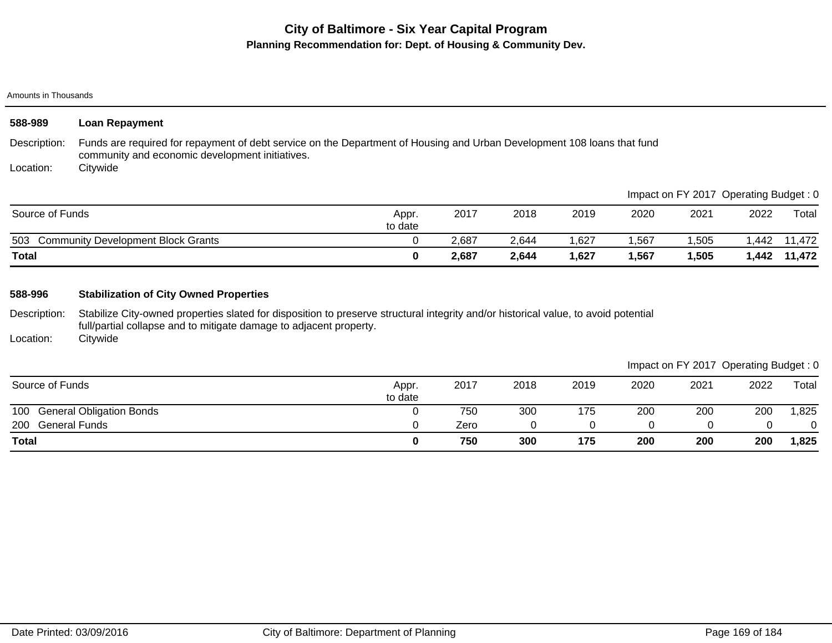Amounts in Thousands

| 588-989                   | <b>Loan Repayment</b>                                                                                                                                                                                     |                  |       |       |       |       |                                       |       |        |
|---------------------------|-----------------------------------------------------------------------------------------------------------------------------------------------------------------------------------------------------------|------------------|-------|-------|-------|-------|---------------------------------------|-------|--------|
| Description:<br>Location: | Funds are required for repayment of debt service on the Department of Housing and Urban Development 108 loans that fund<br>community and economic development initiatives.<br>Citywide                    |                  |       |       |       |       |                                       |       |        |
|                           |                                                                                                                                                                                                           |                  |       |       |       |       | Impact on FY 2017 Operating Budget: 0 |       |        |
| Source of Funds           |                                                                                                                                                                                                           | Appr.<br>to date | 2017  | 2018  | 2019  | 2020  | 2021                                  | 2022  | Total  |
|                           | 503 Community Development Block Grants                                                                                                                                                                    | 0                | 2,687 | 2,644 | 1,627 | 1,567 | ,505                                  | 1,442 | 11,472 |
| <b>Total</b>              |                                                                                                                                                                                                           | 0                | 2,687 | 2,644 | 1,627 | 1,567 | 1,505                                 | 1,442 | 11,472 |
| 588-996                   | <b>Stabilization of City Owned Properties</b>                                                                                                                                                             |                  |       |       |       |       |                                       |       |        |
| Description:              | Stabilize City-owned properties slated for disposition to preserve structural integrity and/or historical value, to avoid potential<br>full/partial collapse and to mitigate damage to adjacent property. |                  |       |       |       |       |                                       |       |        |

Location: **Citywide** 

| Impact on FY 2017 Operating Budget: 0 |
|---------------------------------------|
|                                       |

| Source of Funds                        | Appr.<br>to date | 2017 | 2018 | 2019 | 2020 | 2021 | 2022 | Total |
|----------------------------------------|------------------|------|------|------|------|------|------|-------|
| <b>General Obligation Bonds</b><br>100 |                  | 750  | 300  | 175  | 200  | 200  | 200  | .825  |
| 200<br><b>General Funds</b>            |                  | Zero |      |      |      |      |      |       |
| <b>Total</b>                           |                  | 750  | 300  | 175  | 200  | 200  | 200  | 1,825 |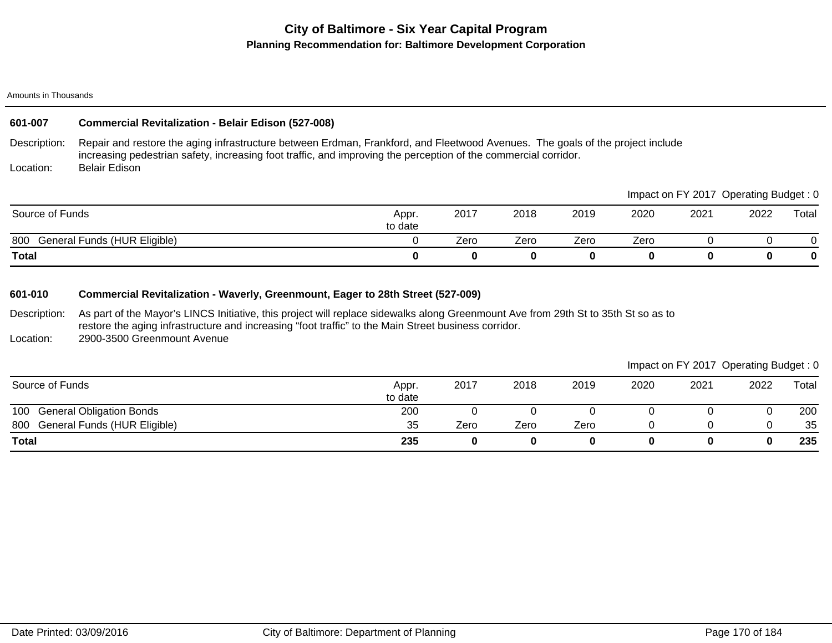#### Amounts in Thousands

## **601-007 Commercial Revitalization - Belair Edison (527-008)**

Description: Repair and restore the aging infrastructure between Erdman, Frankford, and Fleetwood Avenues. The goals of the project include increasing pedestrian safety, increasing foot traffic, and improving the perception of the commercial corridor. Belair Edison

Location:

| <b>Total</b>                        |                  |      |      |      |      | 0                                      |      | 0     |
|-------------------------------------|------------------|------|------|------|------|----------------------------------------|------|-------|
| General Funds (HUR Eligible)<br>800 |                  | Zero | Zero | Zero | Zero |                                        |      |       |
| Source of Funds                     | Appr.<br>to date | 2017 | 2018 | 2019 | 2020 | 2021                                   | 2022 | Total |
|                                     |                  |      |      |      |      | Impact on FY 2017 Operating Budget : 0 |      |       |

### **601-010 Commercial Revitalization - Waverly, Greenmount, Eager to 28th Street (527-009)**

Description: As part of the Mayor's LINCS Initiative, this project will replace sidewalks along Greenmount Ave from 29th St to 35th St so as to restore the aging infrastructure and increasing "foot traffic" to the Main Street business corridor.

Location: 2900-3500 Greenmount Avenue

|                                  |                  |      |      |      |      | Impact on FY 2017 Operating Budget: 0 |      |       |
|----------------------------------|------------------|------|------|------|------|---------------------------------------|------|-------|
| Source of Funds                  | Appr.<br>to date | 2017 | 2018 | 2019 | 2020 | 2021                                  | 2022 | Total |
| 100 General Obligation Bonds     | 200              |      |      |      |      |                                       |      | 200   |
| 800 General Funds (HUR Eligible) | 35               | Zero | Zero | Zero |      |                                       |      | 35    |
| <b>Total</b>                     | 235              |      |      |      |      |                                       |      | 235   |

 $\blacksquare$ Impact on  $\blacksquare$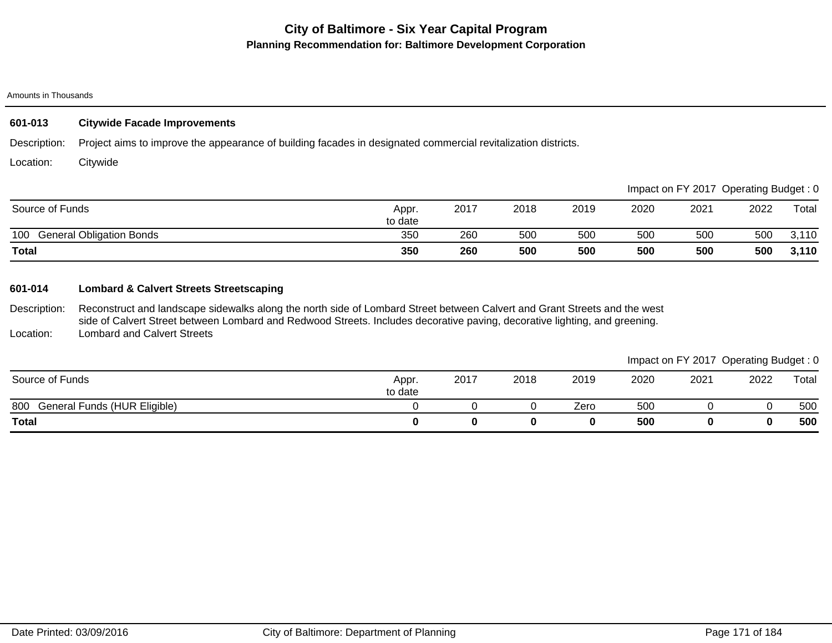#### Amounts in Thousands

## **601-013 Citywide Facade Improvements**

Description: Project aims to improve the appearance of building facades in designated commercial revitalization districts.

Location: **Citywide** 

|                                        |                  |      |      |      |      |      | Impact on FY 2017 Operating Budget: 0 |       |
|----------------------------------------|------------------|------|------|------|------|------|---------------------------------------|-------|
| Source of Funds                        | Appr.<br>to date | 2017 | 2018 | 2019 | 2020 | 2021 | 2022                                  | Total |
| <b>General Obligation Bonds</b><br>100 | 350              | 260  | 500  | 500  | 500  | 500  | 500                                   | 3,110 |
| <b>Total</b>                           | 350              | 260  | 500  | 500  | 500  | 500  | 500                                   | 3,110 |

## **601-014 Lombard & Calvert Streets Streetscaping**

Description: Location: Reconstruct and landscape sidewalks along the north side of Lombard Street between Calvert and Grant Streets and the west side of Calvert Street between Lombard and Redwood Streets. Includes decorative paving, decorative lighting, and greening. Lombard and Calvert Streets

|                                     |                  |      |      |      |      | Impact on FY 2017 Operating Budget: 0 |      |       |
|-------------------------------------|------------------|------|------|------|------|---------------------------------------|------|-------|
| Source of Funds                     | Appr.<br>to date | 2017 | 2018 | 2019 | 2020 | 2021                                  | 2022 | Total |
| General Funds (HUR Eligible)<br>800 |                  |      |      | Zero | 500  |                                       |      | 500   |
| <b>Total</b>                        |                  |      |      |      | 500  |                                       |      | 500   |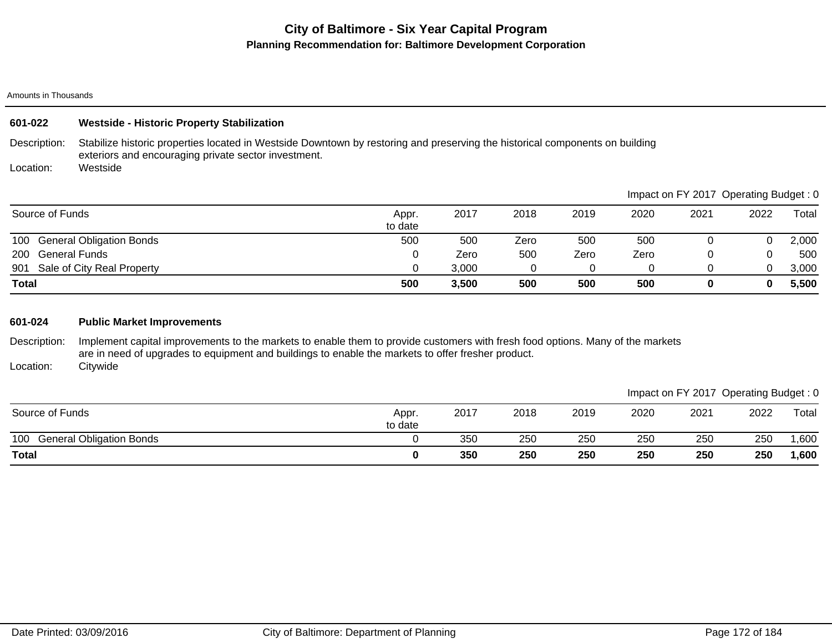#### Amounts in Thousands

| 601-022                                                                                             | <b>Westside - Historic Property Stabilization</b>                                                                                                                                    |   |       |                |               |       |       |                                       |                                            |
|-----------------------------------------------------------------------------------------------------|--------------------------------------------------------------------------------------------------------------------------------------------------------------------------------------|---|-------|----------------|---------------|-------|-------|---------------------------------------|--------------------------------------------|
| Description:                                                                                        | Stabilize historic properties located in Westside Downtown by restoring and preserving the historical components on building<br>exteriors and encouraging private sector investment. |   |       |                |               |       |       |                                       |                                            |
| Location:                                                                                           | Westside                                                                                                                                                                             |   |       |                |               |       |       |                                       |                                            |
|                                                                                                     |                                                                                                                                                                                      |   |       |                |               |       |       | Impact on FY 2017 Operating Budget: 0 |                                            |
| $\bigcap_{i=1}^n A_i$ and $\bigcap_{i=1}^n A_i$ and $\bigcap_{i=1}^n A_i$ and $\bigcap_{i=1}^n A_i$ |                                                                                                                                                                                      | . | 0.017 | $\sim\sim\sim$ | $\sim$ $\sim$ | 0.000 | 0.001 | $\sim$                                | $\mathbf{r}$ . $\mathbf{r}$ . $\mathbf{r}$ |

| <b>Total</b>                           | 500     | 3,500 | 500  | 500  | 500  |      |      | 5,500 |
|----------------------------------------|---------|-------|------|------|------|------|------|-------|
| Sale of City Real Property<br>901      |         | 3,000 |      |      |      |      | ∩    | 3,000 |
| <b>General Funds</b><br>200            |         | Zero  | 500  | Zero | Zero |      |      | 500   |
| <b>General Obligation Bonds</b><br>100 | 500     | 500   | Zero | 500  | 500  |      |      | 2,000 |
|                                        | to date |       |      |      |      |      |      |       |
| Source of Funds                        | Appr.   | 2017  | 2018 | 2019 | 2020 | 2021 | 2022 | Total |

### **601-024 Public Market Improvements**

Description: Implement capital improvements to the markets to enable them to provide customers with fresh food options. Many of the markets are in need of upgrades to equipment and buildings to enable the markets to offer fresher product. **Citywide** 

Location:

|                                        |                  |      |      |      |      | Impact on FY 2017 Operating Budget: 0 |      |        |
|----------------------------------------|------------------|------|------|------|------|---------------------------------------|------|--------|
| Source of Funds                        | Appr.<br>to date | 2017 | 2018 | 2019 | 2020 | 2021                                  | 2022 | Total  |
| 100<br><b>General Obligation Bonds</b> |                  | 350  | 250  | 250  | 250  | 250                                   | 250  | ,600   |
| <b>Total</b>                           |                  | 350  | 250  | 250  | 250  | 250                                   | 250  | 600, ا |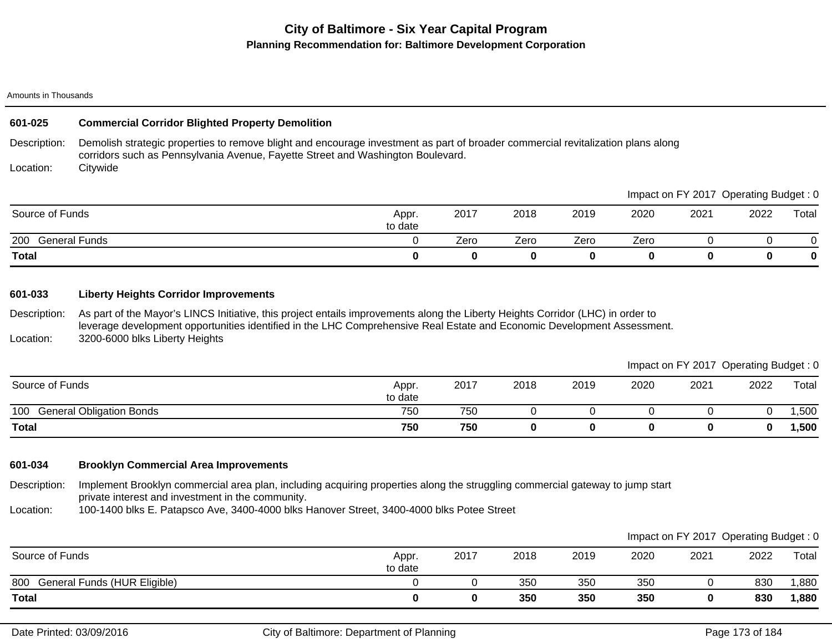#### Amounts in Thousands

### **601-025 Commercial Corridor Blighted Property Demolition**

Description: Demolish strategic properties to remove blight and encourage investment as part of broader commercial revitalization plans along corridors such as Pennsylvania Avenue, Fayette Street and Washington Boulevard.

Location: **Citywide** 

|                      |                  |      |      |      |      | Impact on FY 2017 | Operating Budget: 0 |       |
|----------------------|------------------|------|------|------|------|-------------------|---------------------|-------|
| Source of Funds      | Appr.<br>to date | 2017 | 2018 | 2019 | 2020 | 2021              | 2022                | Total |
| 200<br>General Funds |                  | Zero | Zero | Zero | Zero |                   |                     |       |
| <b>Total</b>         |                  |      |      |      |      |                   |                     | 0     |

### **601-033 Liberty Heights Corridor Improvements**

Description: Location: As part of the Mayor's LINCS Initiative, this project entails improvements along the Liberty Heights Corridor (LHC) in order to leverage development opportunities identified in the LHC Comprehensive Real Estate and Economic Development Assessment. 3200-6000 blks Liberty Heights

|                                        |                  |      |      |      |      |      | Impact on FY 2017 Operating Budget: 0 |       |
|----------------------------------------|------------------|------|------|------|------|------|---------------------------------------|-------|
| Source of Funds                        | Appr.<br>to date | 2017 | 2018 | 2019 | 2020 | 2021 | 2022                                  | Total |
| 100<br><b>General Obligation Bonds</b> | 750              | 750  |      |      |      |      |                                       | ,500  |
| <b>Total</b>                           | 750              | 750  |      |      |      |      |                                       | ,500  |

### **601-034 Brooklyn Commercial Area Improvements**

Description: Implement Brooklyn commercial area plan, including acquiring properties along the struggling commercial gateway to jump start private interest and investment in the community.

Location: 100-1400 blks E. Patapsco Ave, 3400-4000 blks Hanover Street, 3400-4000 blks Potee Street

|                                     |                  |      |      |      |      |      | Impact on FY 2017 Operating Budget: 0 |       |
|-------------------------------------|------------------|------|------|------|------|------|---------------------------------------|-------|
| Source of Funds                     | Appr.<br>to date | 2017 | 2018 | 2019 | 2020 | 2021 | 2022                                  | Total |
| 800<br>General Funds (HUR Eligible) |                  |      | 350  | 350  | 350  |      | 830                                   | ,880  |
| <b>Total</b>                        |                  |      | 350  | 350  | 350  |      | 830                                   | 1,880 |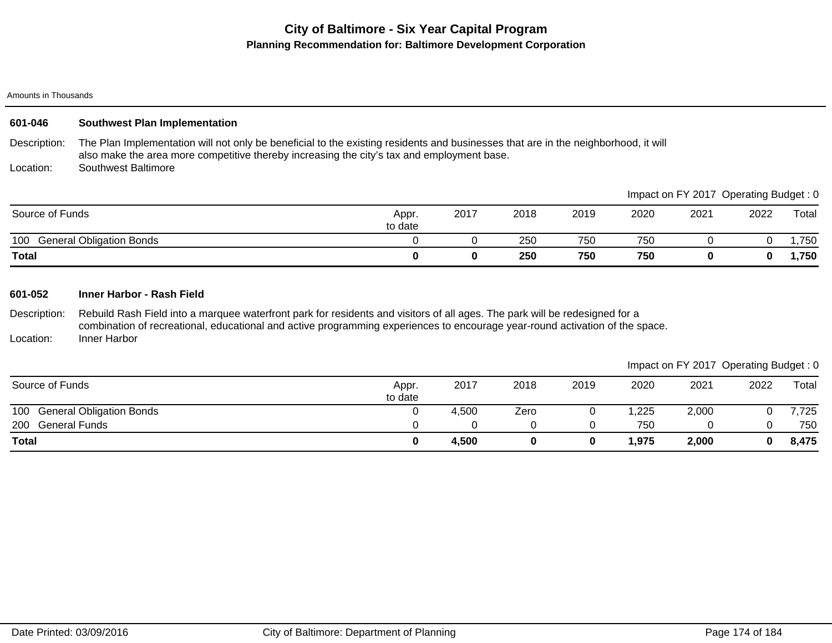#### Amounts in Thousands

| 601-046         | <b>Southwest Plan Implementation</b>                                                                                                                                                                                                                        |                  |          |      |      |       |       |                                       |       |
|-----------------|-------------------------------------------------------------------------------------------------------------------------------------------------------------------------------------------------------------------------------------------------------------|------------------|----------|------|------|-------|-------|---------------------------------------|-------|
| Description:    | The Plan Implementation will not only be beneficial to the existing residents and businesses that are in the neighborhood, it will<br>also make the area more competitive thereby increasing the city's tax and employment base.                            |                  |          |      |      |       |       |                                       |       |
| Location:       | Southwest Baltimore                                                                                                                                                                                                                                         |                  |          |      |      |       |       |                                       |       |
|                 |                                                                                                                                                                                                                                                             |                  |          |      |      |       |       | Impact on FY 2017 Operating Budget: 0 |       |
| Source of Funds |                                                                                                                                                                                                                                                             | Appr.<br>to date | 2017     | 2018 | 2019 | 2020  | 2021  | 2022                                  | Total |
| 100             | <b>General Obligation Bonds</b>                                                                                                                                                                                                                             | 0                | $\Omega$ | 250  | 750  | 750   | 0     | $\Omega$                              | 1,750 |
| <b>Total</b>    |                                                                                                                                                                                                                                                             | 0                | $\bf{0}$ | 250  | 750  | 750   | 0     | 0                                     | 1,750 |
| 601-052         | Inner Harbor - Rash Field                                                                                                                                                                                                                                   |                  |          |      |      |       |       |                                       |       |
| Description:    | Rebuild Rash Field into a marquee waterfront park for residents and visitors of all ages. The park will be redesigned for a<br>combination of recreational, educational and active programming experiences to encourage year-round activation of the space. |                  |          |      |      |       |       |                                       |       |
| Location:       | Inner Harbor                                                                                                                                                                                                                                                |                  |          |      |      |       |       |                                       |       |
|                 |                                                                                                                                                                                                                                                             |                  |          |      |      |       |       | Impact on FY 2017 Operating Budget: 0 |       |
| Source of Funds |                                                                                                                                                                                                                                                             | Appr.<br>to date | 2017     | 2018 | 2019 | 2020  | 2021  | 2022                                  | Total |
| 100             | <b>General Obligation Bonds</b>                                                                                                                                                                                                                             | 0                | 4,500    | Zero | 0    | 1,225 | 2,000 | 0                                     | 7,725 |
| 200             | <b>General Funds</b>                                                                                                                                                                                                                                        | 0                | 0        | 0    | 0    | 750   | 0     | 0                                     | 750   |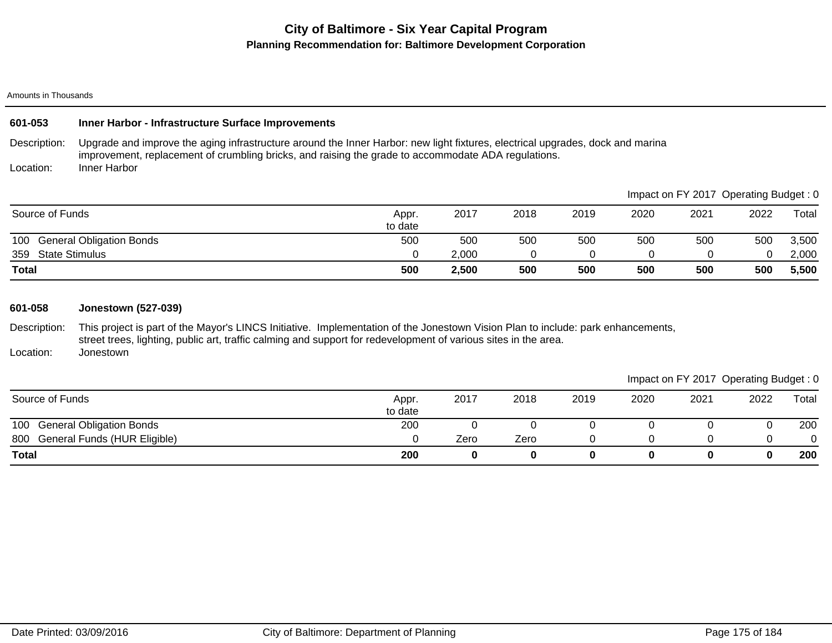#### Amounts in Thousands

### **601-053 Inner Harbor - Infrastructure Surface Improvements**

Description: Upgrade and improve the aging infrastructure around the Inner Harbor: new light fixtures, electrical upgrades, dock and marina improvement, replacement of crumbling bricks, and raising the grade to accommodate ADA regulations.

Location: Inner Harbor

| <b>State Stimulus</b><br>359<br><b>Total</b> | 500              | 2,000<br>2,500 | 500  | 500  | 500  | 500  | 500                                   | 2,000<br>5,500 |
|----------------------------------------------|------------------|----------------|------|------|------|------|---------------------------------------|----------------|
| <b>General Obligation Bonds</b><br>100       | 500              | 500            | 500  | 500  | 500  | 500  | 500                                   | 3,500          |
| Source of Funds                              | Appr.<br>to date | 2017           | 2018 | 2019 | 2020 | 2021 | 2022                                  | Total          |
|                                              |                  |                |      |      |      |      | Impact on FY 2017 Operating Budget: 0 |                |

### **601-058 Jonestown (527-039)**

Description: Location: This project is part of the Mayor's LINCS Initiative. Implementation of the Jonestown Vision Plan to include: park enhancements, street trees, lighting, public art, traffic calming and support for redevelopment of various sites in the area. Jonestown

|                                  |                  |      |      |      |      | Impact on FY 2017 Operating Budget: 0 |      |       |
|----------------------------------|------------------|------|------|------|------|---------------------------------------|------|-------|
| Source of Funds                  | Appr.<br>to date | 2017 | 2018 | 2019 | 2020 | 2021                                  | 2022 | Total |
| 100 General Obligation Bonds     | 200              |      |      |      |      |                                       |      | 200   |
| 800 General Funds (HUR Eligible) |                  | Zero | Zero |      |      |                                       |      |       |
| <b>Total</b>                     | 200              |      | 0    |      |      |                                       |      | 200   |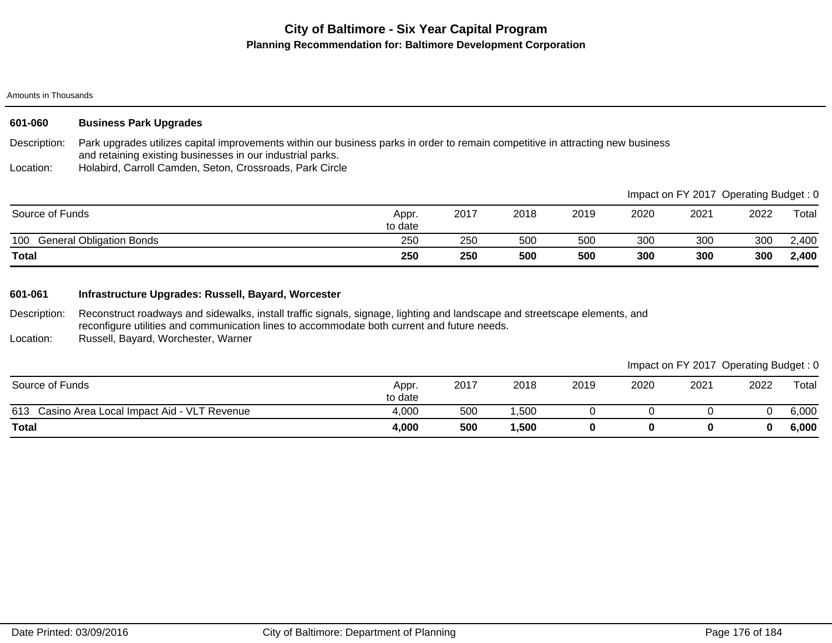#### Amounts in Thousands

| 601-060 | <b>Business Park Upgrades</b> |
|---------|-------------------------------|
|---------|-------------------------------|

Description: Park upgrades utilizes capital improvements within our business parks in order to remain competitive in attracting new business and retaining existing businesses in our industrial parks.

Location: Holabird, Carroll Camden, Seton, Crossroads, Park Circle

|                                        |                  |      |      |      |      |      | Impact on FY 2017 Operating Budget: 0 |                        |
|----------------------------------------|------------------|------|------|------|------|------|---------------------------------------|------------------------|
| Source of Funds                        | Appr.<br>to date | 2017 | 2018 | 2019 | 2020 | 2021 | 2022                                  | $\tau$ <sub>otal</sub> |
| <b>General Obligation Bonds</b><br>100 | 250              | 250  | 500  | 500  | 300  | 300  | 300                                   | 2,400                  |
| <b>Total</b>                           | 250              | 250  | 500  | 500  | 300  | 300  | 300                                   | 2,400                  |

### **601-061 Infrastructure Upgrades: Russell, Bayard, Worcester**

Description: Reconstruct roadways and sidewalks, install traffic signals, signage, lighting and landscape and streetscape elements, and reconfigure utilities and communication lines to accommodate both current and future needs.

Location: Russell, Bayard, Worchester, Warner

613 Casino Area Local Impact Aid - VLT Revenue **4,000** 500 1,500 0 0 0 0 0 6,000 **Total 4,000 500 1,500 0 0 0 0 6,000** Source of Funds **Appr.** Appr. **Appr.** Appr. **Appr.** Appr. **Appr.** Appr. **Appr.** Appr. to date 2017 2018 2019 2020 2021 2022 Total Impact on FY 2017 Operating Budget : 0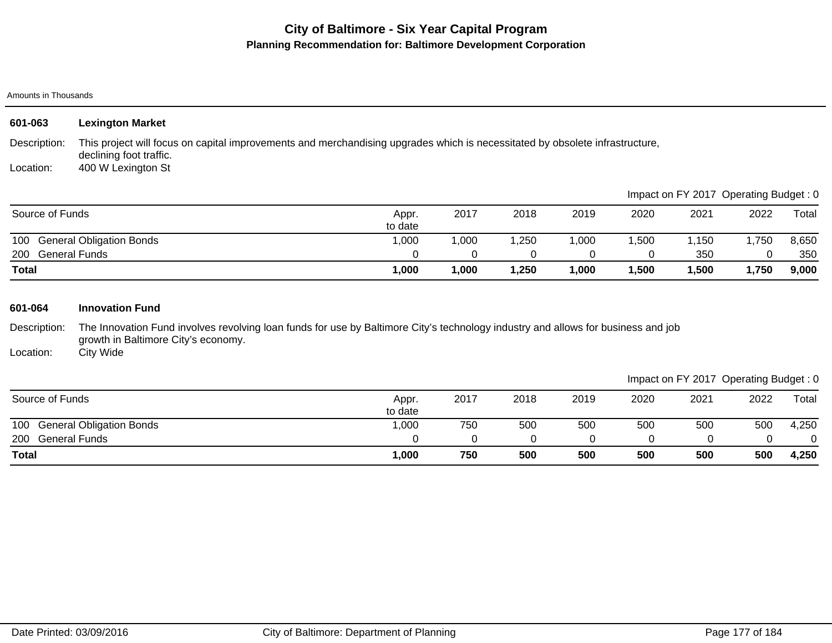#### Amounts in Thousands

| 601-063                   | <b>Lexington Market</b>                                                                                                                                                       |                  |       |       |       |       |       |                                       |       |
|---------------------------|-------------------------------------------------------------------------------------------------------------------------------------------------------------------------------|------------------|-------|-------|-------|-------|-------|---------------------------------------|-------|
| Description:<br>Location: | This project will focus on capital improvements and merchandising upgrades which is necessitated by obsolete infrastructure,<br>declining foot traffic.<br>400 W Lexington St |                  |       |       |       |       |       |                                       |       |
|                           |                                                                                                                                                                               |                  |       |       |       |       |       | Impact on FY 2017 Operating Budget: 0 |       |
| Source of Funds           |                                                                                                                                                                               | Appr.<br>to date | 2017  | 2018  | 2019  | 2020  | 2021  | 2022                                  | Total |
| 100                       | <b>General Obligation Bonds</b>                                                                                                                                               | 1,000            | 1,000 | 1,250 | 1,000 | 1,500 | 1,150 | 1,750                                 | 8,650 |
| 200                       | <b>General Funds</b>                                                                                                                                                          | 0                | 0     | 0     | 0     | 0     | 350   | 0                                     | 350   |
| <b>Total</b>              |                                                                                                                                                                               | 1,000            | 1,000 | 1,250 | 1,000 | 1,500 | 1,500 | 1,750                                 | 9,000 |
| 601-064                   | <b>Innovation Fund</b>                                                                                                                                                        |                  |       |       |       |       |       |                                       |       |
| Description:              | The Innovation Fund involves revolving loan funds for use by Baltimore City's technology industry and allows for business and job<br>growth in Baltimore City's economy.      |                  |       |       |       |       |       |                                       |       |
| Location:                 | City Wide                                                                                                                                                                     |                  |       |       |       |       |       |                                       |       |
|                           |                                                                                                                                                                               |                  |       |       |       |       |       | Impact on FY 2017 Operating Budget: 0 |       |
| Source of Funds           |                                                                                                                                                                               | Appr.<br>to date | 2017  | 2018  | 2019  | 2020  | 2021  | 2022                                  | Total |
| 100                       | <b>General Obligation Bonds</b>                                                                                                                                               | 1,000            | 750   | 500   | 500   | 500   | 500   | 500                                   | 4,250 |
| 200                       | <b>General Funds</b>                                                                                                                                                          | 0                | 0     | 0     | 0     | 0     | 0     | 0                                     | 0     |

**Total 1,000 750 500 500 500 500 500 4,250**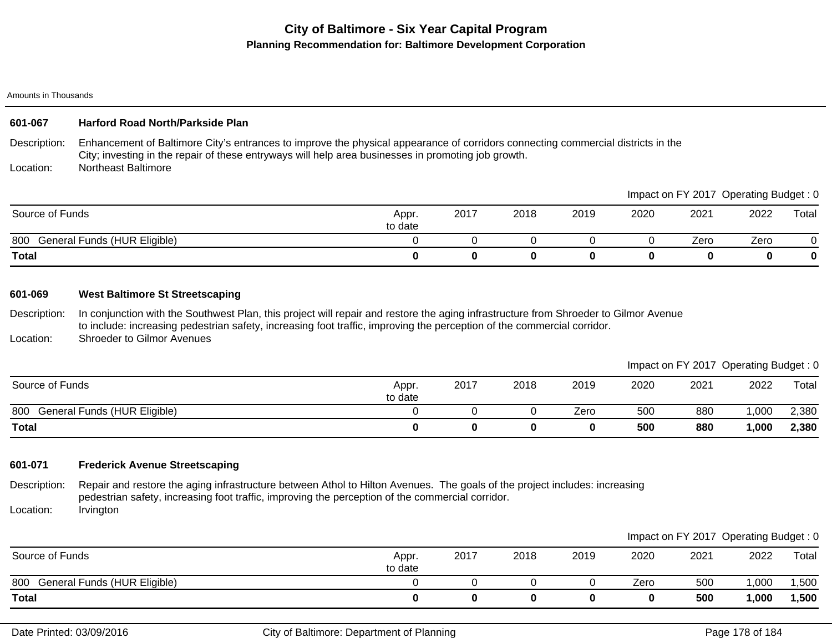#### Amounts in Thousands

### **601-067 Harford Road North/Parkside Plan**

Description: Enhancement of Baltimore City's entrances to improve the physical appearance of corridors connecting commercial districts in the City; investing in the repair of these entryways will help area businesses in promoting job growth.

Location: Northeast Baltimore

|                                     |                  |      |      |      |      |      | Impact on FY 2017 Operating Budget: 0 |       |
|-------------------------------------|------------------|------|------|------|------|------|---------------------------------------|-------|
| Source of Funds                     | Appr.<br>to date | 2017 | 2018 | 2019 | 2020 | 2021 | 2022                                  | Total |
| 800<br>General Funds (HUR Eligible) |                  |      |      |      |      | Zero | Zero                                  |       |
| <b>Total</b>                        |                  |      |      |      |      |      |                                       | 0     |

### **601-069 West Baltimore St Streetscaping**

Description: In conjunction with the Southwest Plan, this project will repair and restore the aging infrastructure from Shroeder to Gilmor Avenue to include: increasing pedestrian safety, increasing foot traffic, improving the perception of the commercial corridor.

Location: Shroeder to Gilmor Avenues

|                                     |                  |      |      |      |      | Impact on FY 2017 Operating Budget: 0 |      |       |
|-------------------------------------|------------------|------|------|------|------|---------------------------------------|------|-------|
| Source of Funds                     | Appr.<br>to date | 2017 | 2018 | 2019 | 2020 | 2021                                  | 2022 | Total |
| 800<br>General Funds (HUR Eligible) |                  |      |      | Zero | 500  | 880                                   | ,000 | 2,380 |
| <b>Total</b>                        |                  |      |      |      | 500  | 880                                   | ,000 | 2,380 |

### **601-071 Frederick Avenue Streetscaping**

Description: Location: Repair and restore the aging infrastructure between Athol to Hilton Avenues. The goals of the project includes: increasing pedestrian safety, increasing foot traffic, improving the perception of the commercial corridor. Irvington

|                                     |                  |      |      |      |      |      | Impact on FY 2017 Operating Budget: 0 |       |
|-------------------------------------|------------------|------|------|------|------|------|---------------------------------------|-------|
| Source of Funds                     | Appr.<br>to date | 2017 | 2018 | 2019 | 2020 | 2021 | 2022                                  | Total |
| General Funds (HUR Eligible)<br>800 |                  |      |      |      | Zero | 500  | 000,                                  | ,500  |
| <b>Total</b>                        |                  |      |      |      |      | 500  | 1,000                                 | 1,500 |

 $\blacksquare$ Impact on Fy 2017 Operation of  $\blacksquare$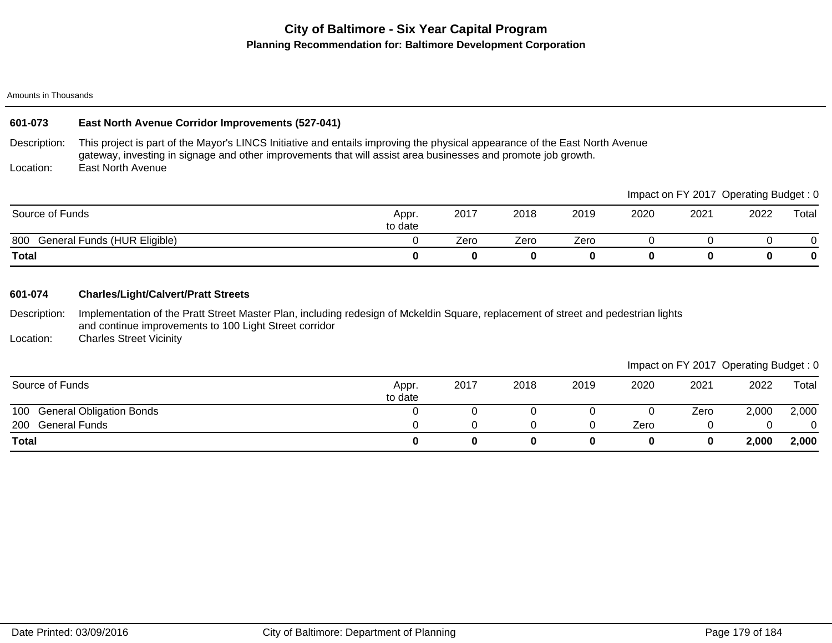#### Amounts in Thousands

### **601-073 East North Avenue Corridor Improvements (527-041)**

Description: Location: This project is part of the Mayor's LINCS Initiative and entails improving the physical appearance of the East North Avenue gateway, investing in signage and other improvements that will assist area businesses and promote job growth. East North Avenue

800 General Funds (HUR Eligible) 0 Zero Zero Zero 0 0 0 0 **Total 0 0 0 0 0 0 0 0** Source of Funds Appr. to date 2017 2018 2019 2020 2021 2022 Total Impact on FY 2017 Operating Budget : 0

### **601-074 Charles/Light/Calvert/Pratt Streets**

Description: Implementation of the Pratt Street Master Plan, including redesign of Mckeldin Square, replacement of street and pedestrian lights and continue improvements to 100 Light Street corridor

Location: Charles Street Vicinity

Impact on FY 2017 Operating Budget : 0

|                              |                  |      |      |      |      |      | $\tilde{\phantom{a}}$ | $\tilde{\phantom{a}}$ |
|------------------------------|------------------|------|------|------|------|------|-----------------------|-----------------------|
| Source of Funds              | Appr.<br>to date | 2017 | 2018 | 2019 | 2020 | 2021 | 2022                  | Total                 |
| 100 General Obligation Bonds |                  |      |      |      |      | Zero | 2,000                 | 2,000                 |
| 200 General Funds            |                  |      |      |      | Zero |      |                       |                       |
| <b>Total</b>                 |                  |      |      |      |      |      | 2,000                 | 2,000                 |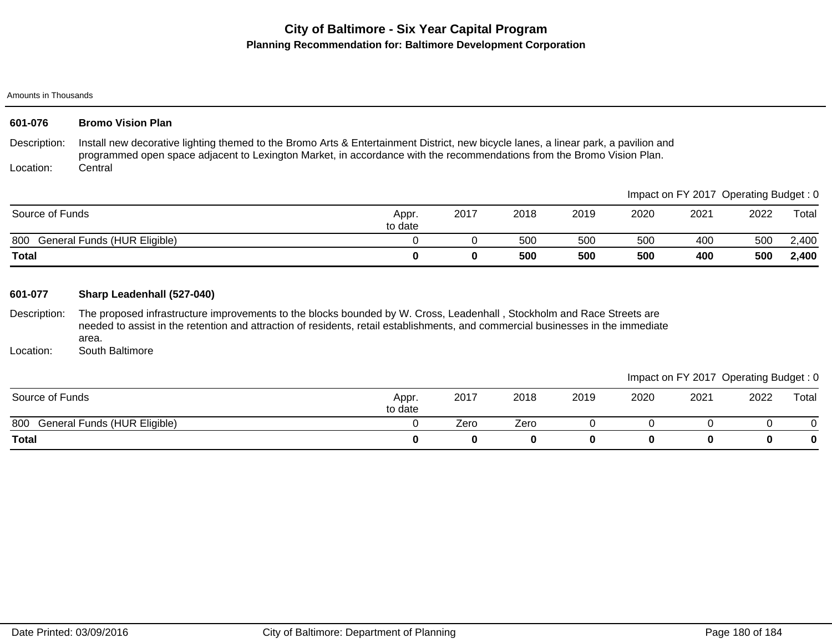Amounts in Thousands

| 601-076                   | <b>Bromo Vision Plan</b>                                                                                                                                                                                                                                                                          |                  |          |      |      |          |                                       |      |          |
|---------------------------|---------------------------------------------------------------------------------------------------------------------------------------------------------------------------------------------------------------------------------------------------------------------------------------------------|------------------|----------|------|------|----------|---------------------------------------|------|----------|
| Description:<br>Location: | Install new decorative lighting themed to the Bromo Arts & Entertainment District, new bicycle lanes, a linear park, a pavilion and<br>programmed open space adjacent to Lexington Market, in accordance with the recommendations from the Bromo Vision Plan.<br>Central                          |                  |          |      |      |          |                                       |      |          |
|                           |                                                                                                                                                                                                                                                                                                   |                  |          |      |      |          | Impact on FY 2017 Operating Budget: 0 |      |          |
| Source of Funds           |                                                                                                                                                                                                                                                                                                   | Appr.<br>to date | 2017     | 2018 | 2019 | 2020     | 2021                                  | 2022 | Total    |
| 800                       | General Funds (HUR Eligible)                                                                                                                                                                                                                                                                      | $\mathbf 0$      | 0        | 500  | 500  | 500      | 400                                   | 500  | 2,400    |
| <b>Total</b>              |                                                                                                                                                                                                                                                                                                   | 0                | $\bf{0}$ | 500  | 500  | 500      | 400                                   | 500  | 2,400    |
| 601-077<br>Description:   | Sharp Leadenhall (527-040)<br>The proposed infrastructure improvements to the blocks bounded by W. Cross, Leadenhall, Stockholm and Race Streets are<br>needed to assist in the retention and attraction of residents, retail establishments, and commercial businesses in the immediate<br>area. |                  |          |      |      |          |                                       |      |          |
| Location:                 | South Baltimore                                                                                                                                                                                                                                                                                   |                  |          |      |      |          |                                       |      |          |
|                           |                                                                                                                                                                                                                                                                                                   |                  |          |      |      |          | Impact on FY 2017 Operating Budget: 0 |      |          |
| Source of Funds           |                                                                                                                                                                                                                                                                                                   | Appr.<br>to date | 2017     | 2018 | 2019 | 2020     | 2021                                  | 2022 | Total    |
| 800                       | General Funds (HUR Eligible)                                                                                                                                                                                                                                                                      | $\Omega$         | Zero     | Zero | 0    | $\Omega$ | $\mathbf 0$                           | 0    | 0        |
| <b>Total</b>              |                                                                                                                                                                                                                                                                                                   | 0                | 0        | 0    | 0    | 0        | $\bf{0}$                              | 0    | $\bf{0}$ |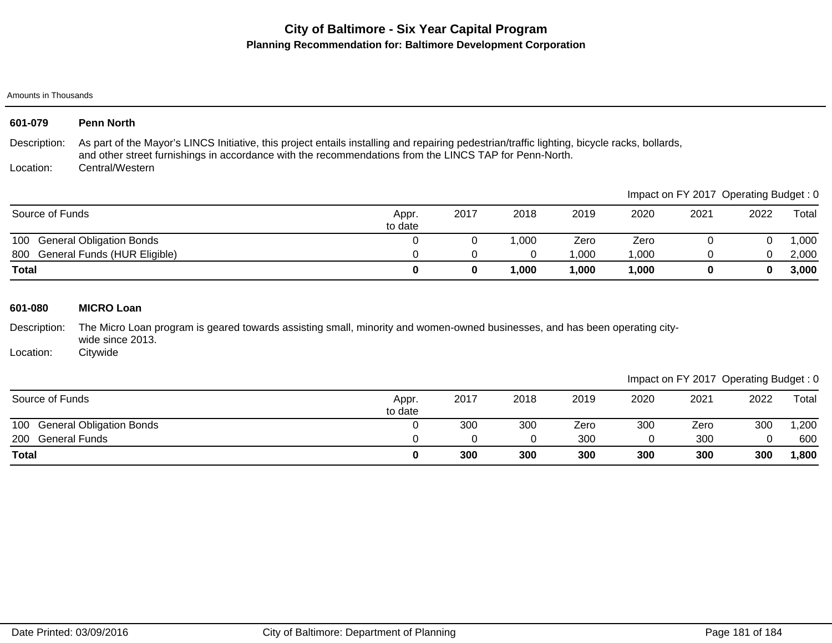# **City of Baltimore - Six Year Capital Program Planning Recommendation for: Baltimore Development Corporation**

Amounts in Thousands

| 601-079         | <b>Penn North</b>                                                                                                                                                                                                                                      |                  |          |          |       |       |          |                                       |       |
|-----------------|--------------------------------------------------------------------------------------------------------------------------------------------------------------------------------------------------------------------------------------------------------|------------------|----------|----------|-------|-------|----------|---------------------------------------|-------|
| Description:    | As part of the Mayor's LINCS Initiative, this project entails installing and repairing pedestrian/traffic lighting, bicycle racks, bollards,<br>and other street furnishings in accordance with the recommendations from the LINCS TAP for Penn-North. |                  |          |          |       |       |          |                                       |       |
| Location:       | Central/Western                                                                                                                                                                                                                                        |                  |          |          |       |       |          |                                       |       |
|                 |                                                                                                                                                                                                                                                        |                  |          |          |       |       |          | Impact on FY 2017 Operating Budget: 0 |       |
| Source of Funds |                                                                                                                                                                                                                                                        | Appr.<br>to date | 2017     | 2018     | 2019  | 2020  | 2021     | 2022                                  | Total |
| 100             | <b>General Obligation Bonds</b>                                                                                                                                                                                                                        | 0                | $\Omega$ | 1,000    | Zero  | Zero  | $\Omega$ | 0                                     | 1,000 |
| 800             | General Funds (HUR Eligible)                                                                                                                                                                                                                           | 0                | $\Omega$ | 0        | 1,000 | 1,000 | 0        | 0                                     | 2,000 |
| <b>Total</b>    |                                                                                                                                                                                                                                                        | $\mathbf 0$      | 0        | 1,000    | 1,000 | 1,000 | 0        | 0                                     | 3,000 |
| 601-080         | <b>MICRO Loan</b>                                                                                                                                                                                                                                      |                  |          |          |       |       |          |                                       |       |
| Description:    | The Micro Loan program is geared towards assisting small, minority and women-owned businesses, and has been operating city-<br>wide since 2013.                                                                                                        |                  |          |          |       |       |          |                                       |       |
| Location:       | Citywide                                                                                                                                                                                                                                               |                  |          |          |       |       |          |                                       |       |
|                 |                                                                                                                                                                                                                                                        |                  |          |          |       |       |          | Impact on FY 2017 Operating Budget: 0 |       |
| Source of Funds |                                                                                                                                                                                                                                                        | Appr.<br>to date | 2017     | 2018     | 2019  | 2020  | 2021     | 2022                                  | Total |
| 100             | <b>General Obligation Bonds</b>                                                                                                                                                                                                                        | $\Omega$         | 300      | 300      | Zero  | 300   | Zero     | 300                                   | 1,200 |
| 200             | <b>General Funds</b>                                                                                                                                                                                                                                   | 0                | $\Omega$ | $\Omega$ | 300   | 0     | 300      | $\Omega$                              | 600   |
| <b>Total</b>    |                                                                                                                                                                                                                                                        | 0                | 300      | 300      | 300   | 300   | 300      | 300                                   | 1,800 |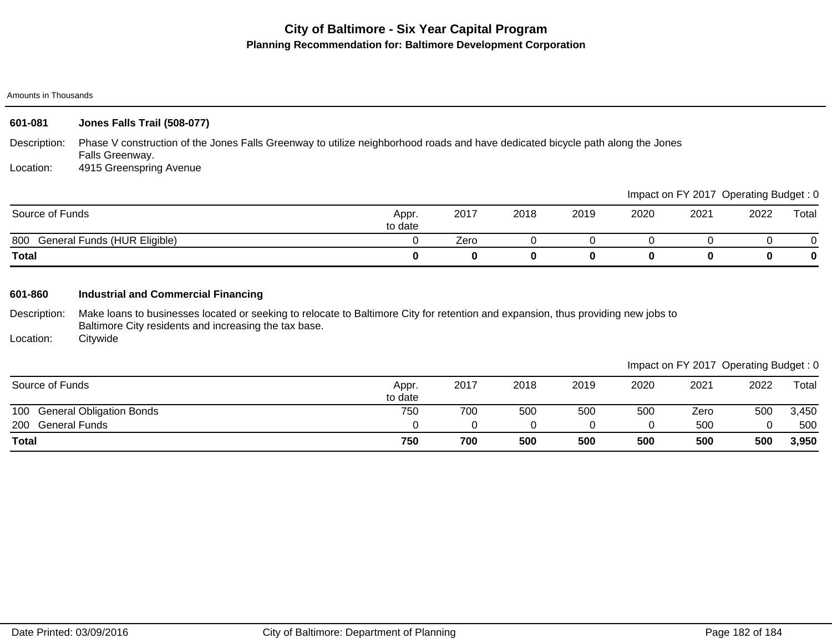## **City of Baltimore - Six Year Capital Program Planning Recommendation for: Baltimore Development Corporation**

#### Amounts in Thousands

| 601-081         | Jones Falls Trail (508-077)                                                                                                                       |                  |          |      |      |      |                                       |      |          |  |
|-----------------|---------------------------------------------------------------------------------------------------------------------------------------------------|------------------|----------|------|------|------|---------------------------------------|------|----------|--|
| Description:    | Phase V construction of the Jones Falls Greenway to utilize neighborhood roads and have dedicated bicycle path along the Jones<br>Falls Greenway. |                  |          |      |      |      |                                       |      |          |  |
| Location:       | 4915 Greenspring Avenue                                                                                                                           |                  |          |      |      |      |                                       |      |          |  |
|                 |                                                                                                                                                   |                  |          |      |      |      | Impact on FY 2017 Operating Budget: 0 |      |          |  |
| Source of Funds |                                                                                                                                                   | Appr.<br>to date | 2017     | 2018 | 2019 | 2020 | 2021                                  | 2022 | Total    |  |
|                 | 800 General Funds (HUR Eligible)                                                                                                                  |                  | Zero     |      |      |      |                                       |      | $\Omega$ |  |
| <b>Total</b>    |                                                                                                                                                   | $\bf{0}$         | $\bf{0}$ | 0    | 0    | 0    | $\mathbf{0}$                          |      | 0        |  |
|                 |                                                                                                                                                   |                  |          |      |      |      |                                       |      |          |  |

### **601-860 Industrial and Commercial Financing**

Description: Make loans to businesses located or seeking to relocate to Baltimore City for retention and expansion, thus providing new jobs to Baltimore City residents and increasing the tax base.

Location: **Citywide** 

Impact on FY 2017 Operating Budget : 0

|                                        |                  |      |      |      |            |      |      | $\tilde{\phantom{a}}$ |
|----------------------------------------|------------------|------|------|------|------------|------|------|-----------------------|
| Source of Funds                        | Appr.<br>to date | 2017 | 2018 | 2019 | 2020       | 2021 | 2022 | Total                 |
| 100<br><b>General Obligation Bonds</b> | 750              | 700  | 500  | 500  | <b>500</b> | Zero | 500  | 3,450                 |
| 200<br><b>General Funds</b>            |                  |      |      |      |            | 500  |      | 500                   |
| <b>Total</b>                           | 750              | 700  | 500  | 500  | 500        | 500  | 500  | 3,950                 |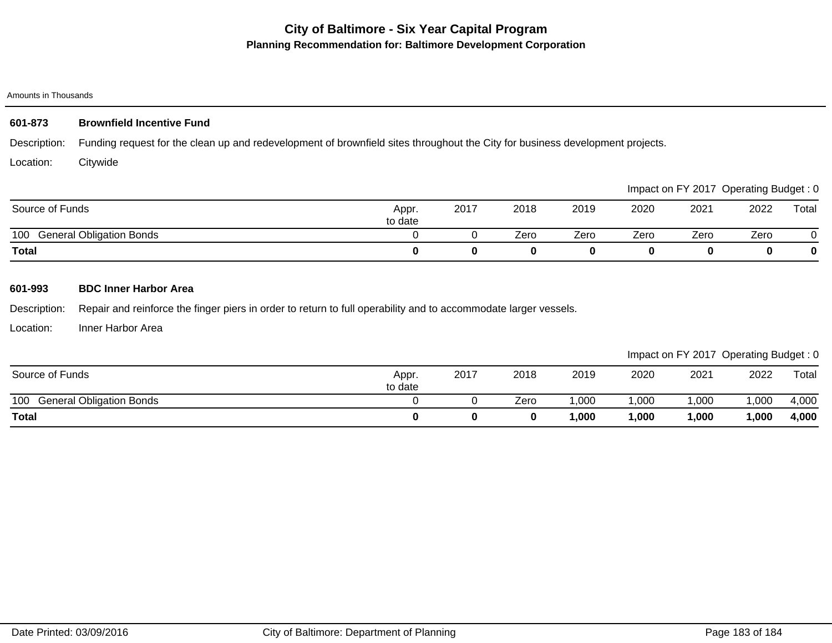# **City of Baltimore - Six Year Capital Program Planning Recommendation for: Baltimore Development Corporation**

#### Amounts in Thousands

### Description: Location: **601-873 Brownfield Incentive Fund** Funding request for the clean up and redevelopment of brownfield sites throughout the City for business development projects. **Citywide**

|                                        |                  |      |      |      |      |      | Impact on FY 2017 Operating Budget: 0 |       |
|----------------------------------------|------------------|------|------|------|------|------|---------------------------------------|-------|
| Source of Funds                        | Appr.<br>to date | 2017 | 2018 | 2019 | 2020 | 2021 | 2022                                  | Total |
| <b>General Obligation Bonds</b><br>100 |                  |      | Zero | Zero | Zero | Zero | Zero                                  |       |
| <b>Total</b>                           |                  |      |      |      |      |      |                                       |       |

## **601-993 BDC Inner Harbor Area**

Description: Repair and reinforce the finger piers in order to return to full operability and to accommodate larger vessels.

Location: Inner Harbor Area

Impact on FY 2017 Operating Budget : 0

|                                        |                  |      |      |        |      |      | ______<br>__ | __    |
|----------------------------------------|------------------|------|------|--------|------|------|--------------|-------|
| Source of Funds                        | Appr.<br>to date | 2017 | 2018 | 2019   | 2020 | 2021 | 2022         | Total |
| 100<br><b>General Obligation Bonds</b> |                  |      | Zero | ,000   | ,000 | 000, | ,000         | 4,000 |
| <b>Total</b>                           |                  |      |      | 000, ا | ,000 | ,000 | ,000         | 4,000 |